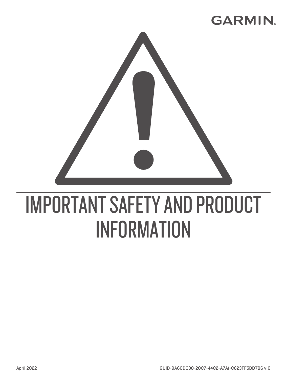# **GARMIN.**



# IMPORTANT SAFETY AND PRODUCT INFORMATION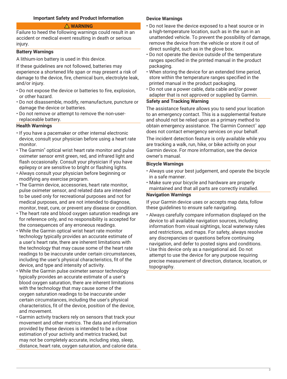# **Important Safety and Product Information**

# **WARNING**

<span id="page-2-0"></span>Failure to heed the following warnings could result in an accident or medical event resulting in death or serious injury.

#### **Battery Warnings**

A lithium-ion battery is used in this device.

If these guidelines are not followed, batteries may experience a shortened life span or may present a risk of damage to the device, fire, chemical burn, electrolyte leak, and/or injury.

- Do not expose the device or batteries to fire, explosion, or other hazard.
- Do not disassemble, modify, remanufacture, puncture or damage the device or batteries.
- Do not remove or attempt to remove the non-userreplaceable battery.

# **Health Warnings**

- If you have a pacemaker or other internal electronic device, consult your physician before using a heart rate monitor.
- The Garmin® optical wrist heart rate monitor and pulse oximeter sensor emit green, red, and infrared light and flash occasionally. Consult your physician if you have epilepsy or are sensitive to bright or flashing lights.
- Always consult your physician before beginning or modifying any exercise program.
- The Garmin device, accessories, heart rate monitor, pulse oximeter sensor, and related data are intended to be used only for recreational purposes and not for medical purposes, and are not intended to diagnose, monitor, treat, cure, or prevent any disease or condition.
- The heart rate and blood oxygen saturation readings are for reference only, and no responsibility is accepted for the consequences of any erroneous readings.
- While the Garmin optical wrist heart rate monitor technology typically provides an accurate estimate of a user's heart rate, there are inherent limitations with the technology that may cause some of the heart rate readings to be inaccurate under certain circumstances, including the user's physical characteristics, fit of the device, and type and intensity of activity.
- While the Garmin pulse oximeter sensor technology typically provides an accurate estimate of a user's blood oxygen saturation, there are inherent limitations with the technology that may cause some of the oxygen saturation readings to be inaccurate under certain circumstances, including the user's physical characteristics, fit of the device, position of the device, and movement.
- Garmin activity trackers rely on sensors that track your movement and other metrics. The data and information provided by these devices is intended to be a close estimation of your activity and metrics tracked, but may not be completely accurate, including step, sleep, distance, heart rate, oxygen saturation, and calorie data.

#### **Device Warnings**

- Do not leave the device exposed to a heat source or in a high-temperature location, such as in the sun in an unattended vehicle. To prevent the possibility of damage, remove the device from the vehicle or store it out of direct sunlight, such as in the glove box.
- Do not operate the device outside of the temperature ranges specified in the printed manual in the product packaging.
- When storing the device for an extended time period, store within the temperature ranges specified in the printed manual in the product packaging.
- Do not use a power cable, data cable and/or power adapter that is not approved or supplied by Garmin.

# **Safety and Tracking Warning**

The assistance feature allows you to send your location to an emergency contact. This is a supplemental feature and should not be relied upon as a primary method to obtain emergency assistance. The Garmin Connect™ app does not contact emergency services on your behalf.

The incident detection feature is only available while you are tracking a walk, run, hike, or bike activity on your Garmin device. For more information, see the device owner's manual.

#### **Bicycle Warnings**

- Always use your best judgement, and operate the bicycle in a safe manner.
- Make sure your bicycle and hardware are properly maintained and that all parts are correctly installed.

#### **Navigation Warnings**

If your Garmin device uses or accepts map data, follow these guidelines to ensure safe navigating.

- Always carefully compare information displayed on the device to all available navigation sources, including information from visual sightings, local waterway rules and restrictions, and maps. For safety, always resolve any discrepancies or questions before continuing navigation, and defer to posted signs and conditions.
- Use this device only as a navigational aid. Do not attempt to use the device for any purpose requiring precise measurement of direction, distance, location, or topography.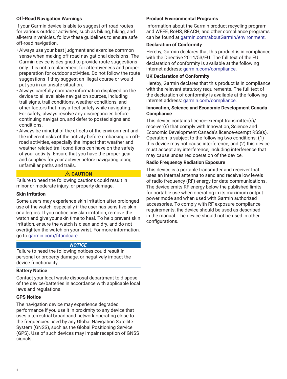# **Off-Road Navigation Warnings**

If your Garmin device is able to suggest off-road routes for various outdoor activities, such as biking, hiking, and all-terrain vehicles, follow these guidelines to ensure safe off-road navigation.

- Always use your best judgment and exercise common sense when making off-road navigational decisions. The Garmin device is designed to provide route suggestions only. It is not a replacement for attentiveness and proper preparation for outdoor activities. Do not follow the route suggestions if they suggest an illegal course or would put you in an unsafe situation.
- Always carefully compare information displayed on the device to all available navigation sources, including trail signs, trail conditions, weather conditions, and other factors that may affect safety while navigating. For safety, always resolve any discrepancies before continuing navigation, and defer to posted signs and conditions.
- Always be mindful of the effects of the environment and the inherent risks of the activity before embarking on offroad activities, especially the impact that weather and weather-related trail conditions can have on the safety of your activity. Ensure that you have the proper gear and supplies for your activity before navigating along unfamiliar paths and trails.

# **CAUTION**

Failure to heed the following cautions could result in minor or moderate injury, or property damage.

# **Skin Irritation**

Some users may experience skin irritation after prolonged use of the watch, especially if the user has sensitive skin or allergies. If you notice any skin irritation, remove the watch and give your skin time to heal. To help prevent skin irritation, ensure the watch is clean and dry, and do not overtighten the watch on your wrist. For more information, go to [garmin.com/fitandcare.](http://www.garmin.com/fitandcare)

# *NOTICE*

Failure to heed the following notices could result in personal or property damage, or negatively impact the device functionality.

# **Battery Notice**

Contact your local waste disposal department to dispose of the device/batteries in accordance with applicable local laws and regulations.

# **GPS Notice**

The navigation device may experience degraded performance if you use it in proximity to any device that uses a terrestrial broadband network operating close to the frequencies used by any Global Navigation Satellite System (GNSS), such as the Global Positioning Service (GPS). Use of such devices may impair reception of GNSS signals.

# **Product Environmental Programs**

Information about the Garmin product recycling program and WEEE, RoHS, REACH, and other compliance programs can be found at [garmin.com/aboutGarmin/environment.](http://www.garmin.com/aboutGarmin/environment)

# **Declaration of Conformity**

Hereby, Garmin declares that this product is in compliance with the Directive 2014/53/EU. The full text of the EU declaration of conformity is available at the following internet address: [garmin.com/compliance](http://www.garmin.com/compliance).

# **UK Declaration of Conformity**

Hereby, Garmin declares that this product is in compliance with the relevant statutory requirements. The full text of the declaration of conformity is available at the following internet address: [garmin.com/compliance](http://www.garmin.com/compliance).

# **Innovation, Science and Economic Development Canada Compliance**

This device contains licence-exempt transmitter(s)/ receiver(s) that comply with Innovation, Science and Economic Development Canada's licence-exempt RSS(s). Operation is subject to the following two conditions: (1) this device may not cause interference, and (2) this device must accept any interference, including interference that may cause undesired operation of the device.

# **Radio Frequency Radiation Exposure**

This device is a portable transmitter and receiver that uses an internal antenna to send and receive low levels of radio frequency (RF) energy for data communications. The device emits RF energy below the published limits for portable use when operating in its maximum output power mode and when used with Garmin authorized accessories. To comply with RF exposure compliance requirements, the device should be used as described in the manual. The device should not be used in other configurations.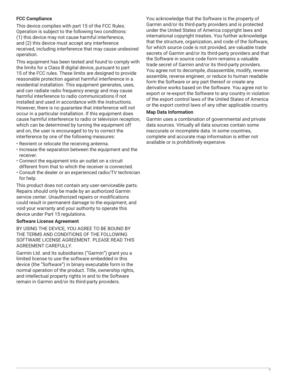# **FCC Compliance**

This device complies with part 15 of the FCC Rules. Operation is subject to the following two conditions: (1) this device may not cause harmful interference, and (2) this device must accept any interference received, including interference that may cause undesired operation.

This equipment has been tested and found to comply with the limits for a Class B digital device, pursuant to part 15 of the FCC rules. These limits are designed to provide reasonable protection against harmful interference in a residential installation. This equipment generates, uses, and can radiate radio frequency energy and may cause harmful interference to radio communications if not installed and used in accordance with the instructions. However, there is no guarantee that interference will not occur in a particular installation. If this equipment does cause harmful interference to radio or television reception, which can be determined by turning the equipment off and on, the user is encouraged to try to correct the interference by one of the following measures:

- Reorient or relocate the receiving antenna.
- Increase the separation between the equipment and the receiver.
- Connect the equipment into an outlet on a circuit different from that to which the receiver is connected.
- Consult the dealer or an experienced radio/TV technician for help.

This product does not contain any user-serviceable parts. Repairs should only be made by an authorized Garmin service center. Unauthorized repairs or modifications could result in permanent damage to the equipment, and void your warranty and your authority to operate this device under Part 15 regulations.

# **Software License Agreement**

BY USING THE DEVICE, YOU AGREE TO BE BOUND BY THE TERMS AND CONDITIONS OF THE FOLLOWING SOFTWARE LICENSE AGREEMENT. PLEASE READ THIS AGREEMENT CAREFULLY.

Garmin Ltd. and its subsidiaries ("Garmin") grant you a limited license to use the software embedded in this device (the "Software") in binary executable form in the normal operation of the product. Title, ownership rights, and intellectual property rights in and to the Software remain in Garmin and/or its third-party providers.

You acknowledge that the Software is the property of Garmin and/or its third-party providers and is protected under the United States of America copyright laws and international copyright treaties. You further acknowledge that the structure, organization, and code of the Software, for which source code is not provided, are valuable trade secrets of Garmin and/or its third-party providers and that the Software in source code form remains a valuable trade secret of Garmin and/or its third-party providers. You agree not to decompile, disassemble, modify, reverse assemble, reverse engineer, or reduce to human readable form the Software or any part thereof or create any derivative works based on the Software. You agree not to export or re-export the Software to any country in violation of the export control laws of the United States of America or the export control laws of any other applicable country.

#### **Map Data Information**

Garmin uses a combination of governmental and private data sources. Virtually all data sources contain some inaccurate or incomplete data. In some countries, complete and accurate map information is either not available or is prohibitively expensive.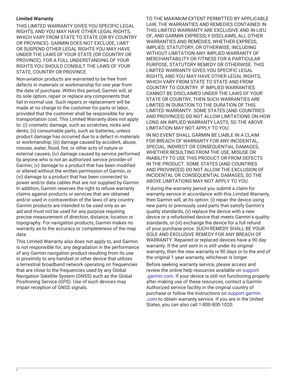# **Limited Warranty**

THIS LIMITED WARRANTY GIVES YOU SPECIFIC LEGAL RIGHTS, AND YOU MAY HAVE OTHER LEGAL RIGHTS, WHICH VARY FROM STATE TO STATE (OR BY COUNTRY OR PROVINCE). GARMIN DOES NOT EXCLUDE, LIMIT OR SUSPEND OTHER LEGAL RIGHTS YOU MAY HAVE UNDER THE LAWS OF YOUR STATE (OR COUNTRY OR PROVINCE). FOR A FULL UNDERSTANDING OF YOUR RIGHTS YOU SHOULD CONSULT THE LAWS OF YOUR STATE, COUNTRY OR PROVINCE.

Non-aviation products are warranted to be free from defects in materials or workmanship for one year from the date of purchase. Within this period, Garmin will, at its sole option, repair or replace any components that fail in normal use. Such repairs or replacement will be made at no charge to the customer for parts or labor, provided that the customer shall be responsible for any transportation cost. This Limited Warranty does not apply to: (i) cosmetic damage, such as scratches, nicks and dents; (ii) consumable parts, such as batteries, unless product damage has occurred due to a defect in materials or workmanship; (iii) damage caused by accident, abuse, misuse, water, flood, fire, or other acts of nature or external causes; (iv) damage caused by service performed by anyone who is not an authorized service provider of Garmin; (v) damage to a product that has been modified or altered without the written permission of Garmin, or (vi) damage to a product that has been connected to power and/or data cables that are not supplied by Garmin. In addition, Garmin reserves the right to refuse warranty claims against products or services that are obtained and/or used in contravention of the laws of any country. Garmin products are intended to be used only as an aid and must not be used for any purpose requiring precise measurement of direction, distance, location or topography. For navigation products, Garmin makes no warranty as to the accuracy or completeness of the map data.

This Limited Warranty also does not apply to, and Garmin is not responsible for, any degradation in the performance of any Garmin navigation product resulting from its use in proximity to any handset or other device that utilizes a terrestrial broadband network operating on frequencies that are close to the frequencies used by any Global Navigation Satellite System (GNSS) such as the Global Positioning Service (GPS). Use of such devices may impair reception of GNSS signals.

TO THE MAXIMUM EXTENT PERMITTED BY APPLICABLE LAW, THE WARRANTIES AND REMEDIES CONTAINED IN THIS LIMITED WARRANTY ARE EXCLUSIVE AND IN LIEU OF, AND GARMIN EXPRESSLY DISCLAIMS, ALL OTHER WARRANTIES AND REMEDIES, WHETHER EXPRESS, IMPLIED, STATUTORY, OR OTHERWISE, INCLUDING WITHOUT LIMITATION ANY IMPLIED WARRANTY OF MERCHANTABILITY OR FITNESS FOR A PARTICULAR PURPOSE, STATUTORY REMEDY OR OTHERWISE. THIS LIMITED WARRANTY GIVES YOU SPECIFIC LEGAL RIGHTS, AND YOU MAY HAVE OTHER LEGAL RIGHTS, WHICH VARY FROM STATE TO STATE AND FROM COUNTRY TO COUNTRY. IF IMPLIED WARRANTIES CANNOT BE DISCLAIMED UNDER THE LAWS OF YOUR STATE OR COUNTRY, THEN SUCH WARRANTIES ARE LIMITED IN DURATION TO THE DURATION OF THIS LIMITED WARRANTY. SOME STATES (AND COUNTRIES AND PROVINCES) DO NOT ALLOW LIMITATIONS ON HOW LONG AN IMPLIED WARRANTY LASTS, SO THE ABOVE LIMITATION MAY NOT APPLY TO YOU.

IN NO EVENT SHALL GARMIN BE LIABLE IN A CLAIM FOR BREACH OF WARRANTY FOR ANY INCIDENTAL, SPECIAL, INDIRECT OR CONSEQUENTIAL DAMAGES, WHETHER RESULTING FROM THE USE, MISUSE OR INABILITY TO USE THIS PRODUCT OR FROM DEFECTS IN THE PRODUCT. SOME STATES (AND COUNTRIES AND PROVINCES) DO NOT ALLOW THE EXCLUSION OF INCIDENTAL OR CONSEQUENTIAL DAMAGES, SO THE ABOVE LIMITATIONS MAY NOT APPLY TO YOU.

If during the warranty period you submit a claim for warranty service in accordance with this Limited Warranty, then Garmin will, at its option: (i) repair the device using new parts or previously used parts that satisfy Garmin's quality standards, (ii) replace the device with a new device or a refurbished device that meets Garmin's quality standards, or (iii) exchange the device for a full refund of your purchase price. SUCH REMEDY SHALL BE YOUR SOLE AND EXCLUSIVE REMEDY FOR ANY BREACH OF WARRANTY. Repaired or replaced devices have a 90 day warranty. If the unit sent in is still under its original warranty, then the new warranty is 90 days or to the end of the original 1 year warranty, whichever is longer.

Before seeking warranty service, please access and review the online help resources available on [support](http://www.support.garmin.com) [.garmin.com](http://www.support.garmin.com). If your device is still not functioning properly after making use of these resources, contact a Garmin Authorized service facility in the original country of purchase or follow the instructions on [support.garmin](http://www.support.garmin.com) [.com](http://www.support.garmin.com) to obtain warranty service. If you are in the United States, you can also call 1-800-800-1020.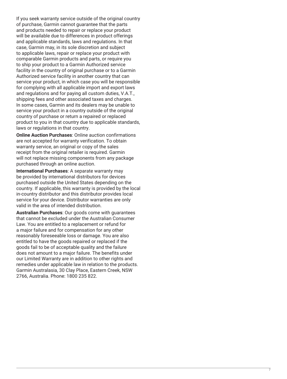If you seek warranty service outside of the original country of purchase, Garmin cannot guarantee that the parts and products needed to repair or replace your product will be available due to differences in product offerings and applicable standards, laws and regulations. In that case, Garmin may, in its sole discretion and subject to applicable laws, repair or replace your product with comparable Garmin products and parts, or require you to ship your product to a Garmin Authorized service facility in the country of original purchase or to a Garmin Authorized service facility in another country that can service your product, in which case you will be responsible for complying with all applicable import and export laws and regulations and for paying all custom duties, V.A.T., shipping fees and other associated taxes and charges. In some cases, Garmin and its dealers may be unable to service your product in a country outside of the original country of purchase or return a repaired or replaced product to you in that country due to applicable standards, laws or regulations in that country.

**Online Auction Purchases**: Online auction confirmations are not accepted for warranty verification. To obtain warranty service, an original or copy of the sales receipt from the original retailer is required. Garmin will not replace missing components from any package purchased through an online auction.

**International Purchases**: A separate warranty may be provided by international distributors for devices purchased outside the United States depending on the country. If applicable, this warranty is provided by the local in-country distributor and this distributor provides local service for your device. Distributor warranties are only valid in the area of intended distribution.

**Australian Purchases**: Our goods come with guarantees that cannot be excluded under the Australian Consumer Law. You are entitled to a replacement or refund for a major failure and for compensation for any other reasonably foreseeable loss or damage. You are also entitled to have the goods repaired or replaced if the goods fail to be of acceptable quality and the failure does not amount to a major failure. The benefits under our Limited Warranty are in addition to other rights and remedies under applicable law in relation to the products. Garmin Australasia, 30 Clay Place, Eastern Creek, NSW 2766, Australia. Phone: 1800 235 822.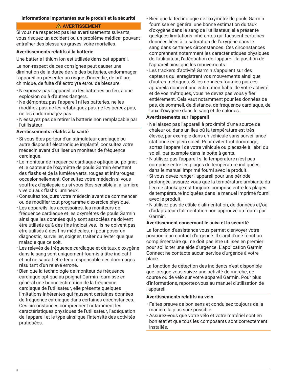# <span id="page-7-0"></span>**Informations importantes sur le produit et la sécurité**

#### **AVERTISSEMENT**

Si vous ne respectez pas les avertissements suivants, vous risquez un accident ou un problème médical pouvant entraîner des blessures graves, voire mortelles.

#### **Avertissements relatifs à la batterie**

Une batterie lithium-ion est utilisée dans cet appareil.

Le non-respect de ces consignes peut causer une diminution de la durée de vie des batteries, endommager l'appareil ou présenter un risque d'incendie, de brûlure chimique, de fuite d'électrolyte et/ou de blessure.

- N'exposez pas l'appareil ou les batteries au feu, à une explosion ou à d'autres dangers.
- Ne démontez pas l'appareil ni les batteries, ne les modifiez pas, ne les refabriquez pas, ne les percez pas, ne les endommagez pas.
- N'essayez pas de retirer la batterie non remplaçable par l'utilisateur.

#### **Avertissements relatifs à la santé**

- Si vous êtes porteur d'un stimulateur cardiaque ou autre dispositif électronique implanté, consultez votre médecin avant d'utiliser un moniteur de fréquence cardiaque.
- Le moniteur de fréquence cardiaque optique au poignet et le capteur de l'oxymètre de pouls Garmin émettent des flashs et de la lumière verts, rouges et infrarouges occasionnellement. Consultez votre médecin si vous souffrez d'épilepsie ou si vous êtes sensible à la lumière vive ou aux flashs lumineux.
- Consultez toujours votre médecin avant de commencer ou de modifier tout programme d'exercice physique.
- Les appareils, les accessoires, les moniteurs de fréquence cardiaque et les oxymètres de pouls Garmin ainsi que les données qui y sont associées ne doivent être utilisés qu'à des fins indicatives. Ils ne doivent pas être utilisés à des fins médicales, ni pour poser un diagnostic, surveiller, soigner, traiter ou éviter quelque maladie que ce soit.
- Les relevés de fréquence cardiaque et de taux d'oxygène dans le sang sont uniquement fournis à titre indicatif et nul ne saurait être tenu responsable des dommages résultant d'un relevé erroné.
- Bien que la technologie de moniteur de fréquence cardiaque optique au poignet Garmin fournisse en général une bonne estimation de la fréquence cardiaque de l'utilisateur, elle présente quelques limitations inhérentes qui faussent certaines données de fréquence cardiaque dans certaines circonstances. Ces circonstances comprennent notamment les caractéristiques physiques de l'utilisateur, l'adéquation de l'appareil et le type ainsi que l'intensité des activités pratiquées.

8

- Bien que la technologie de l'oxymètre de pouls Garmin fournisse en général une bonne estimation du taux d'oxygène dans le sang de l'utilisateur, elle présente quelques limitations inhérentes qui faussent certaines données liées à la saturation de l'oxygène dans le sang dans certaines circonstances. Ces circonstances comprennent notamment les caractéristiques physiques de l'utilisateur, l'adéquation de l'appareil, la position de l'appareil ainsi que les mouvements.
- Les trackers d'activité Garmin s'appuient sur des capteurs qui enregistrent vos mouvements ainsi que d'autres métriques. Si les données fournies par ces appareils donnent une estimation fiable de votre activité et de vos métriques, vous ne devez pas vous y fier entièrement. Cela vaut notamment pour les données de pas, de sommeil, de distance, de fréquence cardiaque, de taux d'oxygène dans le sang et de calories.

#### **Avertissements sur l'appareil**

- Ne laissez pas l'appareil à proximité d'une source de chaleur ou dans un lieu où la température est très élevée, par exemple dans un véhicule sans surveillance stationné en plein soleil. Pour éviter tout dommage, sortez l'appareil de votre véhicule ou placez-le à l'abri du soleil, par exemple dans la boîte à gants.
- N'utilisez pas l'appareil si la température n'est pas comprise entre les plages de température indiquées dans le manuel imprimé fourni avec le produit.
- Si vous devez ranger l'appareil pour une période prolongée, assurez-vous que la température ambiante du lieu de stockage est toujours comprise entre les plages de température indiquées dans le manuel imprimé fourni avec le produit.
- N'utilisez pas de câble d'alimentation, de données et/ou d'adaptateur d'alimentation non approuvé ou fourni par Garmin.

# **Avertissement concernant le suivi et la sécurité**

La fonction d'assistance vous permet d'envoyer votre position à un contact d'urgence. Il s'agit d'une fonction complémentaire qui ne doit pas être utilisée en premier pour solliciter une aide d'urgence. L'application Garmin Connect ne contacte aucun service d'urgence à votre place.

La fonction de détection des incidents n'est disponible que lorsque vous suivez une activité de marche, de course ou de vélo sur votre appareil Garmin. Pour plus d'informations, reportez-vous au manuel d'utilisation de l'appareil.

#### **Avertissements relatifs au vélo**

- Faites preuve de bon sens et conduisez toujours de la manière la plus sûre possible.
- Assurez-vous que votre vélo et votre matériel sont en bon état et que tous les composants sont correctement installés.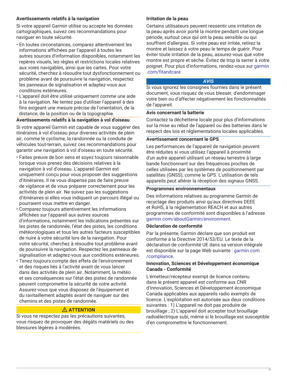# **Avertissements relatifs à la navigation**

Si votre appareil Garmin utilise ou accepte les données cartographiques, suivez ces recommandations pour naviguer en toute sécurité.

- En toutes circonstances, comparez attentivement les informations affichées par l'appareil à toutes les autres sources d'information disponibles, notamment les repères visuels, les règles et restrictions locales relatives aux voies navigables, ainsi que les cartes. Pour votre sécurité, cherchez à résoudre tout dysfonctionnement ou problème avant de poursuivre la navigation, respectez les panneaux de signalisation et adaptez-vous aux conditions extérieures.
- L'appareil doit être utilisé uniquement comme une aide à la navigation. Ne tentez pas d'utiliser l'appareil à des fins exigeant une mesure précise de l'orientation, de la distance, de la position ou de la topographie.

# **Avertissements relatifs à la navigation à vol d'oiseau**

Si votre appareil Garmin est capable de vous suggérer des itinéraires à vol d'oiseau pour diverses activités de plein air, comme le cyclisme, la randonnée ou la conduite de véhicules tout-terrain, suivez ces recommandations pour garantir une navigation à vol d'oiseau en toute sécurité.

- Faites preuve de bon sens et soyez toujours raisonnable lorsque vous prenez des décisions relatives à la navigation à vol d'oiseau. L'appareil Garmin est uniquement conçu pour vous proposer des suggestions d'itinéraires. Il ne vous dispense pas de faire preuve de vigilance et de vous préparer correctement pour les activités de plein air. Ne suivez pas les suggestions d'itinéraires si elles vous indiquent un parcours illégal ou pourraient vous mettre en danger.
- Comparez toujours attentivement les informations affichées sur l'appareil aux autres sources d'informations, notamment les indications présentes sur les pistes de randonnée, l'état des pistes, les conditions météorologiques et tous les autres facteurs susceptibles de nuire à votre sécurité lors de la navigation. Pour votre sécurité, cherchez à résoudre tout problème avant de poursuivre la navigation. Respectez les panneaux de signalisation et adaptez-vous aux conditions extérieures.
- Tenez toujours compte des effets de l'environnement et des risques liés à l'activité avant de vous lancer dans des activités de plein air. Notamment, la météo et ses conséquences sur l'état des pistes de randonnée peuvent compromettre la sécurité de votre activité. Assurez-vous que vous disposez de l'équipement et du ravitaillement adaptés avant de naviguer sur des chemins et des pistes de randonnée.

# **ATTENTION**

Si vous ne respectez pas les précautions suivantes, vous risquez de provoquer des dégâts matériels ou des blessures légères à modérées.

# **Irritation de la peau**

Certains utilisateurs peuvent ressentir une irritation de la peau après avoir porté la montre pendant une longue période, surtout ceux qui ont la peau sensible ou qui souffrent d'allergies. Si votre peau est irritée, retirez la montre et laissez à votre peau le temps de guérir. Pour éviter toute irritation de la peau, assurez-vous que votre montre est propre et sèche. Évitez de trop la serrer à votre poignet. Pour plus d'informations, rendez-vous sur [garmin](http://www.garmin.com/fitandcare) [.com/fitandcare.](http://www.garmin.com/fitandcare)

# *AVIS*

Si vous ignorez les consignes fournies dans le présent document, vous risquez de vous blesser, d'endommager votre bien ou d'affecter négativement les fonctionnalités de l'appareil.

#### **Avis concernant la batterie**

Contactez la déchetterie locale pour plus d'informations sur la mise au rebut de l'appareil ou des batteries dans le respect des lois et réglementations locales applicables.

#### **Avertissement concernant le GPS**

Les performances de l'appareil de navigation peuvent être réduites si vous utilisez l'appareil à proximité d'un autre appareil utilisant un réseau terrestre à large bande fonctionnant sur des fréquences proches de celles utilisées par les systèmes de positionnement par satellites (GNSS), comme le GPS. L'utilisation de tels appareils peut altérer la réception des signaux GNSS.

# **Programmes environnementaux**

Des informations relatives au programme Garmin de recyclage des produits ainsi qu'aux directives DEEE et RoHS, à la réglementation REACH et aux autres programmes de conformité sont disponibles à l'adresse [garmin.com/aboutGarmin/environment](http://www.garmin.com/aboutGarmin/environment).

#### **Déclaration de conformité**

Par la présente, Garmin déclare que son produit est conforme à la Directive 2014/53/EU. Le texte de la déclaration de conformité UE dans sa version intégrale est disponible sur la page Web suivante : [garmin.com](http://www.garmin.com/compliance) [/compliance.](http://www.garmin.com/compliance)

# **Innovation, Sciences et Développement économique Canada - Conformité**

L'émetteur/récepteur exempt de licence contenu dans le présent appareil est conforme aux CNR d'Innovation, Sciences et Développement économique Canada applicables aux appareils radio exempts de licence. L'exploitation est autorisée aux deux conditions suivantes : 1) L'appareil ne doit pas produire de brouillage ; 2) L'appareil doit accepter tout brouillage radioélectrique subi, même si le brouillage est susceptible d'en compromettre le fonctionnement.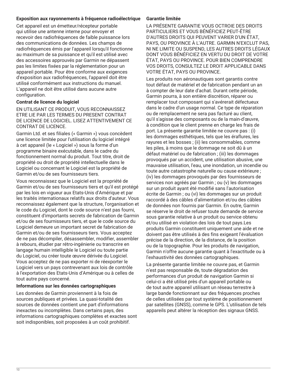# **Exposition aux rayonnements à fréquence radioélectrique**

Cet appareil est un émetteur/récepteur portable qui utilise une antenne interne pour envoyer et recevoir des radiofréquences de faible puissance lors des communications de données. Les champs de radiofréquences émis par l'appareil lorsqu'il fonctionne au maximum de sa puissance et qu'il est utilisé avec des accessoires approuvés par Garmin ne dépassent pas les limites fixées par la réglementation pour un appareil portable. Pour être conforme aux exigences d'exposition aux radiofréquences, l'appareil doit être utilisé conformément aux instructions du manuel. L'appareil ne doit être utilisé dans aucune autre configuration.

#### **Contrat de licence du logiciel**

EN UTILISANT CE PRODUIT, VOUS RECONNAISSEZ ETRE LIE PAR LES TERMES DU PRESENT CONTRAT DE LICENCE DE LOGICIEL. LISEZ ATTENTIVEMENT CE CONTRAT DE LICENCE.

Garmin Ltd. et ses filiales (« Garmin ») vous concèdent une licence limitée pour l'utilisation du logiciel intégré à cet appareil (le « Logiciel ») sous la forme d'un programme binaire exécutable, dans le cadre du fonctionnement normal du produit. Tout titre, droit de propriété ou droit de propriété intellectuelle dans le Logiciel ou concernant le Logiciel est la propriété de Garmin et/ou de ses fournisseurs tiers.

Vous reconnaissez que le Logiciel est la propriété de Garmin et/ou de ses fournisseurs tiers et qu'il est protégé par les lois en vigueur aux Etats-Unis d'Amérique et par les traités internationaux relatifs aux droits d'auteur. Vous reconnaissez également que la structure, l'organisation et le code du Logiciel, dont le code source n'est pas fourni, constituent d'importants secrets de fabrication de Garmin et/ou de ses fournisseurs tiers, et que le code source du Logiciel demeure un important secret de fabrication de Garmin et/ou de ses fournisseurs tiers. Vous acceptez de ne pas décompiler, désassembler, modifier, assembler à rebours, étudier par rétro-ingénierie ou transcrire en langage humain intelligible le Logiciel ou toute partie du Logiciel, ou créer toute œuvre dérivée du Logiciel. Vous acceptez de ne pas exporter ni de réexporter le Logiciel vers un pays contrevenant aux lois de contrôle à l'exportation des Etats-Unis d'Amérique ou à celles de tout autre pays concerné.

#### **Informations sur les données cartographiques**

Les données de Garmin proviennent à la fois de sources publiques et privées. La quasi-totalité des sources de données contient une part d'informations inexactes ou incomplètes. Dans certains pays, des informations cartographiques complètes et exactes sont soit indisponibles, soit proposées à un coût prohibitif.

#### **Garantie limitée**

LA PRÉSENTE GARANTIE VOUS OCTROIE DES DROITS PARTICULIERS ET VOUS BÉNÉFICIEZ PEUT-ÊTRE D'AUTRES DROITS QUI PEUVENT VARIER D'UN ÉTAT, PAYS, OU PROVINCE À L'AUTRE. GARMIN N'EXCLUT PAS, NI NE LIMITE OU SUSPEND, LES AUTRES DROITS LÉGAUX DONT VOUS BÉNÉFICIEZ EN VERTU DU DROIT DE VOTRE ÉTAT, PAYS OU PROVINCE. POUR BIEN COMPRENDRE VOS DROITS, CONSULTEZ LE DROIT APPLICABLE DANS VOTRE ÉTAT, PAYS OU PROVINCE.

Les produits non aéronautiques sont garantis contre tout défaut de matériel et de fabrication pendant un an à compter de leur date d'achat. Durant cette période, Garmin pourra, à son entière discrétion, réparer ou remplacer tout composant qui s'avérerait défectueux dans le cadre d'un usage normal. Ce type de réparation ou de remplacement ne sera pas facturé au client, qu'il s'agisse des composants ou de la main-d'œuvre, à condition que le client prenne en charge les frais de port. La présente garantie limitée ne couvre pas : (i) les dommages esthétiques, tels que les éraflures, les rayures et les bosses ; (ii) les consommables, comme les piles, à moins que le dommage ne soit dû à un défaut matériel ou de fabrication ; (iii) les dommages provoqués par un accident, une utilisation abusive, une mauvaise utilisation, l'eau, une inondation, un incendie ou toute autre catastrophe naturelle ou cause extérieure ; (iv) les dommages provoqués par des fournisseurs de services non agréés par Garmin ; ou (v) les dommages sur un produit ayant été modifié sans l'autorisation écrite de Garmin ; ou (vi) les dommages sur un produit raccordé à des câbles d'alimentation et/ou des câbles de données non fournis par Garmin. En outre, Garmin se réserve le droit de refuser toute demande de service sous garantie relative à un produit ou service obtenu et/ou utilisé en violation des lois de tout pays.Les produits Garmin constituent uniquement une aide et ne doivent pas être utilisés à des fins exigeant l'évaluation précise de la direction, de la distance, de la position ou de la topographie. Pour les produits de navigation, Garmin n'offre aucune garantie quant à l'exactitude ou à l'exhaustivité des données cartographiques.

La présente garantie limitée ne couvre pas, et Garmin n'est pas responsable de, toute dégradation des performances d'un produit de navigation Garmin si celui-ci a été utilisé près d'un appareil portable ou de tout autre appareil utilisant un réseau terrestre à large bande fonctionnant sur des fréquences proches de celles utilisées par tout système de positionnement par satellites (GNSS), comme le GPS. L'utilisation de tels appareils peut altérer la réception des signaux GNSS.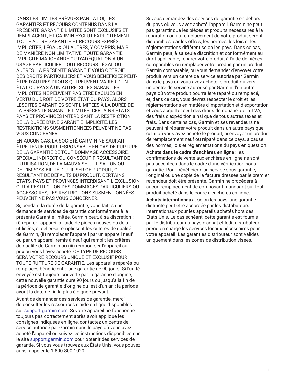DANS LES LIMITES PRÉVUES PAR LA LOI, LES GARANTIES ET RECOURS CONTENUS DANS LA PRÉSENTE GARANTIE LIMITÉE SONT EXCLUSIFS ET REMPLACENT, ET GARMIN EXCLUT EXPLICITEMENT, TOUTE AUTRE GARANTIE ET RECOURS EXPRÈS, IMPLICITES, LÉGAUX OU AUTRES, Y COMPRIS, MAIS DE MANIÈRE NON LIMITATIVE, TOUTE GARANTIE IMPLICITE MARCHANDE OU D'ADÉQUATION À UN USAGE PARTICULIER, TOUT RECOURS LÉGAL OU AUTRES. LA PRÉSENTE GARANTIE VOUS OCTROIE DES DROITS PARTICULIERS ET VOUS BÉNÉFICIEZ PEUT-ÊTRE D'AUTRES DROITS QUI PEUVENT VARIER D'UN ÉTAT OU PAYS À UN AUTRE. SI LES GARANTIES IMPLICITES NE PEUVENT PAS ÊTRE EXCLUES EN VERTU DU DROIT DE VOTRE ÉTAT OU PAYS, ALORS LESDITES GARANTIES SONT LIMITÉES À LA DURÉE DE LA PRÉSENTE GARANTIE LIMITÉE. CERTAINS ÉTATS, PAYS ET PROVINCES INTERDISANT LA RESTRICTION DE LA DURÉE D'UNE GARANTIE IMPLICITE, LES RESTRICTIONS SUSMENTIONNÉES PEUVENT NE PAS VOUS CONCERNER.

EN AUCUN CAS, LA SOCIÉTÉ GARMIN NE SAURAIT ÊTRE TENUE POUR RESPONSABLE EN CAS DE RUPTURE DE LA GARANTIE DE TOUT DOMMAGE ACCESSOIRE, SPÉCIAL, INDIRECT OU CONSÉCUTIF RÉSULTANT DE L'UTILISATION, DE LA MAUVAISE UTILISATION OU DE L'IMPOSSIBILITÉ D'UTILISER CE PRODUIT, OU RÉSULTANT DE DÉFAUTS DU PRODUIT. CERTAINS ÉTATS, PAYS ET PROVINCES INTERDISANT L'EXCLUSION OU LA RESTRICTION DES DOMMAGES PARTICULIERS OU ACCESSOIRES, LES RESTRICTIONS SUSMENTIONNÉES PEUVENT NE PAS VOUS CONCERNER.

Si, pendant la durée de la garantie, vous faites une demande de services de garantie conformément à la présente Garantie limitée, Garmin peut, à sa discrétion : (i) réparer l'appareil à l'aide de pièces neuves ou déjà utilisées, si celles-ci remplissent les critères de qualité de Garmin, (ii) remplacer l'appareil par un appareil neuf ou par un appareil remis à neuf qui remplit les critères de qualité de Garmin ou (iii) rembourser l'appareil au prix où vous l'avez acheté. CE TYPE DE RECOURS SERA VOTRE RECOURS UNIQUE ET EXCLUSIF POUR TOUTE RUPTURE DE GARANTIE. Les appareils réparés ou remplacés bénéficient d'une garantie de 90 jours. Si l'unité envoyée est toujours couverte par la garantie d'origine, cette nouvelle garantie dure 90 jours ou jusqu'à la fin de la période de garantie d'origine qui est d'un an ; la période ayant la date de fin la plus éloignée prévaut.

Avant de demander des services de garantie, merci de consulter les ressources d'aide en ligne disponibles sur [support.garmin.com.](http://www.support.garmin.com) Si votre appareil ne fonctionne toujours pas correctement après avoir appliqué les consignes indiquées en ligne, contactez un centre de service autorisé par Garmin dans le pays où vous avez acheté l'appareil ou suivez les instructions disponibles sur le site [support.garmin.com](http://www.support.garmin.com) pour obtenir des services de garantie. Si vous vous trouvez aux États-Unis, vous pouvez aussi appeler le 1-800-800-1020.

Si vous demandez des services de garantie en dehors du pays où vous avez acheté l'appareil, Garmin ne peut pas garantir que les pièces et produits nécessaires à la réparation ou au remplacement de votre produit seront disponibles, car les offres, les normes, les lois et les réglementations diffèrent selon les pays. Dans ce cas, Garmin peut, à sa seule discrétion et conformément au droit applicable, réparer votre produit à l'aide de pièces comparables ou remplacer votre produit par un produit Garmin comparable, ou vous demander d'envoyer votre produit vers un centre de service autorisé par Garmin dans le pays où vous avez acheté le produit ou vers un centre de service autorisé par Garmin d'un autre pays où votre produit pourra être réparé ou remplacé, et, dans ce cas, vous devrez respecter le droit et les réglementations en matière d'importation et d'exportation et vous acquitter seul des droits de douane, de la TVA, des frais d'expédition ainsi que de tous autres taxes et frais. Dans certains cas, Garmin et ses revendeurs ne peuvent ni réparer votre produit dans un autre pays que celui où vous avez acheté le produit, ni envoyer un produit de remplacement neuf ou réparé dans ce pays, à cause des normes, lois et réglementations du pays en question.

**Achats dans le cadre d'enchères en ligne** : les confirmations de vente aux enchères en ligne ne sont pas acceptées dans le cadre d'une vérification sous garantie. Pour bénéficier d'un service sous garantie, l'original ou une copie de la facture dressée par le premier revendeur doit être présenté. Garmin ne procédera à aucun remplacement de composant manquant sur tout produit acheté dans le cadre d'enchères en ligne.

**Achats internationaux** : selon les pays, une garantie distincte peut être accordée par les distributeurs internationaux pour les appareils achetés hors des Etats-Unis. Le cas échéant, cette garantie est fournie par le distributeur du pays d'achat et ledit distributeur prend en charge les services locaux nécessaires pour votre appareil. Les garanties distributeur sont valides uniquement dans les zones de distribution visées.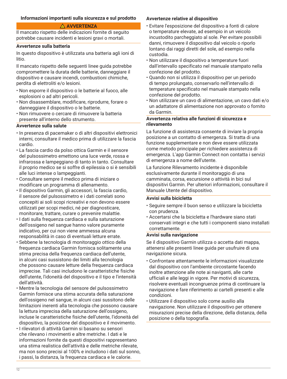# <span id="page-11-0"></span>**Informazioni importanti sulla sicurezza e sul prodotto**

# **AVVERTENZA**

Il mancato rispetto delle indicazioni fornite di seguito potrebbe causare incidenti e lesioni gravi o mortali.

#### **Avvertenze sulla batteria**

In questo dispositivo è utilizzata una batteria agli ioni di litio.

Il mancato rispetto delle seguenti linee guida potrebbe compromettere la durata delle batterie, danneggiare il dispositivo e causare incendi, combustioni chimiche, perdita di elettroliti e/o lesioni.

- Non esporre il dispositivo o le batterie al fuoco, alle esplosioni o ad altri pericoli.
- Non disassemblare, modificare, riprodurre, forare o danneggiare il dispositivo o le batterie.
- Non rimuovere o cercare di rimuovere la batteria presente all'interno dello strumento.

# **Avvertenze sulla salute**

- In presenza di pacemaker o di altri dispositivi elettronici interni, consultare il medico prima di utilizzare la fascia cardio.
- La fascia cardio da polso ottica Garmin e il sensore del pulsossimetro emettono una luce verde, rossa e infrarossa e lampeggiano di tanto in tanto. Consultare il proprio medico se si soffre di epilessia o si è sensibili alle luci intense o lampeggianti.
- Consultare sempre il medico prima di iniziare o modificare un programma di allenamento.
- Il dispositivo Garmin, gli accessori, la fascia cardio, il sensore del pulsossimetro e i dati correlati sono concepiti ai soli scopi ricreativi e non devono essere utilizzati per scopi medici, né per diagnosticare, monitorare, trattare, curare o prevenire malattie.
- I dati sulla frequenza cardiaca e sulla saturazione dell'ossigeno nel sangue hanno valore puramente indicativo, per cui non viene ammessa alcuna responsabilità in caso di eventuali letture errate.
- Sebbene la tecnologia di monitoraggio ottico della frequenza cardiaca Garmin fornisca solitamente una stima precisa della frequenza cardiaca dell'utente, in alcuni casi sussistono dei limiti alla tecnologia che possono causare letture della frequenza cardiaca imprecise. Tali casi includono le caratteristiche fisiche dell'utente, l'idoneità del dispositivo e il tipo e l'intensità dell'attività.
- Mentre la tecnologia del sensore del pulsossimetro Garmin fornisce una stima accurata della saturazione dell'ossigeno nel sangue, in alcuni casi sussitono delle limitazioni inerenti alla tecnologia che possono causare la lettura imprecisa della saturazione dell'ossigeno, incluse le caratteristiche fisiche dell'utente, l'idoneità del dispositivo, la posizione del dispositivo e il movimento.
- I rilevatori di attività Garmin si basano su sensori che rilevano i movimenti e altre metriche. I dati e le informazioni fornite da questi dispositivi rappresentano una stima realistica dell'attività e delle metriche rilevate, ma non sono precisi al 100% e includono i dati sul sonno, i passi, la distanza, la frequenza cardiaca e le calorie.

# **Avvertenze relative al dispositivo**

- Evitare l'esposizione del dispositivo a fonti di calore o temperature elevate, ad esempio in un veicolo incustodito parcheggiato al sole. Per evitare possibili danni, rimuovere il dispositivo dal veicolo o riporlo lontano dai raggi diretti del sole, ad esempio nella custodia.
- Non utilizzare il dispositivo a temperature fuori dall'intervallo specificato nel manuale stampato nella confezione del prodotto.
- Quando non si utilizza il dispositivo per un periodo di tempo prolungato, conservarlo nell'intervallo di temperature specificato nel manuale stampato nella confezione del prodotto.
- Non utilizzare un cavo di alimentazione, un cavo dati e/o un adattatore di alimentazione non approvato o fornito da Garmin.

# **Avvertenza relativa alle funzioni di sicurezza e rilevamento**

La funzione di assistenza consente di inviare la propria posizione a un contatto di emergenza. Si tratta di una funzione supplementare e non deve essere utilizzata come metodo principale per richiedere assistenza di emergenza. L'app Garmin Connect non contatta i servizi di emergenza a nome dell'utente.

La funzione Rilevamento incidente è disponibile esclusivamente durante il monitoraggio di una camminata, corsa, escursione o attività in bici sul dispositivi Garmin. Per ulteriori informazioni, consultare il Manuale Utente del dispositivo.

# **Avvisi sulla bicicletta**

- Seguire sempre il buon senso e utilizzare la bicicletta con prudenza.
- Accertarsi che la bicicletta e l'hardware siano stati conservati integri e che tutti i componenti siano installati correttamente.

#### **Avvisi sulla navigazione**

Se il dispositivo Garmin utilizza o accetta dati mappa, attenersi alle presenti linee guida per usufruire di una navigazione sicura.

- Confrontare attentamente le informazioni visualizzate dal dispositivo con l'ambiente circostante facendo inoltre attenzione alle note ai naviganti, alle carte ufficiali e alle leggi in vigore. Per motivi di sicurezza, risolvere eventuali incongruenze prima di continuare la navigazione e fare riferimento ai cartelli presenti e alle condizioni.
- Utilizzare il dispositivo solo come ausilio alla navigazione. Non utilizzare il dispositivo per ottenere misurazioni precise della direzione, della distanza, della posizione o della topografia.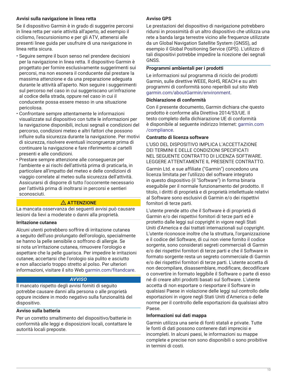# **Avvisi sulla navigazione in linea retta**

Se il dispositivo Garmin è in grado di suggerire percorsi in linea retta per varie attività all'aperto, ad esempio il ciclismo, l'escursionismo e per gli ATV, attenersi alle presenti linee guida per usufruire di una navigazione in linea retta sicura.

- Seguire sempre il buon senso nel prendere decisioni per la navigazione in linea retta. Il dispositivo Garmin è progettato per fornire esclusivamente suggerimenti sui percorsi, ma non esonera il conducente dal prestare la massima attenzione e da una preparazione adeguata durante le attività all'aperto. Non seguire i suggerimenti sul percorso nel caso in cui suggeriscano un'infrazione al codice della strada, oppure nel caso in cui il conducente possa essere messo in una situazione pericolosa.
- Confrontare sempre attentamente le informazioni visualizzate sul dispositivo con tutte le informazioni per la navigazione disponibili, inclusi segnali e condizioni del percorso, condizioni meteo e altri fattori che possono influire sulla sicurezza durante la navigazione. Per motivi di sicurezza, risolvere eventuali incongruenze prima di continuare la navigazione e fare riferimento ai cartelli presenti e alle condizioni.
- Prestare sempre attenzione alle conseguenze per l'ambiente e ai rischi dell'attività prima di praticarla, in particolare all'impatto del meteo e delle condizioni di viaggio correlate al meteo sulla sicurezza dell'attività. Assicurarsi di disporre di tutto l'occorrente necessario per l'attività prima di inoltrarsi in percorsi e sentieri sconosciuti.

# **ATTENZIONE**

La mancata osservanza dei seguenti avvisi può causare lesioni da lievi a moderate o danni alla proprietà.

#### **Irritazione cutanea**

Alcuni utenti potrebbero soffrire di irritazione cutanea a seguito dell'uso prolungato dell'orologio, specialmente se hanno la pelle sensibile o soffrono di allergie. Se si nota un'irritazione cutanea, rimuovere l'orologio e aspettare che la pelle guarisca. Per impedire le irritazioni cutanee, accertarsi che l'orologio sia pulito e asciutto e non allacciarlo troppo stretto al polso. Per ulteriori informazioni, visitare il sito Web [garmin.com/fitandcare](http://www.garmin.com/fitandcare).

#### *AVVISO*

Il mancato rispetto degli avvisi forniti di seguito potrebbe causare danni alla persona o alle proprietà oppure incidere in modo negativo sulla funzionalità del dispositivo.

# **Avviso sulla batteria**

Per un corretto smaltimento del dispositivo/batterie in conformità alle leggi e disposizioni locali, contattare le autorità locali preposte.

# **Avviso GPS**

Le prestazioni del dispositivo di navigazione potrebbero ridursi in prossimità di un altro dispositivo che utilizza una rete a banda larga terrestre vicino alle frequenze utilizzate da un Global Navigation Satellite System (GNSS), ad esempio il Global Positioning Service (GPS). L'utilizzo di tali dispositivi potrebbe impedire la ricezione dei segnali GNSS.

# **Programmi ambientali per i prodotti**

Le informazioni sul programma di riciclo dei prodotti Garmin, sulle direttive WEEE, RoHS, REACH e su altri programmi di conformità sono reperibili sul sito Web [garmin.com/aboutGarmin/environment](http://www.garmin.com/aboutGarmin/environment).

#### **Dichiarazione di conformità**

Con il presente documento, Garmin dichiara che questo prodotto è conforme alla Direttiva 2014/53/UE. Il testo completo della dichiarazione UE di conformità è disponibile al seguente indirizzo Internet: [garmin.com](http://www.garmin.com/compliance) [/compliance.](http://www.garmin.com/compliance)

#### **Contratto di licenza software**

L'USO DEL DISPOSITIVO IMPLICA L'ACCETTAZIONE DEI TERMINI E DELLE CONDIZIONI SPECIFICATI NEL SEGUENTE CONTRATTO DI LICENZA SOFTWARE. LEGGERE ATTENTAMENTE IL PRESENTE CONTRATTO.

Garmin Ltd. e sue affiliate ("Garmin") concedono una licenza limitata per l'utilizzo del software integrato in questo dispositivo (il "Software") in forma binaria eseguibile per il normale funzionamento del prodotto. Il titolo, i diritti di proprietà e di proprietà intellettuale relativi al Software sono esclusivi di Garmin e/o dei rispettivi fornitori di terze parti.

L'utente prende atto che il Software è di proprietà di Garmin e/o dei rispettivi fornitori di terze parti ed è protetto dalle leggi sul copyright in vigore negli Stati Uniti d'America e dai trattati internazionali sul copyright. L'utente riconosce inoltre che la struttura, l'organizzazione e il codice del Software, di cui non viene fornito il codice sorgente, sono considerati segreti commerciali di Garmin e/o dei rispettivi fornitori di terze parti e che il Software in formato sorgente resta un segreto commerciale di Garmin e/o dei rispettivi fornitori di terze parti. L'utente accetta di non decompilare, disassemblare, modificare, decodificare o convertire in formato leggibile il Software o parte di esso né di creare altri prodotti basati sul Software. L'utente accetta di non esportare o riesportare il Software in qualsiasi Paese in violazione delle leggi sul controllo delle esportazioni in vigore negli Stati Uniti d'America o delle norme per il controllo delle esportazioni da qualsiasi altro Paese.

# **Informazioni sui dati mappa**

Garmin utilizza una serie di fonti statali e private. Tutte le fonti di dati possono contenere dati imprecisi e incompleti. In alcuni paesi, le informazioni su mappe complete e precise non sono disponibili o sono proibitive in termini di costi.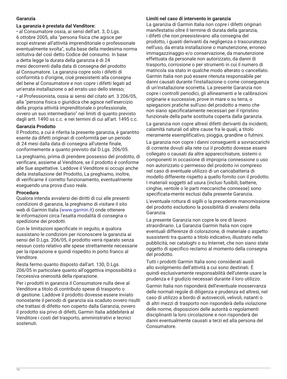# **Garanzia**

#### **La garanzia è prestata dal Venditore:**

• al Consumatore ossia, ai sensi dell'art. 3, D.Lgs. 6 ottobre 2005, alla "persona fisica che agisce per scopi estranei all'attività imprenditoriale o professionale eventualmente svolta", sulla base della medesima norma istitutiva del così detto Codice del consumo. In base a detta legge la durata della garanzia è di 24 mesi decorrenti dalla data di consegna del prodotto al Consumatore. La garanzia copre solo i difetti di conformità o d'origine, cioè preesistenti alla consegna del bene al Consumatore e non copre i difetti legati ad un'errata installazione o ad errato uso dello stesso;

• al Professionista, ossia ai sensi del citato art. 3 206/05, alla "persona fisica o giuridica che agisce nell'esercizio della propria attività imprenditoriale o professionale, ovvero un suo intermediario" nei limiti di quanto previsto dagli artt. 1490 ss c.c. e nei termini di cui all'art. 1495 c.c.

#### **Garanzia Prodotto**

Il Prodotto, a cui è riferita la presente garanzia, è garantito esente da difetti originari di conformità per un periodo di 24 mesi dalla data di consegna all'utente finale, conformemente a quanto previsto dal D.Lgs. 206/05.

La preghiamo, prima di prendere possesso del prodotto, di verificare, assieme al Venditore, se il prodotto è conforme alle Sue aspettative. Laddove il Venditore si occupi anche della installazione del Prodotto, La preghiamo, inoltre, di verificarne il corretto funzionamento, eventualmente eseguendo una prova d'uso reale.

#### **Procedura**

Qualora intenda avvalersi dei diritti di cui alle presenti condizioni di garanzia, la preghiamo di visitare il sito web di Garmin Italia ([www.garmin.it\)](http://www.garmin.it) onde ottenere le informazioni circa l'esatta modalità di consegna o spedizione dei prodotti.

Con le limitazioni specificate in seguito, e qualora sussistano le condizioni per riconoscere la garanzia ai sensi del D.Lgs. 206/05, il prodotto verrà riparato senza nessun costo relativo alle spese strettamente necessarie per la riparazione e quindi rispedito in porto franco al Venditore.

Resta fermo quanto disposto dall'art. 130, D.Lgs. 206/05 in particolare quanto all'oggettiva impossibilità o l'eccessiva onerosità della riparazione.

Per i prodotti in garanzia il Consumatore nulla deve al Venditore a titolo di contributo spese di trasporto o di gestione. Laddove il prodotto dovesse essere inviato nonostante il periodo di garanzia sia scaduto ovvero risulti che trattasi di difetto non coperto dalla Garanzia, ovvero il prodotto sia privo di difetti, Garmin Italia addebiterà al Venditore i costi del trasporto, amministrativi e tecnici sostenuti.

#### **Limiti nel caso di intervento in garanzia**

La garanzia di Garmin Italia non copre i difetti originari manifestatisi oltre il termine di durata della garanzia, i difetti che non preesistevano alla consegna del prodotto, i guasti derivanti da negligenza o trascuratezza nell'uso, da errata installazione o manutenzione, erroneo immagazzinaggio e/o conservazione, da manutenzione effettuata da personale non autorizzato, da danni di trasporto, corrosione o per strumenti in cui il numero di matricola sia stato in qualche modo alterato o cancellato. Garmin Italia non può essere ritenuta responsabile per danni causati durante l'installazione o come conseguenza di un'installazione scorretta. La presente Garanzia non copre i controlli periodici, gli allineamenti e le calibrazioni originarie e successive, prove in mare o su terra, o spiegazioni pratiche sull'uso del prodotto a meno che non siano specificatamente necessari per il ripristino funzionale della parte sostituita coperta dalla garanzia.

La garanzia non copre altresì difetti derivanti da incidenti, calamità naturali od altre cause fra le quali, a titolo meramente esemplificativo, pioggia, grandine o fulmini.

La garanzia non copre i danni conseguenti a sovraccarichi di corrente dovuti alla rete cui il prodotto dovesse essere collegato o causati da altre apparecchiature, sistemi o componenti in occasione di impropria connessione o uso non autorizzato o permesso del prodotto ivi compreso nel caso di eventuale utilizzo di un caricabatteria di modello differente rispetto a quello fornito con il prodotto. I materiali soggetti ad usura (inclusi fusibili, batterie, cinghie, ventole o le parti meccaniche connesse) sono specificata-mente esclusi dalla presente Garanzia.

L'eventuale rottura di sigilli o la precedente manomissione del prodotto escludono la possibilità di avvalersi della Garanzia.

La presente Garanzia non copre le ore di lavoro straordinario. La Garanzia Garmin Italia non copre eventuali differenze di colorazione, di materiale o aspetto sussistenti tra quanto a titolo indicativo, illustrato nella pubblicità, nei cataloghi o su Internet, che non siano state oggetto di specifico reclamo al momento della consegna del prodotto.

Tutti i prodotti Garmin Italia sono considerati ausili allo svolgimento dell'attività a cui sono destinati. È quindi esclusivamente responsabilità dell'utente usare la prudenza e il giudizio necessari durante il loro utilizzo.

Garmin Italia non risponderà dell'eventuale inosservanza delle normali regole di diligenza e prudenza ed altresì, nel caso di utilizzo a bordo di autoveicoli, velivoli, natanti o di altri mezzi di trasporto non risponderà della violazione delle norme, disposizioni delle autorità o regolamenti disciplinanti la loro circolazione e non risponderà dei danni eventualmente causati a terzi ed alla persona del Consumatore.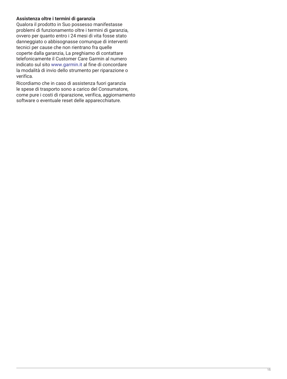# **Assistenza oltre i termini di garanzia**

Qualora il prodotto in Suo possesso manifestasse problemi di funzionamento oltre i termini di garanzia, ovvero per quanto entro i 24 mesi di vita fosse stato danneggiato o abbisognasse comunque di interventi tecnici per cause che non rientrano fra quelle coperte dalla garanzia, La preghiamo di contattare telefonicamente il Customer Care Garmin al numero indicato sul sito [www.garmin.it](http://www.garmin.it) al fine di concordare la modalità di invio dello strumento per riparazione o verifica.

Ricordiamo che in caso di assistenza fuori garanzia le spese di trasporto sono a carico del Consumatore, come pure i costi di riparazione, verifica, aggiornamento software o eventuale reset delle apparecchiature.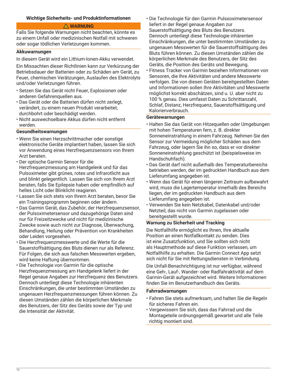#### <span id="page-15-0"></span>**Wichtige Sicherheits- und Produktinformationen**

#### **WARNUNG**

Falls Sie folgende Warnungen nicht beachten, könnte es zu einem Unfall oder medizinischen Notfall mit schweren oder sogar tödlichen Verletzungen kommen.

#### **Akkuwarnungen**

In diesem Gerät wird ein Lithium-Ionen-Akku verwendet.

Ein Missachten dieser Richtlinien kann zur Verkürzung der Betriebsdauer der Batterien oder zu Schäden am Gerät, zu Feuer, chemischen Verätzungen, Auslaufen des Elektrolyts und/oder Verletzungen führen.

- Setzen Sie das Gerät nicht Feuer, Explosionen oder anderen Gefahrenquellen aus.
- Das Gerät oder die Batterien dürfen nicht zerlegt, verändert, zu einem neuen Produkt verarbeitet, durchbohrt oder beschädigt werden.
- Nicht auswechselbare Akkus dürfen nicht entfernt werden.

#### **Gesundheitswarnungen**

- Wenn Sie einen Herzschrittmacher oder sonstige elektronische Geräte implantiert haben, lassen Sie sich vor Anwendung eines Herzfrequenzsensors von Ihrem Arzt beraten.
- Der optische Garmin Sensor für die Herzfrequenzmessung am Handgelenk und für das Pulsoximeter gibt grünes, rotes und Infrarotlicht aus und blinkt gelegentlich. Lassen Sie sich von Ihrem Arzt beraten, falls Sie Epilepsie haben oder empfindlich auf helles Licht oder Blinklicht reagieren.
- Lassen Sie sich stets von Ihrem Arzt beraten, bevor Sie ein Trainingsprogramm beginnen oder ändern.
- Das Garmin Gerät, das Zubehör, der Herzfrequenzsensor, der Pulsoximetersensor und dazugehörige Daten sind nur für Freizeitzwecke und nicht für medizinische Zwecke sowie auch nicht zur Diagnose, Überwachung, Behandlung, Heilung oder Prävention von Krankheiten oder Leiden vorgesehen.
- Die Herzfrequenzmesswerte und die Werte für die Sauerstoffsättigung des Bluts dienen nur als Referenz. Für Folgen, die sich aus falschen Messwerten ergeben, wird keine Haftung übernommen.
- Die Technologie von Garmin für die optische Herzfrequenzmessung am Handgelenk liefert in der Regel genaue Angaben zur Herzfrequenz des Benutzers. Dennoch unterliegt diese Technologie inhärenten Einschränkungen, die unter bestimmten Umständen zu ungenauen Herzfrequenzmessungen führen können. Zu diesen Umständen zählen die körperlichen Merkmale des Benutzers, der Sitz des Geräts sowie der Typ und die Intensität der Aktivität.
- Die Technologie für den Garmin Pulsxoximetersensor liefert in der Regel genaue Angaben zur Sauerstoffsättigung des Bluts des Benutzers. Dennoch unterliegt diese Technologie inhärenten Einschränkungen, die unter bestimmten Umständen zu ungenauen Messwerten für die Sauerstoffsättigung des Bluts führen können. Zu diesen Umständen zählen die körperlichen Merkmale des Benutzers, der Sitz des Geräts, die Position des Geräts und Bewegung.
- Fitness Tracker von Garmin beziehen Informationen von Sensoren, die Ihre Aktivitäten und andere Messwerte verfolgen. Die von diesen Geräten bereitgestellten Daten und Informationen sollen Ihre Aktivitäten und Messwerte möglichst korrekt abschätzen, sind u. U. aber nicht zu 100 % genau. Dies umfasst Daten zu Schrittanzahl, Schlaf, Distanz, Herzfrequenz, Sauerstoffsättigung und Kalorienverbrauch.

#### **Gerätewarnungen**

- Halten Sie das Gerät von Hitzequellen oder Umgebungen mit hohen Temperaturen fern, z. B. direkter Sonneneinstrahlung in einem Fahrzeug. Nehmen Sie den Sensor zur Vermeidung möglicher Schäden aus dem Fahrzeug, oder lagern Sie ihn so, dass er vor direkter Sonneneinstrahlung geschützt ist (beispielsweise im Handschuhfach).
- Das Gerät darf nicht außerhalb des Temperaturbereichs betrieben werden, der im gedruckten Handbuch aus dem Lieferumfang angegeben ist.
- Wenn das Gerät für einen längeren Zeitraum aufbewahrt wird, muss die Lagertemperatur innerhalb des Bereichs liegen, der im gedruckten Handbuch aus dem Lieferumfang angegeben ist.
- Verwenden Sie kein Netzkabel, Datenkabel und/oder Netzteil, das nicht von Garmin zugelassen oder bereitgestellt wurde.

# **Warnung zu Sicherheit und Tracking**

Die Notfallhilfe ermöglicht es Ihnen, Ihre aktuelle Position an einen Notfallkontakt zu senden. Dies ist eine Zusatzfunktion, und Sie sollten sich nicht als Hauptmethode auf diese Funktion verlassen, um Notfallhilfe zu erhalten. Die Garmin Connect App setzt sich nicht für Sie mit Rettungsdiensten in Verbindung.

Die Unfall-Benachrichtigung ist nur verfügbar, während eine Geh-, Lauf-, Wander- oder Radfahraktivität auf dem Garmin-Gerät aufgezeichnet wird. Weitere Informationen finden Sie im Benutzerhandbuch des Geräts.

#### **Fahrradwarnungen**

- Fahren Sie stets aufmerksam, und halten Sie die Regeln für sicheres Fahren ein.
- Vergewissern Sie sich, dass das Fahrrad und die Montageteile ordnungsgemäß gewartet und alle Teile richtig montiert sind.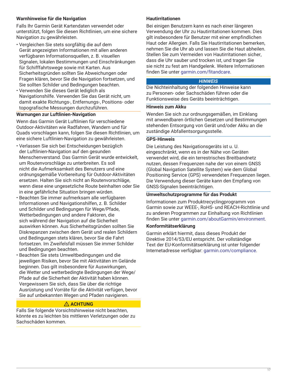# **Warnhinweise für die Navigation**

Falls Ihr Garmin Gerät Kartendaten verwendet oder unterstützt, folgen Sie diesen Richtlinien, um eine sichere Navigation zu gewährleisten.

- Vergleichen Sie stets sorgfältig die auf dem Gerät angezeigten Informationen mit allen anderen verfügbaren Informationsquellen, z. B. visuellen Signalen, lokalen Bestimmungen und Einschränkungen für Schifffahrtswege sowie mit Karten. Aus Sicherheitsgründen sollten Sie Abweichungen oder Fragen klären, bevor Sie die Navigation fortsetzen, und Sie sollten Schilder und Bedingungen beachten.
- Verwenden Sie dieses Gerät lediglich als Navigationshilfe. Verwenden Sie das Gerät nicht, um damit exakte Richtungs-, Entfernungs-, Positions- oder topografische Messungen durchzuführen.

#### **Warnungen zur Luftlinien-Navigation**

Wenn das Garmin Gerät Luftlinien für verschiedene Outdoor-Aktivitäten wie Radfahren, Wandern und für Quads vorschlagen kann, folgen Sie diesen Richtlinien, um eine sichere Luftlinien-Navigation zu gewährleisten.

- Verlassen Sie sich bei Entscheidungen bezüglich der Luftlinien-Navigation auf den gesunden Menschenverstand. Das Garmin Gerät wurde entwickelt, um Routenvorschläge zu unterbreiten. Es soll nicht die Aufmerksamkeit des Benutzers und eine ordnungsgemäße Vorbereitung für Outdoor-Aktivitäten ersetzen. Halten Sie sich nicht an Routenvorschläge, wenn diese eine ungesetzliche Route beinhalten oder Sie in eine gefährliche Situation bringen würden.
- Beachten Sie immer aufmerksam alle verfügbaren Informationen und Navigationshilfen, z. B. Schilder und Schilder und Bedingungen für Wege/Pfade, Wetterbedingungen und andere Faktoren, die sich während der Navigation auf die Sicherheit auswirken können. Aus Sicherheitsgründen sollten Sie Diskrepanzen zwischen dem Gerät und realen Schildern und Bedingungen stets klären, bevor Sie die Fahrt fortsetzen. Im Zweifelsfall müssen Sie immer Schilder und Bedingungen beachten.
- Beachten Sie stets Umweltbedingungen und die jeweiligen Risiken, bevor Sie mit Aktivitäten im Gelände beginnen. Das gilt insbesondere für Auswirkungen, die Wetter und wetterbedingte Bedingungen der Wege/ Pfade auf die Sicherheit der Aktivität haben können. Vergewissern Sie sich, dass Sie über die richtige Ausrüstung und Vorräte für die Aktivität verfügen, bevor Sie auf unbekannten Wegen und Pfaden navigieren.

# **ACHTUNG**

Falls Sie folgende Vorsichtshinweise nicht beachten, könnte es zu leichten bis mittleren Verletzungen oder zu Sachschäden kommen.

# **Hautirritationen**

Bei einigen Benutzern kann es nach einer längeren Verwendung der Uhr zu Hautirritationen kommen. Dies gilt insbesondere für Benutzer mit einer empfindlichen Haut oder Allergien. Falls Sie Hautirritationen bemerken, nehmen Sie die Uhr ab und lassen Sie die Haut abheilen. Stellen Sie zum Vermeiden von Hautirritationen sicher, dass die Uhr sauber und trocken ist, und tragen Sie sie nicht zu fest am Handgelenk. Weitere Informationen finden Sie unter [garmin.com/fitandcare.](http://www.garmin.com/fitandcare)

#### *HINWEIS*

Die Nichteinhaltung der folgenden Hinweise kann zu Personen- oder Sachschäden führen oder die Funktionsweise des Geräts beeinträchtigen.

#### **Hinweis zum Akku**

Wenden Sie sich zur ordnungsgemäßen, im Einklang mit anwendbaren örtlichen Gesetzen und Bestimmungen stehenden Entsorgung von Gerät und/oder Akku an die zuständige Abfallentsorgungsstelle.

# **GPS-Hinweis**

Die Leistung des Navigationsgeräts ist u. U. eingeschränkt, wenn es in der Nähe von Geräten verwendet wird, die ein terrestrisches Breitbandnetz nutzen, dessen Frequenzen nahe der von einem GNSS (Global Navigation Satellite System) wie dem Global Positioning Service (GPS) verwendeten Frequenzen liegen. Die Verwendung dieser Geräte kann den Empfang von GNSS-Signalen beeinträchtigen.

#### **Umweltschutzprogramme für das Produkt**

Informationen zum Produktrecyclingprogramm von Garmin sowie zur WEEE-, RoHS- und REACH-Richtlinie und zu anderen Programmen zur Einhaltung von Richtlinien finden Sie unter [garmin.com/aboutGarmin/environment](http://www.garmin.com/aboutGarmin/environment).

#### **Konformitätserklärung**

Garmin erklärt hiermit, dass dieses Produkt der Direktive 2014/53/EU entspricht. Der vollständige Text der EU-Konformitätserklärung ist unter folgender Internetadresse verfügbar: [garmin.com/compliance.](http://www.garmin.com/compliance)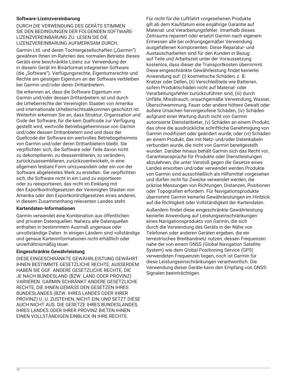# **Software-Lizenzvereinbarung**

DURCH DIE VERWENDUNG DES GERÄTS STIMMEN SIE DEN BEDINGUNGEN DER FOLGENDEN SOFTWARE-LIZENZVEREINBARUNG ZU. LESEN SIE DIE LIZENZVEREINBARUNG AUFMERKSAM DURCH.

Garmin Ltd. und deren Tochtergesellschaften ("Garmin") gewähren Ihnen im Rahmen des normalen Betriebs dieses Geräts eine beschränkte Lizenz zur Verwendung der in diesem Gerät im Binärformat integrierten Software (die "Software"). Verfügungsrechte, Eigentumsrechte und Rechte am geistigen Eigentum an der Software verbleiben bei Garmin und/oder deren Drittanbietern.

Sie erkennen an, dass die Software Eigentum von Garmin und/oder dessen Drittanbietern ist und durch die Urheberrechte der Vereinigten Staaten von Amerika und internationale Urheberrechtsabkommen geschützt ist. Weiterhin erkennen Sie an, dass Struktur, Organisation und Code der Software, für die kein Quellcode zur Verfügung gestellt wird, wertvolle Betriebsgeheimnisse von Garmin und/oder dessen Drittanbietern sind und dass der Quellcode der Software ein wertvolles Betriebsgeheimnis von Garmin und/oder deren Drittanbietern bleibt. Sie verpflichten sich, die Software oder Teile davon nicht zu dekompilieren, zu deassemblieren, zu verändern, zurückzuassemblieren, zurückzuentwickeln, in eine allgemein lesbare Form umzuwandeln oder ein von der Software abgeleitetes Werk zu erstellen. Sie verpflichten sich, die Software nicht in ein Land zu exportieren oder zu reexportieren, das nicht im Einklang mit den Exportkontrollgesetzen der Vereinigten Staaten von Amerika oder den Exportkontrollgesetzen eines anderen, in diesem Zusammenhang relevanten Landes steht.

# **Kartendaten-Informationen**

Garmin verwendet eine Kombination aus öffentlichen und privaten Datenquellen. Nahezu alle Datenquellen enthalten in bestimmtem Ausmaß ungenaue oder unvollständige Daten. In einigen Ländern sind vollständige und genaue Karteninformationen nicht erhältlich oder unverhältnismäßig teuer.

# **Eingeschränkte Gewährleistung**

DIESE EINGESCHRÄNKTE GEWÄHRLEISTUNG GEWÄHRT IHNEN BESTIMMTE GESETZLICHE RECHTE; AUSSERDEM HABEN SIE GGF. ANDERE GESETZLICHE RECHTE, DIE JE NACH BUNDESLAND (BZW. LAND ODER PROVINZ) VARIIEREN. GARMIN SCHRÄNKT ANDERE GESETZLICHE RECHTE, DIE IHNEN GEMÄSS DEN GESETZEN IHRES BUNDESLANDES (BZW. IHRES LANDES ODER IHRER PROVINZ) U. U. ZUSTEHEN, NICHT EIN, UND SETZT DIESE AUCH NICHT AUS. DIE GESETZE IHRES BUNDESLANDES, IHRES LANDES ODER IHRER PROVINZ BIETEN IHNEN EINEN VOLLSTÄNDIGEN EINBLICK IN IHRE RECHTE.

Für nicht für die Luftfahrt vorgesehenen Produkte gilt ab dem Kaufdatum eine einjährige Garantie auf Material- und Verarbeitungsfehler. Innerhalb dieses Zeitraums repariert oder ersetzt Garmin nach eigenem Ermessen alle bei ordnungsgemäßer Verwendung ausgefallenen Komponenten. Diese Reparatur- und Austauscharbeiten sind für den Kunden in Bezug auf Teile und Arbeitszeit unter der Voraussetzung kostenlos, dass dieser die Transportkosten übernimmt. Diese eingeschränkte Gewährleistung findet keinerlei Anwendung auf: (i) kosmetische Schäden, z. B. Kratzer oder Dellen, (ii) Verschleißteile wie Batterien, sofern Produktschäden nicht auf Material- oder Verarbeitungsfehler zurückzuführen sind, (iii) durch Unfälle, Missbrauch, unsachgemäße Verwendung, Wasser, Überschwemmung, Feuer oder andere höhere Gewalt oder äußere Ursachen hervorgerufene Schäden, (iv) Schäden aufgrund einer Wartung durch nicht von Garmin autorisierte Dienstanbieter, (v) Schäden an einem Produkt, das ohne die ausdrückliche schriftliche Genehmigung von Garmin modifiziert oder geändert wurde, oder (vi) Schäden an einem Produkt, das mit Netz- und/oder Datenkabeln verbunden wurde, die nicht von Garmin bereitgestellt wurden. Darüber hinaus behält Garmin sich das Recht vor, Garantieansprüche für Produkte oder Dienstleistungen abzulehnen, die unter Verstoß gegen die Gesetze eines Landes erworben und/oder verwendet werden.Produkte von Garmin sind ausschließlich als Hilfsmittel vorgesehen und dürfen nicht für Zwecke verwendet werden, die präzise Messungen von Richtungen, Distanzen, Positionen oder Topografien erfordern. Für Navigationsprodukte übernimmt Garmin keinerlei Gewährleistungen im Hinblick auf die Richtigkeit oder Vollständigkeit der Kartendaten.

Außerdem findet diese eingeschränkte Gewährleistung keinerlei Anwendung auf Leistungseinschränkungen eines Navigationsprodukts von Garmin, die sich durch die Verwendung des Geräts in der Nähe von Telefonen oder anderen Geräten ergeben, die ein terrestrisches Breitbandnetz nutzen, dessen Frequenzen nahe der von einem GNSS (Global Navigation Satellite System) wie dem Global Positioning Service (GPS) verwendeten Frequenzen liegen, noch ist Garmin für diese Leistungseinschränkungen verantwortlich. Die Verwendung dieser Geräte kann den Empfang von GNSS-Signalen beeinträchtigen.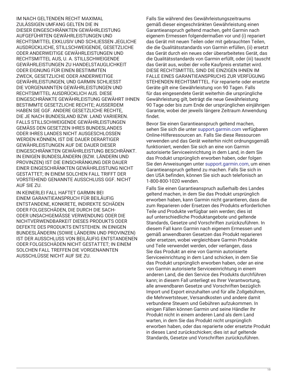IM NACH GELTENDEN RECHT MAXIMAL ZULÄSSIGEN UMFANG GELTEN DIE IN DIESER EINGESCHRÄNKTEN GEWÄHRLEISTUNG AUFGEFÜHRTEN GEWÄHRLEISTUNGEN UND RECHTSMITTEL EXKLUSIV UND SCHLIESSEN JEGLICHE AUSDRÜCKLICHE, STILLSCHWEIGENDE, GESETZLICHE ODER ANDERWEITIGE GEWÄHRLEISTUNGEN UND RECHTSMITTEL AUS, U. A. STILLSCHWEIGENDE GEWÄHRLEISTUNGEN ZU HANDELSTAUGLICHKEIT ODER EIGNUNG FÜR EINEN BESTIMMTEN ZWECK, GESETZLICHE ODER ANDERWEITIGE GEWÄHRLEISTUNGEN, UND GARMIN SCHLIESST DIE VORGENANNTEN GEWÄHRLEISTUNGEN UND RECHTSMITTEL AUSDRÜCKLICH AUS. DIESE EINGESCHRÄNKTE GEWÄHRLEISTUNG GEWÄHRT IHNEN BESTIMMTE GESETZLICHE RECHTE; AUSSERDEM HABEN SIE GGF. ANDERE GESETZLICHE RECHTE, DIE JE NACH BUNDESLAND BZW. LAND VARIIEREN. FALLS STILLSCHWEIGENDE GEWÄHRLEISTUNGEN GEMÄSS DEN GESETZEN IHRES BUNDESLANDES ODER IHRES LANDES NICHT AUSGESCHLOSSEN WERDEN KÖNNEN, IST DIE DAUER DERARTIGER GEWÄHRLEISTUNGEN AUF DIE DAUER DIESER EINGESCHRÄNKTEN GEWÄHRLEISTUNG BESCHRÄNKT. IN EINIGEN BUNDESLÄNDERN (BZW. LÄNDERN UND PROVINZEN) IST DIE EINSCHRÄNKUNG DER DAUER EINER EINGESCHRÄNKTEN GEWÄHRLEISTUNG NICHT GESTATTET; IN EINEM SOLCHEN FALL TRIFFT DER VORSTEHEND GENANNTE AUSSCHLUSS GGF. NICHT AUF SIE ZU.

IN KEINERLEI FALL HAFTET GARMIN BEI EINEM GARANTIEANSPRUCH FÜR BEILÄUFIG ENTSTANDENE, KONKRETE, INDIREKTE SCHÄDEN ODER FOLGESCHÄDEN, DIE DURCH DIE SACH-ODER UNSACHGEMÄSSE VERWENDUNG ODER DIE NICHTVERWENDBARKEIT DIESES PRODUKTS ODER DEFEKTE DES PRODUKTS ENTSTEHEN. IN EINIGEN BUNDESLÄNDERN (SOWIE LÄNDERN UND PROVINZEN) IST DER AUSSCHLUSS VON BEILÄUFIG ENTSTANDENEN ODER FOLGESCHÄDEN NICHT GESTATTET; IN EINEM SOLCHEN FALL TREFFEN DIE VORGENANNTEN AUSSCHLÜSSE NICHT AUF SIE ZU.

Falls Sie während des Gewährleistungszeitraums gemäß dieser eingeschränkten Gewährleistung einen Garantieanspruch geltend machen, geht Garmin nach eigenem Ermessen folgendermaßen vor und (i) repariert das Gerät mit neuen Teilen oder mit gebrauchten Teilen, die die Qualitätsstandards von Garmin erfüllen, (ii) ersetzt das Gerät durch ein neues oder überarbeitetes Gerät, das die Qualitätsstandards von Garmin erfüllt, oder (iii) tauscht das Gerät aus, wobei der volle Kaufpreis erstattet wird. DIESE RECHTSMITTEL SIND DIE EINZIGEN IHNEN IM FALLE EINES GARANTIEANSPRUCHS ZUR VERFÜGUNG STEHENDEN RECHTSMITTEL. Für reparierte oder ersetzte Geräte gilt eine Gewährleistung von 90 Tagen. Falls für das eingesendete Gerät weiterhin die ursprüngliche Gewährleistung gilt, beträgt die neue Gewährleistung 90 Tage oder bis zum Ende der ursprünglichen einjährigen Garantie, wobei der jeweils längere Zeitraum Anwendung findet.

Bevor Sie einen Garantieanspruch geltend machen, sehen Sie sich die unter [support.garmin.com](http://www.support.garmin.com) verfügbaren Online-Hilferessourcen an. Falls Sie diese Ressourcen verwenden und das Gerät weiterhin nicht ordnungsgemäß funktioniert, wenden Sie sich an eine von Garmin autorisierte Serviceeinrichtung in dem Land, in dem Sie das Produkt ursprünglich erworben haben, oder folgen Sie den Anweisungen unter [support.garmin.com](http://www.support.garmin.com), um einen Garantieanspruch geltend zu machen. Falls Sie sich in den USA befinden, können Sie sich auch telefonisch an 1-800-800-1020 wenden.

Falls Sie einen Garantieanspruch außerhalb des Landes geltend machen, in dem Sie das Produkt ursprünglich erworben haben, kann Garmin nicht garantieren, dass die zum Reparieren oder Ersetzen des Produkts erforderlichen Teile und Produkte verfügbar sein werden; dies ist auf unterschiedliche Produktangebote und geltende Standards, Gesetze und Vorschriften zurückzuführen. In diesem Fall kann Garmin nach eigenem Ermessen und gemäß anwendbaren Gesetzen das Produkt reparieren oder ersetzen, wobei vergleichbare Garmin Produkte und Teile verwendet werden, oder verlangen, dass Sie das Produkt an eine von Garmin autorisierte Serviceeinrichtung in dem Land schicken, in dem Sie das Produkt ursprünglich erworben haben, oder an eine von Garmin autorisierte Serviceeinrichtung in einem anderen Land, die den Service des Produkts durchführen kann; in diesem Fall unterliegt es Ihrer Verantwortung, alle anwendbaren Gesetze und Vorschriften bezüglich Import und Export einzuhalten und für alle Zollgebühren, die Mehrwertsteuer, Versandkosten und andere damit verbundene Steuern und Gebühren aufzukommen. In einigen Fällen können Garmin und seine Händler Ihr Produkt nicht in einem anderen Land als dem Land warten, in dem Sie das Produkt nicht ursprünglich erworben haben, oder das reparierte oder ersetzte Produkt in dieses Land zurückschicken; dies ist auf geltende Standards, Gesetze und Vorschriften zurückzuführen.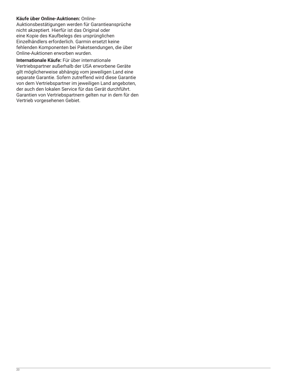# **Käufe über Online-Auktionen:** Online-

Auktionsbestätigungen werden für Garantieansprüche nicht akzeptiert. Hierfür ist das Original oder eine Kopie des Kaufbelegs des ursprünglichen Einzelhändlers erforderlich. Garmin ersetzt keine fehlenden Komponenten bei Paketsendungen, die über Online-Auktionen erworben wurden.

**Internationale Käufe:** Für über internationale Vertriebspartner außerhalb der USA erworbene Geräte gilt möglicherweise abhängig vom jeweiligen Land eine separate Garantie. Sofern zutreffend wird diese Garantie von dem Vertriebspartner im jeweiligen Land angeboten, der auch den lokalen Service für das Gerät durchführt. Garantien von Vertriebspartnern gelten nur in dem für den Vertrieb vorgesehenen Gebiet.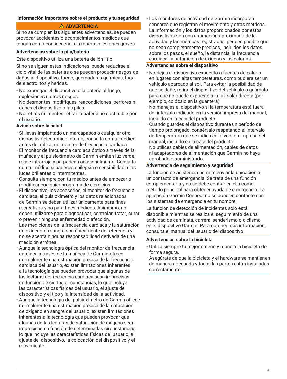#### <span id="page-20-0"></span>**Información importante sobre el producto y tu seguridad**

#### **ADVERTENCIA**

Si no se cumplen las siguientes advertencias, se pueden provocar accidentes o acontecimientos médicos que tengan como consecuencia la muerte o lesiones graves.

#### **Advertencias sobre la pila/batería**

Este dispositivo utiliza una batería de ión-litio.

Si no se siguen estas indicaciones, puede reducirse el ciclo vital de las baterías o se pueden producir riesgos de daños al dispositivo, fuego, quemaduras químicas, fuga de electrolitos y heridas.

- No expongas el dispositivo o la batería al fuego, explosiones u otros riesgos.
- No desmontes, modifiques, reacondiciones, perfores ni dañes el dispositivo o las pilas.
- No retires ni intentes retirar la batería no sustituible por el usuario.

# **Avisos sobre la salud**

- Si llevas implantado un marcapasos o cualquier otro dispositivo electrónico interno, consulta con tu médico antes de utilizar un monitor de frecuencia cardiaca.
- El monitor de frecuencia cardiaca óptico a través de la muñeca y el pulsioxímetro de Garmin emiten luz verde, roja e infrarroja y parpadean ocasionalmente. Consulta con tu médico si padeces epilepsia o sensibilidad a las luces brillantes o intermitentes.
- Consulta siempre con tu médico antes de empezar o modificar cualquier programa de ejercicios.
- El dispositivo, los accesorios, el monitor de frecuencia cardiaca, el pulsioxímetro y los datos relacionados de Garmin se deben utilizar únicamente para fines recreativos y no para fines médicos. Asimismo, no deben utilizarse para diagnosticar, controlar, tratar, curar o prevenir ninguna enfermedad o afección.
- Las mediciones de la frecuencia cardiaca y la saturación de oxígeno en sangre son únicamente de referencia y no se acepta ninguna responsabilidad derivada de una medición errónea.
- Aunque la tecnología óptica del monitor de frecuencia cardiaca a través de la muñeca de Garmin ofrece normalmente una estimación precisa de la frecuencia cardiaca del usuario, existen limitaciones inherentes a la tecnología que pueden provocar que algunas de las lecturas de frecuencia cardiaca sean imprecisas en función de ciertas circunstancias, lo que incluye las características físicas del usuario, el ajuste del dispositivo y el tipo y la intensidad de la actividad.
- Aunque la tecnología del pulsioxímetro de Garmin ofrece normalmente una estimación precisa de la saturación de oxígeno en sangre del usuario, existen limitaciones inherentes a la tecnología que pueden provocar que algunas de las lecturas de saturación de oxígeno sean imprecisas en función de determinadas circunstancias, lo que incluye las características físicas del usuario, el ajuste del dispositivo, la colocación del dispositivo y el movimiento.

• Los monitores de actividad de Garmin incorporan sensores que registran el movimiento y otras métricas. La información y los datos proporcionados por estos dispositivos son una estimación aproximada de la actividad y las métricas registradas, pero es posible que no sean completamente precisos, incluidos los datos sobre los pasos, el sueño, la distancia, la frecuencia cardiaca, la saturación de oxígeno y las calorías.

# **Advertencias sobre el dispositivo**

- No dejes el dispositivo expuesto a fuentes de calor o en lugares con altas temperaturas, como pudiera ser un vehículo aparcado al sol. Para evitar la posibilidad de que se dañe, retira el dispositivo del vehículo o guárdalo para que no quede expuesto a la luz solar directa (por ejemplo, colócalo en la guantera).
- No manejes el dispositivo si la temperatura está fuera del intervalo indicado en la versión impresa del manual, incluido en la caja del producto.
- Cuando guardes el dispositivo durante un período de tiempo prolongado, consérvalo respetando el intervalo de temperatura que se indica en la versión impresa del manual, incluido en la caja del producto.
- No utilices cables de alimentación, cables de datos ni adaptadores de alimentación que Garmin no haya aprobado o suministrado.

#### **Advertencia de seguimiento y seguridad**

La función de asistencia permite enviar la ubicación a un contacto de emergencia. Se trata de una función complementaria y no se debe confiar en ella como método principal para obtener ayuda de emergencia. La aplicación Garmin Connect no se pone en contacto con los sistemas de emergencia en tu nombre.

La función de detección de incidentes solo está disponible mientras se realiza el seguimiento de una actividad de caminata, carrera, senderismo o ciclismo en el dispositivo Garmin. Para obtener más información, consulta el manual del usuario del dispositivo.

#### **Advertencias sobre la bicicleta**

- Utiliza siempre tu mejor criterio y maneja la bicicleta de forma segura.
- Asegúrate de que la bicicleta y el hardware se mantienen de manera adecuada y todas las partes están instaladas correctamente.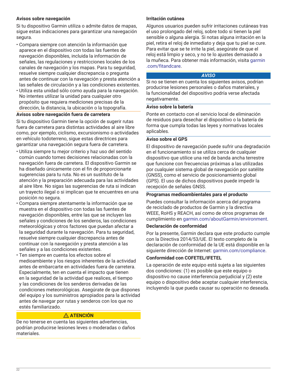# **Avisos sobre navegación**

Si tu dispositivo Garmin utiliza o admite datos de mapas, sigue estas indicaciones para garantizar una navegación segura.

- Compara siempre con atención la información que aparece en el dispositivo con todas las fuentes de navegación disponibles, incluida la información de señales, las regulaciones y restricciones locales de los canales de navegación y los mapas. Para tu seguridad, resuelve siempre cualquier discrepancia o pregunta antes de continuar con la navegación y presta atención a las señales de circulación y a las condiciones existentes.
- Utiliza esta unidad sólo como ayuda para la navegación. No intentes utilizar la unidad para cualquier otro propósito que requiera mediciones precisas de la dirección, la distancia, la ubicación o la topografía.

#### **Avisos sobre navegación fuera de carretera**

Si tu dispositivo Garmin tiene la opción de sugerir rutas fuera de carretera para distintas actividades al aire libre como, por ejemplo, ciclismo, excursionismo o actividades en vehículo todoterreno, sigue estas directrices para garantizar una navegación segura fuera de carretera.

- Utiliza siempre tu mejor criterio y haz uso del sentido común cuando tomes decisiones relacionadas con la navegación fuera de carretera. El dispositivo Garmin se ha diseñado únicamente con el fin de proporcionarte sugerencias para tu ruta. No es un sustituto de la atención y la preparación adecuada para las actividades al aire libre. No sigas las sugerencias de ruta si indican un trayecto ilegal o si implican que te encuentres en una posición no segura.
- Compara siempre atentamente la información que se muestra en el dispositivo con todas las fuentes de navegación disponibles, entre las que se incluyen las señales y condiciones de los senderos, las condiciones meteorológicas y otros factores que puedan afectar a la seguridad durante la navegación. Para tu seguridad, resuelve siempre cualquier discrepancia antes de continuar con la navegación y presta atención a las señales y a las condiciones existentes.
- Ten siempre en cuenta los efectos sobre el medioambiente y los riesgos inherentes de la actividad antes de embarcarte en actividades fuera de carretera. Especialmente, ten en cuenta el impacto que tienen en la seguridad de la actividad que realices, el tiempo y las condiciones de los senderos derivadas de las condiciones meteorológicas. Asegúrate de que dispones del equipo y los suministros apropiados para la actividad antes de navegar por rutas y senderos con los que no estés familiarizado.

# **ATENCIÓN**

De no tenerse en cuenta las siguientes advertencias, podrían producirse lesiones leves o moderadas o daños materiales.

#### **Irritación cutánea**

Algunos usuarios pueden sufrir irritaciones cutáneas tras el uso prolongado del reloj, sobre todo si tienen la piel sensible o alguna alergia. Si notas alguna irritación en la piel, retira el reloj de inmediato y deja que tu piel se cure. Para evitar que se te irrite la piel, asegúrate de que el reloj está limpio y seco, y no te lo ajustes demasiado a la muñeca. Para obtener más información, visita [garmin](http://www.garmin.com/fitandcare) [.com/fitandcare.](http://www.garmin.com/fitandcare)

#### *AVISO*

Si no se tienen en cuenta los siguientes avisos, podrían producirse lesiones personales o daños materiales, y la funcionalidad del dispositivo podría verse afectada negativamente.

#### **Aviso sobre la batería**

Ponte en contacto con el servicio local de eliminación de residuos para desechar el dispositivo o la batería de forma que cumpla todas las leyes y normativas locales aplicables.

#### **Aviso sobre el GPS**

El dispositivo de navegación puede sufrir una degradación en el funcionamiento si se utiliza cerca de cualquier dispositivo que utilice una red de banda ancha terrestre que funcione con frecuencias próximas a las utilizadas por cualquier sistema global de navegación por satélite (GNSS), como el servicio de posicionamiento global (GPS). El uso de dichos dispositivos puede impedir la recepción de señales GNSS.

#### **Programas medioambientales para el producto**

Puedes consultar la información acerca del programa de reciclado de productos de Garmin y la directiva WEEE, RoHS y REACH, así como de otros programas de cumplimiento en [garmin.com/aboutGarmin/environment.](http://www.garmin.com/aboutGarmin/environment)

#### **Declaración de conformidad**

Por la presente, Garmin declara que este producto cumple con la Directiva 2014/53/UE. El texto completo de la declaración de conformidad de la UE está disponible en la siguiente dirección de Internet: [garmin.com/compliance](http://www.garmin.com/compliance).

#### **Conformidad con COFETEL/IFETEL**

La operación de este equipo está sujeta a las siguientes dos condiciones: (1) es posible que este equipo o dispositivo no cause interferencia perjudicial y (2) este equipo o dispositivo debe aceptar cualquier interferencia, incluyendo la que pueda causar su operación no deseada.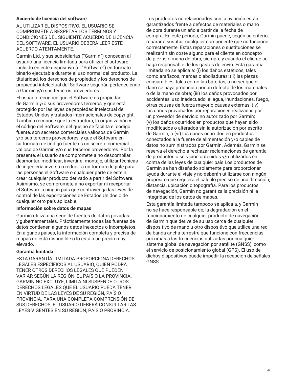# **Acuerdo de licencia del software**

AL UTILIZAR EL DISPOSITIVO, EL USUARIO SE COMPROMETE A RESPETAR LOS TÉRMINOS Y CONDICIONES DEL SIGUIENTE ACUERDO DE LICENCIA DEL SOFTWARE. EL USUARIO DEBERÁ LEER ESTE ACUERDO ATENTAMENTE.

Garmin Ltd. y sus subsidiarias ("Garmin") conceden al usuario una licencia limitada para utilizar el software incluido en este dispositivo (el "Software") en formato binario ejecutable durante el uso normal del producto. La titularidad, los derechos de propiedad y los derechos de propiedad intelectual del Software seguirán perteneciendo a Garmin y/o sus terceros proveedores.

El usuario reconoce que el Software es propiedad de Garmin y/o sus proveedores terceros, y que está protegido por las leyes de propiedad intelectual de Estados Unidos y tratados internacionales de copyright. También reconoce que la estructura, la organización y el código del Software, del que no se facilita el código fuente, son secretos comerciales valiosos de Garmin y/o sus terceros proveedores, y que el Software en su formato de código fuente es un secreto comercial valioso de Garmin y/o sus terceros proveedores. Por la presente, el usuario se compromete a no descompilar, desmontar, modificar, invertir el montaje, utilizar técnicas de ingeniería inversa o reducir a un formato legible para las personas el Software o cualquier parte de éste ni crear cualquier producto derivado a partir del Software. Asimismo, se compromete a no exportar ni reexportar el Software a ningún país que contravenga las leyes de control de las exportaciones de Estados Unidos o de cualquier otro país aplicable.

# **Información sobre datos de mapas**

Garmin utiliza una serie de fuentes de datos privadas y gubernamentales. Prácticamente todas las fuentes de datos contienen algunos datos inexactos o incompletos. En algunos países, la información completa y precisa de mapas no está disponible o lo está a un precio muy elevado.

# **Garantía limitada**

ESTA GARANTÍA LIMITADA PROPORCIONA DERECHOS LEGALES ESPECÍFICOS AL USUARIO, QUIEN PODRÁ TENER OTROS DERECHOS LEGALES QUE PUEDEN VARIAR SEGÚN LA REGIÓN, EL PAÍS O LA PROVINCIA. GARMIN NO EXCLUYE, LIMITA NI SUSPENDE OTROS DERECHOS LEGALES QUE EL USUARIO PUEDA TENER EN VIRTUD DE LAS LEYES DE SU REGIÓN, PAÍS O PROVINCIA. PARA UNA COMPLETA COMPRENSIÓN DE SUS DERECHOS, EL USUARIO DEBERÁ CONSULTAR LAS LEYES VIGENTES EN SU REGIÓN, PAÍS O PROVINCIA.

Los productos no relacionados con la aviación están garantizados frente a defectos de materiales o mano de obra durante un año a partir de la fecha de compra. En este periodo, Garmin puede, según su criterio, reparar o sustituir cualquier componente que no funcione correctamente. Estas reparaciones o sustituciones se realizarán sin coste alguno para el cliente en concepto de piezas o mano de obra, siempre y cuando el cliente se haga responsable de los gastos de envío. Esta garantía limitada no se aplica a: (i) los daños estéticos, tales como arañazos, marcas o abolladuras; (ii) las piezas consumibles, tales como las baterías, a no ser que el daño se haya producido por un defecto de los materiales o de la mano de obra; (iii) los daños provocados por accidentes, uso inadecuado, el agua, inundaciones, fuego, otras causas de fuerza mayor o causas externas; (iv) los daños provocados por reparaciones realizadas por un proveedor de servicio no autorizado por Garmin; (v) los daños ocurridos en productos que hayan sido modificados o alterados sin la autorización por escrito de Garmin; o (vi) los daños ocurridos en productos conectados a la fuente de alimentación y/o cables de datos no suministrados por Garmin. Además, Garmin se reserva el derecho a rechazar reclamaciones de garantía de productos o servicios obtenidos y/o utilizados en contra de las leyes de cualquier país.Los productos de Garmin se han diseñado solamente para proporcionar ayuda durante el viaje y no deberán utilizarse con ningún propósito que requiera el cálculo preciso de una dirección, distancia, ubicación o topografía. Para los productos de navegación, Garmin no garantiza la precisión ni la integridad de los datos de mapas.

Esta garantía limitada tampoco se aplica a, y Garmin no se hace responsable de, la degradación en el funcionamiento de cualquier producto de navegación de Garmin que derive de su uso cerca de cualquier dispositivo de mano u otro dispositivo que utilice una red de banda ancha terrestre que funcione con frecuencias próximas a las frecuencias utilizadas por cualquier sistema global de navegación por satélite (GNSS), como el servicio de posicionamiento global (GPS). El uso de dichos dispositivos puede impedir la recepción de señales GNSS.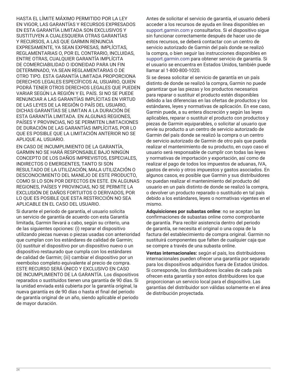HASTA EL LÍMITE MÁXIMO PERMITIDO POR LA LEY EN VIGOR, LAS GARANTÍAS Y RECURSOS EXPRESADOS EN ESTA GARANTÍA LIMITADA SON EXCLUSIVOS Y SUSTITUYEN A CUALESQUIERA OTRAS GARANTÍAS Y RECURSOS, A LAS QUE GARMIN RENUNCIA EXPRESAMENTE, YA SEAN EXPRESAS, IMPLÍCITAS, REGLAMENTARIAS O, POR EL CONTRARIO, INCLUIDAS, ENTRE OTRAS, CUALQUIER GARANTÍA IMPLÍCITA DE COMERCIABILIDAD O IDONEIDAD PARA UN FIN DETERMINADO, YA SEAN REGLAMENTARIAS O DE OTRO TIPO. ESTA GARANTÍA LIMITADA PROPORCIONA DERECHOS LEGALES ESPECÍFICOS AL USUARIO, QUIEN PODRÁ TENER OTROS DERECHOS LEGALES QUE PUEDEN VARIAR SEGÚN LA REGIÓN Y EL PAÍS. SI NO SE PUEDE RENUNCIAR A LAS GARANTÍAS IMPLÍCITAS EN VIRTUD DE LAS LEYES DE LA REGIÓN O PAÍS DEL USUARIO, DICHAS GARANTÍAS SE LIMITAN A LA DURACIÓN DE ESTA GARANTÍA LIMITADA. EN ALGUNAS REGIONES, PAÍSES Y PROVINCIAS, NO SE PERMITEN LIMITACIONES DE DURACIÓN DE LAS GARANTÍAS IMPLÍCITAS, POR LO QUE ES POSIBLE QUE LA LIMITACIÓN ANTERIOR NO SE APLIQUE AL USUARIO.

EN CASO DE INCUMPLIMIENTO DE LA GARANTÍA, GARMIN NO SE HARÁ RESPONSABLE BAJO NINGÚN CONCEPTO DE LOS DAÑOS IMPREVISTOS, ESPECIALES, INDIRECTOS O EMERGENTES, TANTO SI SON RESULTADO DE LA UTILIZACIÓN, MALA UTILIZACIÓN O DESCONOCIMIENTO DEL MANEJO DE ESTE PRODUCTO, COMO SI LO SON POR DEFECTOS EN ESTE. EN ALGUNAS REGIONES, PAÍSES Y PROVINCIAS, NO SE PERMITE LA EXCLUSIÓN DE DAÑOS FORTUITOS O DERIVADOS, POR LO QUE ES POSIBLE QUE ESTA RESTRICCIÓN NO SEA APLICABLE EN EL CASO DEL USUARIO.

Si durante el periodo de garantía, el usuario solicita un servicio de garantía de acuerdo con esta Garantía limitada, Garmin llevará a cabo, según su criterio, una de las siguientes opciones: (i) reparar el dispositivo utilizando piezas nuevas o piezas usadas con anterioridad que cumplan con los estándares de calidad de Garmin; (ii) sustituir el dispositivo por un dispositivo nuevo o un dispositivo restaurado que cumpla con los estándares de calidad de Garmin; (iii) cambiar el dispositivo por un reembolso completo equivalente al precio de compra. ESTE RECURSO SERÁ ÚNICO Y EXCLUSIVO EN CASO DE INCUMPLIMIENTO DE LA GARANTÍA. Los dispositivos reparados o sustituidos tienen una garantía de 90 días. Si la unidad enviada está cubierta por la garantía original, la nueva garantía es de 90 días o hasta el final del periodo de garantía original de un año, siendo aplicable el periodo de mayor duración.

Antes de solicitar el servicio de garantía, el usuario deberá acceder a los recursos de ayuda en línea disponibles en [support.garmin.com](http://www.support.garmin.com) y consultarlos. Si el dispositivo sigue sin funcionar correctamente después de hacer uso de estos recursos, se deberá contactar con un centro de servicio autorizado de Garmin del país donde se realizó la compra, o bien seguir las instrucciones disponibles en [support.garmin.com](http://www.support.garmin.com) para obtener servicio de garantía. Si el usuario se encuentra en Estados Unidos, también puede llamar al 1-800-800-1020.

Si se desea solicitar el servicio de garantía en un país distinto de donde se realizó la compra, Garmin no puede garantizar que las piezas y los productos necesarios para reparar o sustituir el producto estén disponibles debido a las diferencias en las ofertas de productos y los estándares, leyes y normativas de aplicación. En ese caso, Garmin puede, a su entera discreción y según las leyes aplicables, reparar o sustituir el producto con productos y piezas de Garmin equiparables, o solicitar al usuario que envíe su producto a un centro de servicio autorizado de Garmin del país donde se realizó la compra o un centro de servicio autorizado de Garmin de otro país que pueda realizar el mantenimiento de su producto, en cuyo caso el usuario será responsable de cumplir con todas las leyes y normativas de importación y exportación, así como de realizar el pago de todos los impuestos de aduanas, IVA, gastos de envío y otros impuestos y gastos asociados. En algunos casos, es posible que Garmin y sus distribuidores no puedan realizar el mantenimiento del producto del usuario en un país distinto de donde se realizó la compra, o devolver un producto reparado o sustituido en tal país debido a los estándares, leyes o normativas vigentes en el mismo.

**Adquisiciones por subastas online**: no se aceptan las confirmaciones de subastas online como comprobante de garantía. Para recibir asistencia dentro del periodo de garantía, se necesita el original o una copia de la factura del establecimiento de compra original. Garmin no sustituirá componentes que falten de cualquier caja que se compre a través de una subasta online.

**Ventas internacionales:** según el país, los distribuidores internacionales pueden ofrecer una garantía por separado para los dispositivos adquiridos fuera de Estados Unidos. Si corresponde, los distribuidores locales de cada país ofrecen esta garantía y son estos distribuidores los que proporcionan un servicio local para el dispositivo. Las garantías del distribuidor son válidas solamente en el área de distribución proyectada.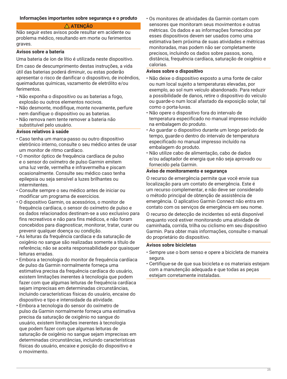#### <span id="page-24-0"></span>**Informações importantes sobre segurança e o produto**

# **ATENÇÃO**

Não seguir estes avisos pode resultar em acidente ou problema médico, resultando em morte ou ferimentos graves.

#### **Avisos sobre a bateria**

Uma bateria de íon de lítio é utilizada neste dispositivo.

Em caso de descumprimento destas instruções, a vida útil das baterias poderá diminuir, ou estas poderão apresentar o risco de danificar o dispositivo, de incêndios, queimaduras químicas, vazamento de eletrólito e/ou ferimentos.

- Não exponha o dispositivo ou as baterias a fogo, explosão ou outros elementos nocivos.
- Não desmonte, modifique, monte novamente, perfure nem danifique o dispositivo ou as baterias.
- Não remova nem tente remover a bateria não substituível pelo usuário.

#### **Avisos relativos à saúde**

- Caso tenha um marca-passo ou outro dispositivo eletrônico interno, consulte o seu médico antes de usar um monitor de ritmo cardíaco.
- O monitor óptico de frequência cardíaca de pulso e o sensor do oxímetro de pulso Garmin emitem uma luz verde, vermelha e infravermelha e piscam ocasionalmente. Consulte seu médico caso tenha epilepsia ou seja sensível a luzes brilhantes ou intermitentes.
- Consulte sempre o seu médico antes de iniciar ou modificar um programa de exercícios.
- O dispositivo Garmin, os acessórios, o monitor de frequência cardíaca, o sensor do oxímetro de pulso e os dados relacionados destinam-se a uso exclusivo para fins recreativos e não para fins médicos, e não foram concebidos para diagnosticar, monitorar, tratar, curar ou prevenir qualquer doença ou condição.
- As leituras da frequência cardíaca e da saturação de oxigênio no sangue são realizadas somente a título de referência; não se aceita responsabilidade por quaisquer leituras erradas.
- Embora a tecnologia do monitor de frequência cardíaca de pulso da Garmin normalmente forneça uma estimativa precisa da frequência cardíaca do usuário, existem limitações inerentes à tecnologia que podem fazer com que algumas leituras de frequência cardíaca sejam imprecisas em determinadas circunstâncias. incluindo características físicas do usuário, encaixe do dispositivo e tipo e intensidade da atividade.
- Embora a tecnologia do sensor do oxímetro de pulso da Garmin normalmente forneça uma estimativa precisa da saturação de oxigênio no sangue do usuário, existem limitações inerentes à tecnologia que podem fazer com que algumas leituras de saturação de oxigênio no sangue sejam imprecisas em determinadas circunstâncias, incluindo características físicas do usuário, encaixe e posição do dispositivo e o movimento.

• Os monitores de atividades da Garmin contam com sensores que monitoram seus movimentos e outras métricas. Os dados e as informações fornecidos por esses dispositivos devem ser usados como uma estimativa bem próxima de suas atividades e métricas monitoradas, mas podem não ser completamente precisos, incluindo os dados sobre passos, sono, distância, frequência cardíaca, saturação de oxigênio e calorias.

#### **Avisos sobre o dispositivo**

- Não deixe o dispositivo exposto a uma fonte de calor ou num local sujeito a temperaturas elevadas, por exemplo, ao sol num veículo abandonado. Para reduzir a possibilidade de danos, retire o dispositivo do veículo ou guarde-o num local afastado da exposição solar, tal como o porta-luvas.
- Não opere o dispositivo fora do intervalo de temperatura especificado no manual impresso incluído na embalagem do produto.
- Ao guardar o dispositivo durante um longo período de tempo, guarde-o dentro do intervalo de temperatura especificado no manual impresso incluído na embalagem do produto.
- Não utilize cabo de alimentação, cabo de dados e/ou adaptador de energia que não seja aprovado ou fornecido pela Garmin.

#### **Aviso de monitoramento e segurança**

O recurso de emergência permite que você envie sua localização para um contato de emergência. Este é um recurso complementar, e não deve ser considerado o método principal de obtenção de assistência de emergência. O aplicativo Garmin Connect não entra em contato com os serviços de emergência em seu nome.

O recurso de detecção de incidentes só está disponível enquanto você estiver monitorando uma atividade de caminhada, corrida, trilha ou ciclismo em seu dispositivo Garmin. Para obter mais informações, consulte o manual do proprietário do dispositivo.

#### **Avisos sobre bicicletas**

- Sempre use o bom senso e opere a bicicleta de maneira segura.
- Certifique-se de que sua bicicleta e os materiais estejam com a manutenção adequada e que todas as peças estejam corretamente instaladas.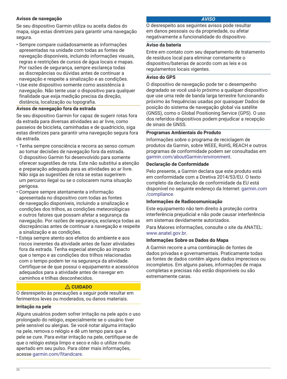# **Avisos de navegação**

Se seu dispositivo Garmin utiliza ou aceita dados do mapa, siga estas diretrizes para garantir uma navegação segura.

- Sempre compare cuidadosamente as informações apresentadas na unidade com todas as fontes de navegação disponíveis, incluindo informações visuais, regras e restrições de cursos de água locais e mapas. Por razões de segurança, sempre esclareça todas as discrepâncias ou dúvidas antes de continuar a navegação e respeite a sinalização e as condições.
- Use este dispositivo somente como assistência à navegação. Não tente usar o dispositivo para qualquer finalidade que exija medição precisa da direção, distância, localização ou topografia.

#### **Avisos de navegação fora da estrada**

Se seu dispositivo Garmin for capaz de sugerir rotas fora da estrada para diversas atividades ao ar livre, como passeios de bicicleta, caminhadas e de quadriciclo, siga estas diretrizes para garantir uma navegação segura fora da estrada.

- Tenha sempre consciência e recorra ao senso comum ao tomar decisões de navegação fora da estrada. O dispositivo Garmin foi desenvolvido para somente oferecer sugestões de rota. Este não substitui a atenção e preparação adequada para as atividades ao ar livre. Não siga as sugestões de rota se estas sugerirem um percurso ilegal ou se o colocarem numa situação perigosa.
- Compare sempre atentamente a informação apresentada no dispositivo com todas as fontes de navegação disponíveis, incluindo a sinalização e condições dos trilhos, as condições meteorológicas e outros fatores que possam afetar a segurança da navegação. Por razões de segurança, esclareça todas as discrepâncias antes de continuar a navegação e respeite a sinalização e as condições.
- Esteja sempre atento aos efeitos do ambiente e aos riscos inerentes da atividade antes de fazer atividades fora da estrada. Tenha especial atenção ao impacto que o tempo e as condições dos trilhos relacionadas com o tempo podem ter na segurança da atividade. Certifique-se de que possui o equipamento e acessórios adequados para a atividade antes de navegar em caminhos e trilhas desconhecidos.

# **CUIDADO**

O desrespeito às precauções a seguir pode resultar em ferimentos leves ou moderados, ou danos materiais.

# **Irritação na pele**

Alguns usuários podem sofrer irritação na pele após o uso prolongado do relógio, especialmente se o usuário tiver pele sensível ou alergias. Se você notar alguma irritação na pele, remova o relógio e dê um tempo para que a pele se cure. Para evitar irritação na pele, certifique-se de que o relógio esteja limpo e seco e não o utilize muito apertado em seu pulso. Para obter mais informações, acesse [garmin.com/fitandcare.](http://www.garmin.com/fitandcare)

#### *AVISO*

O desrespeito aos seguintes avisos pode resultar em danos pessoais ou da propriedade, ou afetar negativamente a funcionalidade do dispositivo.

#### **Aviso da bateria**

Entre em contato com seu departamento de tratamento de resíduos local para eliminar corretamente o dispositivo/baterias de acordo com as leis e os regulamentos locais vigentes.

#### **Aviso do GPS**

O dispositivo de navegação pode ter o desempenho degradado se você usá-lo próximo a qualquer dispositivo que use uma rede de banda larga terrestre funcionando próximo às frequências usadas por quaisquer Dados de posição do sistema de navegação global via satélite (GNSS), como o Global Positioning Service (GPS). O uso dos referidos dispositivos podem prejudicar a recepção de sinais de GNSS.

#### **Programas Ambientais do Produto**

Informações sobre o programa de reciclagem de produtos da Garmin, sobre WEEE, RoHS, REACH e outros programas de conformidade podem ser consultadas em [garmin.com/aboutGarmin/environment](http://www.garmin.com/aboutGarmin/environment).

#### **Declaração de Conformidade**

Pelo presente, a Garmin declara que este produto está em conformidade com a Diretiva 2014/53/EU. O texto completo da declaração de conformidade da EU está disponível no seguinte endereço da Internet: [garmin.com](http://www.garmin.com/compliance) [/compliance.](http://www.garmin.com/compliance)

#### **Informações de Radiocomunicação**

Este equipamento não tem direito à proteção contra interferência prejudicial e não pode causar interferência em sistemas devidamente autorizados.

Para Maiores informações, consulte o site da ANATEL: [www.anatel.gov.br](http://www.anatel.gov.br).

#### **Informações Sobre os Dados do Mapa**

A Garmin recorre a uma combinação de fontes de dados privadas e governamentais. Praticamente todas as fontes de dados contêm alguns dados imprecisos ou incompletos. Em alguns países, informações de mapa completas e precisas não estão disponíveis ou são extremamente caras.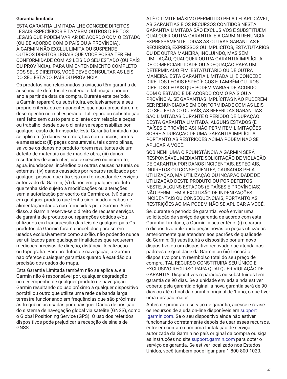# **Garantia limitada**

ESTA GARANTIA LIMITADA LHE CONCEDE DIREITOS LEGAIS ESPECÍFICOS E TAMBÉM OUTROS DIREITOS LEGAIS QUE PODEM VARIAR DE ACORDO COM O ESTADO (OU DE ACORDO COM O PAÍS OU A PROVÍNCIA). A GARMIN NÃO EXCLUI, LIMITA OU SUSPENDE OUTROS DIREITOS LEGAIS QUE VOCÊ POSSA TER EM CONFORMIDADE COM AS LEIS DO SEU ESTADO (OU PAÍS OU PROVÍNCIA). PARA UM ENTENDIMENTO COMPLETO DOS SEUS DIREITOS, VOCÊ DEVE CONSULTAR AS LEIS DO SEU ESTADO, PAÍS OU PROVÍNCIA.

Os produtos não relacionados à aviação têm garantia de ausência de defeitos de material e fabricação por um ano a partir da data da compra. Durante este período, a Garmin reparará ou substituirá, exclusivamente a seu próprio critério, os componentes que não apresentarem o desempenho normal esperado. Tal reparo ou substituição será feito sem custo para o cliente com relação a peças ou trabalho, desde que o cliente se responsabilize por qualquer custo de transporte. Esta Garantia Limitada não se aplica a: (i) danos externos, tais como riscos, cortes e amassados; (ii) peças consumíveis, tais como pilhas, salvo se os danos no produto forem resultantes de um defeito de materiais ou de mão de obra; (iii) danos resultantes de acidentes, uso excessivo ou incorreto, água, inundações, incêndios ou outras causas naturais ou externas; (iv) danos causados por reparos realizados por qualquer pessoa que não seja um fornecedor de serviços autorizado da Garmin; (v) danos em qualquer produto que tenha sido sujeito a modificações ou alterações sem a autorização por escrito da Garmin; ou (vi) danos em qualquer produto que tenha sido ligado a cabos de alimentação/dados não fornecidos pela Garmin. Além disso, a Garmin reserva-se o direito de recusar serviços de garantia de produtos ou reparações obtidos e/ou utilizados em transgressão das leis de qualquer país.Os produtos da Garmin foram concebidos para serem usados exclusivamente como auxílio, não podendo nunca ser utilizados para quaisquer finalidades que requerem medições precisas de direção, distância, localização ou topografia. Para produtos de navegação, a Garmin não oferece quaisquer garantias quanto à exatidão ou precisão dos dados do mapa.

Esta Garantia Limitada também não se aplica a, e a Garmin não é responsável por, qualquer degradação no desempenho de qualquer produto de navegação Garmin resultando do uso próximo a qualquer dispositivo portátil ou outro que utilize uma rede de banda larga terrestre funcionando em frequências que são próximas às frequências usadas por quaisquer Dados de posição do sistema de navegação global via satélite (GNSS), como o Global Positioning Service (GPS). O uso dos referidos dispositivos pode prejudicar a recepção de sinais de GNSS.

ATÉ O LIMITE MÁXIMO PERMITIDO PELA LEI APLICÁVEL, AS GARANTIAS E OS RECURSOS CONTIDOS NESTA GARANTIA LIMITADA SÃO EXCLUSIVOS E SUBSTITUEM QUALQUER OUTRA GARANTIA, E A GARMIN RENUNCIA EXPRESSAMENTE TODAS AS OUTRAS GARANTIAS E RECURSOS, EXPRESSOS OU IMPLÍCITOS, ESTATUTÁRIOS OU DE OUTRA MANEIRA, INCLUINDO, MAS SEM LIMITAÇÃO, QUALQUER OUTRA GARANTIA IMPLÍCITA DE COMERCIABILIDADE OU ADEQUAÇÃO PARA UM DETERMINADO FIM, ESTATUTÁRIO OU DE OUTRA MANEIRA. ESTA GARANTIA LIMITADA LHE CONCEDE DIREITOS LEGAIS ESPECÍFICOS E TAMBÉM OUTROS DIREITOS LEGAIS QUE PODEM VARIAR DE ACORDO COM O ESTADO E DE ACORDO COM O PAÍS OU A PROVÍNCIA. SE GARANTIAS IMPLÍCITAS NÃO PUDEREM SER RENUNCIADAS EM CONFORMIDADE COM AS LEIS DO SEU ESTADO OU PAÍS, AS REFERIDAS GARANTIAS SÃO LIMITADAS DURANTE O PERÍODO DE DURAÇÃO DESTA GARANTIA LIMITADA. ALGUNS ESTADOS (E PAÍSES E PROVÍNCIAS) NÃO PERMITEM LIMITAÇÕES SOBRE A DURAÇÃO DE UMA GARANTIA IMPLÍCITA, PORTANTO AS RESTRIÇÕES ACIMA PODEM NÃO SE APLICAR A VOCÊ.

SOB NENHUMA CIRCUNSTÂNCIA A GARMIN SERÁ RESPONSÁVEL MEDIANTE SOLICITAÇÃO DE VIOLAÇÃO DE GARANTIA POR DANOS INCIDENTAIS, ESPECIAIS, INDIRETOS OU CONSEQUENTES, CAUSADOS PELA UTILIZAÇÃO, MÁ UTILIZAÇÃO OU INCAPACIDADE DE UTILIZAÇÃO DESTE PRODUTO OU POR DEFEITOS NESTE. ALGUNS ESTADOS (E PAÍSES E PROVÍNCIAS) NÃO PERMITEM A EXCLUSÃO DE INDENIZAÇÕES INCIDENTAIS OU CONSEQUENCIAIS, PORTANTO AS RESTRIÇÕES ACIMA PODEM NÃO SE APLICAR A VOCÊ.

Se, durante o período de garantia, você enviar uma solicitação de serviço de garantia de acordo com esta Garantia Limitada, a Garmin, a seu critério: (i) reparará o dispositivo utilizando peças novas ou peças utilizadas anteriormente que atendam aos padrões de qualidade da Garmin; (ii) substituirá o dispositivo por um novo dispositivo ou um dispositivo renovado que atenda aos padrões de qualidade da Garmin ou (iii) trocará o dispositivo por um reembolso total do seu preço de compra. TAL RECURSO CONSTITUIRÁ SEU ÚNICO E EXCLUSIVO RECURSO PARA QUALQUER VIOLAÇÃO DE GARANTIA. Dispositivos reparados ou substituídos têm garantia de 90 dias. Se a unidade enviada ainda estiver coberta pela garantia original, a nova garantia será de 90 dias ou até o final da garantia original de 1 ano, o que tiver uma duração maior.

Antes de procurar o serviço de garantia, acesse e revise os recursos de ajuda on-line disponíveis em [support](http://www.support.garmin.com) [.garmin.com](http://www.support.garmin.com). Se o seu dispositivo ainda não estiver funcionando corretamente depois de usar esses recursos, entre em contato com uma Instalação de serviço autorizada da Garmin no país original da compra ou siga as instruções no site [support.garmin.com](http://www.support.garmin.com) para obter o serviço de garantia. Se estiver localizado nos Estados Unidos, você também pode ligar para 1-800-800-1020.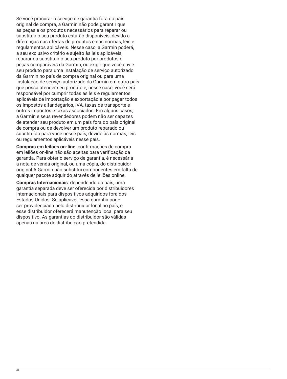Se você procurar o serviço de garantia fora do país original de compra, a Garmin não pode garantir que as peças e os produtos necessários para reparar ou substituir o seu produto estarão disponíveis, devido a diferenças nas ofertas de produtos e nas normas, leis e regulamentos aplicáveis. Nesse caso, a Garmin poderá, a seu exclusivo critério e sujeito às leis aplicáveis, reparar ou substituir o seu produto por produtos e peças comparáveis da Garmin, ou exigir que você envie seu produto para uma Instalação de serviço autorizado da Garmin no país de compra original ou para uma Instalação de serviço autorizado da Garmin em outro país que possa atender seu produto e, nesse caso, você será responsável por cumprir todas as leis e regulamentos aplicáveis de importação e exportação e por pagar todos os impostos alfandegários, IVA, taxas de transporte e outros impostos e taxas associados. Em alguns casos, a Garmin e seus revendedores podem não ser capazes de atender seu produto em um país fora do país original de compra ou de devolver um produto reparado ou substituído para você nesse país, devido às normas, leis ou regulamentos aplicáveis nesse país.

**Compras em leilões on-line**: confirmações de compra em leilões on-line não são aceitas para verificação da garantia. Para obter o serviço de garantia, é necessária a nota de venda original, ou uma cópia, do distribuidor original.A Garmin não substitui componentes em falta de qualquer pacote adquirido através de leilões online.

**Compras Internacionais**: dependendo do país, uma garantia separada deve ser oferecida por distribuidores internacionais para dispositivos adquiridos fora dos Estados Unidos. Se aplicável, essa garantia pode ser providenciada pelo distribuidor local no país, e esse distribuidor oferecerá manutenção local para seu dispositivo. As garantias do distribuidor são válidas apenas na área de distribuição pretendida.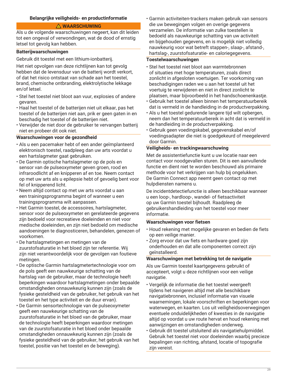# <span id="page-28-0"></span>**Belangrijke veiligheids- en productinformatie**

#### **WAARSCHUWING**

Als u de volgende waarschuwingen negeert, kan dit leiden tot een ongeval of verwondingen, wat de dood of ernstig letsel tot gevolg kan hebben.

#### **Batterijwaarschuwingen**

Gebruik dit toestel met een lithium-ionbatterij.

Het niet opvolgen van deze richtlijnen kan tot gevolg hebben dat de levensduur van de batterij wordt verkort, of dat het risico ontstaat van schade aan het toestel, brand, chemische ontbranding, elektrolytische lekkage en/of letsel.

- Stel het toestel niet bloot aan vuur, explosies of andere gevaren.
- Haal het toestel of de batterijen niet uit elkaar, pas het toestel of de batterijen niet aan, prik er geen gaten in en beschadig het toestel of de batterijen niet.
- Verwijder de niet door de gebruiker te vervangen batterij niet en probeer dit ook niet.

# **Waarschuwingen voor de gezondheid**

- Als u een pacemaker hebt of een ander geïmplanteerd elektronisch toestel, raadpleeg dan uw arts voordat u een hartslagmeter gaat gebruiken.
- De Garmin optische hartslagmeter op de pols en sensor van de pulseoxymeter geven groen, rood en infraroodlicht af en knipperen af en toe. Neem contact op met uw arts als u epilepsie hebt of gevoelig bent voor fel of knipperend licht.
- Neem altijd contact op met uw arts voordat u aan een trainingsprogramma begint of wanneer u een trainingsprogramma wilt aanpassen.
- Het Garmin toestel, de accessoires, hartslagmeter, sensor voor de pulseoxymeter en gerelateerde gegevens zijn bedoeld voor recreatieve doeleinden en niet voor medische doeleinden, en zijn niet bedoeld om medische aandoeningen te diagnosticeren, behandelen, genezen of voorkomen.
- De hartslagmetingen en metingen van de zuurstofsaturatie in het bloed zijn ter referentie. Wij zijn niet verantwoordelijk voor de gevolgen van foutieve metingen.
- De optische Garmin hartslagmetertechnologie voor om de pols geeft een nauwkeurige schatting van de hartslag van de gebruiker, maar de technologie heeft beperkingen waardoor hartslagmetingen onder bepaalde omstandigheden onnauwkeurig kunnen zijn (zoals de fysieke gesteldheid van de gebruiker, het gebruik van het toestel en het type activiteit en de duur ervan).
- De Garmin sensortechnologie van de pulseoxymeter geeft een nauwkeurige schatting van de zuurstofsaturatie in het bloed van de gebruiker, maar de technologie heeft beperkingen waardoor metingen van de zuurstofsaturatie in het bloed onder bepaalde omstandigheden onnauwkeurig kunnen zijn (zoals de fysieke gesteldheid van de gebruiker, het gebruik van het toestel, positie van het toestel en de beweging).

• Garmin activiteiten-trackers maken gebruik van sensors die uw bewegingen volgen en overige gegevens verzamelen. De informatie van zulke toestellen is bedoeld als nauwkeurige schatting van uw activiteit en bijgehouden gegevens, en is mogelijk niet volledig nauwkeurig voor wat betreft stappen-, slaap-, afstand-, hartslag-, zuurstofsaturatie- en caloriegegevens.

#### **Toestelwaarschuwingen**

- Stel het toestel niet bloot aan warmtebronnen of situaties met hoge temperaturen, zoals direct zonlicht in afgesloten voertuigen. Ter voorkoming van beschadigingen raden we u aan het toestel uit het voertuig te verwijderen en niet in direct zonlicht te plaatsen, maar bijvoorbeeld in het handschoenenkastje.
- Gebruik het toestel alleen binnen het temperatuurbereik dat is vermeld in de handleiding in de productverpakking.
- Als u het toestel gedurende langere tijd wilt opbergen, neem dan het temperatuurbereik in acht dat is vermeld in de handleiding in de productverpakking.
- Gebruik geen voedingskabel, gegevenskabel en/of voedingsadapter die niet is goedgekeurd of meegeleverd door Garmin.

#### **Veiligheids- en trackingwaarschuwing**

Met de assistentiefunctie kunt u uw locatie naar een contact voor noodgevallen sturen. Dit is een aanvullende functie en dient niet te worden beschouwd als primaire methode voor het verkrijgen van hulp bij ongelukken. De Garmin Connect app neemt geen contact op met hulpdiensten namens u.

De incidentdetectiefunctie is alleen beschikbaar wanneer u een loop-, hardloop-, wandel- of fietsactiviteit op uw Garmin toestel bijhoudt. Raadpleeg de gebruikershandleiding van het toestel voor meer informatie.

#### **Waarschuwingen voor fietsen**

- Houd rekening met mogelijke gevaren en bedien de fiets op een veilige manier.
- Zorg ervoor dat uw fiets en hardware goed zijn onderhouden en dat alle componenten correct zijn geïnstalleerd.

#### **Waarschuwingen met betrekking tot de navigatie**

Als uw Garmin toestel kaartgegevens gebruikt of accepteert, volgt u deze richtlijnen voor een veilige navigatie.

- Vergelijk de informatie die het toestel weergeeft tijdens het navigeren altijd met alle beschikbare navigatiebronnen, inclusief informatie van visuele waarnemingen, lokale voorschriften en beperkingen voor waterwegen, en kaarten. Los uit veiligheidsoverwegingen eventuele onduidelijkheden of kwesties in de navigatie altijd op voordat u uw route hervat en houd rekening met aanwijzingen en omstandigheden onderweg.
- Gebruik dit toestel uitsluitend als navigatiehulpmiddel. Gebruik het toestel niet voor doeleinden waarbij precieze bepalingen van richting, afstand, locatie of topografie zijn vereist.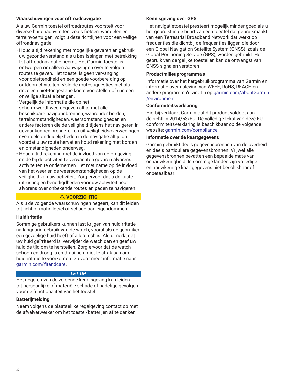# **Waarschuwingen voor offroadnavigatie**

Als uw Garmin toestel offroadroutes voorstelt voor diverse buitenactiviteiten, zoals fietsen, wandelen en terreinvoertuigen, volgt u deze richtlijnen voor een veilige offroadnavigatie.

- Houd altijd rekening met mogelijke gevaren en gebruik uw gezonde verstand als u beslissingen met betrekking tot offroadnavigatie neemt. Het Garmin toestel is ontworpen om alleen aanwijzingen over te volgen routes te geven. Het toestel is geen vervanging voor oplettendheid en een goede voorbereiding op outdooractiviteiten. Volg de routesuggesties niet als deze een niet-toegestane koers voorstellen of u in een onveilige situatie brengen.
- Vergelijk de informatie die op het scherm wordt weergegeven altijd met alle beschikbare navigatiebronnen, waaronder borden, terreinomstandigheden, weersomstandigheden en andere factoren die de veiligheid tijdens het navigeren in gevaar kunnen brengen. Los uit veiligheidsoverwegingen eventuele onduidelijkheden in de navigatie altijd op voordat u uw route hervat en houd rekening met borden en omstandigheden onderweg.
- Houd altijd rekening met de invloed van de omgeving en de bij de activiteit te verwachten gevaren alvorens activiteiten te ondernemen. Let met name op de invloed van het weer en de weersomstandigheden op de veiligheid van uw activiteit. Zorg ervoor dat u de juiste uitrusting en benodigdheden voor uw activiteit hebt alvorens over onbekende routes en paden te navigeren.

# **VOORZICHTIG**

Als u de volgende waarschuwingen negeert, kan dit leiden tot licht of matig letsel of schade aan eigendommen.

# **Huidirritatie**

Sommige gebruikers kunnen last krijgen van huidirritatie na langdurig gebruik van de watch, vooral als de gebruiker een gevoelige huid heeft of allergisch is. Als u merkt dat uw huid geïrriteerd is, verwijder de watch dan en geef uw huid de tijd om te herstellen. Zorg ervoor dat de watch schoon en droog is en draai hem niet te strak aan om huidirritatie te voorkomen. Ga voor meer informatie naar [garmin.com/fitandcare.](http://www.garmin.com/fitandcare)

# *LET OP*

Het negeren van de volgende kennisgeving kan leiden tot persoonlijke of materiële schade of nadelige gevolgen voor de functionaliteit van het toestel.

# **Batterijmelding**

Neem volgens de plaatselijke regelgeving contact op met de afvalverwerker om het toestel/batterijen af te danken.

# **Kennisgeving over GPS**

Het navigatietoestel presteert mogelijk minder goed als u het gebruikt in de buurt van een toestel dat gebruikmaakt van een Terrestrial Broadband Network dat werkt op frequenties die dichtbij de frequenties liggen die door een Global Navigation Satellite System (GNSS), zoals de Global Positioning Service (GPS), worden gebruikt. Het gebruik van dergelijke toestellen kan de ontvangst van GNSS-signalen verstoren.

# **Productmilieuprogramma's**

Informatie over het hergebruikprogramma van Garmin en informatie over naleving van WEEE, RoHS, REACH en andere programma's vindt u op [garmin.com/aboutGarmin](http://www.garmin.com/aboutGarmin/environment) [/environment.](http://www.garmin.com/aboutGarmin/environment)

# **Conformiteitsverklaring**

Hierbij verklaart Garmin dat dit product voldoet aan de richtlijn 2014/53/EU. De volledige tekst van deze EUconformiteitsverklaring is beschikbaar op de volgende website: [garmin.com/compliance.](http://www.garmin.com/compliance)

#### **Informatie over de kaartgegevens**

Garmin gebruikt deels gegevensbronnen van de overheid en deels particuliere gegevensbronnen. Vrijwel alle gegevensbronnen bevatten een bepaalde mate van onnauwkeurigheid. In sommige landen zijn volledige en nauwkeurige kaartgegevens niet beschikbaar of onbetaalbaar.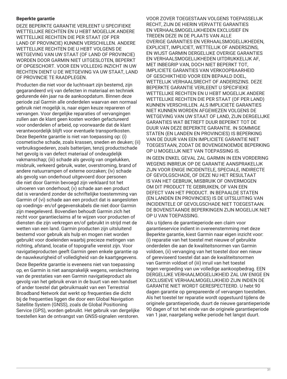#### **Beperkte garantie**

DEZE BEPERKTE GARANTIE VERLEENT U SPECIFIEKE WETTELIJKE RECHTEN EN U HEBT MOGELIJK ANDERE WETTELIJKE RECHTEN DIE PER STAAT (OF PER LAND OF PROVINCIE) KUNNEN VERSCHILLEN. ANDERE WETTELIJKE RECHTEN DIE U HEBT VOLGENS DE WETGEVING VAN UW STAAT (OF LAND OF PROVINCIE) WORDEN DOOR GARMIN NIET UITGESLOTEN, BEPERKT OF OPGESCHORT. VOOR EEN VOLLEDIG INZICHT IN UW RECHTEN DIENT U DE WETGEVING VA UW STAAT, LAND OF PROVINCIE TE RAADPLEGEN.

Producten die niet voor de luchtvaart zijn bestemd, zijn gegarandeerd vrij van defecten in materiaal en techniek gedurende één jaar na de aankoopdatum. Binnen deze periode zal Garmin alle onderdelen waarvan een normaal gebruik niet mogelijk is, naar eigen keuze repareren of vervangen. Voor dergelijke reparaties of vervangingen zullen aan de klant geen kosten worden gefactureerd voor onderdelen of arbeid, op voorwaarde dat de klant verantwoordelijk blijft voor eventuele transportkosten. Deze Beperkte garantie is niet van toepassing op: (i) cosmetische schade, zoals krassen, sneden en deuken; (ii) verbruiksgoederen, zoals batterijen, tenzij productschade het gevolg is van defect materiaal of ondeugdelijk vakmanschap; (iii) schade als gevolg van ongelukken, misbruik, verkeerd gebruik, water, overstroming, brand of andere natuurrampen of externe oorzaken; (iv) schade als gevolg van onderhoud uitgevoerd door personen die niet door Garmin bevoegd zijn verklaard tot het uitvoeren van onderhoud; (v) schade aan een product dat is veranderd zonder de schriftelijke toestemming van Garmin of (vi) schade aan een product dat is aangesloten op voedings- en/of gegevenskabels die niet door Garmin zijn meegeleverd. Bovendien behoudt Garmin zich het recht voor garantieclaims af te wijzen voor producten of diensten die zijn verkregen en/of gebruikt in strijd met de wetten van een land. Garmin producten zijn uitsluitend bestemd voor gebruik als hulp en mogen niet worden gebruikt voor doeleinden waarbij precieze metingen van richting, afstand, locatie of topografie vereist zijn. Voor navigatieproducten geeft Garmin geen enkele garantie op de nauwkeurigheid of volledigheid van de kaartgegevens.

Deze Beperkte garantie is eveneens niet van toepassing op, en Garmin is niet aansprakelijk wegens, verslechtering van de prestaties van een Garmin navigatieproduct als gevolg van het gebruik ervan in de buurt van een handset of ander toestel dat gebruikmaakt van een Terrestrial Broadband Network dat werkt op frequenties die dicht bij de frequenties liggen die door een Global Navigation Satellite System (GNSS), zoals de Global Positioning Service (GPS), worden gebruikt. Het gebruik van dergelijke toestellen kan de ontvangst van GNSS-signalen verstoren. VOOR ZOVER TOEGESTAAN VOLGENS TOEPASSELIJK RECHT, ZIJN DE HIERIN VERVATTE GARANTIES EN VERHAALSMOGELIJKHEDEN EXCLUSIEF EN TREDEN DEZE IN DE PLAATS VAN ALLE OVERIGE GARANTIES EN VERHAALSMOGELIJKHEDEN, EXPLICIET, IMPLICIET, WETTELIJK OF ANDERSZINS, EN WIJST GARMIN DERGELIJKE OVERIGE GARANTIES EN VERHAALSMOGELIJKHEDEN UITDRUKKELIJK AF, MET INBEGRIP VAN, DOCH NIET BEPERKT TOT, IMPLICIETE GARANTIES VAN VERKOOPBAARHEID OF GESCHIKTHEID VOOR EEN BEPAALD DOEL, WETTELIJK VERHAALSRECHT OF ANDERSZINS. DEZE BEPERKTE GARANTIE VERLEENT U SPECIFIEKE WETTELIJKE RECHTEN EN U HEBT MOGELIJK ANDERE WETTELIJKE RECHTEN DIE PER STAAT (OF PER LAND) KUNNEN VERSCHILLEN. ALS IMPLICIETE GARANTIES NIET KUNNEN WORDEN AFGEWEZEN VOLGENS DE WETGEVING VAN UW STAAT OF LAND, ZIJN DERGELIJKE GARANTIES WAT BETREFT DUUR BEPERKT TOT DE DUUR VAN DEZE BEPERKTE GARANTIE. IN SOMMIGE STATEN (EN LANDEN EN PROVINCIES) IS BEPERKING VAN DE DUUR VAN EEN IMPLICIETE GARANTIE NIET TOEGESTAAN, ZODAT DE BOVENGENOEMDE BEPERKING OP U MOGELIJK NIET VAN TOEPASSING IS.

IN GEEN ENKEL GEVAL ZAL GARMIN IN EEN VORDERING WEGENS INBREUK OP DE GARANTIE AANSPRAKELIJK ZIJN VOOR ENIGE INCIDENTELE, SPECIALE, INDIRECTE OF GEVOLGSCHADE, OF DEZE NU HET RESULTAAT IS VAN HET GEBRUIK, MISBRUIK OF ONVERMOGEN OM DIT PRODUCT TE GEBRUIKEN, OF VAN EEN DEFECT VAN HET PRODUCT. IN BEPAALDE STATEN (EN LANDEN EN PROVINCIES) IS DE UITSLUITING VAN INCIDENTELE OF GEVOLGSCHADE NIET TOEGESTAAN. DE BOVENSTAANDE BEPERKINGEN ZIJN MOGELIJK NIET OP U VAN TOEPASSING.

Als u tijdens de garantieperiode een claim voor garantieservice indient in overeenstemming met deze Beperkte garantie, kiest Garmin naar eigen inzicht voor: (i) reparatie van het toestel met nieuwe of gebruikte onderdelen die aan de kwaliteitsnormen van Garmin voldoen, (ii) vervanging van het toestel door een nieuw of gereviseerd toestel dat aan de kwaliteitsnormen van Garmin voldoet of (iii) inruil van het toestel tegen vergoeding van uw volledige aankoopbedrag. EEN DERGELIJKE VERHAALMOGELIJKHEID ZAL UW ENIGE EN EXCLUSIEVE VERHAALMOGELIJKHEID ZIJN INDIEN DE GARANTIE NIET WORDT GERESPECTEERD. U hebt 90 dagen garantie op gerepareerde of vervangen toestellen. Als het toestel ter reparatie wordt opgestuurd tijdens de originele garantieperiode, duurt de nieuwe garantieperiode 90 dagen of tot het einde van de originele garantieperiode van 1 jaar, naargelang welke periode het langst duurt.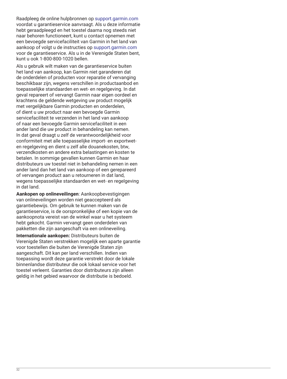Raadpleeg de online hulpbronnen op [support.garmin.com](http://www.support.garmin.com) voordat u garantieservice aanvraagt. Als u deze informatie hebt geraadpleegd en het toestel daarna nog steeds niet naar behoren functioneert, kunt u contact opnemen met een bevoegde servicefaciliteit van Garmin in het land van aankoop of volgt u de instructies op [support.garmin.com](http://www.support.garmin.com)  voor de garantieservice. Als u in de Verenigde Staten bent, kunt u ook 1-800-800-1020 bellen.

Als u gebruik wilt maken van de garantieservice buiten het land van aankoop, kan Garmin niet garanderen dat de onderdelen of producten voor reparatie of vervanging beschikbaar zijn, wegens verschillen in productaanbod en toepasselijke standaarden en wet- en regelgeving. In dat geval repareert of vervangt Garmin naar eigen oordeel en krachtens de geldende wetgeving uw product mogelijk met vergelijkbare Garmin producten en onderdelen, of dient u uw product naar een bevoegde Garmin servicefaciliteit te verzenden in het land van aankoop of naar een bevoegde Garmin servicefaciliteit in een ander land die uw product in behandeling kan nemen. In dat geval draagt u zelf de verantwoordelijkheid voor conformiteit met alle toepasselijke import- en exportweten regelgeving en dient u zelf alle douanekosten, btw, verzendkosten en andere extra belastingen en kosten te betalen. In sommige gevallen kunnen Garmin en haar distributeurs uw toestel niet in behandeling nemen in een ander land dan het land van aankoop of een gerepareerd of vervangen product aan u retourneren in dat land, wegens toepasselijke standaarden en wet- en regelgeving in dat land.

**Aankopen op onlineveilingen**: Aankoopbevestigingen van onlineveilingen worden niet geaccepteerd als garantiebewijs. Om gebruik te kunnen maken van de garantieservice, is de oorspronkelijke of een kopie van de aankoopnota vereist van de winkel waar u het systeem hebt gekocht. Garmin vervangt geen onderdelen van pakketten die zijn aangeschaft via een onlineveiling.

**Internationale aankopen:** Distributeurs buiten de Verenigde Staten verstrekken mogelijk een aparte garantie voor toestellen die buiten de Verenigde Staten zijn aangeschaft. Dit kan per land verschillen. Indien van toepassing wordt deze garantie verstrekt door de lokale binnenlandse distributeur die ook lokaal service voor het toestel verleent. Garanties door distributeurs zijn alleen geldig in het gebied waarvoor de distributie is bedoeld.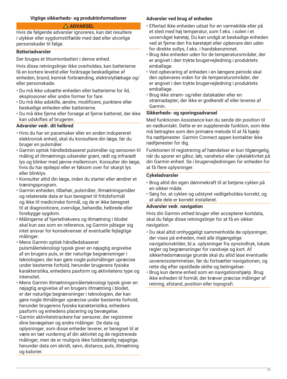# <span id="page-32-0"></span>**Vigtige sikkerheds- og produktinformationer**

# **ADVARSEL**

Hvis de følgende advarsler ignoreres, kan det resultere i ulykker eller sygdomstilfælde med død eller alvorlige personskader til følge.

#### **Batteriadvarsler**

Der bruges et litiumionbatteri i denne enhed.

Hvis disse retningslinjer ikke overholdes, kan batterierne få en kortere levetid eller forårsage beskadigelse af enheden, brand, kemisk forbrænding, elektrolytlækage og/ eller personskade.

- Du må ikke udsætte enheden eller batterierne for ild, eksplosioner eller andre former for fare.
- Du må ikke adskille, ændre, modificere, punktere eller beskadige enheden eller batterierne.
- Du må ikke fjerne eller forsøge at fjerne batteriet, der ikke kan udskiftes af brugeren.

#### **Advarsler vedr. dit helbred**

- Hvis du har en pacemaker eller en anden indopereret elektronisk enhed, skal du konsultere din læge, før du bruger en pulsmåler.
- Garmin optisk håndledsbaseret pulsmåler og sensoren til måling af iltmætnings udsender grønt, rødt og infrarødt lys og blinker med jævne mellemrum. Konsulter din læge, hvis du har epilepsi eller er følsom over for skarpt lys eller blinklys.
- Konsulter altid din læge, inden du starter eller ændrer et træningsprogram.
- Garmin enheden, tilbehør, pulsmåler, iltmætningsmåler og relaterede data er kun beregnet til fritidsformål og ikke til medicinske formål, og de er ikke beregnet til at diagnosticere, overvåge, behandle, helbrede eller forebygge sygdom.
- Målingerne af hjertefrekvens og iltmætning i blodet skal kun ses som en reference, og Garmin påtager sig intet ansvar for konsekvenser af eventuelle fejlagtige målinger.
- Mens Garmin optisk håndledsbaseret pulsmålerteknologi typisk giver en nøjagtig angivelse af en brugers puls, er der naturlige begrænsninger i teknologien, der kan gøre nogle pulsmålinger upræcise under bestemte forhold, herunder brugerens fysiske karakteristika, enhedens pasform og aktivitetens type og intensitet.
- Mens Garmin iltmætningsmålerteknologi typisk giver en nøjagtig angivelse af en brugers iltmætning i blodet, er der naturlige begrænsninger i teknologien, der kan gøre nogle iltmålinger upræcise under bestemte forhold, herunder brugerens fysiske karakteristika, enhedens pasform og enhedens placering og bevægelse.
- Garmin aktivitetstrackere har sensorer, der registrerer dine bevægelser og andre målinger. De data og oplysninger, som disse enheder leverer, er beregnet til at være en tæt vurdering af din aktivitet og de registrerede målinger, men de er muligvis ikke fuldstændig nøjagtige, herunder data om skridt, søvn, distance, puls, iltmætning og kalorier.

# **Advarsler ved brug af enheden**

- Efterlad ikke enheden udsat for en varmekilde eller på et sted med høj temperatur, som f.eks. i solen i et uovervåget køretøj. Du kan undgå at beskadige enheden ved at fjerne den fra køretøjet eller opbevare den uden for direkte sollys, f.eks. i handskerummet.
- Brug ikke enheden uden for de temperaturområder, der er angivet i den trykte brugervejledning i produktets emballage.
- Ved opbevaring af enheden i en længere periode skal den opbevares inden for de temperaturområder, der er angivet i den trykte brugervejledning i produktets emballage.
- Brug ikke strøm- og/eller datakabler eller en strømadapter, der ikke er godkendt af eller leveres af Garmin.

#### **Sikkerheds- og sporingsadvarsel**

Med funktionen Assistance kan du sende din position til en nødkontakt. Dette er en supplerende funktion, som ikke må betragtes som den primære metode til at få hjælp fra nødtjenester. Garmin Connect appen kontakter ikke nødtjenester for dig.

Funktionen til registrering af hændelser er kun tilgængelig, når du sporer en gåtur, løb, vandretur eller cykelaktivitet på din Garmin enhed. Se i brugervejledningen for enheden for at få flere oplysninger.

#### **Cykeladvarsler**

- Brug altid din egen dømmekraft til at betjene cyklen på en sikker måde.
- Sørg for, at cyklen og udstyret vedligeholdes korrekt, og at alle dele er korrekt installeret.

# **Advarsler vedr. navigation**

Hvis din Garmin enhed bruger eller accepterer kortdata, skal du følge disse retningslinjer for at få en sikker navigation.

- Du skal altid omhyggeligt sammenholde de oplysninger, der vises på enheden, med alle tilgængelige navigationskilder, bl.a. oplysninger fra synsindtryk, lokale regler og begrænsninger for vandveje og kort. Af sikkerhedsmæssige grunde skal du altid løse eventuelle uoverensstemmelser, før du fortsætter navigationen, og rette dig efter opstillede skilte og betingelser.
- Brug kun denne enhed som en navigationshjælp. Brug ikke enheden til formål, der kræver præcise målinger af retning, afstand, position eller topografi.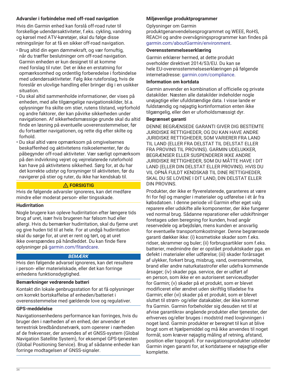# **Advarsler i forbindelse med off-road navigation**

Hvis din Garmin enhed kan forslå off-road ruter til forskellige udendørsaktiviteter, f.eks. cykling, vandring og kørsel med ATV-køretøjer, skal du følge disse retningslinjer for at få en sikker off-road navigation.

- Brug altid din egen dømmekraft, og vær fornuftig, når du træffer beslutninger om off-road navigation. Garmin enheden er kun designet til at komme med forslag til ruter. Det er ikke en erstatning for opmærksomhed og ordentlig forberedelse i forbindelse med udendørsaktiviteter. Følg ikke ruteforslag, hvis de foreslår en ulovlige handling eller bringer dig i en usikker situation.
- Du skal altid sammenholde informationer, der vises på enheden, med alle tilgængelige navigationskilder, bl.a. oplysninger fra skilte om stier, rutens tilstand, vejrforhold og andre faktorer, der kan påvirke sikkerheden under navigationen. Af sikkerhedsmæssige grunde skal du altid finde en løsning på eventuelle uoverensstemmelser, før du fortsætter navigationen, og rette dig efter skilte og forhold.
- Du skal altid være opmærksom på omgivelsernes beskaffenhed og aktivitetens risikoelementer, før du påbegynder off-road aktiviteter. Vær særligt opmærksom på den indvirkning vejret og vejrrelaterede ruteforhold kan have på aktivitetens sikkerhed. Sørg for, at du har det korrekte udstyr og forsyninger til aktiviteten, før du navigerer på stier og ruter, du ikke har kendskab til.

# **FORSIGTIG**

Hvis de følgende advarsler ignoreres, kan det medføre mindre eller moderat person- eller tingsskade.

# **Hudirritation**

Nogle brugere kan opleve hudirritation efter længere tids brug af uret, især hvis brugeren har følsom hud eller allergi. Hvis du bemærker hudirritation, skal du fjerne uret og give huden tid til at hele. For at undgå hudirritation skal du sørge for, at uret er rent og tørt, og at uret ikke overspændes på håndleddet. Du kan finde flere oplysninger på [garmin.com/fitandcare](http://www.garmin.com/fitandcare).

# *BEMÆRK*

Hvis den følgende advarsel ignoreres, kan det resultere i person- eller materielskade, eller det kan forringe enhedens funktionsdygtighed.

# **Bemærkninger vedrørende batteri**

Kontakt din lokale genbrugsstation for at få oplysninger om korrekt bortskaffelse af enheden/batteriet i overensstemmelse med gældende love og regulativer.

# **GPS-meddelelse**

Navigationsenhedens performance kan forringes, hvis du bruger den i nærheden af en enhed, der anvender et terrestrisk bredbåndsnetværk, som opererer i nærheden af de frekvenser, der anvendes af et GNSS-system (Global Navigation Satellite System), for eksempel GPS-tjenesten (Global Positioning Service). Brug af sådanne enheder kan forringe modtagelsen af GNSS-signaler.

# **Miljøvenlige produktprogrammer**

#### Oplysninger om Garmin

produktgenanvendelsesprogrammet og WEEE, RoHS, REACH og andre overvågningsprogrammer kan findes på [garmin.com/aboutGarmin/environment](http://www.garmin.com/aboutGarmin/environment).

#### **Overensstemmelseserklæring**

Garmin erklærer hermed, at dette produkt overholder direktivet 2014/53/EU. Du kan se hele EU-overensstemmelseserklæringen på følgende internetadresse: [garmin.com/compliance.](http://www.garmin.com/compliance)

# **Information om kortdata**

Garmin anvender en kombination af officielle og private datakilder. Næsten alle datakilder indeholder nogle unøjagtige eller ufuldstændige data. I visse lande er fuldstændig og nøjagtig kortinformation enten ikke tilgængelig, eller den er uforholdsmæssigt dyr.

#### **Begrænset garanti**

DENNE BEGRÆNSEDE GARANTI GIVER DIG BESTEMTE JURIDISKE RETTIGHEDER, OG DU KAN HAVE ANDRE JURIDISKE RETTIGHEDER, SOM VARIERER FRA LAND TIL LAND (ELLER FRA DELSTAT TIL DELSTAT ELLER FRA PROVINS TIL PROVINS). GARMIN UDELUKKER, BEGRÆNSER ELLER SUSPENDERER IKKE ANDRE JURIDISKE RETTIGHEDER, SOM DU MÅTTE HAVE I DIT LAND (ELLER DIN DELSTAT ELLER PROVINS). HVIS DU VIL OPNÅ FULDT KENDSKAB TIL DINE RETTIGHEDER, SKAL DU SE LOVENE I DIT LAND, DIN DELSTAT ELLER DIN PROVINS.

Produkter, der ikke er flyverelaterede, garanteres at være fri for fejl og mangler i materialer og udførelse i ét år fra købsdatoen. I denne periode vil Garmin efter eget valg reparere eller udskifte alle komponenter, der ikke fungerer ved normal brug. Sådanne reparationer eller udskiftninger foretages uden beregning for kunden, hvad angår reservedele og arbejdsløn, mens kunden er ansvarlig for eventuelle transportomkostninger. Denne begrænsede garanti dækker ikke: (i) kosmetiske skader som f.eks. ridser, skrammer og buler; (ii) forbrugsartikler som f.eks. batterier, medmindre der er opstået produktskader pga. en defekt i materialer eller udførelse; (iii) skader forårsaget af ulykker, forkert brug, misbrug, vand, oversvømmelse, brand eller andre naturkatastrofer eller udefra kommende årsager; (iv) skader pga. service, der er udført af en person, som ikke er en autoriseret serviceudbyder for Garmin; (v) skader på et produkt, som er blevet modificeret eller ændret uden skriftlig tilladelse fra Garmin; eller (vi) skader på et produkt, som er blevet sluttet til strøm- og/eller datakabler, der ikke kommer fra Garmin. Garmin forbeholder sig desuden ret til at afvise garantikrav angående produkter eller tjenester, der erhverves og/eller bruges i modstrid med lovgivningen i noget land. Garmin produkter er beregnet til kun at blive brugt som et hjælpemiddel og må ikke anvendes til noget formål, som kræver nøjagtig måling af retning, afstand, position eller topografi. For navigationsprodukter udsteder Garmin ingen garanti for, at kortdataene er nøjagtige eller komplette.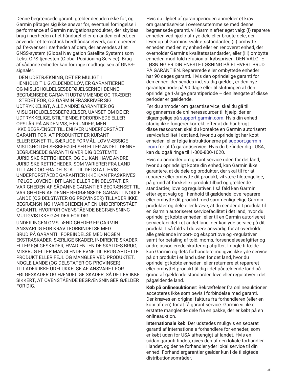Denne begrænsede garanti gælder desuden ikke for, og Garmin påtager sig ikke ansvar for, eventuel forringelse i performance af Garmin navigationsprodukter, der skyldes brug i nærheden af et håndsæt eller en anden enhed, der anvender et terrestrisk bredbåndsnetværk, som opererer på frekvenser i nærheden af dem, der anvendes af et GNSS-system (Global Navigation Satellite System) som f.eks. GPS-tjenesten (Global Positioning Service). Brug af sådanne enheder kan forringe modtagelsen af GNSSsignaler.

I DEN UDSTRÆKNING, DET ER MULIGT I HENHOLD TIL GÆLDENDE LOV, ER GARANTIERNE OG MISLIGHOLDELSESBEFØJELSERNE I DENNE BEGRÆNSEDE GARANTI UDTØMMENDE OG TRÆDER I STEDET FOR, OG GARMIN FRASKRIVER SIG UDTRYKKELIGT, ALLE ANDRE GARANTIER OG MISLIGHOLDELSESBEFØJELSER, UANSET OM DE ER UDTRYKKELIGE, STILTIENDE, FORORDNEDE ELLER OPSTÅR PÅ ANDEN VIS, HERUNDER, MEN IKKE BEGRÆNSET TIL, ENHVER UNDERFORSTÅET GARANTI FOR, AT PRODUKTET ER KURANT ELLER EGNET TIL SÆRLIGE FORMÅL, LOVMÆSSIGE MISLIGHOLDELSESBEFØJELSER ELLER ANDET. DENNE BEGRÆNSEDE GARANTI GIVER DIG BESTEMTE JURIDISKE RETTIGHEDER, OG DU KAN HAVE ANDRE JURIDISKE RETTIGHEDER, SOM VARIERER FRA LAND TIL LAND OG FRA DELSTAT TIL DELSTAT. HVIS UNDERFORSTÅEDE GARANTIER IKKE KAN FRASKRIVES IFØLGE LOVENE I DIT LAND ELLER DIN DELSTAT, ER VARIGHEDEN AF SÅDANNE GARANTIER BEGRÆNSET TIL VARIGHEDEN AF DENNE BEGRÆNSEDE GARANTI. NOGLE LANDE (OG DELSTATER OG PROVINSER) TILLADER IKKE BEGRÆNSNING I VARIGHEDEN AF EN UNDERFORSTÅET GARANTI, HVORFOR OVENSTÅENDE BEGRÆNSNING MULIGVIS IKKE GÆLDER FOR DIG.

UNDER INGEN OMSTÆNDIGHEDER ER GARMIN ANSVARLIG FOR KRAV I FORBINDELSE MED BRUD PÅ GARANTI I FORBINDELSE MED NOGEN EKSTRASKADER, SÆRLIGE SKADER, INDIREKTE SKADER ELLER FØLGESKADER, HVAD ENTEN DE SKYLDES BRUG, MISBRUG ELLER MANGLENDE EVNE TIL BRUG AF DETTE PRODUKT ELLER FEJL OG MANGLER VED PRODUKTET. NOGLE LANDE (OG DELSTATER OG PROVINSER) TILLADER IKKE UDELUKKELSE AF ANSVARET FOR FØLGESKADER OG HÆNDELIGE SKADER, SÅ DET ER IKKE SIKKERT, AT OVENSTÅENDE BEGRÆNSNINGER GÆLDER FOR DIG.

Hvis du i løbet af garantiperioden anmelder et krav om garantiservice i overensstemmelse med denne begrænsede garanti, vil Garmin efter eget valg: (i) reparere enheden ved hjælp af nye dele eller brugte dele, der lever op til Garmins kvalitetsstandarder, (ii) ombytte enheden med en ny enhed eller en renoveret enhed, der overholder Garmins kvalitetsstandarder, eller (iii) ombytte enheden mod fuld refusion af købsprisen. DEN VALGTE LØSNING ER DIN ENESTE LØSNING PÅ ETHVERT BRUD PÅ GARANTIEN. Reparerede eller ombyttede enheder har 90 dages garanti. Hvis den oprindelige garanti for den enhed, der sendes ind, stadig gælder, er den nye garantiperiode på 90 dage eller til slutningen af den oprindelige 1-årige garantiperiode – den længste af disse perioder er gældende.

Før du anmoder om garantiservice, skal du gå til og gennemse de onlineressourcer til hjælp, der er tilgængelige på [support.garmin.com.](http://www.support.garmin.com) Hvis din enhed stadig ikke fungerer korrekt, efter at du har brugt disse ressourcer, skal du kontakte en Garmin autoriseret servicefacilitet i det land, hvor du oprindeligt har købt enheden, eller følge instruktionerne på [support.garmin](http://www.support.garmin.com) [.com](http://www.support.garmin.com) for at få garantiservice. Hvis du befinder dig i USA, kan du også ringe til 1-800-800-1020.

Hvis du anmoder om garantiservice uden for det land, hvor du oprindeligt købte din enhed, kan Garmin ikke garantere, at de dele og produkter, der skal til for at reparere eller ombytte dit produkt, vil være tilgængelige, på grund af forskelle i produkttilbud og gældende standarder, love og regulativer. I så fald kan Garmin efter eget valg og i henhold til gældende love reparere eller ombytte dit produkt med sammenlignelige Garmin produkter og dele eller kræve, at du sender dit produkt til en Garmin autoriseret servicefacilitet i det land, hvor du oprindeligt købte enheden, eller til en Garmin autoriseret servicefacilitet i et andet land, der kan yde service på dit produkt. I så fald vil du være ansvarlig for at overholde alle gældende import- og eksportlove og -regulativer samt for betaling af told, moms, forsendelsesafgifter og andre associerede skatter og afgifter. I nogle tilfælde kan Garmin og dets forhandlere muligvis ikke yde service på dit produkt i et land uden for det land, hvor du oprindeligt købte enheden, eller returnere et repareret eller ombyttet produkt til dig i det pågældende land på grund af gældende standarder, love eller regulativer i det pågældende land.

**Køb på onlineauktioner**: Bekræftelser fra onlineauktioner accepteres ikke som bevis i forbindelse med garanti. Der kræves en original faktura fra forhandleren (eller en kopi af den) for at få garantiservice. Garmin vil ikke erstatte manglende dele fra en pakke, der er købt på en onlineauktion.

**Internationale køb**: Der udstedes muligvis en separat garanti af internationale forhandlere for enheder, som er købt uden for USA afhængigt af landet. Hvis en sådan garanti findes, gives den af den lokale forhandler i landet, og denne forhandler yder lokal service til din enhed. Forhandlergarantier gælder kun i de tilsigtede distributionsområder.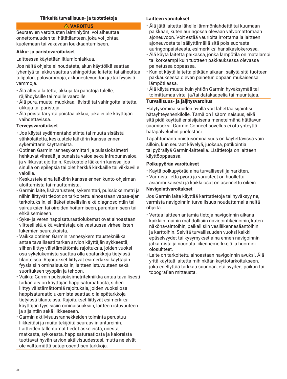# **Tärkeitä turvallisuus- ja tuotetietoja**

# **VAROITUS**

<span id="page-35-0"></span>Seuraavien varoitusten laiminlyönti voi aiheuttaa onnettomuuden tai hätätilanteen, joka voi johtaa kuolemaan tai vakavaan loukkaantumiseen.

#### **Akku- ja paristovaroitukset**

Laitteessa käytetään litiumioniakkua.

Jos näitä ohjeita ei noudateta, akun käyttöikä saattaa lyhentyä tai akku saattaa vahingoittaa laitetta tai aiheuttaa tulipalon, palovammoja, akkunestevuodon ja/tai fyysisiä vammoja.

- Älä altista laitetta, akkuja tai paristoja tulelle, räjähdyksille tai muille vaaroille.
- Älä pura, muuta, muokkaa, lävistä tai vahingoita laitetta, akkuja tai paristoja.
- Älä poista tai yritä poistaa akkua, joka ei ole käyttäjän vaihdettavissa.

# **Terveysvaroitukset**

- Jos käytät sydämentahdistinta tai muuta sisäistä sähkölaitetta, keskustele lääkärin kanssa ennen sykemittarin käyttämistä.
- Optinen Garmin rannesykemittari ja pulssioksimetri hehkuvat vihreää ja punaista valoa sekä infrapunavaloa ja vilkkuvat ajoittain. Keskustele lääkärin kanssa, jos sinulla on epilepsia tai olet herkkä kirkkaille tai vilkkuville valoille.
- Keskustele aina lääkärin kanssa ennen kunto-ohjelman aloittamista tai muuttamista.
- Garmin laite, lisävarusteet, sykemittari, pulssioksimetri ja niihin liittyvät tiedot on tarkoitettu ainoastaan vapaa-ajan tarkoituksiin, ei lääketieteellisiin eikä diagnosointiin tai sairauksien tai oireiden hoitamiseen, parantamiseen tai ehkäisemiseen.
- Syke- ja veren happisaturaatiolukemat ovat ainoastaan viitteellisiä, eikä valmistaja ole vastuussa virheellisten lukemien seurauksista.
- Vaikka optinen Garmin rannesykemittaustekniikka antaa tavallisesti tarkan arvion käyttäjän sykkeestä, siihen liittyy väistämättömiä rajoituksia, joiden vuoksi osa sykelukemista saattaa olla epätarkkoja tietyissä tilanteissa. Rajoitukset liittyvät esimerkiksi käyttäjän fyysisisiin ominaisuuksiin, laitteen istuvuuteen sekä suorituksen tyyppiin ja tehoon.
- Vaikka Garmin pulssioksimetritekniikka antaa tavallisesti tarkan arvion käyttäjän happisaturaatiosta, siihen liittyy väistämättömiä rajoituksia, joiden vuoksi osa happisaturaatiolukemista saattaa olla epätarkkoja tietyissä tilanteissa. Rajoitukset liittyvät esimerkiksi käyttäjän fyysisisiin ominaisuuksiin, laitteen istuvuuteen ja sijaintiin sekä liikkeeseen.
- Garmin aktiivisuusrannekkeiden toiminta perustuu liikkeitäsi ja muita tekijöitä seuraaviin antureihin. Laitteiden tallentamat tiedot askeleista, unesta, matkasta, sykkeestä, happisaturaatiosta ja kaloreista tuottavat hyvän arvion aktiivisuudestasi, mutta ne eivät ole välttämättä sataprosenttisen tarkkoja.

# **Laitteen varoitukset**

- Älä jätä laitetta lähelle lämmönlähdettä tai kuumaan paikkaan, kuten auringossa olevaan valvomattomaan ajoneuvoon. Voit estää vaurioita irrottamalla laitteen ajoneuvosta tai säilyttämällä sitä pois suorasta auringonpaisteesta, esimerkiksi hansikaslokerossa.
- Älä käytä laitetta paikassa, jonka lämpötila on matalampi tai korkeampi kuin tuotteen pakkauksessa olevassa painetussa oppaassa.
- Kun et käytä laitetta pitkään aikaan, säilytä sitä tuotteen pakkauksessa olevan painetun oppaan mukaisessa lämpötilassa.
- Älä käytä muuta kuin yhtiön Garmin hyväksymää tai toimittamaa virta- ja/tai datakaapelia tai muuntajaa.

# **Turvallisuus- ja jäljitysvaroitus**

Hälytysominaisuuden avulla voit lähettää sijaintisi hätäyhteyshenkilölle. Tämä on lisäominaisuus, eikä sitä pidä käyttää ensisijaisena menetelmänä hätäavun saamiseksi. Garmin Connect sovellus ei ota yhteyttä hätäpalveluihin puolestasi.

Tapahtumantunnistusominaisuus on käytettävissä vain silloin, kun seuraat kävelyä, juoksua, patikointia tai pyöräilyä Garmin-laitteella. Lisätietoja on laitteen käyttöoppaassa.

#### **Polkupyörän varoitukset**

- Käytä polkupyörää aina turvallisesti ja harkiten.
- Varmista, että pyörä ja varusteet on huollettu asianmukaisesti ja kaikki osat on asennettu oikein.

# **Navigointivaroitukset**

Jos Garmin laite käyttää karttatietoja tai hyväksyy ne, varmista navigoinnin turvallisuus noudattamalla näitä ohjeita.

- Vertaa laitteen antamia tietoja navigoinnin aikana kaikkiin muihin mahdollisiin navigointikeinoihin, kuten näköhavaintoihin, paikallisiin vesiliikennesääntöihin ja karttoihin. Selvitä turvallisuuden vuoksi kaikki epäselvyydet tai kysymykset aina ennen navigoinnin jatkamista ja noudata liikennemerkkejä ja huomioi olosuhteet.
- Laite on tarkoitettu ainoastaan navigoinnin avuksi. Älä yritä käyttää laitetta mihinkään käyttötarkoitukseen, joka edellyttää tarkkaa suunnan, etäisyyden, paikan tai topografian mittausta.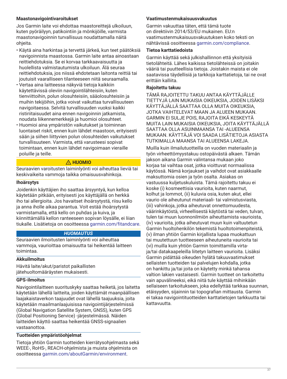## **Maastonavigointivaroitukset**

Jos Garmin laite voi ehdottaa maastoreittejä ulkoiluun, kuten pyöräilyyn, patikointiin ja mönkijöille, varmista maastonavigoinnin turvallisuus noudattamalla näitä ohjeita.

- Käytä aina harkintaa ja tervettä järkeä, kun teet päätöksiä navigoinnista maastossa. Garmin laite antaa ainoastaan reittiehdotuksia. Se ei korvaa tarkkaavaisuutta ja huolellista valmistautumista ulkoiluun. Älä seuraa reittiehdotuksia, jos niissä ehdotetaan laitonta reittiä tai joutuisit vaaralliseen tilanteeseen niitä seuraamalla.
- Vertaa aina laitteessa näkyviä tietoja kaikkiin käytettävissä oleviin navigointilähteisiin, kuten tienviittoihin, polun olosuhteisiin, sääolosuhteisiin ja muihin tekijöihin, jotka voivat vaikuttaa turvallisuuteen navigoitaessa. Selvitä turvallisuuden vuoksi kaikki ristiriitaisuudet aina ennen navigoinnin jatkamista, noudata liikennemerkkejä ja huomioi olosuhteet.
- Huomioi aina ympäristön vaikutukset ja toiminnan luontaiset riskit, ennen kuin lähdet maastoon, erityisesti sään ja siihen liittyvien polun olosuhteiden vaikutukset turvallisuuteen. Varmista, että varusteesi sopivat toimintaan, ennen kuin lähdet navigoimaan vieraille poluille ja teille.

## **HUOMIO**

Seuraavien varoitusten laiminlyönti voi aiheuttaa lieviä tai keskivaikeita vammoja taikka omaisuusvahinkoja.

## **Ihoärsytys**

Joidenkin käyttäjien iho saattaa ärsyyntyä, kun kelloa käytetään pitkään, erityisesti jos käyttäjällä on herkkä iho tai allergioita. Jos havaitset ihoärsytystä, riisu kello ja anna iholle aikaa parantua. Voit estää ihoärsytystä varmistamalla, että kello on puhdas ja kuiva, ja kiinnittämällä kellon ranteeseen sopivan löysälle, ei liian tiukalle. Lisätietoja on osoitteessa [garmin.com/fitandcare](http://www.garmin.com/fitandcare).

## *HUOMAUTUS*

Seuraavien ilmoitusten laiminlyönti voi aiheuttaa vammoja, vaurioittaa omaisuutta tai heikentää laitteen toimintaa.

## **Akkuilmoitus**

Hävitä laite/akut/paristot paikallisten jätehuoltomääräysten mukaisesti.

## **GPS-ilmoitus**

Navigointilaitteen suorituskyky saattaa heiketä, jos laitetta käytetään lähellä laitteita, joiden käyttämät maanpäällisen laajakaistaverkon taajuudet ovat lähellä taajuuksia, joita käytetään maailmanlaajuisissa navigointijärjestelmissä (Global Navigation Satellite System, GNSS), kuten GPS (Global Positioning Service) -järjestelmässä. Näiden laitteiden käyttö saattaa heikentää GNSS-signaalien vastaanottoa.

## **Tuotteiden ympäristöohjelmat**

Tietoja yhtiön Garmin tuotteiden kierrätysohjelmasta sekä WEEE-, RoHS-, REACH-ohjelmista ja muista ohjelmista on osoitteessa [garmin.com/aboutGarmin/environment](http://www.garmin.com/aboutGarmin/environment).

## **Vaatimustenmukaisuusvakuutus**

Garmin vakuuttaa täten, että tämä tuote on direktiivin 2014/53/EU mukainen. EU:n vaatimustenmukaisuusvakuutuksen koko teksti on nähtävissä osoitteessa [garmin.com/compliance](http://www.garmin.com/compliance).

### **Tietoa karttatiedoista**

Garmin käyttää sekä julkishallinnon että yksityisiä tietolähteitä. Lähes kaikissa tietolähteissä on joitakin vääriä tai puutteellisia tietoja. Joistakin maista ei ole saatavissa täydellisiä ja tarkkoja karttatietoja, tai ne ovat erittäin kalliita.

## **Rajoitettu takuu**

TÄMÄ RAJOITETTU TAKUU ANTAA KÄYTTÄJÄLLE TIETTYJÄ LAIN MUKAISIA OIKEUKSIA, JOIDEN LISÄKSI KÄYTTÄJÄLLÄ SAATTAA OLLA MUITA OIKEUKSIA, JOTKA VAIHTELEVAT MAAN JA ALUEEN MUKAAN. GARMIN EI SULJE POIS, RAJOITA EIKÄ KESKEYTÄ MUITA LAIN MUKAISIA OIKEUKSIA, JOITA KÄYTTÄJÄLLÄ SAATTAA OLLA ASUINMAANSA TAI -ALUEENSA MUKAAN. KÄYTTÄJÄ VOI SAADA LISÄTIETOJA ASIASTA TUTKIMALLA MAANSA TAI ALUEENSA LAKEJA.

Muilla kuin ilmailutuotteilla on vuoden materiaalin ja työn virheettömyystakuu ostopäivästä alkaen. Tämän jakson aikana Garmin valintansa mukaan joko korjaa tai vaihtaa osat, jotka vioittuvat normaalissa käytössä. Nämä korjaukset ja vaihdot ovat asiakkaalle maksuttomia osien ja työn osalta. Asiakas on vastuussa kuljetuskuluista. Tämä rajoitettu takuu ei koske (i) kosmeettisia vaurioita, kuten naarmut, kolhut ja lommot, (ii) kuluvia osia, kuten akut, ellei vaurio ole aiheutunut materiaali- tai valmistusviasta, (iii) vahinkoja, jotka aiheutuvat onnettomuudesta, väärinkäytöstä, virheellisestä käytöstä tai veden, tulvan, tulen tai muun luonnonilmiön aiheuttamista vaurioista, (iv) vaurioita, jotka aiheutuvat muun kuin valtuutetun Garmin huoltohenkilön tekemistä huoltotoimenpiteistä, (v) ilman yhtiön Garmin kirjallista lupaa muokattuun tai muutettuun tuotteeseen aiheutuneita vaurioita tai (vi) muilla kuin yhtiön Garmin toimittamilla virtaja/tai datakaapeleilla liitetyn laitteen vaurioita. Lisäksi Garmin pidättää oikeuden hylätä takuuvaatimukset sellaisten tuotteiden tai palvelujen kohdalla, jotka on hankittu ja/tai joita on käytetty minkä tahansa valtion lakien vastaisesti. Garmin tuotteet on tarkoitettu vain apuvälineeksi, eikä niitä tule käyttää mihinkään sellaiseen tarkoitukseen, joka edellyttää tarkkaa suunnan, etäisyyden, sijainnin tai topografian mittausta. Garmin ei takaa navigointituotteiden karttatietojen tarkkuutta tai kattavuutta.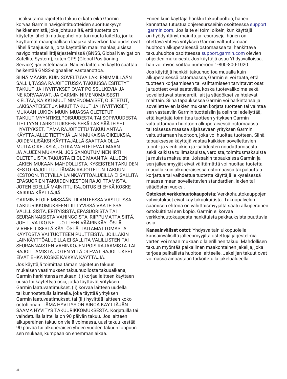Lisäksi tämä rajoitettu takuu ei kata eikä Garmin korvaa Garmin navigointituotteiden suorituskyvyn heikkenemistä, joka johtuu siitä, että tuotetta on käytetty lähellä matkapuhelinta tai muuta laitetta, jonka käyttämät maanpäällisen laajakaistaverkon taajuudet ovat lähellä taajuuksia, joita käytetään maailmanlaajuisissa navigointisatelliittijärjestelmissä (GNSS, Global Navigation Satellite System), kuten GPS (Global Positioning Service) -järjestelmässä. Näiden laitteiden käyttö saattaa heikentää GNSS-signaalien vastaanottoa.

SIINÄ MÄÄRIN KUIN SOVELTUVA LAKI ENIMMILLÄÄN SALLII, TÄSSÄ RAJOITETUSSA TAKUUSSA ESITETYT TAKUUT JA HYVITYKSET OVAT POISSULKEVIA JA NE KORVAAVAT, JA GARMIN NIMENOMAISESTI KIELTÄÄ, KAIKKI MUUT NIMENOMAISET, OLETETUT, LAKISÄÄTEISET JA MUUT TAKUUT JA HYVITYKSET, MUKAAN LUKIEN MUUN MUASSA OLETETUT TAKUUT MYYNTIKELPOISUUDESTA TAI SOPIVUUDESTA TIETTYYN TARKOITUKSEEN SEKÄ LAKISÄÄTEISET HYVITYKSET. TÄMÄ RAJOITETTU TAKUU ANTAA KÄYTTÄJÄLLE TIETTYJÄ LAIN MUKAISIA OIKEUKSIA, JOIDEN LISÄKSI KÄYTTÄJÄLLÄ SAATTAA OLLA MUITA OIKEUKSIA, JOTKA VAIHTELEVAT MAAN JA ALUEEN MUKAAN. JOS SANOUTUMINEN IRTI OLETETUISTA TAKUISTA EI OLE MAAN TAI ALUEEN LAKIEN MUKAAN MAHDOLLISTA, KYSEISTEN TAKUIDEN KESTO RAJOITTUU TÄMÄN RAJOITETUN TAKUUN KESTOON. TIETYILLÄ LAINKÄYTTÖALUEILLA EI SALLITA EPÄSUORIEN TAKUIDEN KESTON RAJOITTAMISTA, JOTEN EDELLÄ MAINITTU RAJOITUS EI EHKÄ KOSKE KAIKKIA KÄYTTÄJIÄ.

GARMIN EI OLE MISSÄÄN TILANTEESSA VASTUUSSA TAKUURIKKOMUKSEEN LIITTYVISSÄ VAATEISSA VÄLILLISISTÄ, ERITYISISTÄ, EPÄSUORISTA TAI SEURANNAISISTA VAHINGOISTA, RIIPPUMATTA SIITÄ, JOHTUVATKO NE TUOTTEEN VÄÄRINKÄYTÖSTÄ, VIRHEELLISESTÄ KÄYTÖSTÄ, TAITAMATTOMASTA KÄYTÖSTÄ VAI TUOTTEEN PUUTTEISTA. JOILLAKIN LAINKÄYTTÖALUEILLA EI SALLITA VÄLILLISTEN TAI SEURANNAISTEN VAHINKOJEN POIS RAJAAMISTA TAI RAJOITTAMISTA, JOTEN YLLÄ OLEVAT RAJOITUKSET EIVÄT EHKÄ KOSKE KAIKKIA KÄYTTÄJIÄ.

Jos käyttäjä toimittaa tämän rajoitetun takuun mukaisen vaatimuksen takuuhuollosta takuuaikana, Garmin harkintansa mukaan: (i) korjaa laitteen käyttäen uusia tai käytettyjä osia, jotka täyttävät yrityksen Garmin laatuvaatimukset, (ii) korvaa laitteen uudella tai kunnostetulla laitteella, joka täyttää yrityksen Garmin laatuvaatimukset, tai (iii) hyvittää laitteen koko ostohinnan. TÄMÄ HYVITYS ON AINOA KÄYTTÄJÄN SAAMA HYVITYS TAKUURIKKOMUKSESTA. Korjatuilla tai vaihdetuilla laitteilla on 90 päivän takuu. Jos laitteen alkuperäinen takuu on vielä voimassa, uusi takuu kestää 90 päivää tai alkuperäisen yhden vuoden takuun loppuun sen mukaan, kumpaan on enemmän aikaa.

Ennen kuin käyttäjä hankkii takuuhuoltoa, hänen kannattaa tutustua ohjeresursseihin osoitteessa [support](http://www.support.garmin.com) [.garmin.com](http://www.support.garmin.com). Jos laite ei toimi oikein, kun käyttäjä on hyödyntänyt mainittuja resursseja, hänen on otettava yhteys yrityksen Garmin valtuuttamaan huoltoon alkuperäisessä ostomaassa tai hankittava takuuhuoltoa osoitteessa [support.garmin.com](http://www.support.garmin.com) olevien ohjeiden mukaisesti. Jos käyttäjä asuu Yhdysvalloissa, hän voi myös soittaa numeroon 1-800-800-1020.

Jos käyttäjä hankkii takuuhuoltoa muualla kuin alkuperäisessä ostomaassa, Garmin ei voi taata, että tuotteen korjaamiseen tai vaihtamiseen tarvittavat osat ja tuotteet ovat saatavilla, koska tuotevalikoima sekä sovellettavat standardit, lait ja säädökset vaihtelevat maittain. Siinä tapauksessa Garmin voi harkintansa ja sovellettavien lakien mukaan korjata tuotteen tai vaihtaa sen vastaaviin Garmin tuotteisiin ja osiin tai edellyttää, että käyttäjä toimittaa tuotteen yrityksen Garmin valtuuttamaan huoltoon alkuperäisessä ostomaassa tai toisessa maassa sijaitsevaan yrityksen Garmin valtuuttamaan huoltoon, joka voi huoltaa tuotteen. Siinä tapauksessa käyttäjä vastaa kaikkien sovellettavien tuonti- ja vientilakien ja -säädösten noudattamisesta sekä kaikista tullimaksuista, veroista, toimitusmaksuista ja muista maksuista. Joissakin tapauksissa Garmin ja sen jälleenmyyjät eivät välttämättä voi huoltaa tuotetta muualla kuin alkuperäisessä ostomaassa tai palauttaa korjattua tai vaihdettua tuotetta käyttäjälle kyseisessä maassa maan sovellettavien standardien, lakien tai säädösten vuoksi.

**Ostokset verkkohuutokaupoista**: Verkkohuutokauppojen vahvistukset eivät käy takuukuitista. Takuupalvelun saamisen ehtona on vähittäismyyjältä saatu alkuperäinen ostokuitti tai sen kopio. Garmin ei korvaa verkkohuutokaupasta hankituista pakkauksista puuttuvia osia.

**Kansainväliset ostot**: Yhdysvaltain ulkopuolella kansainvälisiltä jälleenmyyjiltä ostettuja järjestelmiä varten voi maan mukaan olla erillinen takuu. Mahdollisen takuun myöntää paikallinen maakohtainen jakelija, joka tarjoaa paikallista huoltoa laitteelle. Jakelijan takuut ovat voimassa ainoastaan tarkoitetulla jakelualueella.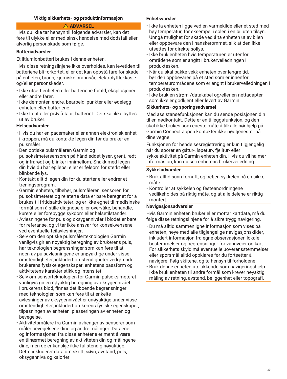## **Viktig sikkerhets- og produktinformasjon**

## **ADVARSEL**

Hvis du ikke tar hensyn til følgende advarsler, kan det føre til ulykke eller medisinsk hendelse med dødsfall eller alvorlig personskade som følge.

#### **Batteriadvarsler**

Et litiumionbatteri brukes i denne enheten.

Hvis disse retningslinjene ikke overholdes, kan levetiden til batteriene bli forkortet, eller det kan oppstå fare for skade på enheten, brann, kjemiske brannsår, elektrolyttlekkasje og/eller personskader.

- Ikke utsett enheten eller batteriene for ild, eksplosjoner eller andre farer.
- Ikke demonter, endre, bearbeid, punkter eller ødelegg enheten eller batteriene.
- Ikke ta ut eller prøv å ta ut batteriet. Det skal ikke byttes ut av bruker.

### **Helseadvarsler**

- Hvis du har en pacemaker eller annen elektronisk enhet i kroppen, må du kontakte legen din før du bruker en pulsmåler.
- Den optiske pulsmåleren Garmin og pulsoksimetersensoren på håndleddet lyser, grønt, rødt og infrarødt og blinker innimellom. Snakk med legen din hvis du har epilepsi eller er følsom for sterkt eller blinkende lys.
- Kontakt alltid legen din før du starter eller endrer et treningsprogram.
- Garmin enheten, tilbehør, pulsmåleren, sensoren for pulsoksimeteret og relaterte data er bare beregnet for å brukes til fritidsaktiviteter, og er ikke egnet til medisinske formål som å stille diagnose eller overvåke, behandle, kurere eller forebygge sykdom eller helsetilstander.
- Avlesningene for puls og oksygennivåer i blodet er bare for referanse, og vi tar ikke ansvar for konsekvensene ved eventuelle feilavlesninger.
- Selv om den optiske pulsmålerteknologien Garmin vanligvis gir en nøyaktig beregning av brukerens puls, har teknologien begrensninger som kan føre til at noen av pulsavlesningene er unøyaktige under visse omstendigheter, inkludert omstendigheter vedrørende brukerens fysiske egenskaper, enhetens passform og aktivitetens karakteristikk og intensitet.
- Selv om sensorteknologien for Garmin pulsoksimeteret vanligvis gir en nøyaktig beregning av oksygennivået i brukerens blod, finnes det iboende begrensninger med teknologien som kan føre til at enkelte avlesninger av oksygennivået er unøyaktige under visse omstendigheter, inkludert brukerens fysiske egenskaper, tilpasningen av enheten, plasseringen av enheten og bevegelse.
- Aktivitetsmålere fra Garmin avhenger av sensorer som måler bevegelsene dine og andre målinger. Dataene og informasjonen fra disse enhetene er ment å være en tilnærmet beregning av aktiviteten din og målingene dine, men de er kanskje ikke fullstendig nøyaktige. Dette inkluderer data om skritt, søvn, avstand, puls, oksygennivå og kalorier.

#### **Enhetsvarsler**

- Ikke la enheten ligge ved en varmekilde eller et sted med høy temperatur, for eksempel i solen i en bil uten tilsyn. Unngå mulighet for skade ved å ta enheten ut av bilen eller oppbevare den i hanskerommet, slik at den ikke utsettes for direkte sollys.
- Ikke bruk enheten hvis temperaturen er utenfor områdene som er angitt i brukerveiledningen i produktesken.
- Når du skal pakke vekk enheten over lengre tid, bør den oppbevares på et sted som er innenfor temperaturområdene som er angitt i brukerveiledningen i produktesken.
- Ikke bruk en strøm-/datakabel og/eller en nettadapter som ikke er godkjent eller levert av Garmin.

## **Sikkerhets- og sporingsadvarsel**

Med assistansefunksjonen kan du sende posisjonen din til en nødkontakt. Dette er en tilleggsfunksjon, og den skal ikke brukes som eneste måte å tilkalle nødhjelp på. Garmin Connect appen kontakter ikke nødtjenester på dine vegne.

Funksjonen for hendelsesregistrering er kun tilgjengelig når du sporer en gåtur-, løpetur-, fjelltur- eller sykkelaktivitet på Garmin-enheten din. Hvis du vil ha mer informasjon, kan du se i enhetens brukerveiledning.

#### **Sykkeladvarsler**

- Bruk alltid sunn fornuft, og betjen sykkelen på en sikker måte.
- Kontroller at sykkelen og festeanordningene vedlikeholdes på riktig måte, og at alle delene er riktig montert.

#### **Navigasjonsadvarsler**

Hvis Garmin enheten bruker eller mottar kartdata, må du følge disse retningslinjene for å sikre trygg navigering.

- Du må alltid sammenligne informasjon som vises på enheten, nøye med alle tilgjengelige navigasjonskilder, inkludert informasjon fra egne observasjoner, lokale bestemmelser og begrensninger for vannveier og kart. For sikkerhets skyld må eventuelle uoverensstemmelser eller spørsmål alltid oppklares før du fortsetter å navigere. Følg skiltene, og ta hensyn til forholdene.
- Bruk denne enheten utelukkende som navigeringshjelp. Ikke bruk enheten til andre formål som krever nøyaktig måling av retning, avstand, beliggenhet eller topografi.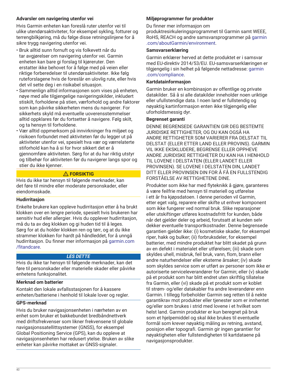## **Advarsler om navigering utenfor vei**

Hvis Garmin enheten kan foreslå ruter utenfor vei til ulike utendørsaktiviteter, for eksempel sykling, fotturer og terrengbilkjøring, må du følge disse retningslinjene for å sikre trygg navigering utenfor vei.

- Bruk alltid sunn fornuft og vis folkevett når du tar avgjørelser om navigering utenfor vei. Garmin enheten kan bare gi forslag til kjøreruter. Den erstatter ikke behovet for å følge med på veien eller riktige forberedelser til utendørsaktiviteter. Ikke følg ruteforslagene hvis de foreslår en ulovlig rute, eller hvis det vil sette deg i en risikabel situasjon.
- Sammenlign alltid informasjonen som vises på enheten, nøye med alle tilgjengelige navigeringskilder, inkludert stiskilt, forholdene på stien, værforhold og andre faktorer som kan påvirke sikkerheten mens du navigerer. For sikkerhets skyld må eventuelle uoverensstemmelser alltid oppklares før du fortsetter å navigere. Følg skilt, og ta hensyn til forholdene.
- Vær alltid oppmerksom på innvirkninger fra miljøet og risikoen forbundet med aktiviteten før du legger ut på aktiviteter utenfor vei, spesielt hva vær og værrelaterte stiforhold kan ha å si for hvor sikkert det er å gjennomføre aktiviteten. Sørg for at du har riktig utstyr og tilbehør for aktiviteten før du navigerer langs spor og stier du ikke kjenner.

## **FORSIKTIG**

Hvis du ikke tar hensyn til følgende merknader, kan det føre til mindre eller moderate personskader, eller eiendomsskade.

## **Hudirritasjon**

Enkelte brukere kan oppleve hudirritasjon etter å ha brukt klokken over en lengre periode, spesielt hvis brukeren har sensitiv hud eller allergier. Hvis du opplever hudirritasjon, må du ta av deg klokken og gi huden tid til å leges. Sørg for at du holder klokken ren og tørr, og at du ikke strammer klokken for hardt på håndleddet, for å unngå hudirritasjon. Du finner mer informasjon på [garmin.com](http://www.garmin.com/fitandcare) [/fitandcare](http://www.garmin.com/fitandcare).

## *LES DETTE*

Hvis du ikke tar hensyn til følgende merknader, kan det føre til personskader eller materielle skader eller påvirke enhetens funksjonalitet.

## **Merknad om batterier**

Kontakt den lokale avfallsstasjonen for å kassere enheten/batteriene i henhold til lokale lover og regler.

## **GPS-merknad**

Hvis du bruker navigasjonsenheten i nærheten av en enhet som bruker et bakkebundet bredbåndnettverk med driftsfrekvenser som likner frekvensene til globale navigasjonssatellittsystemer (GNSS), for eksempel Global Positioning Service (GPS), kan du oppleve at navigasjonsenheten har redusert ytelse. Bruken av slike enheter kan påvirke mottaket av GNSS-signaler.

## **Miljøprogrammer for produkter**

Du finner mer informasjon om

produktresirkuleringsprogrammet til Garmin samt WEEE, RoHS, REACH og andre samsvarsprogrammer på [garmin](http://www.garmin.com/aboutGarmin/environment) [.com/aboutGarmin/environment](http://www.garmin.com/aboutGarmin/environment).

#### **Samsvarserklæring**

Garmin erklærer herved at dette produktet er i samsvar med EU-direktiv 2014/53/EU. EU-samsvarserklæringen er tilgjengelig i sin helhet på følgende nettadresse: [garmin](http://www.garmin.com/compliance) [.com/compliance](http://www.garmin.com/compliance).

#### **Kartdatainformasjon**

Garmin bruker en kombinasjon av offentlige og private datakilder. Så å si alle datakilder inneholder noen uriktige eller ufullstendige data. I noen land er fullstendig og nøyaktig kartinformasjon enten ikke tilgjengelig eller uforholdsmessig dyr.

#### **Begrenset garanti**

DENNE BEGRENSEDE GARANTIEN GIR DEG BESTEMTE JURIDISKE RETTIGHETER, OG DU KAN OGSÅ HA ANDRE RETTIGHETER SOM VARIERER FRA DELSTAT TIL DELSTAT (ELLER ETTER LAND ELLER PROVINS). GARMIN VIL IKKE EKSKLUDERE, BEGRENSE ELLER OPPHEVE ANDRE JURIDISKE RETTIGHETER DU KAN HA I HENHOLD TIL LOVENE I DELSTATEN (ELLER LANDET ELLER PROVINSEN). SE LOVENE I DELSTATEN DIN, LANDET DITT ELLER PROVINSEN DIN FOR Å FÅ EN FULLSTENDIG FORSTÅELSE AV RETTIGHETENE DINE.

Produkter som ikke har med flyteknikk å gjøre, garanteres å være feilfrie med hensyn til materiell og utførelse i ett år fra kjøpsdatoen. I denne perioden vil Garmin, etter eget valg, reparere eller skifte ut enhver komponent som ikke fungerer ved normal bruk. Slike reparasjoner eller utskiftinger utføres kostnadsfritt for kunden, både når det gjelder deler og arbeid, forutsatt at kunden selv dekker eventuelle transportkostnader. Denne begrensede garantien gjelder ikke: (i) kosmetiske skader, for eksempel riper, hakk og bulker; (ii) forbruksdeler, for eksempel batterier, med mindre produktet har blitt skadet på grunn av en defekt i materialet eller utførelsen; (iii) skade som skyldes uhell, misbruk, feil bruk, vann, flom, brann eller andre naturhendelser eller eksterne årsaker; (iv) skade som skyldes service som er utført av personer som ikke er autoriserte serviceleverandører for Garmin; eller (v) skade på et produkt som har blitt endret uten skriftlig tillatelse fra Garmin, eller (vi) skade på et produkt som er koblet til strøm- og/eller datakabler fra andre leverandører enn Garmin. I tillegg forbeholder Garmin seg retten til å nekte garantikrav mot produkter eller tjenester som er innhentet og/eller som brukes i strid med lovene i et hvilket som helst land. Garmin produkter er kun beregnet på bruk som et hjelpemiddel og skal ikke brukes til eventuelle formål som krever nøyaktig måling av retning, avstand, posisjon eller topografi. Garmin gir ingen garantier for nøyaktigheten eller fullstendigheten til kartdataene på navigasjonsprodukter.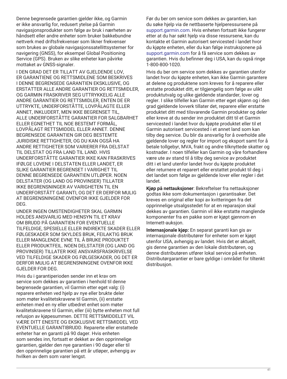Denne begrensede garantien gjelder ikke, og Garmin er ikke ansvarlig for, redusert ytelse på Garmin navigasjonsprodukter som følge av bruk i nærheten av håndsett eller andre enheter som bruker bakkebundne nettverk med driftsfrekvenser som likner frekvenser som brukes av globale navigasjonssatellittsystemer for navigering (GNSS), for eksempel Global Positioning Service (GPS). Bruken av slike enheter kan påvirke mottaket av GNSS-signaler.

I DEN GRAD DET ER TILLATT AV GJELDENDE LOV, ER GARANTIENE OG RETTSMIDLENE SOM BESKRIVES I DENNE BEGRENSEDE GARANTIEN EKSKLUSIVE, OG ERSTATTER ALLE ANDRE GARANTIER OG RETTSMIDLER, OG GARMIN FRASKRIVER SEG UTTRYKKELIG ALLE ANDRE GARANTIER OG RETTSMIDLER, ENTEN DE ER UTTRYKTE, UNDERFORSTÅTTE, LOVPÅLAGTE ELLER ANNET, INKLUDERT, MEN IKKE BEGRENSET TIL, ALLE UNDERFORSTÅTTE GARANTIER FOR SALGBARHET ELLER EGNETHET TIL NOE BESTEMT FORMÅL, LOVPÅLAGT RETTSMIDDEL ELLER ANNET. DENNE BEGRENSEDE GARANTIEN GIR DEG BESTEMTE JURIDISKE RETTIGHETER, OG DU KAN OGSÅ HA ANDRE RETTIGHETER SOM VARIERER FRA DELSTAT TIL DELSTAT OG FRA LAND TIL LAND. HVIS UNDERFORSTÅTTE GARANTIER IKKE KAN FRASKRIVES IFØLGE LOVENE I DELSTATEN ELLER LANDET, ER SLIKE GARANTIER BEGRENSET I VARIGHET TIL DENNE BEGRENSEDE GARANTIEN UTLØPER. NOEN DELSTATER (OG LAND OG PROVINSER) TILLATER IKKE BEGRENSNINGER AV VARIGHETEN TIL EN UNDERFORSTÅTT GARANTI, OG DET ER DERFOR MULIG AT BEGRENSNINGENE OVENFOR IKKE GJELDER FOR DEG.

UNDER INGEN OMSTENDIGHETER SKAL GARMIN HOLDES ANSVARLIG MED HENSYN TIL ET KRAV OM BRUDD PÅ GARANTIEN FOR EVENTUELLE TILFELDIGE, SPESIELLE ELLER INDIREKTE SKADER ELLER FØLGESKADER SOM SKYLDES BRUK, FEILAKTIG BRUK ELLER MANGLENDE EVNE TIL Å BRUKE PRODUKTET ELLER PRODUKTFEIL. NOEN DELSTATER (OG LAND OG PROVINSER) TILLATER IKKE ANSVARSFRASKRIVELSE VED TILFELDIGE SKADER OG FØLGESKADER, OG DET ER DERFOR MULIG AT BEGRENSNINGENE OVENFOR IKKE GJELDER FOR DEG.

Hvis du i garantiperioden sender inn et krav om service som dekkes av garantien i henhold til denne begrensede garantien, vil Garmin etter eget valg: (i) reparere enheten ved hjelp av nye eller brukte deler som møter kvalitetskravene til Garmin, (ii) erstatte enheten med en ny eller utbedret enhet som møter kvalitetskravene til Garmin, eller (iii) bytte enheten mot full refusjon av kjøpesummen. DETTE RETTSMIDDELET VIL VÆRE DITT ENESTE OG EKSKLUSIVE RETTSMIDDEL VED EVENTUELLE GARANTIBRUDD. Reparerte eller erstattede enheter har en garanti på 90 dager. Hvis enheten som sendes inn, fortsatt er dekket av den opprinnelige garantien, gjelder den nye garantien i 90 dager eller til den opprinnelige garantien på ett år utløper, avhengig av hvilken av dem som varer lengst.

Før du ber om service som dekkes av garantien, kan du søke hjelp via de nettbaserte hjelperessursene på [support.garmin.com](http://www.support.garmin.com). Hvis enheten fortsatt ikke fungerer etter at du har søkt hjelp via disse ressursene, kan du kontakte et Garmin autorisert servicested i landet hvor du kjøpte enheten, eller du kan følge instruksjonene på [support.garmin.com](http://www.support.garmin.com) for å få service som dekkes av garantien. Hvis du befinner deg i USA, kan du også ringe 1-800-800-1020.

Hvis du ber om service som dekkes av garantien utenfor landet hvor du kjøpte enheten, kan ikke Garmin garantere at delene og produktene som kreves for å reparere eller erstatte produktet ditt, er tilgjengelig som følge av ulikt produktutvalg og ulike gjeldende standarder, lover og regler. I slike tilfeller kan Garmin etter eget skjønn og i den grad gjeldende lovverk tillater det, reparere eller erstatte produktet ditt med tilsvarende Garmin produkter og deler eller kreve at du sender inn produktet ditt til et Garmin servicested i landet hvor du kjøpte produktet eller til et Garmin autorisert servicested i et annet land som kan tilby deg service. Du blir da ansvarlig for å overholde alle gjeldende lover og regler for import og eksport samt for å betale tollgebyr, MVA, frakt og andre tilknyttede skatter og kostnader. I noen tilfeller kan Garmin og våre forhandlere være ute av stand til å tilby deg service av produktet ditt i et land utenfor landet hvor du kjøpte produktet eller returnere et reparert eller erstattet produkt til deg i det landet som følge av gjeldende lover eller regler i det landet.

**Kjøp på nettauksjoner**: Bekreftelser fra nettauksjoner godtas ikke som dokumentasjon i garantisaker. Det kreves en original eller kopi av kvitteringen fra det opprinnelige utsalgsstedet for at en reparasjon skal dekkes av garantien. Garmin vil ikke erstatte manglende komponenter fra en pakke som er kjøpt gjennom en Internett-auksjon.

**Internasjonale kjøp:** En separat garanti kan gis av internasjonale distributører for enheter som er kjøpt utenfor USA, avhengig av landet. Hvis det er aktuelt, gis denne garantien av den lokale distributøren, og denne distributøren utfører lokal service på enheten. Distributørgarantier er bare gyldige i området for tiltenkt distribusjon.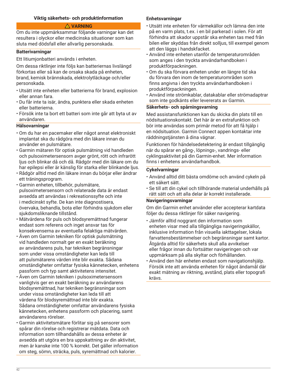### **Viktig säkerhets- och produktinformation**

### **VARNING**

Om du inte uppmärksammar följande varningar kan det resultera i olyckor eller medicinska situationer som kan sluta med dödsfall eller allvarlig personskada.

### **Batterivarningar**

Ett litiumjonbatteri används i enheten.

Om dessa riktlinjer inte följs kan batteriernas livslängd förkortas eller så kan de orsaka skada på enheten, brand, kemisk brännskada, elektrolytläckage och/eller personskada.

- Utsätt inte enheten eller batterierna för brand, explosion eller annan fara.
- Du får inte ta isär, ändra, punktera eller skada enheten eller batterierna.
- Försök inte ta bort ett batteri som inte går att byta ut av användaren.

## **Hälsovarningar**

- Om du har en pacemaker eller något annat elektroniskt implantat ska du rådgöra med din läkare innan du använder en pulsmätare.
- Garmin mätaren för optisk pulsmätning vid handleden och pulsoximetersensorn avger grönt, rött och infrarött ljus och blinkar då och då. Rådgör med din läkare om du har epilepsi eller är känslig för starka eller blinkande ljus.
- Rådgör alltid med din läkare innan du börjar eller ändrar ett träningsprogram.
- Garmin enheten, tillbehör, pulsmätare, pulsoximetersensorn och relaterade data är endast avsedda att användas i rekreationssyfte och inte i medicinskt syfte. De kan inte diagnostisera, övervaka, behandla, bota eller förhindra sjukdom eller sjukdomsliknande tillstånd.
- Mätvärdena för puls och blodsyremättnad fungerar endast som referens och inget ansvar tas för konsekvenserna av eventuella felaktiga mätvärden.
- Även om Garmin tekniken för optisk pulsmätning vid handleden normalt ger en exakt beräkning av användarens puls, har tekniken begränsningar som under vissa omständigheter kan leda till att pulsmätarens värden inte blir exakta. Sådana omständigheter omfattar fysiska kännetecken, enhetens passform och typ samt aktivitetens intensitet.
- Även om Garmin tekniken i pulsoximetersensorn vanligtvis ger en exakt beräkning av användarens blodsyremättnad, har tekniken begränsningar som under vissa omständigheter kan leda till att värdena för blodsyremättnad inte blir exakta. Sådana omständigheter omfattar användarens fysiska kännetecken, enhetens passform och placering, samt användarens rörelser.
- Garmin aktivitetsmätare förlitar sig på sensorer som spårar din rörelse och registrerar mätdata. Data och information som tillhandahålls av dessa enheter är avsedda att utgöra en bra uppskattning av din aktivitet, men är kanske inte 100 % korrekt. Det gäller information om steg, sömn, sträcka, puls, syremättnad och kalorier.

#### **Enhetsvarningar**

- Utsätt inte enheten för värmekällor och lämna den inte på en varm plats, t.ex. i en bil parkerad i solen. För att förhindra att skador uppstår ska enheten tas med från bilen eller skyddas från direkt solljus, till exempel genom att den läggs i handskfacket.
- Använd inte enheten utanför de temperaturområden som anges i den tryckta användarhandboken i produktförpackningen.
- Om du ska förvara enheten under en längre tid ska du förvara den inom de temperaturområden som finns angivna i den tryckta användarhandboken i produktförpackningen.
- Använd inte strömkablar, datakablar eller strömadaptrar som inte godkänts eller levererats av Garmin.

#### **Säkerhets- och spårningsvarning**

Med assistansfunktionen kan du skicka din plats till en nödsituationskontakt. Det här är en extrafunktion och bör inte användas som primär metod för att få hjälp i en nödsituation. Garmin Connect appen kontaktar inte räddningstjänsten å dina vägnar.

Funktionen för händelsedetektering är endast tillgänglig när du spårar en gång-, löpnings-, vandrings- eller cyklingsaktivitet på din Garmin-enhet. Mer information finns i enhetens användarhandbok.

### **Cykelvarningar**

- Använd alltid ditt bästa omdöme och använd cykeln på ett säkert sätt.
- Se till att din cykel och tillhörande material underhålls på rätt sätt och att alla delar är korrekt installerade.

#### **Navigeringsvarningar**

Om din Garmin enhet använder eller accepterar kartdata följer du dessa riktlinjer för säker navigering.

- Jämför alltid noggrant den information som enheten visar med alla tillgängliga navigeringskällor, inklusive information från visuella iakttagelser, lokala farvattensbestämmelser och begränsningar samt kartor. Åtgärda alltid för säkerhets skull alla avvikelser eller frågor innan du fortsätter navigeringen och var uppmärksam på alla skyltar och förhållanden.
- Använd den här enheten endast som navigationshjälp. Försök inte att använda enheten för något ändamål där exakt mätning av riktning, avstånd, plats eller topografi krävs.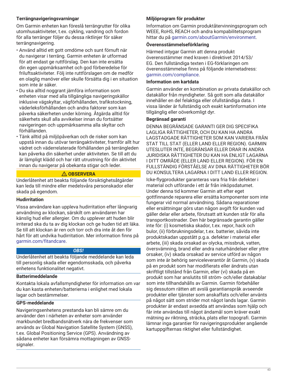## **Terrängnavigeringsvarningar**

Om Garmin enheten kan föreslå terrängrutter för olika utomhusaktiviteter, t.ex. cykling, vandring och fordon för alla terränger följer du dessa riktlinjer för säker terrängnavigering.

- Använd alltid ett gott omdöme och sunt förnuft när du navigerar i terräng. Garmin enheten är utformad för att endast ge ruttförslag. Den kan inte ersätta din egen uppmärksamhet och god förberedelse för friluftsaktiviteter. Följ inte ruttförslagen om de medför en olaglig manöver eller skulle försätta dig i en situation som inte är säker.
- Du ska alltid noggrant jämföra information som enheten visar med alla tillgängliga navigeringskällor inklusive vägskyltar, vägförhållanden, trafikstockning, väderleksförhållanden och andra faktorer som kan påverka säkerheten under körning. Åtgärda alltid för säkerhets skull alla avvikelser innan du fortsätter navigeringen och uppmärksamma alla skyltar och förhållanden.
- Tänk alltid på miljöpåverkan och de risker som kan uppstå innan du utövar terrängaktiviteter, framför allt hur vädret och väderrelaterade förhållanden på terrängleden kan påverka din säkerhet under aktiviteten. Se till att du är lämpligt klädd och har rätt utrustning för din aktivitet innan du navigerar på obekanta stigar och leder.

## **OBSERVERA**

Underlåtenhet att beakta följande försiktighetsåtgärder kan leda till mindre eller medelsvåra personskador eller skada på egendom.

## **Hudirritation**

Vissa användare kan uppleva hudirritation efter långvarig användning av klockan, särskilt om användaren har känslig hud eller allergier. Om du upplever att huden blir irriterad ska du ta av dig klockan och ge huden tid att läka. Se till att klockan är ren och torr och dra inte åt den för hårt för att undvika hudirritation. Mer information finns på [garmin.com/fitandcare.](http://www.garmin.com/fitandcare)

#### *OBS!*

Underlåtenhet att beakta följande meddelande kan leda till personlig skada eller egendomsskada, och påverka enhetens funktionalitet negativt.

#### **Batterimeddelande**

Kontakta lokala avfallsmyndigheter för information om var du kan kasta enheten/batterierna i enlighet med lokala lagar och bestämmelser.

## **GPS-meddelande**

Navigeringsenhetens prestanda kan bli sämre om du använder den i närheten av enheter som använder markbundet bredbandsnätverk nära de frekvenser som används av Global Navigation Satellite System (GNSS), t.ex. Global Positioning Service (GPS). Användning av sådana enheter kan försämra mottagningen av GNSSsignaler.

## **Miljöprogram för produkter**

Information om Garmin produktåtervinningsprogram och WEEE, RoHS, REACH och andra kompabilitetsprogram hittar du på [garmin.com/aboutGarmin/environment](http://www.garmin.com/aboutGarmin/environment).

## **Överensstämmelseförklaring**

Härmed intygar Garmin att denna produkt överensstämmer med kraven i direktivet 2014/53/ EG. Den fullständiga texten i EG-förklaringen om överensstämmelse finns på följande internetadress: [garmin.com/compliance](http://www.garmin.com/compliance).

#### **Information om kartdata**

Garmin använder en kombination av privata datakällor och datakällor från myndigheter. Så gott som alla datakällor innehåller en del felaktiga eller ofullständiga data. I vissa länder är fullständig och exakt kartinformation inte tillgänglig eller oöverkomligt dyr.

### **Begränsad garanti**

DENNA BEGRÄNSADE GARANTI GER DIG SPECIFIKA LAGLIGA RÄTTIGHETER, OCH DU KAN HA ANDRA LAGSTADGADE RÄTTIGHETER SOM KAN VARIERA FRÅN STAT TILL STAT (ELLER LAND ELLER REGION). GARMIN UTESLUTER INTE, BEGRÄNSAR ELLER DRAR IN ANDRA JURIDISKA RÄTTIGHETER DU KAN HA ENLIGT LAGARNA I DITT OMRÅDE (ELLER LAND ELLER REGION). FÖR EN FULLSTÄNDIG FÖRSTÅELSE AV DINA RÄTTIGHETER BÖR DU KONSULTERA LAGARNA I DITT LAND ELLER REGION.

Icke-flygprodukter garanteras vara fria från defekter i material och utförande i ett år från inköpsdatumet. Under denna tid kommer Garmin att efter eget gottfinnande reparera eller ersätta komponenter som inte fungerar vid normal användning. Sådana reparationer eller ersättningar görs utan någon avgift för kunden vad gäller delar eller arbete, förutsatt att kunden står för alla transportkostnader. Den här begränsade garantin gäller inte för: (i) kosmetiska skador, t.ex. repor, hack och bulor, (ii) förbrukningsdelar, t.ex. batterier, såvida inte produktskadan uppstått p.g.a. defekter i material eller arbete, (iii) skada orsakad av olycka, missbruk, vatten, översvämning, brand eller andra naturhändelser eller yttre orsaker, (iv) skada orsakad av service utförd av någon som inte är behörig serviceleverantör åt Garmin, (v) skada på en produkt som har modifierats eller ändrats utan skriftligt tillstånd från Garmin, eller (vi) skada på en produkt som har anslutits till ström- och/eller datakablar som inte tillhandahålls av Garmin. Garmin förbehåller sig dessutom rätten att avslå garantianspråk avseende produkter eller tjänster som anskaffats och/eller använts på något sätt som strider mot något lands lagar. Garmin produkter är endast avsedda att användas som hjälp och får inte användas till något ändamål som kräver exakt mätning av riktning, sträcka, plats eller topografi. Garmin lämnar inga garantier för navigeringsprodukter angående kartuppgifternas riktighet eller fullständighet.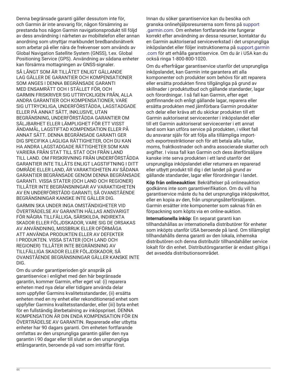Denna begränsade garanti gäller dessutom inte för, och Garmin är inte ansvarig för, någon försämring av prestanda hos någon Garmin navigationsprodukt till följd av dess användning i närheten av mobiltelefon eller annan anordning som utnyttjar markbundet bredbandsnätverk som arbetar på eller nära de frekvenser som används av Global Navigation Satellite System (GNSS), t.ex. Global Positioning Service (GPS). Användning av sådana enheter kan försämra mottagningen av GNSS-signaler.

SÅ LÅNGT SOM ÄR TILLÅTET ENLIGT GÄLLANDE LAG GÄLLER DE GARANTIER OCH KOMPENSATIONER SOM ANGES I DENNA BEGRÄNSADE GARANTI MED ENSAMRÄTT OCH I STÄLLET FÖR, OCH GARMIN FRISKRIVER SIG UTTRYCKLIGEN FRÅN, ALLA ANDRA GARANTIER OCH KOMPENSATIONER, VARE SIG UTTRYCKLIGA, UNDERFÖRSTÅDDA, LAGSTADGADE ELLER PÅ ANNAT SÄTT, INKLUSIVE, UTAN BEGRÄNSNING, UNDERFÖRSTÅDDA GARANTIER OM SÄLJBARHET ELLER LÄMPLIGHET FÖR ETT VISST ÄNDAMÅL, LAGSTIFTAD KOMPENSATION ELLER PÅ ANNAT SÄTT. DENNA BEGRÄNSADE GARANTI GER DIG SPECIFIKA LAGLIGA RÄTTIGHETER, OCH DU KAN HA ANDRA LAGSTADGADE RÄTTIGHETER SOM KAN VARIERA FRÅN STAT TILL STAT OCH FRÅN LAND TILL LAND. OM FRISKRIVNING FRÅN UNDERFÖRSTÅDDA GARANTIER INTE TILLÅTS ENLIGT LAGSTIFTNING I DITT OMRÅDE ELLER LAND, ÄR VARAKTIGHETEN AV SÅDANA GARANTIER BEGRÄNSADE GENOM DENNA BEGRÄNSADE GARANTI. VISSA STATER (OCH LAND OCH REGIONER) TILLÅTER INTE BEGRÄNSNINGAR AV VARAKTIGHETEN AV EN UNDERFÖRSTÅDD GARANTI, SÅ OVANSTÅENDE BEGRÄNSNINGAR KANSKE INTE GÄLLER DIG.

GARMIN SKA UNDER INGA OMSTÄNDIGHETER VID ÖVERTRÄDELSE AV GARANTIN HÅLLAS ANSVARIGT FÖR NÅGRA TILLFÄLLIGA, SÄRSKILDA, INDIREKTA SKADOR ELLER FÖLJDSKADOR, VARE SIG DE ORSAKAS AV ANVÄNDNING, MISSBRUK ELLER OFÖRMÅGA ATT ANVÄNDA PRODUKTEN ELLER AV DEFEKTER I PRODUKTEN. VISSA STATER (OCH LAND OCH REGIONER) TILLÅTER INTE BEGRÄNSNING AV TILLFÄLLIGA SKADOR ELLER FÖLJDSKADOR, SÅ OVANSTÅENDE BEGRÄNSNINGAR GÄLLER KANSKE INTE DIG.

Om du under garantiperioden gör anspråk på garantiservice i enlighet med den här begränsade garantin, kommer Garmin, efter eget val: (i) reparera enheten med nya delar eller tidigare använda delar som uppfyller Garmins kvalitetsstandarder, (ii) ersätta enheten med en ny enhet eller rekonditionerad enhet som uppfyller Garmins kvalitetsstandarder, eller (iii) byta enhet för en fullständig återbetalning av inköpspriset. DENNA KOMPENSATION ÄR DIN ENDA KOMPENSATION FÖR EN ÖVERTRÄDELSE AV GARANTIN. Reparerade eller utbytta enheter har 90 dagars garanti. Om enheten fortfarande omfattas av den ursprungliga garantin gäller den nya garantin i 90 dagar eller till slutet av den ursprungliga ettårsgarantin, beroende på vad som inträffar först.

Innan du söker garantiservice kan du besöka och granska onlinehjälpsresurserna som finns på [support](http://www.support.garmin.com) [.garmin.com](http://www.support.garmin.com). Om enheten fortfarande inte fungerar korrekt efter användning av dessa resurser, kontaktar du en Garmin auktoriserad serviceverkstad i det ursprungliga inköpslandet eller följer instruktionerna på [support.garmin](http://www.support.garmin.com) [.com](http://www.support.garmin.com) för att erhålla garantiservice. Om du är i USA kan du också ringa 1-800-800-1020.

Om du efterfrågar garantiservice utanför det ursprungliga inköpslandet, kan Garmin inte garantera att alla komponenter och produkter som behövs för att reparera eller ersätta produkten finns tillgängliga på grund av skillnader i produktutbud och gällande standarder, lagar och förordningar. I så fall kan Garmin, efter eget gottfinnande och enligt gällande lagar, reparera eller ersätta produkten med jämförbara Garmin produkter och delar eller kräva att du skickar produkten till ett Garmin auktoriserat servicecenter i inköpslandet eller till ett Garmin auktoriserat servicecenter i ett annat land som kan utföra service på produkten, i vilket fall du ansvarar själv för att följa alla tillämpliga importoch exportrestriktioner och för att betala alla tullar, moms, fraktkostnader och andra associerade skatter och avgifter. I vissa fall kan Garmin och dess återförsäljare kanske inte serva produkten i ett land utanför det ursprungliga inköpslandet eller returnera en reparerad eller utbytt produkt till dig i det landet på grund av gällande standarder, lagar eller förordningar i landet.

**Köp från onlineauktion**: Bekräftelser på onlineauktion godkänns inte som garantiverifikation. Om du vill ha garantiservice måste du ha det ursprungliga inköpskvittot, eller en kopia av den, från ursprungsåterförsäljaren. Garmin ersätter inte komponenter som saknas från en förpackning som köpts via en online-auktion.

**Internationella inköp**: En separat garanti kan tillhandahållas av internationella distributörer för enheter som inköpts utanför USA beroende på land. Om tillämpligt tillhandahålls denna garanti av den lokala, inhemska distributören och denna distributör tillhandahåller service lokalt för din enhet. Distributörsgarantier är endast giltiga i det avsedda distributionsområdet.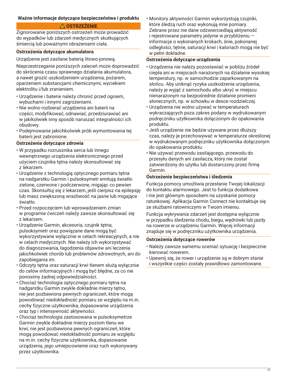## **Ważne informacje dotyczące bezpieczeństwa i produktu**

## **OSTRZEŻENIE**

Zignorowanie poniższych ostrzeżeń może prowadzić do wypadków lub zdarzeń medycznych skutkujących śmiercią lub poważnymi obrażeniami ciała.

## **Ostrzeżenia dotyczące akumulatora**

Urządzenie jest zasilane baterią litowo-jonową.

Nieprzestrzeganie poniższych zaleceń może doprowadzić do skrócenia czasu sprawnego działania akumulatora, a nawet grozić uszkodzeniem urządzenia, pożarem, oparzeniem substancjami chemicznymi, wyciekiem elektrolitu i/lub zranieniem.

- Urządzenie i baterie należy chronić przed ogniem, wybuchami i innymi zagrożeniami.
- Nie wolno rozbierać urządzenia ani baterii na części, modyfikować, odnawiać, przedziurawiać ani w jakikolwiek inny sposób naruszać integralności ich obudowy.
- Podejmowanie jakichkolwiek prób wymontowania tej baterii jest zabronione.

## **Ostrzeżenia dotyczące zdrowia**

- W przypadku rozrusznika serca lub innego wewnętrznego urządzenia elektronicznego przed użyciem czujnika tętna należy skonsultować się z lekarzem.
- Urządzenie z technologią optycznego pomiaru tętna na nadgarstku Garmin i pulsoksymetr emitują światło zielone, czerwone i podczerwone, migając co pewien czas. Skonsultuj się z lekarzem, jeśli cierpisz na epilepsję lub masz zwiększoną wrażliwość na jasne lub migające światło.
- Przed rozpoczęciem lub wprowadzeniem zmian w programie ćwiczeń należy zawsze skonsultować się z lekarzem.
- Urządzenie Garmin, akcesoria, czujnik tętna, pulsoksymetr oraz powiązane dane mogą być wykorzystywane wyłącznie w celach rekreacyjnych, a nie w celach medycznych. Nie należy ich wykorzystywać do diagnozowania, łagodzenia objawów ani leczenia jakichkolwiek chorób lub problemów zdrowotnych, ani do zapobiegania im.
- Odczyty tętna oraz saturacji krwi tlenem służą wyłącznie do celów informacyjnych i mogą być błędne, za co nie ponosimy żadnej odpowiedzialności.
- Chociaż technologia optycznego pomiaru tętna na nadgarstku Garmin zwykle dokładnie mierzy tętno, nie jest pozbawiona pewnych ograniczeń, które mogą powodować niedokładność pomiaru ze względu na m.in. cechy fizyczne użytkownika, dopasowanie urządzenia oraz typ i intensywność aktywności.
- Chociaż technologia zastosowana w pulsoksymetrze Garmin zwykle dokładnie mierzy poziom tlenu we krwi, nie jest pozbawiona pewnych ograniczeń, które mogą powodować niedokładność pomiaru ze względu na m.in. cechy fizyczne użytkownika, dopasowanie urządzenia, jego umiejscowienie oraz ruch wykonywany przez użytkownika.

• Monitory aktywności Garmin wykorzystują czujniki, które śledzą ruch oraz wykonują inne pomiary. Zebrane przez nie dane odzwierciedlają aktywność i rejestrowane parametry jedynie w przybliżeniu informacje o wykonanych krokach, śnie, pokonanej odległości, tętnie, saturacji krwi i kaloriach mogą nie być w pełni dokładne.

#### **Ostrzeżenia dotyczące urządzenia**

- Urządzenia nie należy pozostawiać w pobliżu źródeł ciepła ani w miejscach narażonych na działanie wysokiej temperatury, np. w samochodzie zaparkowanym na słońcu. Aby uniknąć ryzyka uszkodzenia urządzenia, należy je wyjąć z samochodu albo ukryć w miejscu nienarażonym na bezpośrednie działanie promieni słonecznych, np. w schowku w desce rozdzielczej.
- Urządzenia nie wolno używać w temperaturach wykraczających poza zakres podany w wydrukowanym podręczniku użytkownika dołączonym do opakowania produktu.
- Jeśli urządzenie nie będzie używane przez dłuższy czas, należy je przechowywać w temperaturze określonej w wydrukowanym podręczniku użytkownika dołączonym do opakowania produktu.
- Nie używać przewodu zasilającego, przewodu do przesyłu danych ani zasilacza, który nie został zatwierdzony do użytku lub dostarczony przez firmę Garmin.

#### **Ostrzeżenie bezpieczeństwa i śledzenia**

Funkcja pomocy umożliwia przesłanie Twojej lokalizacji do kontaktu alarmowego. Jest to funkcja dodatkowa i nie jest głównym sposobem na uzyskanie pomocy ratunkowej. Aplikacja Garmin Connect nie kontaktuje się ze służbami ratowniczymi w Twoim imieniu.

Funkcja wykrywania zdarzeń jest dostępna wyłącznie w przypadku śledzenia chodu, biegu, wędrówki lub jazdy na rowerze w urządzeniu Garmin. Więcej informacji znajduje się w podręczniku użytkownika urządzenia.

#### **Ostrzeżenia dotyczące rowerów**

- Należy zawsze samemu oceniać sytuację i bezpiecznie kierować rowerem.
- Upewnij się, że rower i urządzenie są w dobrym stanie i wszystkie części zostały prawidłowo zamontowane.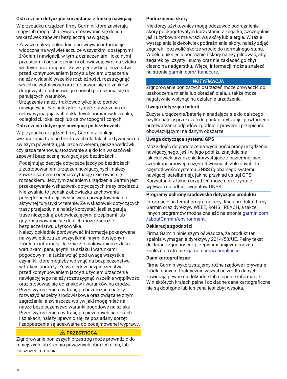## **Ostrzeżenia dotyczące korzystania z funkcji nawigacji**

W przypadku urządzeń firmy Garmin, które zawierają mapy lub mogą ich używać, stosowanie się do ich wskazówek zapewni bezpieczną nawigację.

- Zawsze należy dokładnie porównywać informacje widoczne na wyświetlaczu ze wszystkimi dostępnymi źródłami nawigacji, w tym z oznaczeniami, lokalnymi przepisami i ograniczeniami obowiązującymi na szlaku wodnym oraz mapami. Ze względów bezpieczeństwa przed kontynuowaniem jazdy z użyciem urządzenia należy wyjaśnić wszelkie rozbieżności, rozstrzygnąć wszelkie wątpliwości oraz stosować się do znaków drogowych, dostosowując sposób poruszania się do panujących warunków.
- Urządzenie należy traktować tylko jako pomoc nawigacyjną. Nie należy korzystać z urządzenia do celów wymagających dokładnych pomiarów kierunku, odległości, lokalizacji lub celów topograficznych.

## **Ostrzeżenia dotyczące nawigacji po bezdrożach**

W przypadku urządzeń firmy Garmin z funkcją wyznaczania tras po bezdrożach dla takich aktywności na świeżym powietrzu, jak jazda rowerem, piesze wędrówki czy jazda terenowa, stosowanie się do ich wskazówek zapewni bezpieczną nawigację po bezdrożach.

- Podejmując decyzje dotyczące jazdy po bezdrożach z zastosowaniem urządzeń nawigacyjnych, należy zawsze samemu oceniać sytuację i kierować się rozsądkiem. Jedynym zadaniem urządzenia Garmin jest przekazywanie wskazówek dotyczących trasy przejazdu. Nie zwalnia to jednak z obowiązku zachowania pełnej koncentracji i właściwego przygotowania do aktywnej turystyki w terenie. Ze wskazówek dotyczących trasy przejazdu nie należy korzystać, jeśli sugerują trasę niezgodną z obowiązującymi przepisami lub gdy zastosowanie się do nich może zagrozić bezpieczeństwu użytkownika.
- Należy dokładnie porównywać informacje pokazywane na wyświetlaczu ze wszystkimi innymi dostępnymi źródłami informacji, łącznie z oznakowaniem szlaku, warunkami panującymi na szlaku i warunkami pogodowymi, a także wziąć pod uwagę wszystkie czynniki, które mogłyby wpłynąć na bezpieczeństwo w trakcie podróży. Ze względów bezpieczeństwa przed kontynuowaniem jazdy z użyciem urządzenia nawigacyjnego należy rozstrzygnąć wszelkie wątpliwości oraz stosować się do znaków i warunków na drodze.
- Przed wyruszeniem w trasę po bezdrożach należy rozważyć aspekty środowiskowe oraz związane z tym zagrożenia, a zwłaszcza wpływ jaki mogą mieć na nasze bezpieczeństwo warunki pogodowe na szlaku. Przed wyruszeniem w trasę po nieznanych ścieżkach i szlakach, należy upewnić się, że posiadany sprzęt i zaopatrzenie są adekwatne do podejmowanej wyprawy.

## **PRZESTROGA**

Zignorowanie poniższych przestróg może prowadzić do mniejszych lub średnio poważnych obrażeń ciała, lub zniszczenia mienia.

## **Podrażnienia skóry**

Niektórzy użytkownicy mogą odczuwać podrażnienie skóry po długotrwałym korzystaniu z zegarka, szczególnie jeśli użytkownik ma wrażliwą skórę lub alergie. W razie wystąpienia jakiekolwiek podrażnienia skóry, należy zdjąć zegarek i pozwolić skórze wrócić do normalnego stanu. W celu uniknięcia podrażnień skóry należy pilnować, aby zegarek był czysty i suchy oraz nie zakładać go zbyt ciasno na nadgarstku. Więcej informacji można znaleźć na stronie [garmin.com/fitandcare](http://www.garmin.com/fitandcare).

## *NOTYFIKACJA*

Zignorowanie poniższych ostrzeżeń może prowadzić do uszkodzenia mienia lub obrażeń ciała, a także może negatywnie wpłynąć na działanie urządzenia.

## **Uwaga dotycząca baterii**

Zużyte urządzenie/baterię nienadającą się do dalszego użytku należy przekazać do punktu utylizacji i powtórnego przetwarzania odpadów zgodnie z prawem i przepisami obowiązującymi na danym obszarze.

## **Uwaga dotycząca systemu GPS**

Może dojść do pogorszenia wydajności pracy urządzenia nawigacyjnego, jeśli w jego pobliżu znajdują się jakiekolwiek urządzenia korzystające z naziemnej sieci szerokopasmowej o częstotliwościach zbliżonych do częstotliwości systemu GNSS (globalnego systemu nawigacji satelitarnej), jak na przykład usługi GPS. Korzystanie z takich urządzeń może niekorzystnie wpływać na odbiór sygnałów GNSS.

## **Programy ochrony środowiska dotyczące produktu**

Informacje na temat programu recyklingu produktu firmy Garmin oraz dyrektyw WEEE, RoHS i REACH, a także innych programów można znaleźć na stronie [garmin.com](http://www.garmin.com/aboutGarmin/environment) [/aboutGarmin/environment.](http://www.garmin.com/aboutGarmin/environment)

## **Deklaracja zgodności**

Firma Garmin niniejszym oświadcza, że produkt ten spełnia wymagania dyrektywy 2014/53/UE. Pełny tekst deklaracji zgodności z przepisami unijnymi można znaleźć na stronie: [garmin.com/compliance.](http://www.garmin.com/compliance)

#### **Dane kartograficzne**

Firma Garmin wykorzystujemy różne rządowe i prywatne źródła danych. Praktycznie wszystkie źródła danych zawierają pewne niedokładne lub niepełne informacje. W niektórych krajach pełne i dokładne dane kartograficzne nie są dostępne lub ich cena jest zbyt wysoka.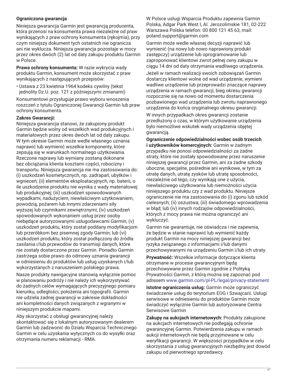## **Ograniczona gwarancja**

Niniejsza gwarancja Garmin jest gwarancją producenta, która przenosi na konsumenta prawa niezależne od praw wynikających z praw ochrony konsumenta (rękojmia), przy czym niniejszy dokument tych ostatnich nie ogranicza ani nie wyklucza. Niniejsza gwarancja pozostaje w mocy przez okres dwóch (2) lat od daty zakupu produktu Garmin w Polsce.

**Prawa ochrony konsumenta:** W razie wykrycia wady produktu Garmin, konsument może skorzystać z praw wynikających z następujących przepisów:

• Ustawa z 23 kwietnia 1964 kodeks cywilny (tekst jednolity Dz.U. poz. 121 z późniejszymi zmianami)

Konsumentowi przysługuje prawo wyboru wnoszenia roszczeń z tytułu Ograniczonej Gwarancji Garmin lub praw ochrony konsumenta.

## **Zakres Gwarancji:**

Niniejsza gwarancja stanowi, że zakupiony produkt Garmin będzie wolny od wszelkich wad produkcyjnych i materiałowych przez okres dwóch lat od daty zakupu. W tym okresie Garmin może wedle własnego uznania naprawić lub wymienić wszelkie komponenty, które zepsują się w warunkach normalnego użytkowania. Rzeczone naprawy lub wymiany zostaną dokonane bez obciążania klienta kosztami części, robocizny i transportu. Niniejsza gwarancja nie ma zastosowania do: (i) uszkodzeń kosmetycznych, np. zadrapań, ubytków i wgnieceń; (ii) elementów eksploatacyjnych, np. baterii, o ile uszkodzenie produktu nie wynika z wady materiałowej lub produkcyjnej; (iii) uszkodzeń spowodowanych wypadkami, nadużyciem, niewłaściwym użytkowaniem, powodzią, pożarem lub innymi zdarzeniami siły wyższej lub czynnikami zewnętrznymi; (iv) uszkodzeń spowodowanych wykonaniem usług przez osoby niebędące autoryzowanymi usługodawcami Garmin; (v) uszkodzeń produktu, który został poddany modyfikacjom lub przeróbkom bez pisemnej zgody Garmin; lub (vi) uszkodzeń produktu, który został podłączony do źródła zasilania i/lub przewodów do transmisji danych, które nie zostały dostarczone przez Garmin. Ponadto Garmin zastrzega sobie prawo do odmowy uznania gwarancji w odniesieniu do produktów lub usług uzyskanych i/lub wykorzystanych z naruszeniem polskiego prawa.

Nasze produkty nawigacyjne stanowią wyłącznie pomoc w planowaniu podróży i nie należy ich wykorzystywać do żadnych celów wymagających precyzyjnego pomiaru kierunku, odległości, położenia ani topografii. Garmin nie udziela żadnej gwarancji w zakresie dokładności ani kompletności danych związanych z wgranymi w niniejszym produkcie mapami.

Aby skorzystać z obsługi gwarancyjnej należy skontaktować się z lokalnym autoryzowanym dealerem Garmin lub zadzwonić do Działu Wsparcia Technicznego Garmin w celu uzyskania wytycznych co do wysyłki oraz otrzymania numeru reklamacji - RMA.

W Polsce usługi Wsparcia Produktu zapewnia Garmin Polska, Adgar Park West I, Al. Jerozolimskie 181, 02-222 Warszawa Polska telefon: 00 800 121 45 63, mail: poland.support@garmin.com

Garmin może wedle własnej decyzji naprawić lub wymienić (na nowy lub nowo naprawiony produkt zastępczy) urządzenie lub oprogramowanie lub zaproponować klientowi zwrot pełnej ceny zakupu w ciągu 14 dni od daty otrzymania wadliwego urządzenia.

Jeżeli w ramach realizacji swoich zobowiązań Garmin dostarczy klientowi wolne od wad urządzenie, wymieni wadliwe urządzenie lub przeprowadzi znaczące naprawy urządzenia w ramach gwarancji, bieg okresu gwarancji rozpocznie się na nowo od momentu dostarczenia pozbawionego wad urządzenia lub zwrotu naprawionego urządzenia do końca oryginalnego okresu gwarancji.

W innych przypadkach okres gwarancji zostanie przedłużony o czas, w którym użytkowanie urządzenia było niemożliwe wskutek wady urządzenia objętej gwarancją.

**Ograniczenie odpowiedzialności wobec osób trzecich i użytkowników komercyjnych:** Garmin w żadnym przypadku nie ponosi odpowiedzialności za żadne straty, które nie zostały spowodowane przez naruszenie niniejszej gwarancji przez Garmin, ani za żadne szkody uboczne, specjalne, pośrednie ani wynikowe, w tym za utratę danych, utratę zysków lub utratę sposobności, niezależnie od tego, czy wynikają one z użycia, niewłaściwego użytkowania lub niemożności użycia niniejszego produktu czy z wad produktu. Niniejsze ograniczenie nie ma zastosowania do (i) zgonu lub szkód cielesnych; (ii) oszustwa; (iii) świadomego wprowadzenia w błąd; lub (iv) innych rodzajów odpowiedzialności, których z mocy prawa nie można ograniczyć ani wykluczyć.

Garmin nie gwarantuje, nie oświadcza i nie zapewnia, że będzie w stanie naprawić lub wymienić każdy produkt Garmin na mocy niniejszej gwarancji bez ryzyka związanego z informacjami i/lub danymi przechowywanymi na urządzeniu Garmin i/lub ich utraty.

**Prywatność:** Wszelkie informacje dotyczące klienta otrzymane w procesie gwarancyjnym będą przechowywane przez Garmin zgodnie z Polityką Prywatności Garmin, z którą można się zapoznać pod adresem [www.garmin.com/pl-PL/legal/privacy-statement](http://www.garmin.com/pl-PL/legal/privacy-statement)

**Istotne ograniczenia usług:** Garmin może ograniczyć świadczenie usług do terytorium EOG i Szwajcarii. Usługi serwisowe w odniesieniu do produktów Garmin może świadczyć wyłącznie Garmin lub autoryzowane Centra Serwisowe Garmin

**Zakupy na aukcjach internetowych:** Produkty zakupione na aukcjach internetowych nie podlegają ochronie gwarancyjnej Garmin. Potwierdzenia zakupu w ramach aukcji internetowych nie będą przyjmowane w celu weryfikacji gwarancji. W większości przypadków w celu skorzystania z usług gwarancyjnych niezbędny jest dowód zakupu od pierwotnego sprzedawcy.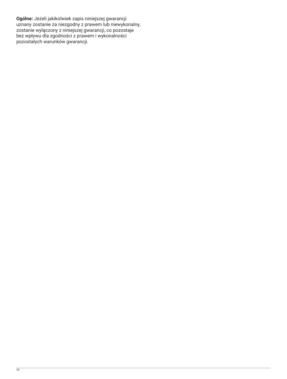**Ogólne:** Jeżeli jakikolwiek zapis niniejszej gwarancji uznany zostanie za niezgodny z prawem lub niewykonalny, zostanie wyłączony z niniejszej gwarancji, co pozostaje bez wpływu dla zgodności z prawem i wykonalności pozostałych warunków gwarancji.

48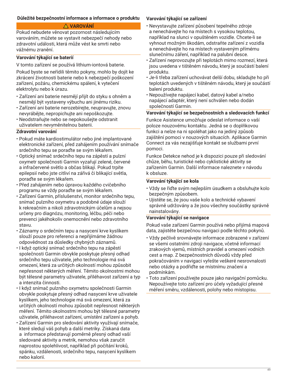## **Důležité bezpečnostní informace a informace o produktu**

## **VAROVÁNÍ**

Pokud nebudete věnovat pozornost následujícím varováním, můžete se vystavit nebezpečí nehody nebo zdravotní události, která může vést ke smrti nebo vážnému zranění.

## **Varování týkající se baterií**

V tomto zařízení se používá lithium-iontová baterie.

Pokud byste se neřídili těmito pokyny, mohlo by dojít ke zkrácení životnosti baterie nebo k nebezpečí poškození zařízení, požáru, chemickému spálení, k vytečení elektrolytu nebo k úrazu.

- Zařízení ani baterie nesmějí přijít do styku s ohněm a nesmějí být vystaveny výbuchu ani jinému riziku.
- Zařízení ani baterie nerozebírejte, neupravujte, znovu nevyrábějte, nepropichujte ani nepoškozujte.
- Neodstraňujte nebo se nepokoušejte odstranit uživatelem nevyměnitelnou baterii.

## **Zdravotní varování**

- Pokud máte kardiostimulátor nebo jiné implantované elektronické zařízení, před zahájením používání snímače srdečního tepu se poraďte se svým lékařem.
- Optický snímač srdečního tepu na zápěstí a pulzní oxymetr společnosti Garmin vyzařují zelené, červené a infračervené světlo a občas blikají. Pokud trpíte epilepsií nebo jste citliví na zářivá či blikající světla, poraďte se svým lékařem.
- Před zahájením nebo úpravou každého cvičebního programu se vždy poraďte se svým lékařem.
- Zařízení Garmin, příslušenství, monitor srdečního tepu, snímač pulzního oxymetru a podobné údaje slouží k rekreačním a nikoli zdravotnickým účelům a nejsou určeny pro diagnózu, monitoring, léčbu, péči nebo prevenci jakéhokoliv onemocnění nebo zdravotního stavu.
- Záznamy o srdečním tepu a nasycení krve kyslíkem slouží pouze pro referenci a nepřijímáme žádnou odpovědnost za důsledky chybných záznamů.
- I když optický snímač srdečního tepu na zápěstí společnosti Garmin obvykle poskytuje přesný odhad srdečního tepu uživatele, jeho technologie má svá omezení, která za určitých okolností mohou způsobit nepřesnost některých měření. Těmito okolnostmi mohou být tělesné parametry uživatele, přiléhavost zařízení a typ a intenzita činnosti.
- I když snímač pulzního oxymetru společnosti Garmin obvykle poskytuje přesný odhad nasycení krve uživatele kyslíkem, jeho technologie má svá omezení, která za určitých okolností mohou způsobit nepřesnost některých měření. Těmito okolnostmi mohou být tělesné parametry uživatele, přiléhavost zařízení, umístění zařízení a pohyb.
- Zařízení Garmin pro sledování aktivity využívají snímače, které sledují váš pohyb a další metriky. Získaná data a informace představují poměrně přesný odhad vaší sledované aktivity a metrik, nemohou však zaručit naprostou spolehlivost, například při počítání kroků, spánku, vzdálenosti, srdečního tepu, nasycení kyslíkem nebo kalorií.

## **Varování týkající se zařízení**

- Nevystavujte zařízení působení tepelného zdroje a nenechávejte ho na místech s vysokou teplotou, například na slunci v opuštěném vozidle. Chcete-li se vyhnout možným škodám, odstraňte zařízení z vozidla a nenechávejte ho na místech vystaveným přímému slunečnímu záření, například na palubní desce.
- Zařízení neprovozujte při teplotách mimo rozmezí, která jsou uvedena v tištěném návodu, který je součástí balení produktu.
- Je-li třeba zařízení uchovávat delší dobu, skladujte ho při teplotách uvedených v tištěném návodu, který je součástí balení produktu.
- Nepoužívejte napájecí kabel, datový kabel a/nebo napájecí adaptér, který není schválen nebo dodán společností Garmin.

## **Varování týkající se bezpečnostních a sledovacích funkcí**

Funkce Asistence umožňuje odeslat informace o vaší poloze nouzovému kontaktu. Jedná se o doplňkovou funkci a nelze na ni spoléhat jako na jediný způsob zajištění pomoci v nouzových situacích. Aplikace Garmin Connect za vás nezajišťuje kontakt se službami první pomoci.

Funkce Detekce nehod je k dispozici pouze při sledování chůze, běhu, turistické nebo cyklistické aktivity se zařízením Garmin. Další informace naleznete v návodu k obsluze.

## **Varování týkající se kola**

- Vždy se řiďte svým nejlepším úsudkem a obsluhujte kolo bezpečným způsobem.
- Ujistěte se, že jsou vaše kolo a technické vybavení správně udržovány a že jsou všechny součástky správně nainstalovány.

## **Varování týkající se navigace**

Pokud vaše zařízení Garmin používá nebo přijímá mapová data, zajistěte bezpečnou navigaci podle těchto pokynů.

- Vždy pečlivě srovnávejte informace zobrazené v zařízení se všemi ostatními zdroji navigace, včetně informací zrakových vjemů, místních pravidel a omezení vodních cest a map. Z bezpečnostních důvodů vždy před pokračováním v navigaci vyřešte veškeré nesrovnalosti nebo otázky a podřiďte se místnímu značení a podmínkám.
- Toto zařízení používejte pouze jako navigační pomůcku. Nepoužívejte toto zařízení pro účely vyžadující přesné měření směru, vzdálenosti, polohy nebo místopisu.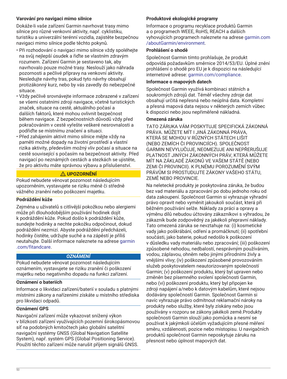## **Varování pro navigaci mimo silnice**

Dokáže-li vaše zařízení Garmin navrhovat trasy mimo silnice pro různé venkovní aktivity, např. cyklistiku, turistiku a univerzální terénní vozidla, zajistěte bezpečnou navigaci mimo silnice podle těchto pokynů.

- Při rozhodování o navigaci mimo silnice vždy spoléhejte na svůj nejlepší úsudek a řiďte se vlastním zdravým rozumem. Zařízení Garmin je sestaveno tak, aby navrhovalo pouze možné trasy. Neslouží jako náhrada pozornosti a pečlivé přípravy na venkovní aktivity. Nesledujte návrhy tras, pokud tyto návrhy obsahují protizákonný kurz, nebo by vás zavedly do nebezpečné situace.
- Vždy pečlivě srovnávejte informace zobrazené v zařízení se všemi ostatními zdroji navigace, včetně turistických značek, situace na cestě, aktuálního počasí a dalších faktorů, které mohou ovlivnit bezpečnost během navigace. Z bezpečnostních důvodů vždy před pokračováním v cestě vyřešte veškeré nesrovnalosti a podřiďte se místnímu značení a situaci.
- Před zahájením aktivit mimo silnice mějte vždy na paměti možné dopady na životní prostředí a vlastní rizika aktivity, především možný vliv počasí a situace na cestě související s počasím na bezpečnost aktivity. Před navigací po neznámých cestách a stezkách se ujistěte, že pro aktivitu máte správnou výbavu a příslušenství.

## **UPOZORNĚNÍ**

Pokud nebudete věnovat pozornost následujícím upozorněním, vystavujete se riziku méně či středně vážného zranění nebo poškození majetku.

## **Podráždění kůže**

Zejména u uživatelů s citlivější pokožkou nebo alergiemi může při dlouhodobějším používání hodinek dojít k podráždění kůže. Pokud došlo k podráždění kůže, sundejte hodinky a nechte pokožku odpočinout, dokud podráždění nezmizí. Abyste podráždění předcházeli, hodinky čistěte, udržujte suché a na zápěstí je příliš neutahujte. Další informace naleznete na adrese [garmin](http://www.garmin.com/fitandcare) [.com/fitandcare.](http://www.garmin.com/fitandcare)

## *OZNÁMENÍ*

Pokud nebudete věnovat pozornost následujícím oznámením, vystavujete se riziku zranění či poškození majetku nebo negativního dopadu na funkci zařízení.

## **Oznámení o bateriích**

Informace o likvidaci zařízení/baterií v souladu s platnými místními zákony a nařízeními získáte u místního střediska pro likvidaci odpadů.

## **Oznámení GPS**

Navigační zařízení může vykazovat snížený výkon v blízkosti zařízení využívajících pozemní širokopásmovou síť na podobných kmitočtech jako globální satelitní navigační systémy GNSS (Global Navigation Satellite System), např. systém GPS (Global Positioning Service). Použití těchto zařízení může narušit příjem signálů GNSS.

## **Produktové ekologické programy**

Informace o programu recyklace produktů Garmin a o programech WEEE, RoHS, REACH a dalších vyhovujících programech naleznete na adrese [garmin.com](http://www.garmin.com/aboutGarmin/environment) [/aboutGarmin/environment.](http://www.garmin.com/aboutGarmin/environment)

## **Prohlášení o shodě**

Společnost Garmin tímto prohlašuje, že produkt odpovídá požadavkům směrnice 2014/53/EU. Úplné znění prohlášení o shodě pro EU je k dispozici na následující internetové adrese: [garmin.com/compliance.](http://www.garmin.com/compliance)

#### **Informace o mapových datech**

Společnost Garmin využívá kombinaci státních a soukromých zdrojů dat. Téměř všechny zdroje dat obsahují určitá nepřesná nebo neúplná data. Kompletní a přesná mapová data nejsou v některých zemích vůbec k dispozici nebo jsou nepřiměřeně nákladná.

## **Omezená záruka**

TATO ZÁRUKA VÁM POSKYTUJE SPECIFICKÁ ZÁKONNÁ PRÁVA. MŮŽETE MÍT I JINÁ ZÁKONNÁ PRÁVA, KTERÁ SE MOHOU V RŮZNÝCH STÁTECH LIŠIT (NEBO ZEMÍCH ČI PROVINCIÍCH). SPOLEČNOST GARMIN NEVYLUČUJE, NEOMEZUJE ANI NEPŘERUŠUJE PLATNOST JINÝCH ZÁKONNÝCH PRÁV, KTERÁ MŮŽETE MÍT NA ZÁKLADĚ ZÁKONŮ VE VAŠEM STÁTĚ (NEBO ZEMI ČI PROVINCII). K PLNÉMU POROZUMĚNÍ SVÝM PRÁVŮM SI PROSTUDUJTE ZÁKONY VAŠEHO STÁTU, ZEMĚ NEBO PROVINCIE.

Na neletecké produkty je poskytována záruka, že budou bez vad materiálu a zpracování po dobu jednoho roku od data zakoupení. Společnost Garmin si vyhrazuje výhradní právo opravit nebo vyměnit jakoukoli součást, která při běžném používání selže. Náklady za práci a opravy a výměnu dílů nebudou účtovány zákazníkovi s výhradou, že zákazník bude zodpovědný za jakékoli přepravní náklady. Tato omezená záruka se nevztahuje na: (i) kosmetické vady jako poškrábání, odření a promáčknutí; (ii) spotřební součásti, jako baterie, pokud nedošlo k poškození v důsledku vady materiálu nebo zpracování; (iii) poškození způsobené nehodou, nedbalostí, nesprávným používáním, vodou, záplavou, ohněm nebo jinými přírodními živly a vnějšími vlivy; (iv) poškození způsobené provozováním služeb poskytovatelem neautorizovaným společností Garmin; (v) poškození produktu, který byl upraven nebo změněn bez písemného svolení společnosti Garmin, nebo (vi) poškození produktu, který byl připojen ke zdroji napájení a/nebo k datovým kabelům, které nejsou dodávány společností Garmin. Společnost Garmin si navíc vyhrazuje právo odmítnout reklamační nároky na produkty nebo služby, které byly získány nebo jsou používány v rozporu se zákony jakékoli země.Produkty společnosti Garmin slouží jako pomůcka a nesmí se používat k jakýmkoli účelům vyžadujícím přesné měření směru, vzdálenosti, pozice nebo místopisu. U navigačních produktů společnost Garmin neposkytuje záruku na přesnost nebo úplnost mapových dat.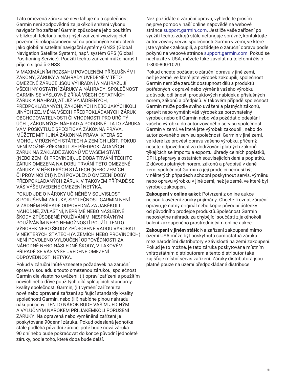Tato omezená záruka se nevztahuje na a společnost Garmin není zodpovědná za jakékoli snížení výkonu navigačního zařízení Garmin způsobené jeho použitím v blízkosti telefonů nebo jiných zařízení využívajících pozemní širokopásmovou síť na podobných kmitočtech jako globální satelitní navigační systémy GNSS (Global Navigation Satellite System), např. systém GPS (Global Positioning Service). Použití těchto zařízení může narušit příjem signálů GNSS.

V MAXIMÁLNÍM ROZSAHU POVOLENÉM PŘÍSLUŠNÝMI ZÁKONY, ZÁRUKY A NÁHRADY UVEDENÉ V TÉTO OMEZENÉ ZÁRUCE JSOU VÝHRADNÍ A NAHRAZUJÍ VŠECHNY OSTATNÍ ZÁRUKY A NÁHRADY. SPOLEČNOST GARMIN SE VÝSLOVNĚ ZŘÍKÁ VŠECH OSTATNÍCH ZÁRUK A NÁHRAD, AŤ JIŽ VYJÁDŘENÝCH, PŘEDPOKLÁDANÝCH, ZÁKONNÝCH NEBO JAKÝCHKOLI JINÝCH ZEJMÉNA VŠECH PŘEDPOKLÁDANÝCH ZÁRUK OBCHODOVATELNOSTI ČI VHODNOSTI PRO URČITÝ ÚČEL, ZÁKONNÝCH NÁHRAD A PODOBNĚ. TATO ZÁRUKA VÁM POSKYTUJE SPECIFICKÁ ZÁKONNÁ PRÁVA. MŮŽETE MÍT I JINÁ ZÁKONNÁ PRÁVA, KTERÁ SE MOHOU V RŮZNÝCH STÁTECH A ZEMÍCH LIŠIT. POKUD NENÍ MOŽNÉ ZŘEKNOUT SE PŘEDPOKLÁDANÝCH ZÁRUK NA ZÁKLADĚ ZÁKONŮ VE VAŠEM STÁTĚ (NEBO ZEMI ČI PROVINCII), JE DOBA TRVÁNÍ TĚCHTO ZÁRUK OMEZENA NA DOBU TRVÁNÍ TÉTO OMEZENÉ ZÁRUKY. V NĚKTERÝCH STÁTECH (NEBO ZEMÍCH ČI PROVINCIÍCH) NENÍ POVOLENO OMEZENÍ DOBY PŘEDPOKLÁDANÝCH ZÁRUK, V TAKOVÉM PŘÍPADĚ SE VÁS VÝŠE UVEDENÉ OMEZENÍ NETÝKÁ.

POKUD JDE O NÁROKY UČINĚNÉ V SOUVISLOSTI S PORUŠENÍM ZÁRUKY, SPOLEČNOST GARMIN NENÍ V ŽÁDNÉM PŘÍPADĚ ODPOVĚDNÁ ZA JAKÉKOLI NÁHODNÉ, ZVLÁŠTNÍ, NEPŘÍMÉ NEBO NÁSLEDNÉ ŠKODY ZPŮSOBENÉ POUŽÍVÁNÍM, NESPRÁVNÝM POUŽÍVÁNÍM NEBO NEMOŽNOSTÍ POUŽÍT TENTO VÝROBEK NEBO ŠKODY ZPŮSOBENÉ VADOU VÝROBKU. V NĚKTERÝCH STÁTECH (A ZEMÍCH NEBO PROVINCIÍCH) NENÍ POVOLENO VYLOUČENÍ ODPOVĚDNOSTI ZA NÁHODNÉ NEBO NÁSLEDNÉ ŠKODY, V TAKOVÉM PŘÍPADĚ SE VÁS VÝŠE UVEDENÉ OMEZENÍ ODPOVĚDNOSTI NETÝKÁ.

Pokud v záruční lhůtě vznesete požadavek na záruční opravu v souladu s touto omezenou zárukou, společnost Garmin dle vlastního uvážení: (i) opraví zařízení s použitím nových nebo dříve použitých dílů splňujících standardy kvality společnosti Garmin, (ii) vymění zařízení za nové nebo opravené zařízení splňující standardy kvality společnosti Garmin, nebo (iii) nabídne plnou náhradu nákupní ceny. TENTO NÁROK BUDE VAŠÍM JEDINÝM A VÝLUČNÝM NÁROKEM PŘI JAKÉMKOLI PORUŠENÍ ZÁRUKY. Na opravená nebo vyměněná zařízení je poskytována 90denní záruka. Pokud odeslaná jednotka stále podléhá původní záruce, poté bude nová záruka 90 dní nebo bude pokračovat do konce původní jednoleté záruky, podle toho, které doba bude delší.

Než požádáte o záruční opravu, vyhledejte prosím nejprve pomoc v naší online nápovědě na webové stránce [support.garmin.com](http://www.support.garmin.com). Jestliže vaše zařízení po využití těchto zdrojů stále nefunguje správně, kontaktujte autorizovaný servis společnosti Garmin v zemi, ve které jste výrobek zakoupili, a požádejte o záruční opravu podle pokynů na webové stránce [support.garmin.com.](http://www.support.garmin.com) Pokud se nacházíte v USA, můžete také zavolat na telefonní číslo 1-800-800-1020.

Pokud chcete požádat o záruční opravu v jiné zemi, než je země, ve které jste výrobek zakoupili, společnost Garmin nemůže zaručit dostupnost dílů a produktů potřebných k opravě nebo výměně vašeho výrobku z důvodu odlišnosti produktových nabídek a příslušných norem, zákonů a předpisů. V takovém případě společnost Garmin může podle svého uvážení a platných zákonů, opravit nebo vyměnit váš výrobek za porovnatelný výrobek nebo díl Garmin nebo vás požádat o odeslání vašeho výrobku do autorizovaného servisu společnosti Garmin v zemi, ve které jste výrobek zakoupili, nebo do autorizovaného servisu společnosti Garmin v jiné zemi, ve které lze provést opravu vašeho výrobku, přičemž nesete odpovědnost za dodržování platných zákonů týkajících se importu a exportu, úhrady celních poplatků, DPH, přepravy a ostatních souvisejících daní a poplatků. Z důvodu platných norem, zákonů a předpisů v dané zemi společnost Garmin a její prodejci nemusí být v některých případech schopni poskytnout servis, výměnu nebo opravu výrobku v jiné zemi, než je země, ve které byl výrobek zakoupen.

**Zakoupení v online aukci**: Potvrzení z online aukce nejsou k ověření záruky přijímány. Chcete-li uznat záruční opravu, je nutný originál nebo kopie původní účtenky od původního prodejce produktů.Společnost Garmin neposkytne náhradu za chybějící součásti z jakéhokoli balení zakoupeného prostřednictvím online aukce.

**Zakoupení v jiném státě**: Na zařízení zakoupená mimo území USA může být poskytnuta samostatná záruka mezinárodními distributory v závislosti na zemi zakoupení. Pokud je to možné, je tato záruka poskytována místním vnitrostátním distributorem a tento distributor také zajišťuje místní servis zařízení. Záruky distributora jsou platné pouze na území předpokládané distribuce.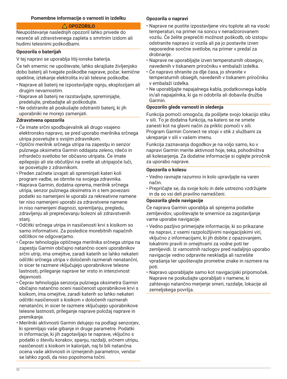### **Pomembne informacije o varnosti in izdelku**

### **OPOZORILO**

Neupoštevanje naslednjih opozoril lahko privede do nesreče ali zdravstvenega zapleta s smrtnim izidom ali hudimi telesnimi poškodbami.

#### **Opozorila o baterijah**

V tej napravi se uporablja litij-ionska baterija.

Če teh smernic ne upoštevate, lahko skrajšate življenjsko dobo baterij ali tvegate poškodbe naprave, požar, kemične opekline, iztekanje elektrolita in/ali telesne poškodbe.

- Naprave ali baterij ne izpostavljajte ognju, eksplozijam ali drugim nevarnostim.
- Naprave ali baterij ne razstavljajte, spreminjajte, predelujte, prebadajte ali poškodujte.
- Ne odstranite ali poskušajte odstraniti baterij, ki jih uporabniki ne morejo zamenjati.

## **Zdravstvena opozorila**

- Če imate srčni spodbujevalnik ali drugo vsajeno elektronsko napravo, se pred uporabo merilnika srčnega utripa posvetujte s svojim zdravnikom.
- Optični merilnik srčnega utripa na zapestju in senzor pulznega oksimetra Garmin oddajata zeleno, rdečo in infrardečo svetlobo ter občasno utripata. Če imate epilepsijo ali ste občutljivi na svetle ali utripajoče luči, se posvetujte z zdravnikom.
- Preden začnete izvajati ali spreminjati kateri koli program vadbe, se obrnite na svojega zdravnika.
- Naprava Garmin, dodatna oprema, merilnik srčnega utripa, senzor pulznega oksimetra in s tem povezani podatki so namenjeni le uporabi za rekreativne namene ter niso namenjeni uporabi za zdravstvene namene in niso namenjeni diagnozi, spremljanju, pregledu, zdravljenju ali preprečevanju bolezni ali zdravstvenih stanj.
- Odčitki srčnega utripa in nasičenosti krvi s kisikom so samo informativni. Za posledice morebitnih napačnih odčitkov ne odgovarjamo.
- Čeprav tehnologija optičnega merilnika srčnega utripa na zapestju Garmin običajno natančno oceni uporabnikov srčni utrip, ima omejitve, zaradi katerih so lahko nekateri odčitki srčnega utripa v določenih razmerah nenatančni, in sicer te razmere vključujejo uporabnikove telesne lastnosti, prileganje naprave ter vrsto in intenzivnost dejavnosti.
- Čeprav tehnologija senzorja pulznega oksimetra Garmin običajno natančno oceni nasičenost uporabnikove krvi s kisikom, ima omejitve, zaradi katerih so lahko nekateri odčitki nasičenosti s kisikom v določenih razmerah nenatančni, in sicer te razmere vključujejo uporabnikove telesne lastnosti, prileganje naprave položaj naprave in premikanje.
- Merilniki aktivnosti Garmin delujejo na podlagi senzorjev, ki spremljajo vaše gibanje in druge parametre. Podatki in informacije, ki jih zagotavljajo te naprave, vključno s podatki o številu korakov, spanju, razdalji, srčnem utripu, nasičenosti s kisikom in kalorijah, naj bi bili natančna ocena vaše aktivnosti in izmerjenih parametrov, vendar se lahko zgodi, da niso popolnoma točni.

### **Opozorila o napravi**

- Naprave ne pustite izpostavljene viru toplote ali na visoki temperaturi, na primer na soncu v nenadzorovanem vozilu. Če želite preprečiti možnost poškodb, ob izstopu odstranite napravo iz vozila ali pa jo postavite izven neposredne sončne svetlobe, na primer v predal za drobnarije.
- Naprave ne uporabljajte izven temperaturnih obsegov, navedenih v tiskanem priročniku v embalaži izdelka.
- Če napravo shranite za dlje časa, jo shranite v temperaturnih obsegih, navedenih v tiskanem priročniku v embalaži izdelka.
- Ne uporabljajte napajalnega kabla, podatkovnega kabla in/ali napajalnika, ki ga ni odobrila ali dobavila družba Garmin.

#### **Opozorilo glede varnosti in sledenja**

Funkcija pomoči omogoča, da pošljete svojo lokacijo stiku v sili. To je dodatna funkcija, na katero se ne smete zanesti kot na glavni način za priklic pomoči v sili. Program Garmin Connect ne stopi v stik z službami za ukrepanje v sili v vašem imenu.

Funkcija zaznavanja dogodkov je na voljo samo, ko v napravi Garmin merite aktivnost hoje, teka, pohodništva ali kolesarjenja. Za dodatne informacije si oglejte priročnik za uporabo naprave.

### **Opozorila o kolesu**

- Vedno ravnajte razumno in kolo upravljajte na varen način.
- Prepričajte se, da svoje kolo in dele ustrezno vzdržujete in da so vsi deli pravilno nameščeni.

#### **Opozorila glede navigacije**

Če naprava Garmin uporablja ali sprejema podatke zemljevidov, upoštevajte te smernice za zagotavljanje varne uporabe navigacije.

- Vedno pazljivo primerjajte informacije, ki so prikazane na napravi, z vsemi razpoložljivimi navigacijskimi viri, vključno z informacijami, ki jih dobite z opazovanjem, lokalnimi pravili in omejitvami za vodne poti ter zemljevidi. Iz varnostnih razlogov pred nadaljnjo uporabo navigacije vedno odpravite neskladja ali razrešite vprašanja ter upoštevajte prometne znake in razmere na poti.
- Napravo uporabljajte samo kot navigacijski pripomoček. Naprave ne poskušajte uporabljati v namene, ki zahtevajo natančno merjenje smeri, razdalje, lokacije ali zemeljskega površja.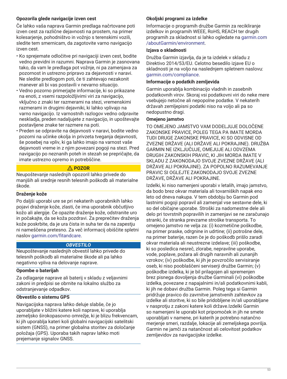## **Opozorila glede navigacije izven cest**

Če lahko vaša naprava Garmin predlaga načrtovane poti izven cest za različne dejavnosti na prostem, na primer kolesarjenje, pohodništvo in vožnjo s terenskimi vozili, sledite tem smernicam, da zagotovite varno navigacijo izven cest.

- Ko sprejemate odločitve pri navigaciji izven cest, bodite vedno previdni in razumni. Naprava Garmin je zasnovana tako, da vam le predlaga pot vožnje, ni pa zamenjava za pozornost in ustrezno pripravo za dejavnosti v naravi. Ne sledite predlogom poti, če ti zahtevajo nezakonit manever ali bi vas postavili v nevarno situacijo.
- Vedno pozorno primerjajte informacije, ki so prikazane na enoti, z vsemi razpoložljivimi viri za navigacijo, vključno z znaki ter razmerami na stezi, vremenskimi razmerami in drugimi dejavniki, ki lahko vplivajo na varno navigacijo. Iz varnostnih razlogov vedno odpravite neskladja, preden nadaljujete z navigacijo, in upoštevajte postavljene znake ter razmere na poti.
- Preden se odpravite na dejavnosti v naravi, bodite vedno pozorni na učinke okolja in privzeta tveganja dejavnosti, še posebej na vpliv, ki ga lahko imajo na varnost vaše dejavnosti vreme in z njim povezani pogoji na stezi. Pred navigacijo po neznanih poteh in stezah se prepričajte, da imate ustrezno opremo in potrebščine.

## **POZOR**

Neupoštevanje naslednjih opozoril lahko privede do manjših ali srednje resnih telesnih poškodb ali materialne škode.

## **Draženje kože**

Po daljši uporabi ure se pri nekaterih uporabnikih lahko pojavi draženje kože, zlasti, če ima uporabnik občutljivo kožo ali alergije. Če opazite draženje kože, odstranite uro in počakajte, da se koža pozdravi. Za preprečitev draženja kože poskrbite, da je ura čista in suha ter da na zapestju ni nameščena pretesno. Za več informacij obiščite spletni naslov [garmin.com/fitandcare](http://www.garmin.com/fitandcare).

## *OBVESTILO*

Neupoštevanje naslednjih obvestil lahko privede do telesnih poškodb ali materialne škode ali pa lahko negativno vpliva na delovanje naprave.

## **Opombe o baterijah**

Za odlaganje naprave ali baterij v skladu z veljavnimi zakoni in predpisi se obrnite na lokalno službo za odstranjevanje odpadkov.

## **Obvestilo o sistemu GPS**

Navigacijska naprava lahko deluje slabše, če jo uporabljate v bližini katere koli naprave, ki uporablja zemeljsko širokopasovno omrežje, ki je blizu frekvencam, ki jih uporablja kateri koli globalni navigacijski satelitski sistem (GNSS), na primer globalna storitev za določanje položaja (GPS). Uporaba takih naprav lahko moti prejemanje signalov GNSS.

## **Okoljski programi za izdelke**

Informacije o programih družbe Garmin za recikliranje izdelkov in programih WEEE, RoHS, REACH ter drugih programih za skladnost si lahko ogledate na [garmin.com](http://www.garmin.com/aboutGarmin/environment) [/aboutGarmin/environment.](http://www.garmin.com/aboutGarmin/environment)

#### **Izjava o skladnosti**

Družba Garmin izjavlja, da je ta izdelek v skladu z Direktivo 2014/53/EU. Celotno besedilo izjave EU o skladnosti je na voljo na naslednjem spletnem naslovu: [garmin.com/compliance](http://www.garmin.com/compliance).

#### **Informacije o podatkih zemljevida**

Garmin uporablja kombinacijo vladnih in zasebnih podatkovnih virov. Skoraj vsi podatkovni viri do neke mere vsebujejo netočne ali nepopolne podatke. V nekaterih državah zemljepisni podatki niso na voljo ali pa so nedopustno dragi.

#### **Omejeno jamstvo**

TO OMEJENO JAMSTVO VAM DODELJUJE DOLOČENE ZAKONSKE PRAVICE, POLEG TEGA PA IMATE MORDA TUDI DRUGE ZAKONSKE PRAVICE, KI SO ODVISNE OD ZVEZNE DRŽAVE (ALI DRŽAVE ALI POKRAJINE). DRUŽBA GARMIN NE IZKLJUČUJE, OMEJUJE ALI ODVZEMA DRUGIH ZAKONSKIH PRAVIC, KI JIH MORDA IMATE V SKLADU Z ZAKONODAJO SVOJE ZVEZNE DRŽAVE (ALI DRŽAVE ALI POKRAJINE). ZA POPOLNO RAZUMEVANJE PRAVIC SI OGLEJTE ZAKONODAJO SVOJE ZVEZNE DRŽAVE, DRŽAVE ALI POKRAJINE.

Izdelki, ki niso namenjeni uporabi v letalih, imajo jamstvo, da bodo brez okvar materiala ali tovarniških napak eno leto od dneva nakupa. V tem obdobju bo Garmin pod lastnimi pogoji popravil ali zamenjal vse sestavne dele, ki so del običajne uporabe. Stroški za nadomestne dele ali delo pri tovrstnih popravilih in zamenjavi se ne zaračunajo stranki, če stranka prevzame stroške transporta. To omejeno jamstvo ne velja za: (i) kozmetične poškodbe, na primer praske, odrgnine in udrtine; (ii) potrošne dele, na primer baterije, razen če je do poškodb prišlo zaradi okvar materiala ali neustrezne izdelave; (iii) poškodbe, ki so posledica nesreč, zlorabe, nepravilne uporabe, vode, poplave, požara ali drugih naravnih ali zunanjih vzrokov; (iv) poškodbe, ki jih je povzročilo servisiranje oseb, ki niso pooblaščeni serviserji družbe Garmin; (v) poškodbe izdelka, ki je bil prilagojen ali spremenjen brez pisnega dovoljenja družbe Garminali (vi) poškodbe izdelka, povezane z napajalnimi in/ali podatkovnimi kabli, ki jih ne dobavi družba Garmin. Poleg tega si Garmin pridržuje pravico do zavrnitve jamstvenih zahtevkov za izdelke ali storitve, ki so bile pridobljene in/ali uporabljane v nasprotju z zakoni katere koli države.Izdelki Garmin so namenjeni le uporabi kot pripomoček in jih ne smete uporabljati v namene, pri katerih je potrebno natančno merjenje smeri, razdalje, lokacije ali zemeljskega površja. Garmin ne jamči za natančnost ali celovitost podatkov zemljevidov za navigacijske izdelke.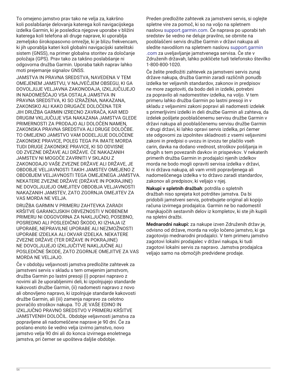To omejeno jamstvo prav tako ne velja za, kakršno koli poslabšanje delovanja katerega koli navigacijskega izdelka Garmin, ki je posledica njegove uporabe v bližini katerega koli telefona ali druge naprave, ki uporablja zemeljsko širokopasovno omrežje, ki je blizu frekvencam, ki jih uporablja kateri koli globalni navigacijski satelitski sistem (GNSS), na primer globalna storitev za določanje položaja (GPS). Prav tako za takšno poslabšanje ni odgovorna družba Garmin. Uporaba takih naprav lahko moti prejemanje signalov GNSS.

JAMSTVA IN PRAVNA SREDSTVA, NAVEDENA V TEM OMEJENEM JAMSTVU, V NAJVEČJEM OBSEGU, KI GA DOVOLJUJE VELJAVNA ZAKONODAJA, IZKLJUČUJEJO IN NADOMEŠČAJO VSA OSTALA JAMSTVA IN PRAVNA SREDSTVA, KI SO IZRAŽENA, NAKAZANA, ZAKONSKO ALI KAKO DRUGAČE DOLOČENA TER JIH DRUŽBA GARMIN IZRECNO ZAVRAČA, KAR MED DRUGIM VKLJUČUJE VSA NAKAZANA JAMSTVA GLEDE PRIMERNOSTI ZA PRODAJO ALI DOLOČEN NAMEN, ZAKONSKA PRAVNA SREDSTVA ALI DRUGE DOLOČBE. TO OMEJENO JAMSTVO VAM DODELJUJE DOLOČENE ZAKONSKE PRAVICE, POLEG TEGA PA IMATE MORDA TUDI DRUGE ZAKONSKE PRAVICE, KI SO ODVISNE OD ZVEZNE DRŽAVE ALI DRŽAVE. ČE NAKAZANIH JAMSTEV NI MOGOČE ZAVRNITI V SKLADU Z ZAKONODAJO VAŠE ZVEZNE DRŽAVE ALI DRŽAVE, JE OBDOBJE VELJAVNOSTI TAKIH JAMSTEV OMEJENO Z OBDOBJEM VELJAVNOSTI TEGA OMEJENEGA JAMSTVA. NEKATERE ZVEZNE DRŽAVE (DRŽAVE IN POKRAJINE) NE DOVOLJUJEJO OMEJITEV OBDOBJA VELJAVNOSTI NAKAZANIH JAMSTEV, ZATO ZGORNJA OMEJITEV ZA VAS MORDA NE VELJA.

DRUŽBA GARMIN V PRIMERU ZAHTEVKA ZARADI KRŠITVE GARANCIJSKIH OBVEZNOSTI V NOBENEM PRIMERU NI ODGOVORNA ZA NAKLJUČNO, POSEBNO, POSREDNO ALI POSLEDIČNO ŠKODO, KI IZHAJA IZ UPORABE, NEPRAVILNE UPORABE ALI NEZMOŽNOSTI UPORABE IZDELKA ALI OKVAR IZDELKA. NEKATERE ZVEZNE DRŽAVE (TER DRŽAVE IN POKRAJINE) NE DOVOLJUJEJO IZKLJUČITVE NAKLJUČNE ALI POSLEDIČNE ŠKODE, ZATO ZGORNJE OMEJITVE ZA VAS MORDA NE VELJAJO.

Če v obdobju veljavnosti jamstva predložite zahtevek za jamstveni servis v skladu s tem omejenim jamstvom, družba Garmin po lastni presoji (i) popravi napravo z novimi ali že uporabljenimi deli, ki izpolnjujejo standarde kakovosti družbe Garmin, (ii) nadomesti napravo z novo ali obnovljeno napravo, ki izpolnjuje standarde kakovosti družbe Garmin, ali (iii) zamenja napravo za celotno povračilo stroškov nakupa. TO JE VAŠE EDINO IN IZKLJUČNO PRAVNO SREDSTVO V PRIMERU KRŠITVE JAMSTVENIH DOLOČIL. Obdobje veljavnosti jamstva za popravljene ali nadomeščene naprave je 90 dni. Če za poslano enoto še vedno velja izvirno jamstvo, novo jamstvo velja 90 dni ali do konca izvirnega enoletnega jamstva, pri čemer se upošteva daljše obdobje.

Preden predložite zahtevek za jamstveni servis, si oglejte spletne vire za pomoč, ki so na voljo na spletnem naslovu [support.garmin.com.](http://www.support.garmin.com) Če naprava po uporabi teh sredstev še vedno ne deluje pravilno, se obrnite na pooblaščeni servis družbe Garmin v državi nakupa ali sledite navodilom na spletnem naslovu [support.garmin](http://www.support.garmin.com) [.com](http://www.support.garmin.com) za uveljavljanje jamstvenega servisa. Če ste v Združenih državah, lahko pokličete tudi telefonsko številko 1-800-800-1020.

Če želite predložiti zahtevek za jamstveni servis zunaj države nakupa, družba Garmin zaradi različnih ponudb izdelka ter veljavnih standardov, zakonov in predpisov ne more zagotoviti, da bodo deli in izdelki, potrebni za popravilo ali nadomestitev izdelka, na voljo. V tem primeru lahko družba Garmin po lastni presoji in v skladu z veljavnimi zakoni popravi ali nadomesti izdelek s primerljivimi izdelki in deli družbe Garmin ali zahteva, da izdelek pošljete pooblaščenemu servisu družbe Garmin v državi nakupa ali pooblaščenemu servisu družbe Garmin v drugi državi, ki lahko opravi servis izdelka, pri čemer ste odgovorni za izpolnitev skladnosti z vsemi veljavnimi zakoni in predpisi o uvozu in izvozu ter plačilo vseh carin, davka na dodano vrednost, stroškov pošiljanja in drugih s tem povezanih davkov in prispevkov. V nekaterih primerih družba Garmin in prodajalci njenih izdelkov morda ne bodo mogli opraviti servisa izdelka v državi, ki ni država nakupa, ali vam vrniti popravljenega ali nadomeščenega izdelka v to državo zaradi standardov, zakonov ali predpisov, ki veljajo v njej.

**Nakupi v spletnih dražbah**: potrdila o spletnih dražbah niso sprejeta kot potrditev jamstva. Da bi pridobili jamstveni servis, potrebujete original ali kopijo računa izvirnega prodajalca. Garmin ne bo nadomestil manjkajočih sestavnih delov iz kompletov, ki ste jih kupili na spletni dražbi.

**Mednarodni nakupi:** za nakupe izven Združenih držav je, odvisno od države, morda na voljo ločeno jamstvo, ki ga zagotovijo mednarodni prodajalci. V tem primeru jamstvo zagotovi lokalni prodajalec v državi nakupa, ki tudi zagotovi lokalni servis za napravo. Jamstva prodajalca veljajo samo na območjih predvidene prodaje.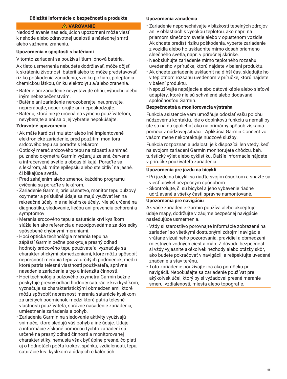## **Dôležité informácie o bezpečnosti a produkte**

## **VAROVANIE**

Nedodržiavanie nasledujúcich upozornení môže viesť k nehode alebo zdravotnej udalosti a následnej smrti alebo vážnemu zraneniu.

#### **Upozornenia v spojitosti s batériami**

V tomto zariadení sa používa lítium-iónová batéria.

Ak tieto usmernenia nebudete dodržiavať, môže dôjsť k skráteniu životnosti batérií alebo to môže predstavovať riziko poškodenia zariadenia, vzniku požiaru, poleptania chemickou látkou, úniku elektrolytu a/alebo zranenia.

- Batérie ani zariadenie nevystavujte ohňu, výbuchu alebo iným nebezpečenstvám.
- Batérie ani zariadenie nerozoberajte, neupravujte, neprerábajte, neperforujte ani nepoškodzujte.
- Batériu, ktorá nie je určená na výmenu používateľom, nevyberajte a ani sa o jej vybratie nepokúšajte.

## **Zdravotné upozornenia**

- Ak máte kardiostimulátor alebo iné implantované elektronické zariadenie, pred použitím monitora srdcového tepu sa poraďte s lekárom.
- Optický merač srdcového tepu na zápästí a snímač pulzného oxymetra Garmin vyžarujú zelené, červené a infračervené svetlo a občas blikajú. Poraďte sa s lekárom, ak máte epilepsiu alebo ste citliví na jasné, či blikajúce svetlá.
- Pred zahájením alebo zmenou každého programu cvičenia sa poraďte s lekárom.
- Zariadenie Garmin, príslušenstvo, monitor tepu pulzový oxymeter a príslušné údaje sa majú využívať len na rekreačné účely, nie na lekárske účely. Nie sú určené na diagnostiku, sledovanie, liečbu ani prevenciu ochorení a symptómov.
- Merania srdcového tepu a saturácie krvi kyslíkom slúžia len ako referencia a nezodpovedáme za dôsledky spôsobené chybnými meraniami.
- Hoci optická technológia merania tepu na zápästí Garmin bežne poskytuje presný odhad hodnoty srdcového tepu používateľa, vyznačuje sa charakteristickými obmedzeniami, ktoré môžu spôsobiť nepresnosť merania tepu za určitých podmienok, medzi ktoré patria telesné vlastnosti používateľa, správne nasadenie zariadenia a typ a intenzita činnosti.
- Hoci technológia pulzového oxymetra Garmin bežne poskytuje presný odhad hodnoty saturácie krvi kyslíkom, vyznačuje sa charakteristickými obmedzeniami, ktoré môžu spôsobiť nepresnosť merania saturácie kyslíkom za určitých podmienok, medzi ktoré patria telesné vlastnosti používateľa, správne nasadenie zariadenia, umiestnenie zariadenia a pohyb.
- Zariadenia Garmin na sledovanie aktivity využívajú snímače, ktoré sledujú váš pohyb a iné údaje. Údaje a informácie získané pomocou týchto zariadení sú určené na presný odhad činnosti a monitorovanej charakteristiky, nemusia však byť úplne presné, čo platí aj o hodnotách počtu krokov, spánku, vzdialenosti, tepu, saturácie krvi kyslíkom a údajoch o kalóriách.

#### **Upozornenia zariadenia**

- Zariadenie neponechávajte v blízkosti tepelných zdrojov ani v oblastiach s vysokou teplotou, ako napr. na priamom slnečnom svetle alebo v opustenom vozidle. Ak chcete predísť riziku poškodenia, vyberte zariadenie z vozidla alebo ho uskladnite mimo dosah priameho slnečného svetla, napr. v príručnej skrinke.
- Neobsluhujte zariadenie mimo teplotného rozsahu uvedeného v príručke, ktorú nájdete v balení produktu.
- Ak chcete zariadenie uskladniť na dlhší čas, skladujte ho v teplotnom rozsahu uvedenom v príručke, ktorú nájdete v balení produktu.
- Nepoužívajte napájacie alebo dátové káble alebo sieťové adaptéry, ktoré nie sú schválené alebo dodávané spoločnosťou Garmin.

#### **Bezpečnostná a monitorovacia výstraha**

Funkcia asistencie vám umožňuje odoslať vašu polohu núdzovému kontaktu. Ide o doplnkovú funkciu a nemali by ste sa na ňu spoliehať ako na primárny spôsob získania pomoci v núdzovej situácii. Aplikácia Garmin Connect vo vašom mene nekontaktuje núdzové služby.

Funkcia rozpoznania udalosti je k dispozícii len vtedy, keď na svojom zariadení Garmin monitorujete chôdzu, beh, turistický výlet alebo cyklistiku. Ďalšie informácie nájdete v príručke používateľa zariadenia.

#### **Upozornenia pre jazdu na bicykli**

- Pri jazde na bicykli sa riaďte svojím úsudkom a snažte sa viesť bicykel bezpečným spôsobom.
- Skontrolujte, či sú bicykel a jeho vybavenie riadne udržiavané a všetky časti správne namontované.

#### **Upozornenia pre navigáciu**

Ak vaše zariadenie Garmin používa alebo akceptuje údaje mapy, dodržujte v záujme bezpečnej navigácie nasledujúce usmernenia.

- Vždy si starostlivo porovnajte informácie zobrazené na zariadení so všetkými dostupnými zdrojmi navigácie vrátane vizuálneho pozorovania, pravidiel a obmedzení miestnych vodných ciest a máp. Z dôvodu bezpečnosti si vždy vyjasnite akékoľvek nezhody alebo otázky skôr, ako budete pokračovať v navigácii, a rešpektujte uvedené značenie a stav terénu.
- Toto zariadenie používajte iba ako pomôcku pri navigácii. Nepokúšajte sa zariadenie používať pre akýkoľvek účel, ktorý by si vyžadoval presné meranie smeru, vzdialenosti, miesta alebo topografie.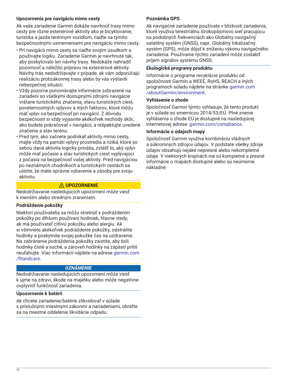## **Upozornenia pre navigáciu mimo cesty**

Ak vaše zariadenie Garmin dokáže navrhnúť trasy mimo cesty pre rôzne exteriérové aktivity ako je bicyklovanie, turistika a jazda terénnym vozidlom, riaďte sa týmito bezpečnostnými usmerneniami pre navigáciu mimo cesty.

- Pri navigácii mimo cesty sa riaďte svojím úsudkom a používajte logiku. Zariadenie Garmin je navrhnuté tak, aby poskytovalo len návrhy trasy. Nedokáže nahradiť pozornosť a náležitú prípravu na exteriérové aktivity. Návrhy trás nedodržiavajte v prípade, ak vám odporúčajú realizáciu protizákonnej trasy alebo by vás vystavili nebezpečnej situácii.
- Vždy pozorne porovnávajte informácie zobrazené na zariadení so všetkými dostupnými zdrojmi navigácie vrátane turistického značenia, stavu turistických ciest, poveternostných vplyvov a iných faktorov, ktoré môžu mať vplyv na bezpečnosť pri navigácii. Z dôvodu bezpečnosti si vždy vyjasnite akékoľvek nezhody skôr, ako budete pokračovať v navigácii, a rešpektujte uvedené značenie a stav terénu.
- Pred tým, ako začnete podnikať aktivity mimo cesty, majte vždy na pamäti vplyvy prostredia a riziká, ktoré so sebou daná aktivita logicky prináša, zvlášť to, aký vplyv môže mať počasie a stav turistických ciest vyplývajúci z počasia na bezpečnosť vašej aktivity. Pred navigáciou po neznámych chodníkoch a turistických cestách sa uistite, že máte správne vybavenie a zásoby pre svoju aktivitu.

## **UPOZORNENIE**

Nedodržiavanie nasledujúcich upozornení môže viesť k menším alebo stredným zraneniam.

## **Podráždenie pokožky**

Niektorí používatelia sa môžu stretnúť s podráždením pokožky po dlhšom používaní hodiniek, hlavne vtedy, ak má používateľ citlivú pokožku alebo alergiu. Ak si všimnete akékoľvek podráždenie pokožky, odstráňte hodinky a poskytnite svojej pokožke čas na uzdravenie. Na zabránenie podráždenia pokožky zaistite, aby boli hodinky čisté a suché, a zároveň hodinky na zápästí príliš neuťahujte. Viac informácií nájdete na adrese [garmin.com](http://www.garmin.com/fitandcare) [/fitandcare](http://www.garmin.com/fitandcare).

## *OZNÁMENIE*

Nedodržiavanie nasledujúcich upozornení môže viesť k ujme na zdraví, škode na majetku alebo môže negatívne ovplyvniť funkčnosť zariadenia.

## **Upozornenie k batérii**

Ak chcete zariadenie/batérie zlikvidovať v súlade s príslušnými miestnymi zákonmi a nariadeniami, obráťte sa na miestne oddelenie likvidácie odpadu.

## **Poznámka GPS**

Ak navigačné zariadenie používate v blízkosti zariadenia, ktoré využíva terestriálnu širokopásmovú sieť pracujúcu na podobných frekvenciách ako Globálny navigačný satelitný systém (GNSS), napr. Globálny lokalizačný systém (GPS), môže dôjsť k zníženiu výkonu navigačného zariadenia. Používanie týchto zariadení môže zoslabiť príjem signálov systému GNSS.

## **Ekologické programy produktu**

Informácie o programe recyklácie produktu od spoločnosti Garmin a WEEE, RoHS, REACH a iných programoch súladu nájdete na stránke [garmin.com](http://www.garmin.com/aboutGarmin/environment) [/aboutGarmin/environment.](http://www.garmin.com/aboutGarmin/environment)

#### **Vyhlásenie o zhode**

Spoločnosť Garmin týmto vyhlasuje, že tento produkt je v súlade so smernicou 2014/53/EÚ. Plné znenie vyhlásenia o zhode EÚ je dostupné na nasledujúcej internetovej adrese: [garmin.com/compliance](http://www.garmin.com/compliance).

### **Informácie o údajoch mapy**

Spoločnosť Garmin využíva kombináciu vládnych a súkromných zdrojov údajov. V podstate všetky zdroje údajov obsahujú nejaké nepresné alebo nekompletné údaje. V niektorých krajinách nie sú kompletné a presné informácie o mapách dostupné alebo sú neúmerne nákladné.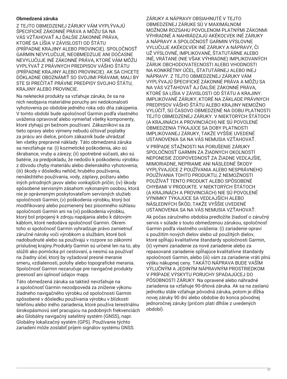## **Obmedzená záruka**

Z TEJTO OBMEDZENEJ ZÁRUKY VÁM VYPLÝVAJÚ ŠPECIFICKÉ ZÁKONNÉ PRÁVA A MÔŽU SA NA VÁS VZŤAHOVAŤ AJ ĎALŠIE ZÁKONNÉ PRÁVA, KTORÉ SA LÍŠIA V ZÁVISLOSTI OD ŠTÁTU (PRÍPADNE KRAJINY ALEBO PROVINCIE). SPOLOČNOSŤ GARMIN NEVYLUČUJE, NEOBMEDZUJE ANI DOČASNE NEVYLUČUJE INÉ ZÁKONNÉ PRÁVA, KTORÉ VÁM MÔŽU VYPLÝVAŤ Z PRÁVNYCH PREDPISOV VÁŠHO ŠTÁTU (PRÍPADNE KRAJINY ALEBO PROVINCIE). AK SA CHCETE DÔKLADNE OBOZNÁMIŤ SO SVOJIMI PRÁVAMI, MALI BY STE SI PREČÍTAŤ PRÁVNE PREDPISY SVOJHO ŠTÁTU, KRAJINY ALEBO PROVINCIE.

Na neletecké produkty sa vzťahuje záruka, že sa na nich neobjavia materiálne poruchy ani nedokonalosti vyhotovenia po obdobie jedného roka odo dňa zakúpenia. V tomto období bude spoločnosť Garmin podľa vlastného uváženia opravovať alebo vymieňať všetky komponenty, ktoré zlyhajú pri bežnom používaní. Zákazníkovi sa za tieto opravy alebo výmeny nebudú účtovať poplatky za prácu ani dielce, pričom zákazník bude uhrádzať len všetky prepravné náklady. Táto obmedzená záruka sa nevzťahuje na: (i) kozmetické poškodenia, ako sú škrabance, vruby a zárezy; (ii) spotrebné súčasti, ako sú batérie, za predpokladu, že nedošlo k poškodeniu výrobku z dôvodu chyby materiálu alebo dielenského vyhotovenia; (iii) škody v dôsledku nehôd, hrubého používania, nenáležitého používania, vody, záplavy, požiaru alebo iných prírodných javov alebo vonkajších príčin; (iv) škody spôsobené servisným zásahom vykonaným osobou, ktorá nie je oprávneným poskytovateľom servisných služieb spoločnosti Garmin; (v) poškodenia výrobku, ktorý bol modifikovaný alebo pozmenený bez písomného súhlasu spoločnosti Garmin ani na (vi) poškodenia výrobku, ktorý bol pripojený k zdroju napájania alebo k dátovým káblom, ktoré nedodáva spoločnosť Garmin. Okrem toho si spoločnosť Garmin vyhradzuje právo zamietnuť záručné nároky voči výrobkom a službám, ktoré boli nadobudnuté alebo sa používajú v rozpore so zákonmi príslušnej krajiny.Produkty Garmin sú určené len na to, aby slúžili ako pomôcka pri cestovaní, a nesmú sa používať na žiadny účel, ktorý by vyžadoval presné meranie smeru, vzdialenosti, polohy alebo topografické merania. Spoločnosť Garmin nezaručuje pre navigačné produkty presnosť ani úplnosť údajov mapy.

Táto obmedzená záruka sa taktiež nevzťahuje na a spoločnosť Garmin nezodpovedá za zníženie výkonu žiadneho navigačného výrobku od spoločnosti Garmin spôsobené v dôsledku používania výrobku v blízkosti telefónu alebo iného zariadenia, ktoré používa terestriálnu širokopásmovú sieť pracujúcu na podobných frekvenciách ako Globálny navigačný satelitný systém (GNSS), napr. Globálny lokalizačný systém (GPS). Používanie týchto zariadení môže zoslabiť príjem signálov systému GNSS.

ZÁRUKY A NÁPRAVY OBSIAHNUTÉ V TEJTO OBMEDZENEJ ZÁRUKE SÚ V MAXIMÁLNOM MOŽNOM ROZSAHU POVOLENOM PLATNÝMI ZÁKONMI VÝHRADNÉ A NAHRÁDZAJÚ AKÉKOĽVEK INÉ ZÁRUKY A NÁPRAVY A SPOLOČNOSŤ GARMIN VÝSLOVNE VYLUČUJE AKÉKOĽVEK INÉ ZÁRUKY A NÁPRAVY, ČI UŽ VÝSLOVNÉ, IMPLIKOVANÉ, ŠTATUTÁRNE ALEBO INÉ, VRÁTANE (NIE VŠAK VÝHRADNE) IMPLIKOVANÝCH ZÁRUK OBCHODOVATEĽNOSTI ALEBO VHODNOSTI NA KONKRÉTNY ÚČEL, ŠTATUTÁRNEJ ALEBO INEJ NÁPRAVY. Z TEJTO OBMEDZENEJ ZÁRUKY VÁM VYPLÝVAJÚ ŠPECIFICKÉ ZÁKONNÉ PRÁVA A MÔŽU SA NA VÁS VZŤAHOVAŤ AJ ĎALŠIE ZÁKONNÉ PRÁVA, KTORÉ SA LÍŠIA V ZÁVISLOSTI OD ŠTÁTU A KRAJINY. IMPLIKOVANÉ ZÁRUKY, KTORÉ NA ZÁKLADE PRÁVNYCH PREDPISOV VÁŠHO ŠTÁTU ALEBO KRAJINY NEMOŽNO VYLÚČIŤ, SÚ ČASOVO OBMEDZENÉ NA DOBU PLATNOSTI TEJTO OBMEDZENEJ ZÁRUKY. V NIEKTORÝCH ŠTÁTOCH (A KRAJINÁCH A PROVINCIÁCH) NIE SÚ POVOLENÉ OBMEDZENIA TÝKAJÚCE SA DOBY PLATNOSTI IMPLIKOVANEJ ZÁRUKY, TAKŽE VYŠŠIE UVEDENÉ USTANOVENIA SA NA VÁS NEMUSIA VZŤAHOVAŤ.

V PRÍPADE SŤAŽNOSTI NA PORUŠENIE ZÁRUKY SPOLOČNOSŤ GARMIN ZA ŽIADNYCH OKOLNOSTÍ NEPONESIE ZODPOVEDNOSŤ ZA ŽIADNE VEDĽAJŠIE, MIMORIADNE, NEPRIAME ANI NÁSLEDNÉ ŠKODY VYPLÝVAJÚCE Z POUŽÍVANIA ALEBO NESPRÁVNEHO POUŽÍVANIA TOHTO PRODUKTU, Z NEMOŽNOSTI POUŽÍVAŤ TENTO PRODUKT ALEBO SPÔSOBENÉ CHYBAMI V PRODUKTE. V NIEKTORÝCH ŠTÁTOCH (A KRAJINÁCH A PROVINCIÁCH) NIE SÚ POVOLENÉ VÝNIMKY TÝKAJÚCE SA VEDĽAJŠÍCH ALEBO NÁSLEDNÝCH ŠKÔD, TAKŽE VYŠŠIE UVEDENÉ USTANOVENIA SA NA VÁS NEMUSIA VZŤAHOVAŤ.

Ak počas záručného obdobia predložíte žiadosť o záručný servis v súlade s touto obmedzenou zárukou, spoločnosť Garmin podľa vlastného uváženia: (i) zariadenie opraví s použitím nových dielov alebo už použitých dielov, ktoré spĺňajú kvalitatívne štandardy spoločnosti Garmin, (ii) vymení zariadenie za nové zariadenie alebo za repasované zariadenie spĺňajúce kvalitatívne štandardy spoločnosti Garmin, alebo (iii) vám za zariadenie vráti plnú výšku nákupnej ceny. TAKÁTO NÁPRAVA BUDE VAŠÍM VÝLUČNÝM A JEDINÝM NÁPRAVNÝM PROSTRIEDKOM V PRÍPADE VÝSKYTU PORUCHY SPADAJÚCEJ DO PÔSOBNOSTI ZÁRUKY. Na opravené alebo náhradné zariadenia sa vzťahuje 90-dňová záruka. Ak sa na zaslanú jednotku stále vzťahuje pôvodná záruka, potom je dĺžka novej záruky 90 dní alebo obdobie do konca pôvodnej jednoročnej záruky (pričom platí dlhšie z uvedených období).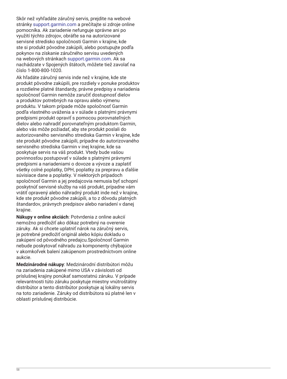Skôr než vyhľadáte záručný servis, prejdite na webové stránky [support.garmin.com](http://www.support.garmin.com) a prečítajte si zdroje online pomocníka. Ak zariadenie nefunguje správne ani po využití týchto zdrojov, obráťte sa na autorizované servisné stredisko spoločnosti Garmin v krajine, kde ste si produkt pôvodne zakúpili, alebo postupujte podľa pokynov na získanie záručného servisu uvedených na webových stránkach [support.garmin.com](http://www.support.garmin.com). Ak sa nachádzate v Spojených štátoch, môžete tiež zavolať na číslo 1-800-800-1020.

Ak hľadáte záručný servis inde než v krajine, kde ste produkt pôvodne zakúpili, pre rozdiely v ponuke produktov a rozdielne platné štandardy, právne predpisy a nariadenia spoločnosť Garmin nemôže zaručiť dostupnosť dielov a produktov potrebných na opravu alebo výmenu produktu. V takom prípade môže spoločnosť Garmin podľa vlastného uváženia a v súlade s platnými právnymi predpismi produkt opraviť s pomocou porovnateľných dielov alebo nahradiť porovnateľným produktom Garmin, alebo vás môže požiadať, aby ste produkt poslali do autorizovaného servisného strediska Garmin v krajine, kde ste produkt pôvodne zakúpili, prípadne do autorizovaného servisného strediska Garmin v inej krajine, kde sa poskytuje servis na váš produkt. Vtedy bude vašou povinnosťou postupovať v súlade s platnými právnymi predpismi a nariadeniami o dovoze a vývoze a zaplatiť všetky colné poplatky, DPH, poplatky za prepravu a ďalšie súvisiace dane a poplatky. V niektorých prípadoch spoločnosť Garmin a jej predajcovia nemusia byť schopní poskytnúť servisné služby na váš produkt, prípadne vám vrátiť opravený alebo náhradný produkt inde než v krajine, kde ste produkt pôvodne zakúpili, a to z dôvodu platných štandardov, právnych predpisov alebo nariadení v danej krajine.

**Nákupy v online akciách**: Potvrdenia z online aukcií nemožno predložiť ako dôkaz potrebný na overenie záruky. Ak si chcete uplatniť nárok na záručný servis, je potrebné predložiť originál alebo kópiu dokladu o zakúpení od pôvodného predajcu.Spoločnosť Garmin nebude poskytovať náhradu za komponenty chýbajúce v akomkoľvek balení zakúpenom prostredníctvom online aukcie.

**Medzinárodné nákupy**: Medzinárodní distribútori môžu na zariadenia zakúpené mimo USA v závislosti od príslušnej krajiny ponúkať samostatnú záruku. V prípade relevantnosti túto záruku poskytuje miestny vnútroštátny distribútor a tento distribútor poskytuje aj lokálny servis na toto zariadenie. Záruky od distribútora sú platné len v oblasti príslušnej distribúcie.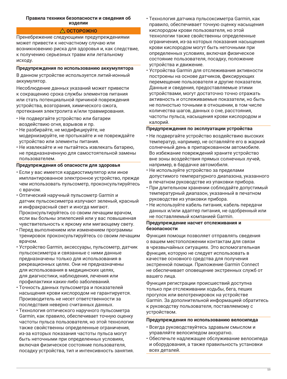#### **Правила техники безопасности и сведения об изделии**

## **ОСТОРОЖНО**

Пренебрежение следующими предупреждениями может привести к несчастному случаю или возникновению риска для здоровья и, как следствие, к получению серьезных травм или летальному исходу.

### **Предупреждения по использованию аккумулятора**

В данном устройстве используется литий-ионный аккумулятор.

Несоблюдение данных указаний может привести к сокращению срока службы элементов питания или стать потенциальной причиной повреждения устройства, возгорания, химического ожога, протекания электролита и/или травмирования.

- Не подвергайте устройство или батареи воздействию огня, взрывов и пр.
- Не разбирайте, не модифицируйте, не модернизируйте, не протыкайте и не повреждайте устройство или элементы питания.
- Не извлекайте и не пытайтесь извлекать батарею, не предназначенную для самостоятельной замены пользователем.

## **Предупреждения об опасности для здоровья**

- Если у вас имеется кардиостимулятор или иное имплантированное электронное устройство, прежде чем использовать пульсометр, проконсультируйтесь с врачом.
- Оптический наручный пульсометр Garmin и датчик пульсоксиметра излучают зеленый, красный и инфракрасный свет и иногда мигают. Проконсультируйтесь со своим лечащим врачом, если вы больны эпилепсией или у вас повышенная чувствительность к яркому или мигающему свету.
- Перед выполнением или изменением программы тренировок проконсультируйтесь со своим лечащим врачом.
- Устройство Garmin, аксессуары, пульсометр, датчик пульсоксиметра и связанные с ними данные предназначены только для использования в рекреационных целях. Они не предназначены для использования в медицинских целях, для диагностики, наблюдения, лечения или профилактики каких-либо заболеваний.
- Точность данных пульсометра и показателей насыщения крови кислородом не гарантируется. Производитель не несет ответственности за последствия неверно считанных данных.
- Технология оптического наручного пульсометра Garmin, как правило, обеспечивает точную оценку частоты пульса пользователя, но этой технологии также свойственны определенные ограничения, из-за которых показания частоты пульса могут быть неточными при определенных условиях, включая физическое состояние пользователя, посадку устройства, тип и интенсивность занятия.
- Технология датчика пульсоксиметра Garmin, как правило, обеспечивает точную оценку насыщения кислородом крови пользователя, но этой технологии также свойственны определенные ограничения, из-за которых показания насыщения крови кислородом могут быть неточными при определенных условиях, включая физическое состояние пользователя, посадку, положение устройства и движение.
- Устройства Garmin для отслеживания активности построены на основе датчиков, фиксирующих перемещение пользователя и другие показатели. Данные и сведения, предоставляемые этими устройствами, могут достаточно точно отражать активность и отслеживаемые показатели, но быть не полностью точными в отношении, в том числе количества шагов, данных о сне, расстояния, частоты пульса, насыщения крови кислородом и калорий.

### **Предупреждения по эксплуатации устройства**

- Не подвергайте устройство воздействию высоких температур, например, не оставляйте его в жаркий солнечный день в припаркованном автомобиле. Во избежание повреждений храните устройство вне зоны воздействия прямых солнечных лучей, например, в бардачке автомобиля.
- Не используйте устройство за пределами допустимого температурного диапазона, указанного в печатном руководстве из упаковки прибора.
- При длительном хранении соблюдайте допустимый температурный диапазон, указанный в печатном руководстве из упаковки прибора.
- Не используйте кабель питания, кабель передачи данных и/или адаптер питания, не одобренный или не поставляемый компанией Garmin.

#### **Предупреждение насчет отслеживания и безопасности**

Функция помощи позволяет отправлять сведения о вашем местоположении контактам для связи в чрезвычайных ситуациях. Это вспомогательная функция, которую не следует использовать в качестве основного средства для получения экстренной помощи. Приложение Garmin Connect не обеспечивает оповещение экстренных служб от вашего лица.

Функция регистрации происшествий доступна только при отслеживании ходьбы, бега, пеших прогулок или велотренировок на устройстве Garmin. За дополнительной информацией обратитесь к руководству пользователя, поставляемому с устройством.

#### **Предупреждения по использованию велосипеда**

- Всегда руководствуйтесь здравым смыслом и управляйте велосипедом аккуратно.
- Обеспечьте надлежащее обслуживание велосипеда и оборудования, а также правильность установки всех деталей.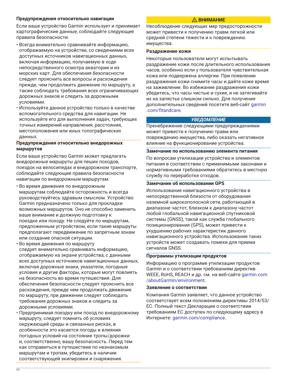#### **Предупреждения относительно навигации**

Если ваше устройство Garmin использует и принимает картографические данные, соблюдайте следующие правила безопасности.

- Всегда внимательно сравнивайте информацию, отображаемую на устройстве, со сведениями всех доступных источников навигационных данных, включая информацию, получаемую в ходе непосредственного осмотра акватории и из морских карт. Для обеспечения безопасности следует прояснить все вопросы и расхождения прежде, чем продолжить движение по маршруту, а также соблюдать требования всех ограничивающих дорожных знаков и следить за дорожными условиями.
- Используйте данное устройство только в качестве вспомогательного средства для навигации. Не используйте его для выполнения задач, требующих точных измерений направления, расстояния, местоположения или иных топографических данных.

#### **Предупреждения относительно внедорожных маршрутов**

Если ваше устройство Garmin может предлагать внедорожные маршруты для пеших походов, поездок на велосипедах и внедорожном транспорте, соблюдайте следующие правила безопасности навигации по внедорожным маршрутам.

- Во время движения по внедорожным маршрутам соблюдайте осторожность и всегда руководствуйтесь здравым смыслом. Устройство Garmin предназначено только для прокладки возможных маршрутов. Оно не способно заменить ваше внимание и должную подготовку к поездке или походу. Не следуйте по маршрутам, предложенным устройством, если такие маршруты предполагают передвижение по запретным зонам или создание опасной ситуации.
- Во время движения по маршруту следует внимательно сравнивать информацию, отображаемую на экране устройства, с данными всех доступных источников навигационных данных, включая дорожные знаки, указатели, погодные условия и другие факторы, которые могут повлиять на безопасность во время путешествия. Для обеспечения безопасности следует прояснить все расхождения, прежде чем продолжать движение по маршруту; при движении следует соблюдать требования дорожных знаков и следить за дорожными условиями.
- Предпринимая поездку или поход по внедорожному маршруту, следует помнить об условиях окружающей среды и связанных рисках, в особенности это касается погоды и влияния погодных условий на состояние тропы/дорожки и, соответственно, вашу безопасность. Перед тем как отправиться в путешествие по незнакомым маршрутам и тропам, убедитесь в наличии соответствующей экипировки и снаряжения.

### **ВНИМАНИЕ**

Несоблюдение следующих мер предосторожности может привести к получению травм легкой или средней степени тяжести и к повреждению имущества.

#### **Раздражение кожи**

Некоторые пользователи могут испытывать раздражение кожи после длительного использования часов, особенно если у пользователя чувствительная кожа или подвержена аллергии. При появлении раздражения кожи снимите часы и дайте коже время на заживление. Во избежание раздражения кожи убедитесь, что часы чистые и сухие, и не затягивайте их на запястье слишком сильно. Для получения дополнительных сведений посетите веб-сайт [garmin](http://www.garmin.com/fitandcare) [.com/fitandcare.](http://www.garmin.com/fitandcare)

#### *УВЕДОМЛЕНИЕ*

Пренебрежение следующими предупреждениями может привести к получению травм или повреждению имущества, либо оказать негативное влияние на функционирование устройства.

#### **Замечание по использованию элемента питания**

По вопросам утилизации устройства и элементов питания в соответствии с применимыми законами и нормативными требованиями обратитесь в местную службу по переработке отходов.

### **Замечание об использовании GPS**

Использование навигационного устройства в непосредственной близости от оборудования наземной широкополосной сети, работающей в диапазоне частот, близком к диапазону частот любой глобальной навигационной спутниковой системы (GNSS), такой как служба глобального позиционирования (GPS), может привести к ухудшению рабочих характеристик данного навигационного устройства. Использование таких устройств может создавать помехи для приема сигналов GNSS.

#### **Программы утилизации продуктов**

Информацию о программе утилизации продуктов Garmin и о соответствии требованиям директив WEEE, RoHS, REACH и др. см. на веб-сайте [garmin.com](http://www.garmin.com/aboutGarmin/environment) [/aboutGarmin/environment.](http://www.garmin.com/aboutGarmin/environment)

#### **Заявление о соответствии**

Компания Garmin заявляет, что данное устройство соответствует всем положениям директивы 2014/53/ EC. Полный текст Декларации о соответствии требованиям ЕС доступен по следующему адресу в Интернете: [garmin.com/compliance](http://www.garmin.com/compliance).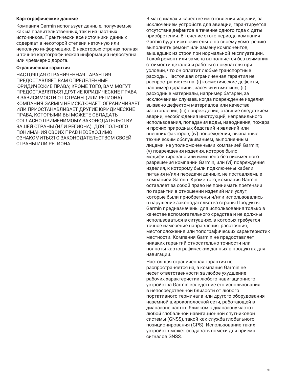### **Картографические данные**

Компания Garmin использует данные, получаемые как из правительственных, так и из частных источников. Практически все источники данных содержат в некоторой степени неточную или неполную информацию. В некоторых странах полная и точная картографическая информация недоступна или чрезмерно дорога.

#### **Ограниченная гарантия**

НАСТОЯЩАЯ ОГРАНИЧЕННАЯ ГАРАНТИЯ ПРЕДОСТАВЛЯЕТ ВАМ ОПРЕДЕЛЕННЫЕ ЮРИДИЧЕСКИЕ ПРАВА; КРОМЕ ТОГО, ВАМ МОГУТ ПРЕДОСТАВЛЯТЬСЯ ДРУГИЕ ЮРИДИЧЕСКИЕ ПРАВА В ЗАВИСИМОСТИ ОТ СТРАНЫ (ИЛИ РЕГИОНА). КОМПАНИЯ GARMIN НЕ ИСКЛЮЧАЕТ, ОГРАНИЧИВАЕТ ИЛИ ПРИОСТАНАВЛИВАЕТ ДРУГИЕ ЮРИДИЧЕСКИЕ ПРАВА, КОТОРЫМИ ВЫ МОЖЕТЕ ОБЛАДАТЬ СОГЛАСНО ПРИМЕНИМОМУ ЗАКОНОДАТЕЛЬСТВУ ВАШЕЙ СТРАНЫ (ИЛИ РЕГИОНА). ДЛЯ ПОЛНОГО ПОНИМАНИЯ СВОИХ ПРАВ НЕОБХОДИМО ОЗНАКОМИТЬСЯ С ЗАКОНОДАТЕЛЬСТВОМ СВОЕЙ СТРАНЫ ИЛИ РЕГИОНА.

В материалах и качестве изготовления изделий, за исключением устройств для авиации, гарантируется отсутствие дефектов в течение одного года с даты приобретения. В течение этого периода компания Garmin будет исключительно по своему усмотрению выполнять ремонт или замену компонентов, вышедших из строя при нормальной эксплуатации. Такой ремонт или замена выполняется без взимания стоимости деталей и работы с покупателя при условии, что он оплатит любые транспортные расходы. Настоящая ограниченная гарантия не распространяется на: (i) косметические дефекты, например царапины, засечки и вмятины; (ii) расходные материалы, например батареи, за исключением случаев, когда повреждение изделия вызвано дефектом материалов или качества изготовления; (iii) повреждения, ставшие следствием аварии, несоблюдения инструкций, неправильного использования, попадания воды, наводнения, пожара и прочих природных бедствий и явлений или внешних факторов; (iv) повреждения, вызванные техническим обслуживанием, выполненным лицами, не уполномоченными компанией Garmin; (v) повреждения изделия, которое было модифицировано или изменено без письменного разрешения компании Garmin, или (vi) повреждения изделия, к которому были подключены кабели питания и/или передачи данных, не поставляемые компанией Garmin. Кроме того, компания Garmin оставляет за собой право не принимать претензии по гарантии в отношении изделий или услуг, которые были приобретены и/или использовались в нарушение законодательства страны.Продукты Garmin предназначены для использования только в качестве вспомогательного средства и не должны использоваться в ситуациях, в которых требуется точное измерение направления, расстояния, местоположения или топографических характеристик местности. Компания Garmin не предоставляет никаких гарантий относительно точности или полноты картографических данных в продуктах для навигации.

Настоящая ограниченная гарантия не распространяется на, а компания Garmin не несет ответственности за любое ухудшение рабочих характеристик любого навигационного устройства Garmin вследствие его использования в непосредственной близости от любого портативного терминала или другого оборудования наземной широкополосной сети, работающей в диапазоне частот, близком к диапазону частот любой глобальной навигационной спутниковой системы (GNSS), такой как служба глобального позиционирования (GPS). Использование таких устройств может создавать помехи для приема сигналов GNSS.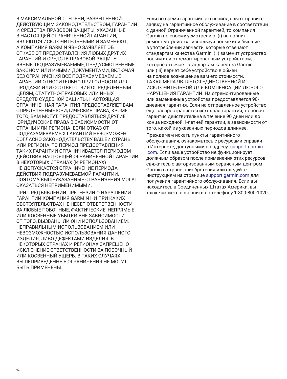В МАКСИМАЛЬНОЙ СТЕПЕНИ, РАЗРЕШЕННОЙ ДЕЙСТВУЮЩИМ ЗАКОНОДАТЕЛЬСТВОМ, ГАРАНТИИ И СРЕДСТВА ПРАВОВОЙ ЗАЩИТЫ, УКАЗАННЫЕ В НАСТОЯЩЕЙ ОГРАНИЧЕННОЙ ГАРАНТИИ, ЯВЛЯЮТСЯ ИСКЛЮЧИТЕЛЬНЫМИ И ЗАМЕНЯЮТ, А КОМПАНИЯ GARMIN ЯВНО ЗАЯВЛЯЕТ ОБ ОТКАЗЕ ОТ ПРЕДОСТАВЛЕНИЯ ЛЮБЫХ ДРУГИХ ГАРАНТИЙ И СРЕДСТВ ПРАВОВОЙ ЗАЩИТЫ, ЯВНЫЕ, ПОДРАЗУМЕВАЕМЫЕ, ПРЕДУСМОТРЕННЫЕ ЗАКОНОМ ИЛИ ИНЫМИ ДОКУМЕНТАМИ, ВКЛЮЧАЯ БЕЗ ОГРАНИЧЕНИЯ ВСЕ ПОДРАЗУМЕВАЕМЫЕ ГАРАНТИИ ОТНОСИТЕЛЬНО ПРИГОДНОСТИ ДЛЯ ПРОДАЖИ ИЛИ СООТВЕТСТВИЯ ОПРЕДЕЛЕННЫМ ЦЕЛЯМ, СТАТУТНО-ПРАВОВЫХ ИЛИ ИНЫХ СРЕДСТВ СУДЕБНОЙ ЗАЩИТЫ. НАСТОЯЩАЯ ОГРАНИЧЕННАЯ ГАРАНТИЯ ПРЕДОСТАВЛЯЕТ ВАМ ОПРЕДЕЛЕННЫЕ ЮРИДИЧЕСКИЕ ПРАВА; КРОМЕ ТОГО, ВАМ МОГУТ ПРЕДОСТАВЛЯТЬСЯ ДРУГИЕ ЮРИДИЧЕСКИЕ ПРАВА В ЗАВИСИМОСТИ ОТ СТРАНЫ ИЛИ РЕГИОНА. ЕСЛИ ОТКАЗ ОТ ПОДРАЗУМЕВАЕМЫХ ГАРАНТИЙ НЕВОЗМОЖЕН СОГЛАСНО ЗАКОНОДАТЕЛЬСТВУ ВАШЕЙ СТРАНЫ ИЛИ РЕГИОНА, ТО ПЕРИОД ПРЕДОСТАВЛЕНИЯ ТАКИХ ГАРАНТИЙ ОГРАНИЧИВАЕТСЯ ПЕРИОДОМ ДЕЙСТВИЯ НАСТОЯЩЕЙ ОГРАНИЧЕННОЙ ГАРАНТИИ. В НЕКОТОРЫХ СТРАНАХ (И РЕГИОНАХ) НЕ ДОПУСКАЕТСЯ ОГРАНИЧЕНИЕ ПЕРИОДА ДЕЙСТВИЯ ПОДРАЗУМЕВАЕМОЙ ГАРАНТИИ, ПОЭТОМУ ВЫШЕУКАЗАННЫЕ ОГРАНИЧЕНИЯ МОГУТ ОКАЗАТЬСЯ НЕПРИМЕНИМЫМИ.

ПРИ ПРЕДЪЯВЛЕНИИ ПРЕТЕНЗИИ О НАРУШЕНИИ ГАРАНТИИ КОМПАНИЯ GARMIN НИ ПРИ КАКИХ ОБСТОЯТЕЛЬСТВАХ НЕ НЕСЕТ ОТВЕТСТВЕННОСТИ ЗА ЛЮБЫЕ ПОБОЧНЫЕ, ФАКТИЧЕСКИЕ, НЕПРЯМЫЕ ИЛИ КОСВЕННЫЕ УБЫТКИ ВНЕ ЗАВИСИМОСТИ ОТ ТОГО, ВЫЗВАНЫ ЛИ ОНИ ИСПОЛЬЗОВАНИЕМ, НЕПРАВИЛЬНЫМ ИСПОЛЬЗОВАНИЕМ ИЛИ НЕВОЗМОЖНОСТЬЮ ИСПОЛЬЗОВАНИЯ ДАННОГО ИЗДЕЛИЯ, ЛИБО ДЕФЕКТАМИ ИЗДЕЛИЯ. В НЕКОТОРЫХ СТРАНАХ И РЕГИОНАХ ЗАПРЕЩЕНО ИСКЛЮЧЕНИЕ ОТВЕТСТВЕННОСТИ ЗА ПОБОЧНЫЙ ИЛИ КОСВЕННЫЙ УЩЕРБ. В ТАКИХ СЛУЧАЯХ ВЫШЕПРИВЕДЕННЫЕ ОГРАНИЧЕНИЯ НЕ МОГУТ БЫТЬ ПРИМЕНЕНЫ.

Если во время гарантийного периода вы отправите заявку на гарантийное обслуживание в соответствии с данной Ограниченной гарантией, то компания Garmin по своему усмотрению: (i) выполнит ремонт устройства, используя новые или бывшие в употреблении запчасти, которые отвечают стандартам качества Garmin, (ii) заменит устройство новым или отремонтированным устройством, которое отвечает стандартам качества Garmin, или (iii) вернет себе устройство в обмен на полное возмещение вам его стоимости. ТАКАЯ МЕРА ЯВЛЯЕТСЯ ЕДИНСТВЕННОЙ И ИСКЛЮЧИТЕЛЬНОЙ ДЛЯ КОМПЕНСАЦИИ ЛЮБОГО НАРУШЕНИЯ ГАРАНТИИ. На отремонтированные или замененные устройства предоставляется 90 дневная гарантия. Если на отправленное устройство еще распространяется исходная гарантия, то новая гарантия действительна в течение 90 дней или до конца исходной 1-летней гарантии, в зависимости от того, какой из указанных периодов длиннее.

Прежде чем искать пункты гарантийного обслуживания, ознакомьтесь с ресурсами справки в Интернете, доступными по адресу: [support.garmin](http://www.support.garmin.com) [.com](http://www.support.garmin.com). Если ваше устройство не функционирует должным образом после применения этих ресурсов, свяжитесь с авторизованным сервисным центром Garmin в стране приобретения или следуйте инструкциям на странице [support.garmin.com](http://www.support.garmin.com) для получения гарантийного обслуживания. Если вы находитесь в Соединенных Штатах Америки, вы также можете позвонить по телефону 1-800-800-1020.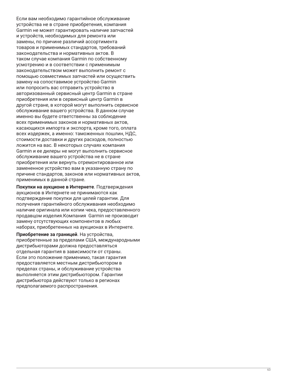Если вам необходимо гарантийное обслуживание устройства не в стране приобретения, компания Garmin не может гарантировать наличие запчастей и устройств, необходимых для ремонта или замены, по причине различий ассортимента товаров и применимых стандартов, требований законодательства и нормативных актов. В таком случае компания Garmin по собственному усмотрению и в соответствии с применимым законодательством может выполнить ремонт с помощью совместимых запчастей или осуществить замену на сопоставимое устройство Garmin или попросить вас отправить устройство в авторизованный сервисный центр Garmin в стране приобретения или в сервисный центр Garmin в другой стране, в которой могут выполнить сервисное обслуживание вашего устройства. В данном случае именно вы будете ответственны за соблюдение всех применимых законов и нормативных актов, касающихся импорта и экспорта, кроме того, оплата всех издержек, а именно: таможенных пошлин, НДС, стоимости доставки и других расходов, полностью ложится на вас. В некоторых случаях компания Garmin и ее дилеры не могут выполнить сервисное обслуживание вашего устройства не в стране приобретения или вернуть отремонтированное или замененное устройство вам в указанную страну по причине стандартов, законов или нормативных актов, применимых в данной стране.

**Покупки на аукционе в Интернете**. Подтверждения аукционов в Интернете не принимаются как подтверждение покупки для целей гарантии. Для получения гарантийного обслуживания необходимо наличие оригинала или копии чека, предоставленного продавцом изделия.Компания Garmin не производит замену отсутствующих компонентов в любых наборах, приобретенных на аукционах в Интернете.

**Приобретение за границей**. На устройства, приобретенные за пределами США, международными дистрибьюторами должна предоставляться отдельная гарантия в зависимости от страны. Если это положение применимо, такая гарантия предоставляется местным дистрибьютором в пределах страны, и обслуживание устройства выполняется этим дистрибьютором. Гарантии дистрибьютора действуют только в регионах предполагаемого распространения.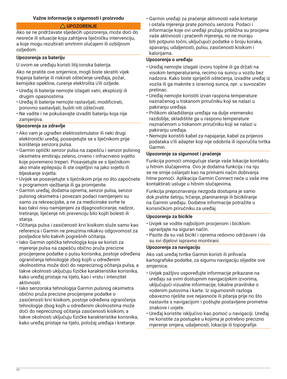## **Važne informacije o sigurnosti i proizvodu**

## **UPOZORENJE**

Ako se ne pridržavate sljedećih upozorenja, može doći do nesreće ili situacije koja zahtijeva liječničku intervenciju, a koje mogu rezultirati smrtnim slučajem ili ozbiljnom ozljedom.

## **Upozorenja za bateriju**

U ovom se uređaju koristi litij-ionska baterija.

Ako ne pratite ove smjernice, mogli biste skratiti vijek trajanja baterije ili riskirati oštećenje uređaja, požar, kemijske opekline, curenje elektrolita i/ili ozljede.

- Uređaj ili baterije nemojte izlagati vatri, eksploziji ili drugim opasnostima.
- Uređaj ili baterije nemojte rastavljati, modificirati, ponovno sastavljati, bušiti niti oštećivati.
- Ne vadite i ne pokušavajte izvaditi bateriju koja nije zamjenjiva.

## **Upozorenja za zdravlje**

- Ako vam je ugrađen elektrostimulator ili neki drugi elektronički uređaj, posavjetujte se s liječnikom prije korištenja senzora pulsa.
- Garmin optički senzor pulsa na zapešću i senzor pulsnog oksimetra emitiraju zeleno, crveno i infracrveno svjetlo koje povremeno treperi. Posavjetujte se s liječnikom ako imate epilepsiju ili ste osjetljivi na jako svjetlo ili bljeskanje svjetla.
- Uvijek se posavjetujte s liječnikom prije no što započnete s programom vježbanja ili ga promijenite.
- Garmin uređaj, dodatna oprema, senzor pulsa, senzor pulsnog oksimetra i povezani podaci namijenjeni su samo za rekreacijske, a ne za medicinske svrhe te kao takvi nisu namijenjeni za dijagnosticiranje, nadzor, tretiranje, liječenje niti prevenciju bilo kojih bolesti ili stanja.
- Očitanja pulsa i zasićenosti krvi kisikom služe samo kao referenca i Garmin ne preuzima nikakvu odgovornost za posljedice bilo kakvih pogrešnih očitanja.
- Iako Garmin optička tehnologija koja se koristi za mjerenje pulsa na zapešću obično pruža precizne procijenjene podatke o pulsu korisnika, postoje određena ograničenja tehnologije zbog kojih u određenim okolnostima može doći do nepreciznog očitanja pulsa, a takve okolnosti uključuju fizičke karakteristike korisnika, kako uređaj pristaje na tijelo, kao i vrstu i intenzitet aktivnosti.
- Iako senzorska tehnologija Garmin pulsnog oksimetra obično pruža precizne procijenjene podatke o zasićenosti krvi kisikom, postoje određena ograničenja tehnologije zbog kojih u određenim okolnostima može doći do nepreciznog očitanja zasićenosti kisikom, a takve okolnosti uključuju fizičke karakteristike korisnika, kako uređaj pristaje na tijelo, položaj uređaja i kretanje.

• Garmin uređaji za praćenje aktivnosti vaše kretanje i ostala mjerenja prate pomoću senzora. Podaci i informacije koje ovi uređaji pružaju približna su procjena vaše aktivnosti i praćenih mjerenja, no ne moraju biti potpuno točni, uključujući podatke o broju koraka, spavanju, udaljenosti, pulsu, zasićenosti kisikom i kalorijama.

#### **Upozorenja o uređaju**

- Uređaj nemojte izlagati izvoru topline ili ga držati na visokim temperaturama, recimo na suncu u vozilu bez nadzora. Kako biste spriječili oštećenja, izvadite uređaj iz vozila ili ga maknite s izravnog sunca, npr. u suvozačev pretinac.
- Uređaj nemojte koristiti izvan raspona temperature naznačenog u tiskanom priručniku koji se nalazi u pakiranju uređaja.
- Prilikom skladištenja uređaja na dulje vremensko razdoblje, skladištite ga u rasponu temperature naznačenom u tiskanom priručniku koji se nalazi u pakiranju uređaja.
- Nemojte koristiti kabel za napajanje, kabel za prijenos podataka i/ili adapter koji nije odobrila ili isporučila tvrtka Garmin.

## **Upozorenje za sigurnost i praćenje**

Funkcija pomoći omogućuje slanje vaše lokacije kontaktu u hitnim slučajevima. Ovo je dodatna funkcija i na nju se ne smije oslanjati kao na primarni način dobivanja hitne pomoći. Aplikacija Garmin Connect neće u vaše ime kontaktirati usluge u hitnim slučajevima.

Funkcija prepoznavanja nezgoda dostupna je samo dok pratite šetnju, trčanje, planinarenje ili bicikliranje na Garmin uređaju. Dodatne informacije potražite u korisničkom priručniku za uređaj.

## **Upozorenja za bicikle**

- Uvijek se vodite najboljom procjenom i biciklom upravljajte na siguran način.
- Pazite da su vaš bicikl i oprema redovno održavani i da su svi dijelovi ispravno montirani.

## **Upozorenja za navigaciju**

Ako vaš uređaj tvrtke Garmin koristi ili prihvaća kartografske podatke, za sigurnu navigaciju slijedite ove smjernice.

- Uvijek pažljivo uspoređujte informacije prikazane na uređaju sa svim dostupnim navigacijskim izvorima, uključujući vizualne informacije, lokalne pravilnike o vodenim putovima i karte. Iz sigurnosnih razloga obavezno riješite sve nejasnoće ili pitanja prije no što nastavite s navigacijom i poštujte postavljene prometne znakove i uvjete.
- Uređaj koristite isključivo kao pomoć u navigaciji. Uređaj ne koristite za postupke u kojima je potrebno precizno mjerenje smjera, udaljenosti, lokacije ili topografije.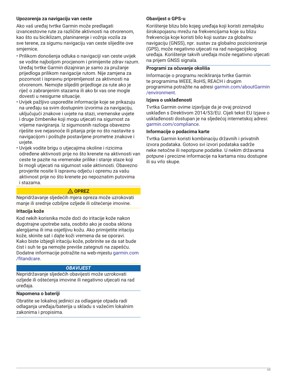## **Upozorenja za navigaciju van ceste**

Ako vaš uređaj tvrtke Garmin može predlagati izvancestovne rute za različite aktivnosti na otvorenom, kao što su biciklizam, planinarenje i vožnja vozila za sve terene, za sigurnu navigaciju van ceste slijedite ove smjernice.

- Prilikom donošenja odluka o navigaciji van ceste uvijek se vodite najboljom procjenom i primijenite zdrav razum. Uređaj tvrtke Garmin dizajniran je samo za pružanje prijedloga prilikom navigacije rutom. Nije zamjena za pozornost i ispravnu pripremljenost za aktivnosti na otvorenom. Nemojte slijediti prijedloge za rute ako je riječ o zabranjenim stazama ili ako bi vas one mogle dovesti u nesigurne situacije.
- Uvijek pažljivo usporedite informacije koje se prikazuju na uređaju sa svim dostupnim izvorima za navigaciju, uključujući znakove i uvjete na stazi, vremenske uvjete i druge čimbenike koji mogu utjecati na sigurnost za vrijeme navigiranja. Iz sigurnosnih razloga obavezno riješite sve nejasnoće ili pitanja prije no što nastavite s navigacijom i poštujte postavljene prometne znakove i uvjete.
- Uvijek vodite brigu o utjecajima okoline i rizicima određene aktivnosti prije no što krenete na aktivnosti van ceste te pazite na vremenske prilike i stanje staze koji bi mogli utjecati na sigurnost vaše aktivnosti. Obavezno provjerite nosite li ispravnu odjeću i opremu za vašu aktivnost prije no što krenete po nepoznatim putovima i stazama.

## **OPREZ**

Nepridržavanje sljedećih mjera opreza može uzrokovati manje ili srednje ozbiljne ozljede ili oštećenje imovine.

## **Iritacija kože**

Kod nekih korisnika može doći do iritacije kože nakon dugotrajne upotrebe sata, osobito ako je osoba sklona alergijama ili ima osjetljivu kožu. Ako primijetite iritaciju kože, skinite sat i dajte koži vremena da se oporavi. Kako biste izbjegli iritaciju kože, pobrinite se da sat bude čist i suh te ga nemojte previše zategnuti na zapešću. Dodatne informacije potražite na web-mjestu [garmin.com](http://www.garmin.com/fitandcare) [/fitandcare](http://www.garmin.com/fitandcare).

## *OBAVIJEST*

Nepridržavanje sljedećih obavijesti može uzrokovati ozljede ili oštećenja imovine ili negativno utjecati na rad uređaja.

## **Napomena o bateriji**

Obratite se lokalnoj jedinici za odlaganje otpada radi odlaganja uređaja/baterija u skladu s važećim lokalnim zakonima i propisima.

## **Obavijest o GPS-u**

Korištenje blizu bilo kojeg uređaja koji koristi zemaljsku širokopojasnu mrežu na frekvencijama koje su blizu frekvencija koje koristi bilo koji sustav za globalnu navigaciju (GNSS), npr. sustav za globalno pozicioniranje (GPS), može negativno utjecati na rad navigacijskog uređaja. Korištenje takvih uređaja može negativno utjecati na prijem GNSS signala.

## **Programi za očuvanje okoliša**

Informacije o programu recikliranja tvrtke Garmin te programima WEEE, RoHS, REACH i drugim programima potražite na adresi [garmin.com/aboutGarmin](http://www.garmin.com/aboutGarmin/environment) [/environment.](http://www.garmin.com/aboutGarmin/environment)

#### **Izjava o usklađenosti**

Tvrtka Garmin ovime izjavljuje da je ovaj proizvod usklađen s Direktivom 2014/53/EU. Cijeli tekst EU Izjave o usklađenosti dostupan je na sljedećoj internetskoj adresi: [garmin.com/compliance](http://www.garmin.com/compliance).

#### **Informacije o podacima karte**

Tvrtka Garmin koristi kombinaciju državnih i privatnih izvora podataka. Gotovo svi izvori podataka sadrže neke netočne ili nepotpune podatke. U nekim državama potpune i precizne informacije na kartama nisu dostupne ili su vrlo skupe.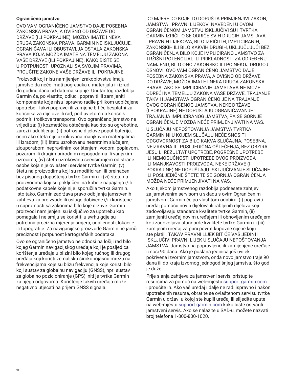## **Ograničeno jamstvo**

OVO VAM OGRANIČENO JAMSTVO DAJE POSEBNA ZAKONSKA PRAVA, A OVISNO OD DRŽAVE DO DRŽAVE (ILI POKRAJINE), MOŽDA IMATE I NEKA DRUGA ZAKONSKA PRAVA. GARMIN NE ISKLJUČUJE, OGRANIČAVA ILI OBUSTAVLJA OSTALA ZAKONSKA PRAVA KOJA MOŽDA IMATE NA TEMELJU ZAKONA VAŠE DRŽAVE (ILI POKRAJINE). KAKO BISTE SE U POTPUNOSTI UPOZNALI SA SVOJIM PRAVIMA, PROUČITE ZAKONE VAŠE DRŽAVE ILI POKRAJINE.

Proizvodi koji nisu namijenjeni zrakoplovstvu imaju jamstvo da neće imati pogrešaka u materijalu ili izradi do godinu dana od datuma kupnje. Unutar tog razdoblja Garmin će, po vlastitoj odluci, popraviti ili zamijeniti komponente koje nisu ispravno radile prilikom uobičajene upotrebe. Takvi popravci ili zamjene bit će besplatni za korisnika za dijelove ili rad, pod uvjetom da korisnik podmiri troškove transporta. Ovo ograničeno jamstvo ne vrijedi za: (i) kozmetička oštećenja kao što su ogrebotine, zarezi i udubljenja; (ii) potrošne dijelove poput baterija, osim ako šteta nije uzrokovana manjkavim materijalima ili izradom; (iii) štetu uzrokovanu nesretnim slučajem, zlouporabom, nepravilnim korištenjem, vodom, poplavom, požarom ili drugim prirodnim nepogodama ili vanjskim uzrocima; (iv) štetu uzrokovanu servisiranjem od strane osobe koja nije ovlašteni serviser tvrtke Garmin; (v) štetu na proizvodima koji su modificirani ili preinačeni bez pisanog dopuštenja tvrtke Garmin ili (vi) štetu na proizvodima koji su priključeni na kabele napajanja i/ili podatkovne kabele koje nije isporučila tvrtka Garmin. Isto tako, Garmin zadržava pravo odbijanja jamstvenih zahtjeva za proizvode ili usluge dobivene i/ili korištene u suprotnosti sa zakonima bilo koje države. Garmin proizvodi namijenjeni su isključivo za upotrebu kao pomagala i ne smiju se koristiti u svrhu gdje su potrebna precizna mjerenja smjera, udaljenosti, lokacije ili topografije. Za navigacijske proizvode Garmin ne jamči preciznost i potpunost kartografskih podataka.

Ovo se ograničeno jamstvo ne odnosi na lošiji rad bilo kojeg Garmin navigacijskog uređaja koji je posljedica korištenja uređaja u blizini bilo kojeg ručnog ili drugog uređaja koji koristi zemaljsku širokopojasnu mrežu na frekvencijama koje su blizu frekvencija koje koristi bilo koji sustav za globalnu navigaciju (GNSS), npr. sustav za globalno pozicioniranje (GPS), niti je tvrtka Garmin za njega odgovorna. Korištenje takvih uređaja može negativno utjecati na prijem GNSS signala.

DO MJERE DO KOJE TO DOPUŠTA PRIMJENJIVI ZAKON, JAMSTVA I PRAVNI LIJEKOVI NAVEDENI U OVOM OGRANIČENOM JAMSTVU ISKLJUČIVI SU I TVRTKA GARMIN IZRIČITO SE ODRIČE SVIH DRUGIH JAMSTAVA I PRAVNIH LIJEKOVA, BILO IZRIČITIH, IMPLICIRANIH, ZAKONSKIH ILI BILO KAKVIH DRUGIH, UKLJUČUJUĆI BEZ OGRANIČENJA BILO KOJE IMPLICIRANO JAMSTVO ZA TRŽIŠNI POTENCIJAL ILI PRIKLADNOSTI ZA ODREĐENU NAMJENU, BILO ONO ZAKONSKO ILI PO NEKOJ DRUGOJ OSNOVI. OVO VAM OGRANIČENO JAMSTVO DAJE POSEBNA ZAKONSKA PRAVA, A OVISNO OD DRŽAVE DO DRŽAVE, MOŽDA IMATE I NEKA DRUGA ZAKONSKA PRAVA. AKO SE IMPLICIRANIH JAMSTAVA NE MOŽE ODREĆI NA TEMELJU ZAKONA VAŠE DRŽAVE, TRAJANJE TAKVIH JAMSTAVA OGRANIČENO JE NA TRAJANJE OVOG OGRANIČENOG JAMSTVA. NEKE DRŽAVE (I POKRAJINE) NE DOPUŠTAJU OGRANIČAVANJE TRAJANJA IMPLICIRANOG JAMSTVA, PA SE GORNJE OGRANIČENJE MOŽDA NEĆE PRIMJENJIVATI NA VAS.

U SLUČAJU NEPOŠTOVANJA JAMSTVA TVRTKA GARMIN NI U KOJEM SLUČAJU NEĆE SNOSITI ODGOVORNOST ZA BILO KAKVA SLUČAJNA, POSEBNA, NEIZRAVNA ILI POSLJEDIČNA OŠTEĆENJA, BEZ OBZIRA JESU LI REZULTAT UPOTREBE, POGREŠNE UPOTREBE ILI NEMOGUĆNOSTI UPOTREBE OVOG PROIZVODA ILI MANJKAVOSTI PROIZVODA. NEKE DRŽAVE (I POKRAJINE) NE DOPUŠTAJU ISKLJUČIVANJE SLUČAJNE ILI POSLJEDIČNE ŠTETE TE SE GORNJA OGRANIČENJA MOŽDA NEĆE PRIMJENJIVATI NA VAS.

Ako tijekom jamstvenog razdoblja podnesete zahtjev za jamstvenim servisom u skladu s ovim Ograničenim jamstvom, Garmin će po vlastitom odabiru: (i) popraviti uređaj pomoću novih dijelova ili rabljenih dijelova koji zadovoljavaju standarde kvalitete tvrtke Garmin, (ii) zamijeniti uređaj novim uređajem ili obnovljenim uređajem koji zadovoljava standarde kvalitete tvrtke Garmin ili (iii) zamijeniti uređaj za puni povrat kupovne cijene koju ste platili. TAKAV PRAVNI LIJEK BIT ĆE VAŠ JEDINI I ISKLJUČIVI PRAVNI LIJEK U SLUČAJU NEPOŠTOVANJA JAMSTVA. Jamstvo na popravljene ili zamijenjene uređaje iznosi 90 dana. Ako je poslana jedinica još uvijek pokrivena izvornim jamstvom, onda novo jamstvo traje 90 dana ili do kraja izvornog jednogodišnjeg jamstva, što god je duže.

Prije slanja zahtjeva za jamstveni servis, pristupite resursima za pomoć na web-mjestu [support.garmin.com](http://www.support.garmin.com) i proučite ih. Ako vaš uređaj i dalje ne radi ispravno i nakon upotrebe tih resursa, obratite se ovlaštenom servisu tvrtke Garmin u državi u kojoj ste kupili uređaj ili slijedite upute na web-mjestu [support.garmin.com](http://www.support.garmin.com) kako biste ostvarili jamstveni servis. Ako se nalazite u SAD-u, možete nazvati broj telefona 1-800-800-1020.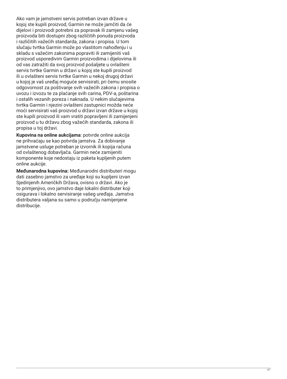Ako vam je jamstveni servis potreban izvan države u kojoj ste kupili proizvod, Garmin ne može jamčiti da će dijelovi i proizvodi potrebni za popravak ili zamjenu vašeg proizvoda biti dostupni zbog različitih ponuda proizvoda i različitih važećih standarda, zakona i propisa. U tom slučaju tvrtka Garmin može po vlastitom nahođenju i u skladu s važećim zakonima popraviti ili zamijeniti vaš proizvod usporedivim Garmin proizvodima i dijelovima ili od vas zatražiti da svoj proizvod pošaljete u ovlašteni servis tvrtke Garmin u državi u kojoj ste kupili proizvod ili u ovlašteni servis tvrtke Garmin u nekoj drugoj državi u kojoj je vaš uređaj moguće servisirati, pri čemu snosite odgovornost za poštivanje svih važećih zakona i propisa o uvozu i izvozu te za plaćanje svih carina, PDV-a, poštarina i ostalih vezanih poreza i naknada. U nekim slučajevima tvrtka Garmin i njezini ovlašteni zastupnici možda neće moći servisirati vaš proizvod u državi izvan države u kojoj ste kupili proizvod ili vam vratiti popravljeni ili zamijenjeni proizvod u tu državu zbog važećih standarda, zakona ili propisa u toj državi.

**Kupovina na online aukcijama**: potvrde online aukcija ne prihvaćaju se kao potvrda jamstva. Za dobivanje jamstvene usluge potreban je izvornik ili kopija računa od ovlaštenog dobavljača. Garmin neće zamijeniti komponente koje nedostaju iz paketa kupljenih putem online aukcije.

**Međunarodna kupovina:** Međunarodni distributeri mogu dati zasebno jamstvo za uređaje koji su kupljeni izvan Sjedinjenih Američkih Država, ovisno o državi. Ako je to primjenjivo, ovo jamstvo daje lokalni distributer koji osigurava i lokalno servisiranje vašeg uređaja. Jamstva distributera valjana su samo u području namijenjene distribucije.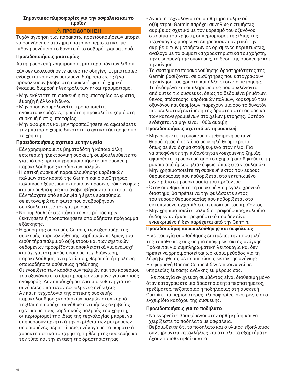### **Σημαντικές πληροφορίες για την ασφάλεια και το προϊόν**

## **ΠΡΟΕΙΔΟΠΟΙΗΣΗ**

Τυχόν αγνόηση των παρακάτω προειδοποιήσεων μπορεί να οδηγήσει σε ατύχημα ή ιατρικό περιστατικό, με πιθανή συνέπεια το θάνατο ή το σοβαρό τραυματισμό.

## **Προειδοποιήσεις μπαταρίας**

Αυτή η συσκευή χρησιμοποιεί μπαταρία ιόντων λιθίου.

Εάν δεν ακολουθήσετε αυτές τις οδηγίες, οι μπαταρίες ενδέχεται να έχουν μειωμένη διάρκεια ζωής ή να προκαλέσουν βλάβη στη συσκευή, φωτιά, χημικό έγκαυμα, διαρροή ηλεκτρολυτών ή/και τραυματισμό.

- Μην εκθέτετε τη συσκευή ή τις μπαταρίες σε φωτιά, έκρηξη ή άλλο κίνδυνο.
- Μην αποσυναρμολογείτε, τροποποιείτε, ανακατασκευάζετε, τρυπάτε ή προκαλείτε ζημιά στη συσκευή ή στις μπαταρίες.
- Μην αφαιρείτε και μην προσπαθήσετε να αφαιρέσετε την μπαταρία χωρίς δυνατότητα αντικατάστασης από το χρήστη.

## **Προειδοποιήσεις σχετικά με την υγεία**

- Εάν χρησιμοποιείτε βηματοδότη ή κάποια άλλη εσωτερική ηλεκτρονική συσκευή, συμβουλευθείτε το γιατρό σας προτού χρησιμοποιήσετε μια συσκευή παρακολούθησης καρδιακών παλμών.
- Η οπτική συσκευή παρακολούθησης καρδιακών παλμών στον καρπό της Garmin και ο αισθητήρας παλμικού οξύμετρου εκπέμπουν πράσινο, κόκκινο φως και υπέρυθρο φως και αναβοσβήνουν περιστασιακά. Εάν πάσχετε από επιληψία ή έχετε ευαισθησία σε έντονα φώτα ή φώτα που αναβοσβήνουν, συμβουλευτείτε τον γιατρό σας.
- Να συμβουλεύεστε πάντα το γιατρό σας πριν ξεκινήσετε ή τροποποιήσετε οποιοδήποτε πρόγραμμα εξάσκησης.
- Η χρήση της συσκευής Garmin, των αξεσουάρ, της συσκευής παρακολούθησης καρδιακών παλμών, του αισθητήρα παλμικού οξύμετρου και των σχετικών δεδομένων προορίζονται αποκλειστικά για αναψυχή και όχι για ιατρικούς σκοπούς, π.χ. διάγνωση, παρακολούθηση, αντιμετώπιση, θεραπεία ή πρόληψη οποιασδήποτε ασθένειας ή πάθησης.
- Οι ενδείξεις των καρδιακών παλμών και του κορεσμού του οξυγόνου στο αίμα προορίζονται μόνο για σκοπούς αναφοράς. Δεν αποδεχόμαστε καμία ευθύνη για τις συνέπειες από τυχόν εσφαλμένες ενδείξεις.
- Αν και η τεχνολογία της οπτικής συσκευής παρακολούθησης καρδιακών παλμών στον καρπό τηςGarmin παρέχει συνήθως εκτιμήσεις ακριβείας σχετικά με τους καρδιακούς παλμούς του χρήστη, οι περιορισμοί της ίδιας της τεχνολογίας μπορεί να επηρεάσουν αρνητικά την ακρίβεια των μετρήσεων σε ορισμένες περιπτώσεις, ανάλογα με τα σωματικά χαρακτηριστικά του χρήστη, τη θέση της συσκευής και τον τύπο και την ένταση της δραστηριότητας.
- Αν και η τεχνολογία του αισθητήρα παλμικού οξύμετρου Garmin παρέχει συνήθως εκτιμήσεις ακριβείας σχετικά με τον κορεσμό του οξυγόνου στο αίμα του χρήστη, οι περιορισμοί της ίδιας της τεχνολογίας μπορεί να επηρεάσουν αρνητικά την ακρίβεια των μετρήσεων σε ορισμένες περιπτώσεις, ανάλογα με τα σωματικά χαρακτηριστικά του χρήστη, την εφαρμογή της συσκευής, τη θέση της συσκευής και την κίνηση.
- Τα συστήματα παρακολούθησης δραστηριότητας της Garmin βασίζονται σε αισθητήρες που καταγράφουν την κίνηση του χρήστη και άλλα στοιχεία μέτρησης. Τα δεδομένα και οι πληροφορίες που συλλέγονται από αυτές τις συσκευές, όπως τα δεδομένα βημάτων, ύπνου, απόστασης, καρδιακών παλμών, κορεσμού του οξυγόνου και θερμίδων, παρέχουν μια όσο το δυνατόν πιο ρεαλιστική εκτίμηση της δραστηριότητάς σας και των καταγεγραμμένων στοιχείων μέτρησης. Ωστόσο ενδέχεται να μην είναι 100% ακριβή.

## **Προειδοποιήσεις σχετικά με τη συσκευή**

- Μην αφήνετε τη συσκευή εκτεθειμένη σε πηγή θερμότητας ή σε χώρο με υψηλή θερμοκρασία, όπως σε ένα όχημα σταθμευμένο στον ήλιο. Για να αποφύγετε την πιθανότητα ενδεχόμενης ζημιάς, αφαιρέστε τη συσκευή από το όχημα ή αποθηκεύστε τη μακριά από άμεσο ηλιακό φως, όπως στο ντουλαπάκι.
- Μην χρησιμοποιείτε τη συσκευή εκτός του εύρους θερμοκρασίας που καθορίζεται στο εκτυπωμένο εγχειρίδιο στη συσκευασία του προϊόντος.
- Όταν αποθηκεύετε τη συσκευή για μεγάλο χρονικό διάστημα, θα πρέπει να την φυλάσσετε εντός του εύρους θερμοκρασίας που καθορίζεται στο εκτυπωμένο εγχειρίδιο στη συσκευή του προϊόντος.
- Μην χρησιμοποιείτε καλώδιο τροφοδοσίας, καλώδιο δεδομένων ή/και τροφοδοτικό που δεν είναι εγκεκριμένο ή δεν παρέχεται από την Garmin.

## **Προειδοποίηση παρακολούθησης και ασφάλειας**

Η λειτουργία υποβοήθησης επιτρέπει την αποστολή της τοποθεσίας σας σε μια επαφή έκτακτης ανάγκης. Πρόκειται για συμπληρωματική λειτουργία και δεν πρέπει να χρησιμοποιείται ως κύρια μέθοδος για τη λήψη βοήθειας σε περιπτώσεις έκτακτης ανάγκης. Η εφαρμογή Garmin Connect δεν επικοινωνεί με υπηρεσίες έκτασης ανάγκης εκ μέρους σας.

Η λειτουργία ανίχνευση συμβάντος είναι διαθέσιμη μόνο όταν καταγράφετε μια δραστηριότητα περπατήματος, τρεξίματος, πεζοπορίας ή ποδηλασίας στη συσκευή Garmin. Για περισσότερες πληροφορίες, ανατρέξτε στο εγχειρίδιο κατόχου της συσκευής.

## **Προειδοποιήσεις για το ποδήλατο**

- Να ενεργείτε βασιζόμενοι στην ορθή κρίση και να χειρίζεστε το ποδήλατο με ασφάλεια.
- Βεβαιωθείτε ότι το ποδήλατο και ο υλικός εξοπλισμός συντηρούνται καταλλήλως και ότι όλα τα εξαρτήματα έχουν τοποθετηθεί σωστά.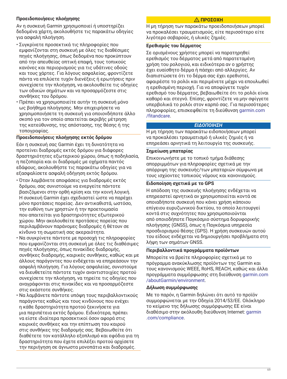## **Προειδοποιήσεις πλοήγησης**

Αν η συσκευή Garmin χρησιμοποιεί ή υποστηρίζει δεδομένα χάρτη, ακολουθήστε τις παρακάτω οδηγίες για ασφαλή πλοήγηση.

- Συγκρίνετε προσεκτικά τις πληροφορίες που εμφανίζονται στη συσκευή με όλες τις διαθέσιμες πηγές πλοήγησης, όπως δεδομένα που προκύπτουν από την απευθείας οπτική επαφή, τους τοπικούς κανόνες και περιορισμούς για τις υδάτινες οδούς και τους χάρτες. Για λόγους ασφαλείας, φροντίζετε πάντα να επιλύετε τυχόν διενέξεις ή ερωτήσεις πριν συνεχίσετε την πλοήγηση, να ακολουθείτε τις οδηγίες των οδικών σημάτων και να προσαρμόζεστε στις συνθήκες του δρόμου.
- Πρέπει να χρησιμοποιείτε αυτήν τη συσκευή μόνο ως βοήθημα πλοήγησης. Μην επιχειρήσετε να χρησιμοποιήσετε τη συσκευή για οποιονδήποτε άλλο σκοπό για τον οποίο απαιτείται ακριβής μέτρηση της κατεύθυνσης, της απόστασης, της θέσης ή της τοπογραφίας.

# **Προειδοποιήσεις πλοήγησης εκτός δρόμου**

Εάν η συσκευή σας Garmin έχει τη δυνατότητα να προτείνει διαδρομές εκτός δρόμου για διάφορες δραστηριότητες εξωτερικού χώρου, όπως η ποδηλασία, η πεζοπορία και οι διαδρομές με οχήματα παντός εδάφους, ακολουθήστε τις παρακάτω οδηγίες για να εξασφαλίσετε ασφαλή οδήγηση εκτός δρόμου.

- Όταν λαμβάνετε αποφάσεις για διαδρομές εκτός δρόμου, σας συνιστούμε να ενεργείτε πάντοτε βασιζόμενοι στην ορθή κρίση και την κοινή λογική. Η συσκευή Garmin έχει σχεδιαστεί ώστε να παρέχει μόνο προτάσεις πορείας. Δεν αντικαθιστά, ωστόσο, την ευθύνη των χρηστών ή την προετοιμασία που απαιτείται για δραστηριότητες εξωτερικού χώρου. Μην ακολουθείτε προτάσεις πορείας που περιλαμβάνουν παράνομες διαδρομές ή θέτουν σε κίνδυνο τη σωματική σας ακεραιότητα.
- Να συγκρίνετε πάντοτε με προσοχή τις πληροφορίες που εμφανίζονται στη συσκευή με όλες τις διαθέσιμες πηγές πλοήγησης, όπως πινακίδες διαδρομής, συνθήκες διαδρομής, καιρικές συνθήκες, καθώς και με άλλους παράγοντες που ενδέχεται να επηρεάσουν την ασφαλή πλοήγηση. Για λόγους ασφαλείας, συνιστούμε να διευθετείτε πάντοτε τυχόν αναντιστοιχίες προτού συνεχίσετε την πλοήγηση, να τηρείτε τις οδηγίες που αναγράφονται στις πινακίδες και να προσαρμόζεστε στις εκάστοτε συνθήκες.
- Να λαμβάνετε πάντοτε υπόψη τους περιβαλλοντικούς παράγοντες καθώς και τους κινδύνους που ενέχει η κάθε δραστηριότητα προτού ξεκινήσετε για μια περιπέτεια εκτός δρόμου. Ειδικότερα, πρέπει να είστε ιδιαίτερα προσεκτικοί όσον αφορά στις καιρικές συνθήκες και την επίπτωση του καιρού στις συνθήκες της διαδρομής σας. Βεβαιωθείτε ότι διαθέτετε τον κατάλληλο εξοπλισμό και εφόδια για τη δραστηριότητα που έχετε επιλέξει προτού αρχίσετε την περιήγηση σε άγνωστα μονοπάτια και διαδρομές.

# **ΠΡΟΣΟΧΗ**

Η μη τήρηση των παρακάτω προειδοποιήσεων μπορεί να προκαλέσει τραυματισμούς, είτε περισσότερο είτε λιγότερο σοβαρούς, ή υλικές ζημιές.

# **Ερεθισμός του δέρματος**

Σε ορισμένους χρήστες μπορεί να παρατηρηθεί ερεθισμός του δέρματος μετά από παρατεταμένη χρήση του ρολογιού, και ειδικότερα αν ο χρήστης έχει ευαίσθητο δέρμα ή πάσχει από αλλεργίες. Αν διαπιστώσετε ότι το δέρμα σας έχει ερεθιστεί, αφαιρέστε το ρολόι και περιμένετε μέχρι να επουλωθεί η ερεθισμένη περιοχή. Για να αποφύγετε τυχόν ερεθισμό του δέρματος, βεβαιωθείτε ότι το ρολόι είναι καθαρό και στεγνό. Επίσης, φροντίζετε να μην σφίγγετε υπερβολικά το ρολόι στον καρπό σας. Για περισσότερες πληροφορίες, επισκεφθείτε τη διεύθυνση [garmin.com](http://www.garmin.com/fitandcare) [/fitandcare](http://www.garmin.com/fitandcare).

## *ΕΙΔΟΠΟΙΗΣΗ*

Η μη τήρηση των παρακάτω ειδοποιήσεων μπορεί να προκαλέσει τραυματισμό ή υλικές ζημιές ή να επηρεάσει αρνητικά τη λειτουργία της συσκευής.

## **Σημείωση μπαταρίας**

Επικοινωνήστε με το τοπικό τμήμα διάθεσης απορριμμάτων για πληροφορίες σχετικά με την απόρριψη της συσκευής/των μπαταριών σύμφωνα με τους ισχύοντες τοπικούς νόμους και κανονισμούς.

## **Ειδοποίηση σχετικά με το GPS**

Η απόδοση της συσκευής πλοήγησης ενδέχεται να επηρεαστεί αρνητικά αν χρησιμοποιείται κοντά σε οποιαδήποτε συσκευή που κάνει χρήση κάποιου επίγειου ευρυζωνικού δικτύου, το οποίο λειτουργεί κοντά στις συχνότητες που χρησιμοποιούνται από οποιοδήποτε Παγκόσμιο σύστημα δορυφορικής πλοήγησης (GNSS), όπως η Παγκόσμια υπηρεσία προσδιορισμού θέσης (GPS). Η χρήση συσκευών αυτού του είδους ενδέχεται να δημιουργήσει προβλήματα στη λήψη των σημάτων GNSS.

## **Περιβαλλοντικά προγράμματα προϊόντων**

Μπορείτε να βρείτε πληροφορίες σχετικά με το πρόγραμμα ανακύκλωσης προϊόντων της Garmin και τους κανονισμούς WEEE, RoHS, REACH, καθώς και άλλα προγράμματα συμμόρφωσης στη διεύθυνση [garmin.com](http://www.garmin.com/aboutGarmin/environment) [/aboutGarmin/environment.](http://www.garmin.com/aboutGarmin/environment)

## **Δήλωση συμμόρφωσης**

Με το παρόν, η Garmin δηλώνει ότι αυτό το προϊόν συμμορφώνεται με την Οδηγία 2014/53/ΕΕ. Ολόκληρο το κείμενο της δήλωσης συμμόρφωσης ΕΕ είναι διαθέσιμο στην ακόλουθη διεύθυνση Internet: [garmin](http://www.garmin.com/compliance) [.com/compliance](http://www.garmin.com/compliance).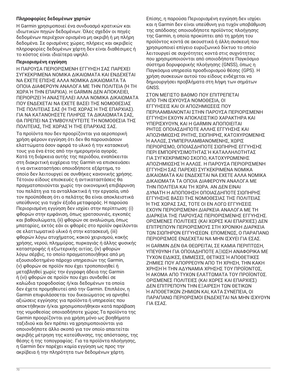## **Πληροφορίες δεδομένων χαρτών**

H Garmin χρησιμοποιεί ένα συνδυασμό κρατικών και ιδιωτικών πηγών δεδομένων. Όλες σχεδόν οι πηγές δεδομένων περιέχουν ορισμένα μη ακριβή ή μη πλήρη δεδομένα. Σε ορισμένες χώρες, πλήρεις και ακριβείς πληροφορίες δεδομένων χάρτη δεν είναι διαθέσιμες ή το κόστος είναι ιδιαίτερα υψηλό.

## **Περιορισμένη εγγύηση**

Η ΠΑΡΟΥΣΑ ΠΕΡΙΟΡΙΣΜΕΝΗ ΕΓΓΥΗΣΗ ΣΑΣ ΠΑΡΕΧΕΙ ΣΥΓΚΕΚΡΙΜΕΝΑ ΝΟΜΙΚΑ ΔΙΚΑΙΩΜΑΤΑ ΚΑΙ ΕΝΔΕΧΕΤΑΙ ΝΑ ΕΧΕΤΕ ΕΠΙΣΗΣ ΑΛΛΑ ΝΟΜΙΚΑ ΔΙΚΑΙΩΜΑΤΑ ΤΑ ΟΠΟΙΑ ΔΙΑΦΕΡΟΥΝ ΑΝΑΛΟΓΑ ΜΕ ΤΗΝ ΠΟΛΙΤΕΙΑ (Ή ΤΗ ΧΩΡΑ Ή ΤΗΝ ΕΠΑΡΧΙΑ). Η GARMIN ΔΕΝ ΑΠΟΚΛΕΙΕΙ, ΠΕΡΙΟΡΙΖΕΙ Ή ΑΝΑΣΤΕΛΛΕΙ ΑΛΛΑ ΝΟΜΙΚΑ ΔΙΚΑΙΩΜΑΤΑ ΠΟΥ ΕΝΔΕΧΕΤΑΙ ΝΑ ΕΧΕΤΕ ΒΑΣΕΙ ΤΗΣ ΝΟΜΟΘΕΣΙΑΣ ΤΗΣ ΠΟΛΙΤΕΙΑΣ ΣΑΣ (Ή ΤΗΣ ΧΩΡΑΣ Ή ΤΗΣ ΕΠΑΡΧΙΑΣ). ΓΙΑ ΝΑ ΚΑΤΑΝΟΗΣΕΤΕ ΠΛΗΡΩΣ ΤΑ ΔΙΚΑΙΩΜΑΤΑ ΣΑΣ, ΘΑ ΠΡΕΠΕΙ ΝΑ ΣΥΜΒΟΥΛΕΥΤΕΙΤΕ ΤΗ ΝΟΜΟΘΕΣΙΑ ΤΗΣ ΠΟΛΙΤΕΙΑΣ, ΤΗΣ ΧΩΡΑΣ Ή ΤΗΣ ΕΠΑΡΧΙΑΣ ΣΑΣ.

Τα προϊόντα που δεν προορίζονται για αεροπορική χρήση φέρουν εγγύηση ότι δεν θα παρουσιάσουν ελαττώματα όσον αφορά το υλικό ή την κατασκευή τους για ένα έτος από την ημερομηνία αγοράς. Κατά τη διάρκεια αυτής της περιόδου, εναπόκειται στη διακριτική ευχέρεια της Garmin να επισκευάσει ή να αντικαταστήσει οποιοδήποτε εξάρτημα, το οποίο δεν λειτουργεί σε συνθήκες κανονικής χρήσης. Τέτοιου είδους επισκευές ή αντικαταστάσεις θα πραγματοποιούνται χωρίς την οικονομική επιβάρυνση του πελάτη για τα ανταλλακτικά ή την εργασία, υπό τον προϋπόθεση ότι ο πελάτης θα είναι αποκλειστικά υπεύθυνος για τυχόν έξοδα μεταφοράς. Η παρούσα Περιορισμένη εγγύηση δεν ισχύει στην περίπτωση: (i) φθορών στην εμφάνιση, όπως γρατσουνιές, εγκοπές και βαθουλώματα, (ii) φθορών σε αναλώσιμα, όπως μπαταρίες, εκτός εάν οι φθορές στο προϊόν οφείλονται σε ελαττωματικό υλικό ή στην κατασκευή, (iii) φθορών λόγω ατυχήματος, κακού χειρισμού, κακής χρήσης, νερού, πλημμύρας, πυρκαγιάς ή άλλης φυσικής καταστροφής ή εξωτερικής αιτίας, (iv) φθορών λόγω σέρβις, το οποίο πραγματοποιήθηκε από μη εξουσιοδοτημένο πάροχο υπηρεσιών της Garmin, (v) φθορών σε προϊόν που έχει τροποποιηθεί ή μεταβληθεί χωρίς την έγγραφη άδεια της Garmin ή (vi) φθορών σε προϊόν που έχει συνδεθεί σε καλώδια τροφοδοσίας ή/και δεδομένων τα οποία δεν έχετε προμηθευτεί από την Garmin. Επιπλέον, η Garmin επιφυλάσσεται του δικαιώματος να αρνηθεί αξιώσεις εγγύησης για προϊόντα ή υπηρεσίες που αποκτήθηκαν ή/και χρησιμοποιήθηκαν κατά παράβαση της νομοθεσίας οποιασδήποτε χώρας.Τα προϊόντα της Garmin προορίζονται για χρήση μόνο ως βοηθήματα ταξιδιού και δεν πρέπει να χρησιμοποιούνται για οποιονδήποτε άλλο σκοπό για τον οποίο απαιτείται ακριβής μέτρηση της κατεύθυνσης, της απόστασης, της θέσης ή της τοπογραφίας. Για τα προϊόντα πλοήγησης, η Garmin δεν παρέχει καμία εγγύηση ως προς την ακρίβεια ή την πληρότητα των δεδομένων χάρτη.

Επίσης, η παρούσα Περιορισμένη εγγύηση δεν ισχύει και η Garmin δεν είναι υπεύθυνη για τυχόν υποβάθμιση της απόδοσης οποιουδήποτε προϊόντος πλοήγησης της Garmin, η οποία προκύπτει από τη χρήση του προϊόντος κοντά σε ακουστικά ή άλλη συσκευή που χρησιμοποιεί επίγειο ευρυζωνικό δίκτυο το οποίο λειτουργεί σε συχνότητες κοντά στις συχνότητες που χρησιμοποιούνται από οποιοδήποτε Παγκόσμιο σύστημα δορυφορικής πλοήγησης (GNSS), όπως η Παγκόσμια υπηρεσία προσδιορισμού θέσης (GPS). Η χρήση συσκευών αυτού του είδους ενδέχεται να δημιουργήσει προβλήματα στη λήψη των σημάτων GNSS.

ΣΤΟΝ ΜΕΓΙΣΤΟ ΒΑΘΜΟ ΠΟΥ ΕΠΙΤΡΕΠΕΤΑΙ ΑΠΟ ΤΗΝ ΙΣΧΥΟΥΣΑ ΝΟΜΟΘΕΣΙΑ, ΟΙ ΕΓΓΥΗΣΕΙΣ ΚΑΙ ΟΙ ΑΠΟΖΗΜΙΩΣΕΙΣ ΠΟΥ ΠΕΡΙΛΑΜΒΑΝΟΝΤΑΙ ΣΤΗΝ ΠΑΡΟΥΣΑ ΠΕΡΙΟΡΙΣΜΕΝΗ ΕΓΓΥΗΣΗ ΕΧΟΥΝ ΑΠΟΚΛΕΙΣΤΙΚΟ ΧΑΡΑΚΤΗΡΑ ΚΑΙ ΥΠΕΡΙΣΧΥΟΥΝ, ΚΑΙ Η GARMIN ΑΠΟΠΟΙΕΙΤΑΙ ΡΗΤΩΣ ΟΠΟΙΑΣΔΗΠΟΤΕ ΑΛΛΗΣ ΕΓΓΥΗΣΗΣ ΚΑΙ ΑΠΟΖΗΜΙΩΣΗΣ ΡΗΤΗΣ, ΣΙΩΠΗΡΗΣ, ΚΑΤΟΧΥΡΩΜΕΝΗΣ Ή ΑΛΛΩΣ, ΣΥΜΠΕΡΙΛΑΜΒΑΝΟΜΕΝΗΣ, ΧΩΡΙΣ ΠΕΡΙΟΡΙΣΜΟ, ΟΠΟΙΑΣΔΗΠΟΤΕ ΣΙΩΠΗΡΗΣ ΕΓΓΥΗΣΗΣ ΠΕΡΙ ΕΜΠΟΡΕΥΣΙΜΟΤΗΤΑΣ Ή ΚΑΤΑΛΛΗΛΟΤΗΤΑΣ ΓΙΑ ΣΥΓΚΕΚΡΙΜΕΝΟ ΣΚΟΠΟ, ΚΑΤΟΧΥΡΩΜΕΝΗΣ ΑΠΟΖΗΜΙΩΣΗΣ Ή ΑΛΛΩΣ. Η ΠΑΡΟΥΣΑ ΠΕΡΙΟΡΙΣΜΕΝΗ ΕΓΓΥΗΣΗ ΣΑΣ ΠΑΡΕΧΕΙ ΣΥΓΚΕΚΡΙΜΕΝΑ ΝΟΜΙΚΑ ΔΙΚΑΙΩΜΑΤΑ ΚΑΙ ΕΝΔΕΧΕΤΑΙ ΝΑ ΕΧΕΤΕ ΑΛΛΑ ΝΟΜΙΚΑ ΔΙΚΑΙΩΜΑΤΑ ΤΑ ΟΠΟΙΑ ΔΙΑΦΕΡΟΥΝ ΑΝΑΛΟΓΑ ΜΕ ΤΗΝ ΠΟΛΙΤΕΙΑ ΚΑΙ ΤΗ ΧΩΡΑ. ΑΝ ΔΕΝ ΕΙΝΑΙ ΔΥΝΑΤΗ Η ΑΠΟΠΟΙΗΣΗ ΟΠΟΙΑΣΔΗΠΟΤΕ ΣΙΩΠΗΡΗΣ ΕΓΓΥΗΣΗΣ ΒΑΣΕΙ ΤΗΣ ΝΟΜΟΘΕΣΙΑΣ ΤΗΣ ΠΟΛΙΤΕΙΑΣ Ή ΤΗΣ ΧΩΡΑΣ ΣΑΣ, ΤΟΤΕ ΟΙ ΕΝ ΛΟΓΩ ΕΓΓΥΗΣΕΙΣ ΕΧΟΥΝ ΠΕΡΙΟΡΙΣΜΕΝΗ ΔΙΑΡΚΕΙΑ ΑΝΑΛΟΓΑ ΜΕ ΤΗ ΔΙΑΡΚΕΙΑ ΤΗΣ ΠΑΡΟΥΣΑΣ ΠΕΡΙΟΡΙΣΜΕΝΗΣ ΕΓΓΥΗΣΗΣ. ΟΡΙΣΜΕΝΕΣ ΠΟΛΙΤΕΙΕΣ (ΚΑΙ ΧΩΡΕΣ ΚΑΙ ΕΠΑΡΧΙΕΣ) ΔΕΝ ΕΠΙΤΡΕΠΟΥΝ ΠΕΡΙΟΡΙΣΜΟΥΣ ΣΤΗ ΧΡΟΝΙΚΗ ΔΙΑΡΚΕΙΑ ΤΩΝ ΣΙΩΠΗΡΩΝ ΕΓΓΥΗΣΕΩΝ. ΕΠΟΜΕΝΩΣ, Ο ΠΑΡΑΠΑΝΩ ΠΕΡΙΟΡΙΣΜΟΣ ΕΝΔΕΧΕΤΑΙ ΝΑ ΜΗΝ ΙΣΧΥΕΙ ΓΙΑ ΕΣΑΣ.

Η GARMIN ΔΕΝ ΘΑ ΘΕΩΡΕΙΤΑΙ, ΣΕ ΚΑΜΙΑ ΠΕΡΙΠΤΩΣΗ, ΥΠΕΥΘΥΝΗ ΓΙΑ ΟΠΟΙΑΔΗΠΟΤΕ ΑΞΙΩΣΗ ΑΝΑΦΟΡΙΚΑ ΜΕ ΤΥΧΟΝ ΕΙΔΙΚΕΣ, ΕΜΜΕΣΕΣ, ΘΕΤΙΚΕΣ Ή ΑΠΟΘΕΤΙΚΕΣ ΖΗΜΙΕΣ ΠΟΥ ΑΠΟΡΡΕΟΥΝ ΑΠΟ ΤΗ ΧΡΗΣΗ, ΤΗΝ ΚΑΚΗ ΧΡΗΣΗ Ή ΤΗΝ ΑΔΥΝΑΜΙΑ ΧΡΗΣΗΣ ΤΟΥ ΠΡΟΪΟΝΤΟΣ, Ή ΑΚΟΜΑ ΑΠΟ ΤΥΧΟΝ ΕΛΑΤΤΩΜΑΤΑ ΤΟΥ ΠΡΟΪΟΝΤΟΣ. ΟΡΙΣΜΕΝΕΣ ΠΟΛΙΤΕΙΕΣ (ΚΑΙ ΧΩΡΕΣ ΚΑΙ ΕΠΑΡΧΙΕΣ) ΔΕΝ ΕΠΙΤΡΕΠΟΥΝ ΤΗΝ ΕΞΑΙΡΕΣΗ ΤΩΝ ΘΕΤΙΚΩΝ Ή ΑΠΟΘΕΤΙΚΩΝ ΖΗΜΙΩΝ ΚΑΙ, ΚΑΤΑ ΣΥΝΕΠΕΙΑ, ΟΙ ΠΑΡΑΠΑΝΩ ΠΕΡΙΟΡΙΣΜΟΙ ΕΝΔΕΧΕΤΑΙ ΝΑ ΜΗΝ ΙΣΧΥΟΥΝ ΓΙΑ ΕΣΑΣ.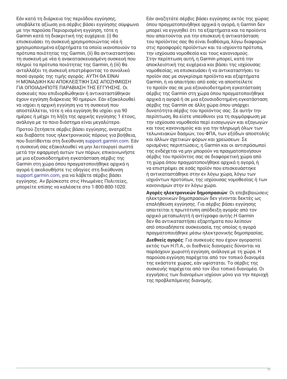Εάν κατά τη διάρκεια της περιόδου εγγύησης, υποβάλετε αξίωση για σέρβις βάσει εγγύησης σύμφωνα με την παρούσα Περιορισμένη εγγύηση, τότε η Garmin κατά τη διακριτική της ευχέρεια: (i) θα επισκευάσει τη συσκευή χρησιμοποιώντας νέα ή χρησιμοποιημένα εξαρτήματα τα οποία ικανοποιούν τα πρότυπα ποιότητας της Garmin, (ii) θα αντικαταστήσει τη συσκευή με νέα ή ανακατασκευασμένη συσκευή που πληροί τα πρότυπα ποιότητας της Garmin, ή (iii) θα ανταλλάξει τη συσκευή επιστρέφοντας το συνολικό ποσό αγοράς της τιμής αγοράς. ΑΥΤΗ ΘΑ ΕΙΝΑΙ Η ΜΟΝΑΔΙΚΗ ΚΑΙ ΑΠΟΚΛΕΙΣΤΙΚΗ ΣΑΣ ΑΠΟΖΗΜΙΩΣΗ ΓΙΑ ΟΠΟΙΑΔΗΠΟΤΕ ΠΑΡΑΒΙΑΣΗ ΤΗΣ ΕΓΓΥΗΣΗΣ. Οι συσκευές που επιδιορθώθηκαν ή αντικαταστάθηκαν έχουν εγγύηση διάρκειας 90 ημερών. Εάν εξακολουθεί να ισχύει η αρχική εγγύηση για τη συσκευή που αποστέλλεται, τότε η νέα εγγύηση θα ισχύει για 90 ημέρες ή μέχρι τη λήξη της αρχικής εγγύησης 1 έτους, ανάλογα με το ποιο διάστημα είναι μεγαλύτερο.

Προτού ζητήσετε σέρβις βάσει εγγύησης, ανατρέξτε και διαβάστε τους ηλεκτρονικούς πόρους για βοήθεια, που διατίθενται στη διεύθυνση [support.garmin.com](http://www.support.garmin.com). Εάν η συσκευή σας εξακολουθεί να μην λειτουργεί σωστά μετά την εφαρμογή αυτών των πόρων, επικοινωνήστε με μια εξουσιοδοτημένη εγκατάσταση σέρβις της Garmin στη χώρα όπου πραγματοποιήθηκε αρχικά η αγορά ή ακολουθήστε τις οδηγίες στη διεύθυνση [support.garmin.com](http://www.support.garmin.com), για να λάβετε σέρβις βάσει εγγύησης. Αν βρίσκεστε στις Ηνωμένες Πολιτείες, μπορείτε επίσης να καλέσετε στο 1-800-800-1020.

Εάν αναζητάτε σέρβις βάσει εγγύησης εκτός της χώρας όπου πραγματοποιήθηκε αρχικά η αγορά, η Garmin δεν μπορεί να εγγυηθεί ότι τα εξαρτήματα και τα προϊόντα που απαιτούνται για την επισκευή ή αντικατάσταση του προϊόντος σας θα είναι διαθέσιμα, λόγω διαφορών στις προσφορές προϊόντων και τα ισχύοντα πρότυπα, την ισχύουσα νομοθεσία και τους κανονισμούς. Στην περίπτωση αυτή, η Garmin μπορεί, κατά την αποκλειστική της ευχέρεια και βάσει της ισχύουσας νομοθεσίας, να επισκευάσει ή να αντικαταστήσει το προϊόν σας με συγκρίσιμα προϊόντα και εξαρτήματα Garmin, ή να απαιτήσει από εσάς να αποστείλετε το προϊόν σας σε μια εξουσιοδοτημένη εγκατάσταση σέρβις της Garmin στη χώρα όπου πραγματοποιήθηκε αρχικά η αγορά ή σε μια εξουσιοδοτημένη εγκατάσταση σέρβις της Garmin σε άλλη χώρα όπου υπάρχει δυνατότητα σέρβις του προϊόντος σας. Σε αυτήν την περίπτωση, θα είστε υπεύθυνοι για τη συμμόρφωση με την ισχύουσα νομοθεσία περί εισαγωγών και εξαγωγών και τους κανονισμούς και για την πληρωμή όλων των τελωνειακών δασμών, του ΦΠΑ, των εξόδων αποστολής και άλλων σχετικών φόρων και χρεώσεων. Σε ορισμένες περιπτώσεις, η Garmin και οι αντιπρόσωποί της ενδέχεται να μην μπορούν να πραγματοποιήσουν σέρβις του προϊόντος σας σε διαφορετική χώρα από τη χώρα όπου πραγματοποιήθηκε αρχικά η αγορά, ή να επιστρέψει σε εσάς προϊόν που επισκευάστηκε ή αντικαταστάθηκε στην εν λόγω χώρα, λόγω των ισχυόντων προτύπων, της ισχύουσας νομοθεσίας ή των κανονισμών στην εν λόγω χώρα.

**Αγορές ηλεκτρονικών δημοπρασιών**: Οι επιβεβαιώσεις ηλεκτρονικών δημοπρασιών δεν γίνονται δεκτές ως επαλήθευση εγγύησης. Για σέρβις βάσει εγγύησης απαιτείται η πρωτότυπη απόδειξη αγοράς από τον αρχικό μεταπωλητή ή αντίγραφο αυτής.Η Garmin δεν θα αντικαταστήσει εξαρτήματα που λείπουν από οποιαδήποτε συσκευασία, της οποίας η αγορά πραγματοποιήθηκε μέσω ηλεκτρονικής δημοπρασίας.

**Διεθνείς αγορές**: Για συσκευές που έχουν αγοραστεί εκτός των Η.Π.Α., οι διεθνείς διανομείς δύνανται να παράσχουν χωριστή εγγύηση, ανάλογα με τη χώρα. Η παρούσα εγγύηση παρέχεται από τον τοπικό διανομέα της εκάστοτε χώρας, εάν υφίσταται. Το σέρβις της συσκευής παρέχεται από τον ίδιο τοπικό διανομέα. Οι εγγυήσεις των διανομέων ισχύουν μόνο για την περιοχή της προβλεπόμενης διανομής.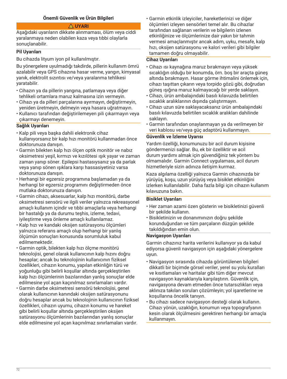## **Önemli Güvenlik ve Ürün Bilgileri**

## **UYARI**

Aşağıdaki uyarıların dikkate alınmaması, ölüm veya ciddi yaralanmaya neden olabilen kaza veya tıbbi olaylarla sonuçlanabilir.

#### **Pil Uyarıları**

Bu cihazda lityum iyon pil kullanılmıştır.

Bu yönergelere uyulmadığı takdirde, pillerin kullanım ömrü azalabilir veya GPS cihazına hasar verme, yangın, kimyasal yanık, elektrolit sızıntısı ve/veya yaralanma tehlikesi yaratabilir.

- Cihazın ya da pillerin yangına, patlamaya veya diğer tehlikeli ortamlara maruz kalmasına izin vermeyin.
- Cihazı ya da pilleri parçalarına ayırmayın, değiştirmeyin, yeniden üretmeyin, delmeyin veya hasara uğratmayın.
- Kullanıcı tarafından değiştirilemeyen pili çıkarmayın veya çıkarmayı denemeyin.

## **Sağlık Uyarıları**

- Kalp pili veya başka dahili elektronik cihaz kullanıyorsanız bir kalp hızı monitörü kullanmadan önce doktorunuza danışın.
- Garmin bilekten kalp hızı ölçen optik monitör ve nabız oksimetresi yeşil, kırmızı ve kızılötesi ışık yayar ve zaman zaman yanıp söner. Epilepsi hastasıysanız ya da parlak veya yanıp sönen ışıklara karşı hassasiyetiniz varsa doktorunuza danışın.
- Herhangi bir egzersiz programına başlamadan ya da herhangi bir egzersiz programını değiştirmeden önce mutlaka doktorunuza danışın.
- Garmin cihazı, aksesuarlar, kalp hızı monitörü, darbe oksimetresi sensörü ve ilgili veriler yalnızca rekreasyonel amaçlı kullanım içindir ve tıbbi amaçlarla veya herhangi bir hastalığı ya da durumu teşhis, izleme, tedavi, iyileştirme veya önleme amaçlı kullanılamaz.
- Kalp hızı ve kandaki oksijen satürasyonu ölçümleri yalnızca referans amaçlı olup herhangi bir yanlış ölçümün sonuçları konusunda sorumluluk kabul edilmemektedir.
- Garmin optik, bilekten kalp hızı ölçme monitörü teknolojisi, genel olarak kullanıcının kalp hızını doğru hesaplar; ancak bu teknolojinin kullanıcının fiziksel özellikleri, cihazın konumu, yapılan etkinliğin türü ve yoğunluğu gibi belirli koşullar altında gerçekleştirilen kalp hızı ölçümlerinin bazılarından yanlış sonuçlar elde edilmesine yol açan kaçınılmaz sınırlamaları vardır.
- Garmin darbe oksimetresi sensörü teknolojisi, genel olarak kullanıcının kanındaki oksijen satürasyonunu doğru hesaplar ancak bu teknolojinin kullanıcının fiziksel özellikleri, cihazın uyumu, cihazın konumu ve hareket gibi belirli koşullar altında gerçekleştirilen oksijen satürasyonu ölçümlerinin bazılarından yanlış sonuçlar elde edilmesine yol açan kaçınılmaz sınırlamaları vardır.

• Garmin etkinlik izleyiciler, hareketlerinizi ve diğer ölçümleri izleyen sensörleri temel alır. Bu cihazlar tarafından sağlanan verilerin ve bilgilerin izlenen etkinliğinize ve ölçümlerinize dair yakın bir tahmin vermesi amaçlanmıştır ancak adım, uyku, mesafe, kalp hızı, oksijen satürasyonu ve kalori verileri gibi bilgiler tamamen doğru olmayabilir.

#### **Cihaz Uyarıları**

- Cihazı ısı kaynağına maruz bırakmayın veya yüksek sıcaklığın olduğu bir konumda, örn. boş bir araçta güneş altında bırakmayın. Hasar görme ihtimalini önlemek için, cihazı taşıttan çıkarın veya torpido gözü gibi, doğrudan güneş ışığına maruz kalmayacağı bir yerde saklayın.
- Cihazı, ürün ambalajındaki basılı kılavuzda belirtilen sıcaklık aralıklarının dışında çalıştırmayın.
- Cihazı uzun süre saklayacaksanız ürün ambalajındaki basılı kılavuzda belirtilen sıcaklık aralıkları dahilinde saklayın.
- Garmin tarafından onaylanmayan ya da verilmeyen bir veri kablosu ve/veya güç adaptörü kullanmayın.

## **Güvenlik ve İzleme Uyarısı**

Yardım özelliği, konumunuzu bir acil durum kişisine göndermenizi sağlar. Bu, ek bir özelliktir ve acil durum yardımı almak için güvendiğiniz tek yöntem bu olmamalıdır. Garmin Connect uygulaması, acil durum hizmetleriyle sizin adınıza iletişim kurmaz.

Kaza algılama özelliği yalnızca Garmin cihazınızda bir yürüyüş, koşu, uzun yürüyüş veya bisiklet etkinliğini izlerken kullanılabilir. Daha fazla bilgi için cihazın kullanım kılavuzuna bakın.

### **Bisiklet Uyarıları**

- Her zaman azami özen gösterin ve bisikletinizi güvenli bir şekilde kullanın.
- Bisikletinizin ve donanımınızın doğru şekilde korunduğundan ve tüm parçaların düzgün şekilde takıldığından emin olun.

#### **Navigasyon Uyarıları**

Garmin cihazınız harita verilerini kullanıyor ya da kabul ediyorsa güvenli navigasyon için aşağıdaki yönergelere uyun.

- Navigasyon sırasında cihazda görüntülenen bilgileri dikkatli bir biçimde görsel veriler, yerel su yolu kuralları ve kısıtlamaları ve haritalar gibi tüm diğer mevcut navigasyon kaynaklarıyla karşılaştırın. Güvenlik için, navigasyona devam etmeden önce tutarsızlıkları veya aklınıza takılan soruları çözümleyin; yol işaretlerine ve koşullarına öncelik tanıyın.
- Bu cihazı sadece navigasyon desteği olarak kullanın. Cihazı yönün, uzaklığın, konumun veya topografyanın kesin olarak ölçülmesini gerektiren herhangi bir amaçla kullanmayın.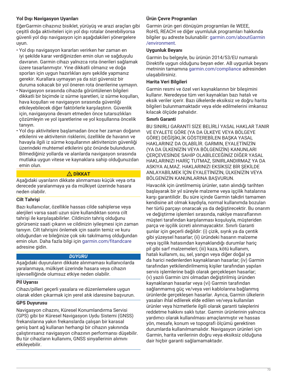# **Yol Dışı Navigasyon Uyarıları**

EğerGarmin cihazınız bisiklet, yürüyüş ve arazi araçları gibi çeşitli doğa aktiviteleri için yol dışı rotalar önerebiliyorsa güvenli yol dışı navigasyon için aşağıdakileri yönergelere uyun.

- Yol dışı navigasyon kararları verirken her zaman en iyi şekilde karar verdiğinizden emin olun ve sağduyulu davranın. Garmin cihazı yalnızca rota önerileri sağlamak üzere tasarlanmıştır. Yine dikkatli olmanız ve doğa sporları için uygun hazırlıkları aynı şekilde yapmanız gerekir. Kurallara uymayan ya da sizi güvensiz bir duruma sokacak bir yol öneren rota önerilerine uymayın.
- Navigasyon sırasında cihazda görüntülenen bilgileri dikkatli bir biçimde iz sürme işaretleri, iz sürme koşulları, hava koşulları ve navigasyon sırasında güvenliği etkileyebilecek diğer faktörlerle karşılaştırın. Güvenlik için, navigasyona devam etmeden önce tutarsızlıkları çözümleyin ve yol işaretlerine ve yol koşullarına öncelik tanıyın.
- Yol dışı aktivitelere başlamadan önce her zaman doğanın etkilerini ve aktivitenin risklerini, özellikle de havanın ve havayla ilgili iz sürme koşullarının aktivitenizin güvenliği üzerindeki muhtemel etkilerini göz önünde bulundurun. Bilmediğiniz yollarda ve alanlarda navigasyon sırasında mutlaka uygun vitese ve kaynaklara sahip olduğunuzdan emin olun.

# **DİKKAT**

Aşağıdaki uyarıların dikkate alınmaması küçük veya orta derecede yaralanmaya ya da mülkiyet üzerinde hasara neden olabilir.

# **Cilt Tahrişi**

Bazı kullanıcılar, özellikle hassas cilde sahiplerse veya alerjileri varsa saati uzun süre kullandıktan sonra cilt tahrişi ile karşılaşabilirler. Cildinizin tahriş olduğunu görürseniz saati çıkarın ve cildinizin iyileşmesi için zaman tanıyın. Cilt tahrişini önlemek için saatin temiz ve kuru olduğundan ve bileğinize çok sıkı takılmamış olduğundan emin olun. Daha fazla bilgi için [garmin.com/fitandcare](http://www.garmin.com/fitandcare) adresine gidin.

# *DUYURU*

Aşağıdaki duyuruların dikkate alınmaması kullanıcılarda yaralanmaya, mülkiyet üzerinde hasara veya cihazın işlevselliğinde olumsuz etkiye neden olabilir.

# **Pil Uyarısı**

Cihazı/pilleri geçerli yasalara ve düzenlemelere uygun olarak elden çıkarmak için yerel atık idaresine başvurun.

# **GPS Duyurusu**

Navigasyon cihazını, Küresel Konumlandırma Servisi (GPS) gibi bir Küresel Navigasyon Uydu Sistemi (GNSS) frekanslarına yakın frekanslarda çalışan bir karasal geniş bant ağ kullanan herhangi bir cihazın yakınında çalıştırırsanız navigasyon cihazının performansı düşebilir. Bu tür cihazların kullanımı, GNSS sinyallerinin alımını etkileyebilir.

# **Ürün Çevre Programları**

Garmin ürün geri dönüşüm programları ile WEEE, RoHS, REACH ve diğer uyumluluk programları hakkında bilgiler şu adreste bulunabilir: [garmin.com/aboutGarmin](http://www.garmin.com/aboutGarmin/environment) [/environment.](http://www.garmin.com/aboutGarmin/environment)

## **Uygunluk Beyanı**

Garmin bu belgeyle, bu ürünün 2014/53/EU numaralı Direktife uygun olduğunu beyan eder. AB uygunluk beyanı metninin tamamına [garmin.com/compliance](http://www.garmin.com/compliance) adresinden ulaşabilirsiniz.

## **Harita Veri Bilgileri**

Garmin resmi ve özel veri kaynaklarının bir bileşimini kullanır. Neredeyse tüm veri kaynakları bazı hatalı ve eksik veriler içerir. Bazı ülkelerde eksiksiz ve doğru harita bilgileri bulunmamaktadır veya elde edilmelerini imkansız kılacak ölçüde pahalıdır.

## **Sınırlı Garanti**

BU SINIRLI GARANTİ SİZE BELİRLİ YASAL HAKLAR TANIR VE EYALETE GÖRE (YA DA ÜLKEYE VEYA BÖLGEYE GÖRE) DEĞİŞİKLİK GÖSTEREBİLEN BAŞKA YASAL HAKLARINIZ DA OLABİLİR. GARMIN, EYALETİNİZİN (YA DA ÜLKENİZİN VEYA BÖLGENİZİN) KANUNLARI ÇERÇEVESİNDE SAHİP OLABİLECEĞİNİZ DİĞER YASAL HAKLARINIZI HARİÇ TUTMAZ, SINIRLANDIRMAZ YA DA ASKIYA ALMAZ. HAKLARINIZI EKSİKSİZ BİR ŞEKİLDE ANLAYABİLMEK İÇİN EYALETİNİZİN, ÜLKENİZİN VEYA BÖLGENİZİN KANUNLARINA BAŞVURUN.

Havacılık için üretilmemiş ürünler, satın alındığı tarihten başlayarak bir yıl süreyle malzeme veya işçilik hatalarına karşı garantilidir. Bu süre içinde Garmin takdiri tamamen kendisine ait olmak kaydıyla, normal kullanımda bozulan her türlü parçayı onaracak ya da değiştirecektir. Bu onarım ve değiştirme işlemleri sırasında, nakliye masraflarının müşteri tarafından karşılanması koşuluyla, müşteriden parça ve işçilik ücreti alınmayacaktır. Sınırlı Garanti şunlar için geçerli değildir: (i) çizik, sıyrık ya da çentik gibi yüzeysel hasarlar; (ii) üründeki hasarın malzeme veya işçilik hatasından kaynaklandığı durumlar hariç pil gibi sarf malzemeleri; (iii) kaza, kötü kullanım, hatalı kullanım, su, sel, yangın veya diğer doğal ya da harici nedenlerden kaynaklanan hasarlar; (iv) Garmin tarafından yetkilendirilmemiş kişiler tarafından yapılan servis işlemlerine bağlı olarak gerçekleşen hasarlar; (v) yazılı Garmin izni olmadan değiştirilmiş üründen kaynaklanan hasarlar veya (vi) Garmin tarafından sağlanmamış güç ve/veya veri kablolarına bağlanmış ürünlerde gerçekleşen hasarlar. Ayrıca, Garmin ülkelerin yasaları ihlal edilerek elde edilen ve/veya kullanılan ürünler veya hizmetlerle ilgili olarak garanti taleplerini reddetme hakkını saklı tutar. Garmin ürünlerinin yalnızca yardımcı olarak kullanılması amaçlanmıştır ve hassas yön, mesafe, konum ve topografi ölçümü gerektiren durumlarda kullanılmamalıdır. Navigasyon ürünleri için Garmin, harita verilerinin doğru veya eksiksiz olduğuna dair hiçbir garanti sağlamamaktadır.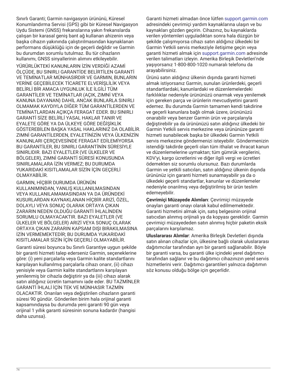Sınırlı Garanti; Garmin navigasyon ürününü, Küresel Konumlandırma Servisi (GPS) gibi bir Küresel Navigasyon Uydu Sistemi (GNSS) frekanslarına yakın frekanslarda çalışan bir karasal geniş bant ağ kullanan ahizenin veya başka cihazın yakınında çalıştırılmasından kaynaklanan performans düşüklüğü için de geçerli değildir ve Garmin bu durumdan sorumlu tutulmaz. Bu tür cihazların kullanımı, GNSS sinyallerinin alımını etkileyebilir.

YÜRÜRLÜKTEKİ KANUNLARIN İZİN VERDİĞİ AZAMİ ÖLÇÜDE, BU SINIRLI GARANTİDE BELİRTİLEN GARANTİ VE TEMİNATLAR MÜNHASIRDIR VE GARMIN, BUNLARIN YERİNE GEÇEBİLECEK TİCARETE ELVERİŞLİLİK VEYA BELİRLİ BİR AMACA UYGUNLUK İLE İLGİLİ TÜM GARANTİLER VE TEMİNATLAR (AÇIK, ZIMNİ VEYA KANUNA DAYANAN) DAHİL ANCAK BUNLARLA SINIRLI OLMAMAK KAYDIYLA DİĞER TÜM GARANTİLERDEN VE TEMİNATLARDAN AÇIKÇA FERAGAT EDER. BU SINIRLI GARANTİ SİZE BELİRLİ YASAL HAKLAR TANIR VE EYALETE GÖRE YA DA ÜLKEYE GÖRE DEĞİŞİKLİK GÖSTEREBİLEN BAŞKA YASAL HAKLARINIZ DA OLABİLİR. ZIMNİ GARANTİLERDEN, EYALETİNİZİN VEYA ÜLKENİZİN KANUNLARI ÇERÇEVESİNDE FERAGAT EDİLEMİYORSA BU GARANTİLER, BU SINIRLI GARANTİNİN SÜRESİYLE SINIRLIDIR. BAZI EYALETLER (VE ÜLKELER VE BÖLGELER), ZIMNİ GARANTİ SÜRESİ KONUSUNDA SINIRLAMALARA İZİN VERMEZ; BU DURUMDA YUKARIDAKİ KISITLAMALAR SİZİN İÇİN GEÇERLİ OLMAYABİLİR.

GARMIN, HİÇBİR DURUMDA ÜRÜNÜN KULLANIMINDAN, YANLIŞ KULLANILMASINDAN VEYA KULLANILAMAMASINDAN YA DA ÜRÜNDEKİ KUSURLARDAN KAYNAKLANAN HİÇBİR ARIZİ, ÖZEL, DOLAYLI VEYA SONUÇ OLARAK ORTAYA ÇIKAN ZARARIN NEDEN OLDUĞU GARANTİ İHLALİNDEN SORUMLU OLMAYACAKTIR. BAZI EYALETLER (VE ÜLKELER VE BÖLGELER) ARIZİ VEYA SONUÇ OLARAK ORTAYA ÇIKAN ZARARIN KAPSAM DIŞI BIRAKILMASINA İZİN VERMEMEKTEDİR; BU DURUMDA YUKARIDAKİ KISITLAMALAR SİZİN İÇİN GEÇERLİ OLMAYABİLİR.

Garanti süresi boyunca bu Sınırlı Garantiye uygun şekilde bir garanti hizmeti talep ederseniz Garmin, seçeneklerine göre: (i) yeni parçalarla veya Garmin kalite standartlarını karşılayan kullanılmış parçalarla cihazı onarır, (ii) cihazı yenisiyle veya Garmin kalite standartlarını karşılayan yenilenmiş bir cihazla değiştirir ya da (iii) cihazı alarak satın aldığınız ücretin tamamını iade eder. BU TAZMİNLER GARANTİ İHLALİ İÇİN TEK VE MÜNHASIR TAZMİN OLACAKTIR. Onarılan veya değiştirilen cihazların garanti süresi 90 gündür. Gönderilen birim hala orijinal garanti kapsamındaysa bu durumda yeni garanti 90 gün veya orijinal 1 yıllık garanti süresinin sonuna kadardır (hangisi daha uzunsa).

Garanti hizmeti almadan önce lütfen [support.garmin.com](http://www.support.garmin.com)  adresindeki çevrimiçi yardım kaynaklarına ulaşın ve bu kaynakları gözden geçirin. Cihazınız, bu kaynaklarda verilen yöntemleri uyguladıktan sonra hala düzgün bir şekilde çalışmıyorsa cihazı satın aldığınız ülkedeki bir Garmin Yetkili servis merkeziyle iletişime geçin veya garanti hizmeti almak için [support.garmin.com](http://www.support.garmin.com) adresinde verilen talimatları izleyin. Amerika Birleşik Devletleri'nde yaşıyorsanız 1-800-800-1020 numaralı telefonu da arayabilirsiniz.

Ürünü satın aldığınız ülkenin dışında garanti hizmeti almak istiyorsanız Garmin, sunulan ürünlerdeki, geçerli standartlardaki, kanunlardaki ve düzenlemelerdeki farklılıklar nedeniyle ürününüzü onarmak veya yenilemek için gereken parça ve ürünlerin mevcudiyetini garanti edemez. Bu durumda Garmin tamamen kendi takdirine ve geçerli kanunlara bağlı olmak üzere, ürününüzü onarabilir veya benzer Garmin ürün ve parçalarıyla değiştirebilir ya da ürününüzü satın aldığınız ülkedeki bir Garmin Yetkili servis merkezine veya ürününüze garanti hizmeti sunabilecek başka bir ülkedeki Garmin Yetkili servis merkezine göndermenizi isteyebilir. Göndermenizin istendiği takdirde geçerli olan tüm ithalat ve ihracat kanun ve düzenlemelerine uymaktan; tüm gümrük vergilerini, KDV'yi, kargo ücretlerini ve diğer ilgili vergi ve ücretleri ödemekten siz sorumlu olursunuz. Bazı durumlarda Garmin ve yetkili satıcıları, satın aldığınız ülkenin dışında ürününüz için garanti hizmeti sunamayabilir ya da o ülkedeki geçerli standartlar, kanunlar ve düzenlemeler nedeniyle onarılmış veya değiştirilmiş bir ürün teslim edemeyebilir.

**Çevrimiçi Müzayede Alımları**: Çevrimiçi müzayede onayları garanti onayı olarak kabul edilmemektedir. Garanti hizmetini almak için, satış belgesinin orijinal satıcıdan alınmış orijinali ya da kopyası gereklidir. Garmin çevrimiçi müzayededen satın alınmış hiçbir paketin eksik parçalarını karşılamaz.

**Uluslararası Alımlar**: Amerika Birleşik Devletleri dışında satın alınan cihazlar için, ülkesine bağlı olarak uluslararası dağıtımcılar tarafından ayrı bir garanti sağlanabilir. Böyle bir garanti varsa, bu garanti ülke içindeki yerel dağıtımcı tarafından sağlanır ve bu dağıtımcı cihazınızın yerel servis hizmetlerini verir. Dağıtımcı garantileri yalnızca dağıtımın söz konusu olduğu bölge için geçerlidir.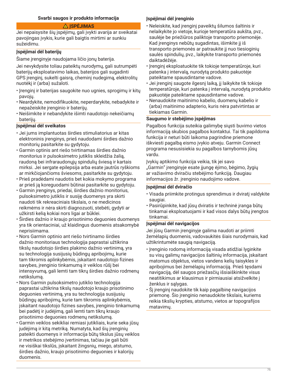## **Svarbi saugos ir produkto informacija**

## **ĮSPĖJIMAS**

Jei nepaisysite šių įspėjimų, gali įvykti avarija ar sveikatai pavojingas įvykis, kurie gali baigtis mirtimi ar sunkiu sužeidimu.

#### **Įspėjimai dėl baterijų**

Šiame įrenginyje naudojama ličio jonų baterija.

Jei nevykdysite toliau pateiktų nurodymų, gali sutrumpėti baterijų eksploatavimo laikas, baterijos gali sugadinti GPS įrenginį, sukelti gaisrą, cheminį nudegimą, elektrolitų nuotėkį ir (arba) sužaloti.

- Įrenginį ir baterijas saugokite nuo ugnies, sprogimų ir kitų pavojų.
- Neardykite, nemodifikuokite, neperdarykite, nebadykite ir nepažeiskite įrenginio ir baterijų.
- Neišimkite ir nebandykite išimti naudotojo nekeičiamų baterijų.

## **Įspėjimai dėl sveikatos**

- Jei jums implantuotas širdies stimuliatorius ar kitas elektroninis įrenginys, prieš naudodami širdies dažnio monitorių pasitarkite su gydytoju.
- Garmin optinis ant riešo tvirtinamas širdies dažnio monitorius ir pulsoksimetro jutiklis skleidžia žalią, raudoną bei infraraudonųjų spindulių šviesą ir kartais mirksi. Jei sergate epilepsija arba esate jautrūs ryškioms ar mirkčiojančioms šviesoms, pasitarkite su gydytoju.
- Prieš pradėdami naudotis bet kokia mokymo programa ar prieš ją koreguodami būtinai pasitarkite su gydytoju.
- Garmin įrenginys, priedai, širdies dažnio monitorius, pulsoksimetro jutiklis ir susiję duomenys yra skirti naudoti tik rekreaciniais tikslais, o ne medicinos reikmėms ir nėra skirti diagnozuoti, stebėti, gydyti ar užkirsti kelią kokiai nors ligai ar būklei.
- Širdies dažnio ir kraujo prisotinimo deguonies duomenys yra tik orientaciniai, už klaidingus duomenis atsakomybė neprisiimama.
- Nors Garmin optinio ant riešo tvirtinamo širdies dažnio monitoriaus technologija paprastai užtikrina tikslų naudotojo širdies plakimo dažnio vertinimą, yra su technologija susijusių būdingų apribojimų, kurie tam tikromis aplinkybėmis, įskaitant naudotojo fizines savybes, įrenginio tinkamumą ir veiklos rūšį bei intensyvumą, gali lemti tam tikrų širdies dažnio rodmenų netikslumą.
- Nors Garmin pulsoksimetro jutiklio technologija paprastai užtikrina tikslų naudotojo kraujo prisotinimo deguonies vertinimą, yra su technologija susijusių būdingų apribojimų, kurie tam tikromis aplinkybėmis, įskaitant naudotojo fizines savybes, įrenginio tinkamumą bei padėtį ir judėjimą, gali lemti tam tikrų kraujo prisotinimo deguonies rodmenų netikslumą.
- Garmin veiklos sekikliai remiasi jutikliais, kurie seka jūsų judėjimą ir kitą metriką. Numatyta, kad šių įrenginių pateikti duomenys ir informacija būtų tikslus jūsų veiklos ir metrikos stebėjimo įvertinimas, tačiau jie gali būti ne visiškai tikslūs, įskaitant žingsnių, miego, atstumo, širdies dažnio, kraujo prisotinimo deguonies ir kalorijų duomenis.

#### **Įspėjimai dėl įrenginio**

- Neleiskite, kad įrenginį paveiktų šilumos šaltinis ir nelaikykite jo vietoje, kurioje temperatūra aukšta, pvz., saulėje be priežiūros paliktoje transporto priemonėje. Kad įrenginys nebūtų sugadintas, išimkite jį iš transporto priemonės ar patraukite jį nuo tiesioginių saulės spindulių, pvz., laikykite transporto priemonės daiktadėžėje.
- Įrenginį eksploatuokite tik tokioje temperatūroje, kuri patenka į intervalą, nurodytą produkto pakuotėje pateiktame spausdintame vadove.
- Jei įrenginį saugote ilgesnį laiką, jį laikykite tik tokioje temperatūroje, kuri patenka į intervalą, nurodytą produkto pakuotėje pateiktame spausdintame vadove.
- Nenaudokite maitinimo kabelio, duomenų kabelio ir (arba) maitinimo adapterio, kuris nėra patvirtintas ar tiekiamas Garmin.

#### **Saugumo ir stebėjimo įspėjimas**

Pagalbos funkcija suteikia galimybę siųsti buvimo vietos informaciją skubios pagalbos kontaktui. Tai tik papildoma funkcija ir neturi būti laikoma pagrindine priemone iškviesti pagalbą eismo įvykio atveju. Garmin Connect programa nesusisiekia su pagalbos tarnybomis jūsų vardu.

Įvykių aptikimo funkcija veikia, tik jei savo "Garmin" įrenginyje esate įjungę ėjimo, bėgimo, žygių ar važiavimo dviračiu stebėjimo funkciją. Daugiau informacijos žr. įrenginio naudojimo vadove.

#### **Įspėjimai dėl dviračio**

- Visada priimkite protingus sprendimus ir dviratį valdykite saugiai.
- Pasirūpinkite, kad jūsų dviratis ir techninė įranga būtų tinkamai eksploatuojami ir kad visos dalys būtų įrengtos tinkamai.

#### **Įspėjimai dėl navigacijos**

Jei jūsų Garmin įrenginyje galima naudoti ar priimti žemėlapių duomenis, vadovaukitės šiais nurodymais, kad užtikrintumėte saugią navigaciją.

- Įrenginio rodomą informaciją visada atidžiai lyginkite su visų galimų navigacijos šaltinių informacija, įskaitant matomus objektus, vietos vandens kelių taisykles ir apribojimus bei žemėlapių informaciją. Prieš tęsdami navigaciją, dėl saugos priežasčių išsiaiškinkite visus neatitikimus ar klausimus ir pirmiausiai atsižvelkite į ženklus ir sąlygas.
- Šį įrenginį naudokite tik kaip pagalbinę navigacijos priemonę. Šio įrenginio nenaudokite tikslais, kuriems reikia tikslių krypties, atstumo, vietos ar topografijos matavimų.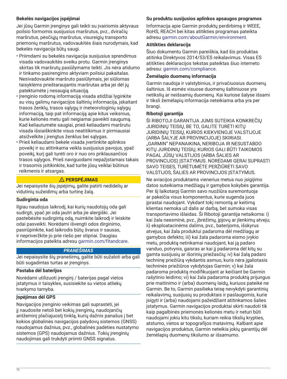# **Bekelės navigacijos įspėjimai**

Jei jūsų Garmin įrenginys gali teikti su įvairiomis aktyvaus poilsio formomis susijusius maršrutus, pvz., dviračių maršrutus, pėsčiųjų maršrutus, visureigių transporto priemonių maršrutus, vadovaukitės šiais nurodymais, kad bekelės navigacija būtų saugi.

- Priimdami su bekelės navigacija susijusius sprendimus visada vadovaukitės sveiku protu. Garmin įrenginys skirtas tik maršrutų pasiūlymams teikti. Jis nėra atidumo ir tinkamo pasirengimo aktyviam poilsiui pakaitalas. Nesivadovaukite maršruto pasiūlymais, jei siūlomas taisyklėms prieštaraujantis maršrutas arba jei dėl jų patektumėte į nesaugią situaciją.
- Įrenginio rodomą informaciją visada atidžiai lyginkite su visų galimų navigacijos šaltinių informacija, įskaitant trasos ženklų, trasos sąlygų ir meteorologinių sąlygų informaciją, taip pat informaciją apie kitus veiksnius, kurie kelionės metu gali neigiamai paveikti saugumą. Kad keliautumėte saugiai, prieš keliaudami maršrutu visada išsiaiškinkite visus neatitikimus ir pirmiausiai atsižvelkite į įrengtus ženklus bei sąlygas.
- Prieš keliaudami bekele visada įvertinkite aplinkos poveikį ir su atitinkama veikla susijusius pavojus, ypač poveikį, kurį gali turėti oro ir nuo oro priklausančios trasos sąlygos. Prieš naviguodami nepažįstamais takais ir trasomis įsitikinkite, kad turite jūsų veiklai būtinus reikmenis ir atsargas.

# **PERSPĖJIMAS**

Jei nepaisysite šių įspėjimų, galite patirti nedidelių ar vidutinių sužeidimų arba turtinę žalą.

## **Sudirginta oda**

Ilgiau naudojus laikrodį, kai kurių naudotojų oda gali sudirgti, ypač jei oda jautri arba jie alergiški. Jei pastebėsite sudirgintą odą, nuimkite laikrodį ir leiskite odai pasveikti. Norėdami išvengti odos dirginimo, pasirūpinkite, kad laikrodis būtų švarus ir sausas, ir nepriveržkite jo prie riešo per stipriai. Daugiau informacijos pateikta adresu [garmin.com/fitandcare](http://www.garmin.com/fitandcare).

# *PRANEŠIMAS*

Jei nepaisysite šių pranešimų, galite būti sužaloti arba gali būti sugadintas turtas ar įrenginys.

## **Pastaba dėl baterijos**

Norėdami utilizuoti įrenginį / baterijas pagal vietos įstatymus ir taisykles, susisiekite su vietos atliekų tvarkymo tarnyba.

## **Įspėjimas dėl GPS**

Navigacijos įrenginio veikimas gali suprastėti, jei jį naudosite netoli bet kokių įrenginių, naudojančių antžeminį plačiajuostį tinklą, kurių dažnis panašus į bet kokios globalinės navigacijos palydovų sistemos (GNSS) naudojamus dažnius, pvz., globalinės padėties nustatymo sistemos (GPS) naudojamus dažnius. Tokių įrenginių naudojimas gali trukdyti priimti GNSS signalus.

# **Su produktu susijusios aplinkos apsaugos programos**

Informacija apie Garmin produktų perdirbimą ir WEEE, RoHS, REACH bei kitas atitikties programas pateikta adresu [garmin.com/aboutGarmin/environment](http://www.garmin.com/aboutGarmin/environment).

## **Atitikties deklaracija**

Šiuo dokumentu Garmin pareiškia, kad šis produktas atitinka Direktyvos 2014/53/ES reikalavimus. Visas ES atitikties deklaracijos tekstas pateiktas šiuo interneto adresu: [garmin.com/compliance.](http://www.garmin.com/compliance)

## **Žemėlapio duomenų informacija**

Garmin naudoja ir valstybinius, ir privačiuosius duomenų šaltinius. Iš esmės visuose duomenų šaltiniuose yra netikslių ar neišsamių duomenų. Kai kuriose šalyse išsami ir tiksli žemėlapių informacija neteikiama arba yra per brangi.

## **Ribotoji garantija**

ŠI RIBOTOJI GARANTIJA JUMS SUTEIKIA KONKREČIŲ JURIDINIŲ TEISIŲ, BE TO, GALITE TURĖTI KITŲ JURIDINIŲ TEISIŲ, KURIOS KIEKVIENOJE VALSTIJOJE (ARBA ŠALYJE AR PROVINCIJOJE) SKIRIASI. "GARMIN" NEPANAIKINA, NERIBOJA IR NESUSTABDO KITŲ JURIDINIŲ TEISIŲ, KURIOS GALI BŪTI TAIKOMOS PAGAL JŪSŲ VALSTIJOS (ARBA ŠALIES AR PROVINCIJOS) ĮSTATYMUS. NORĖDAMI GERAI SUPRASTI SAVO TEISES, TURĖTUMĖTE PERŽIŪRĖTI SAVO VALSTIJOS, ŠALIES AR PROVINCIJOS ĮSTATYMUS.

Ne aviacijos produktams vienerius metus nuo įsigijimo datos suteikiama medžiagų ir gamybos kokybės garantija. Per šį laikotarpį Garmin savo nuožiūra suremontuoja ar pakeičia visus komponentus, kurie sugenda juos įprastai naudojant. Vykdant tokį remontą ar keitimą klientas nemoka už dalis ar darbą, bet sumoka visas transportavimo išlaidas. Ši Ribotoji garantija netaikoma: i) kai žala neesminė, pvz., įbrėžimų, įpjovų ar įlenkimų atveju; ii) eksploatacinėms dalims, pvz., baterijoms, išskyrus atvejus, kai žala produktui padaroma dėl medžiagų ar gamybos defekto; iii) kai žala padaroma eismo įvykio metu, produktą netinkamai naudojant, kai ją padaro vanduo, potvynis, gaisras ar kai jį padaroma dėl kitų su gamta susijusių ar išorinių priežasčių; iv) kai žalą padaro techninę priežiūrą vykdantis asmuo, kuris nėra įgaliotasis techninės priežiūros vykdytojas Garmin; v) kai žala padaroma produktą modifikuojant ar keičiant be Garmin rašytinio leidimo; vi) kai žala padaroma produktą prijungus prie maitinimo ir (arba) duomenų laidų, kuriuos pateikė ne Garmin. Be to, Garmin pasilieka teisę nevykdyti garantinių reikalavimų, susijusių su produktais ir paslaugomis, kurie įsigyti ir (arba) naudojami pažeidžiant atitinkamos šalies įstatymus. Garmin navigacijos produktai skirti naudoti tik kaip pagalbinės priemonės kelionės metu ir neturi būti naudojami jokiu kitu tikslu, kuriam reikia tikslių krypties, atstumo, vietos ar topografijos matavimų. Kalbant apie navigacijos produktus, Garmin neteikia jokių garantijų dėl žemėlapių duomenų tikslumo ar išsamumo.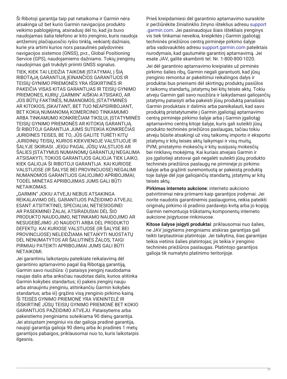Ši Ribotoji garantija taip pat netaikoma ir Garmin nėra atsakinga už bet kurio Garmin navigacijos produkto veikimo pablogėjimą, atsiradusį dėl to, kad jis buvo naudojamas šalia telefono ar kito įrenginio, kuris naudoja antžeminį plačiajuosčio ryšio tinklą, veikiantį dažniais, kurie yra artimi kurios nors pasaulinės palydovinės navigacijos sistemos (GNSS), pvz., Global Positioning Service (GPS), naudojamiems dažniams. Tokių įrenginių naudojimas gali trukdyti priimti GNSS signalus.

TIEK, KIEK TAI LEIDŽIA TAIKOMI ĮSTATYMAI, Į ŠIĄ RIBOTĄJĄ GARANTIJĄ ĮEINANČIOS GARANTIJOS IR TEISIŲ GYNIMO PRIEMONĖS YRA IŠSKIRTINĖS IR PAKEIČIA VISAS KITAS GARANTIJAS IR TEISIŲ GYNIMO PRIEMONES, KURIŲ "GARMIN" AIŠKIAI ATSISAKO, AR JOS BŪTŲ FAKTINĖS, NUMANOMOS, ĮSTATYMINĖS AR KITOKIOS, ĮSKAITANT, BET TUO NEAPSIRIBOJANT, BET KOKIĄ NUMANOMĄ KOMERCINIO TINKAMUMO ARBA TINKAMUMO KONKREČIAM TIKSLUI, ĮSTATYMINĖS TEISIŲ GYNIMO PRIEMONĖS AR KITOKIĄ GARANTIJĄ. ŠI RIBOTOJI GARANTIJA JUMS SUTEIKIA KONKREČIAS JURIDINES TEISES, BE TO, JŪS GALITE TURĖTI KITŲ JURIDINIŲ TEISIŲ, KURIOS KIEKVIENOJE VALSTIJOJE IR ŠALYJE SKIRIASI. JEIGU PAGAL JŪSŲ VALSTIJOS AR ŠALIES ĮSTATYMUS NUMANOMŲ GARANTIJŲ NEGALIMA ATSISAKYTI, TOKIOS GARANTIJOS GALIOJA TIEK LAIKO, KIEK GALIOJA ŠI RIBOTOJI GARANTIJA. KAI KURIOSE VALSTIJOSE (IR ŠALYSE BEI PROVINCIJOSE) NEGALIMI NUMANOMOS GARANTIJOS GALIOJIMO APRIBOJIMAI, TODĖL MINĖTAS APRIBOJIMAS JUMS GALI BŪTI NETAIKOMAS.

"GARMIN" JOKIU ATVEJU NEBUS ATSAKINGA REIKALAVIMO DĖL GARANTIJOS PAŽEIDIMO ATVEJU, ESANT ATSITIKTINEI, SPECIALIAI, NETIESIOGINEI AR PASEKMINEI ŽALAI, ATSIRADUSIAI DĖL ŠIO PRODUKTO NAUDOJIMO, NETINKAMO NAUDOJIMO AR NESUGEBĖJIMO JO NAUDOTI ARBA DĖL PRODUKTO DEFEKTŲ. KAI KURIOSE VALSTIJOSE (IR ŠALYSE BEI PROVINCIJOSE) NELEIDŽIAMA NETAIKYTI NUOSTATŲ DĖL NENUMATYTOS AR ŠALUTINĖS ŽALOS, TAIGI PIRMIAU PATEIKTI APRIBOJIMAI JUMS GALI BŪTI NETAIKOMI.

Jei garantiniu laikotarpiu pateikiate reikalavimą dėl garantinio aptarnavimo pagal šią Ribotąją garantiją, Garmin savo nuožiūra: i) pataisys įrenginį naudodama naujas dalis arba anksčiau naudotas dalis, kurios atitinka Garmin kokybės standartus; ii) pakeis įrenginį nauju arba atnaujintu įrenginiu, atitinkančiu Garmin kokybės standartus; arba iii) grąžins visą įrenginio pirkimo kainą. ŠI TEISĖS GYNIMO PRIEMONĖ YRA VIENINTELĖ IR IŠSKIRTINĖ JŪSŲ TEISIŲ GYNIMO PRIEMONĖ BET KOKIO GARANTIJOS PAŽEIDIMO ATVEJU. Pataisytiems arba pakeistiems įrenginiams suteikiama 90 dienų garantija. Jei atsiųstam įrenginiui vis dar galioja pradinė garantija, naujoji garantija galioja 90 dienų arba iki pradinės 1 metų garantijos pabaigos, priklausomai nuo to, kuris laikotarpis ilgesnis.

Prieš kreipdamiesi dėl garantinio aptarnavimo suraskite ir peržiūrėkite žiniatinklio žinyno išteklius adresu [support](http://www.support.garmin.com) [.garmin.com](http://www.support.garmin.com). Jei pasinaudojus šiais ištekliais įrenginys vis tiek tinkamai neveikia, kreipkitės į Garmin įgaliotąjį techninės priežiūros centrą pirminėje pirkimo šalyje arba vadovaukitės adresu [support.garmin.com](http://www.support.garmin.com) pateiktais nurodymais, kad gautumėte garantinį aptarnavimą. Jei esate JAV, galite skambinti tel. Nr. 1-800-800-1020.

Jei dėl garantinio aptarnavimo kreipiatės už pirminės pirkimo šalies ribų, Garmin negali garantuoti, kad jūsų įrenginio remontui ar pakeitimui reikalingos dalys ir produktai bus prieinami dėl skirtingų produktų pasiūlos ir taikomų standartų, įstatymų bei kitų teisės aktų. Tokiu atveju Garmin gali savo nuožiūra ir laikydamasi galiojančių įstatymų pataisyti arba pakeisti jūsų produktą panašiais Garmin produktais ir dalimis arba pareikalauti, kad savo produktą pristatytumėte į Garmin įgaliotąjį aptarnavimo centrą pirminėje pirkimo šalyje arba į Garmin įgaliotąjį aptarnavimo centrą kitoje šalyje, kuris gali suteikti jūsų produkto techninės priežiūros paslaugas, tačiau tokiu atveju būsite atsakingi už visų taikomų importo ir eksporto įstatymų ir kitų teisės aktų laikymąsi ir visų muitų, PVM, pristatymo mokesčių ir kitų susijusių mokesčių bei rinkliavų mokėjimą. Kai kuriais atvejais Garmin ir jos įgaliotieji atstovai gali negalėti suteikti jūsų produkto techninės priežiūros paslaugų ne pirminėje jo pirkimo šalyje arba grąžinti suremontuotą ar pakeistą produktą toje šalyje dėl joje galiojančių standartų, įstatymų ar kitų teisės aktų.

**Pirkimas interneto aukcione**: interneto aukciono patvirtinimai nėra priimami kaip garantijos įrodymai. Jei norite naudotis garantinėmis paslaugomis, reikia pateikti originalų pirkimo iš pradinio pardavėjo kvitą arba jo kopiją. Garmin nemontuoja trūkstamų komponentų interneto aukcione įsigytuose rinkiniuose.

**Kitose šalyse įsigyti produktai**: priklausomai nuo šalies, ne JAV įsigytiems įrenginiams atskiras garantijas gali teikti tarptautiniai platintojai. Jei taikytina, šias garantijas teikia vietinis šalies platintojas; jis teikia ir įrenginio techninės priežiūros paslaugas. Platintojo garantijos galioja tik numatyto platinimo teritorijoje.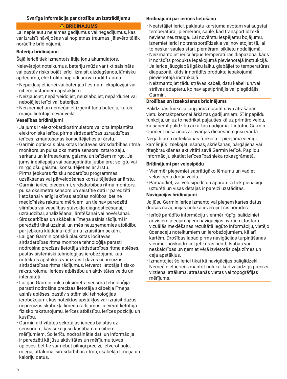#### **Svarīga informācija par drošību un izstrādājumu**

## **BRĪDINĀJUMS**

Lai nepieļautu nelaimes gadījumus vai negadījumus, kas var izraisīt nāvējošas vai nopietnas traumas, jāievēro tālāk norādītie brīdinājumi.

#### **Bateriju brīdinājumi**

Šajā ierīcē tiek izmantots litija jonu akumulators.

Neievērojot noteikumus, bateriju mūžs var tikt saīsināts vai pastāv risks bojāt ierīci, izraisīt aizdegšanos, ķīmisku apdegumu, elektrolīta noplūdi un/vai radīt traumu.

- Nepakļaujiet ierīci vai baterijas liesmām, eksplozijai vai citiem bīstamiem apstākļiem.
- Neizjauciet, nepārveidojiet, neuzlabojiet, nepārduriet vai nebojājiet ierīci vai baterijas.
- Neiznemiet un nemēģiniet iznemt tādu bateriju, kuras mainu lietotājs nevar veikt.

# **Veselības brīdinājumi**

- Ja jums ir elektrokardiostimulators vai cita implantēta elektroniska ierīce, pirms sirdsdarbības uzraudzības ierīces izmantošanas konsultējieties ar ārstu.
- Garmin optiskais plaukstas locītavas sirdsdarbības ritma monitors un pulsa oksimetra sensors izstaro zaļu, sarkanu un infrasarkanu gaismu un brīžiem mirgo. Ja jums ir epilepsija vai paaugstināta jutība pret spilgtu vai mirgojošu gaismu, konsultējieties ar ārstu.
- Pirms jebkuras fizisku nodarbību programmas uzsākšanas vai pārveidošanas konsultējieties ar ārstu.
- Garmin ierīce, piederumi, sirdsdarbības ritma monitors, pulsa oksimetra sensors un saistītie dati ir paredzēti lietošanai vienīgi aktīvas atpūtas nolūkos, bet ne medicīniska rakstura mērķiem, un tie nav paredzēti slimības vai veselības stāvokļa diagnosticēšanai, uzraudzībai, analizēšanai, ārstēšanai vai novēršanai.
- Sirdsdarbības un skābekļa līmeņa asinīs rādījumi ir paredzēti tikai uzziņai, un mēs neuzņemamies atbildību par jebkuru kļūdainu rādījumu izraisītām sekām.
- Lai gan Garmin optiskā plaukstas locītavas sirdsdarbības ritma monitora tehnoloģija parasti nodrošina precīzas lietotāja sirdsdarbības ritma aplēses, pastāv sistēmiski tehnoloģijas ierobežojumi, kas noteiktos apstākļos var izraisīt dažus neprecīzus sirdsdarbības ritma rādījumus, ietverot lietotāja fizisko raksturojumu, ierīces atbilstību un aktivitātes veidu un intensitāti.
- Lai gan Garmin pulsa oksimetra sensora tehnoloģija parasti nodrošina precīzas lietotāja skābekļa līmeņa asinīs aplēses, pastāv sistēmiski tehnoloģijas ierobežojumi, kas noteiktos apstākļos var izraisīt dažus neprecīzus skābekļa līmeņa rādījumus, ietverot lietotāja fizisko raksturojumu, ierīces atbilstību, ierīces pozīciju un kustību.
- Garmin aktivitātes sekotājas ierīces balstās uz sensoriem, kas seko jūsu kustībām un citiem mērījumiem. Šo ierīču nodrošinātie dati un informācija ir paredzēti kā jūsu aktivitātes un mērījumu tuvas aplēses, bet tie var nebūt pilnīgi precīzi, ietverot soļu, miega, attāluma, sirdsdarbības ritma, skābekļa līmeņa un kaloriju datus.

## **Brīdinājumi par ierīces lietošanu**

- Neatstājiet ierīci, pakļautu karstuma avotam vai augstai temperatūrai, piemēram, saulē, kad transportlīdzekli neviens neuzrauga. Lai novērstu iespējamu bojājumu, izņemiet ierīci no transportlīdzekļa vai novietojiet tā, lai to neskar saules stari, piemēram, sīklietu nodalījumā.
- Neizmantojiet ierīci ārpus temperatūras diapazona, kāds ir norādīts produkta iepakojumā pievienotajā instrukcijā.
- Ja ierīce jāuzglabā ilgāku laiku, glabājiet to temperatūras diapazonā, kāds ir norādīts produkta iepakojumā pievienotajā instrukcijā.
- Neizmantojiet tādu strāvas kabeli, datu kabeli un/vai strāvas adapteru, ko nav apstiprinājis vai piegādājis Garmin.

#### **Drošības un izsekošanas brīdinājums**

Palīdzības funkcija ļauj jums nosūtīt savu atrašanās vietu kontaktpersonai ārkārtas gadījumiem. Šī ir papildu funkcija, un uz to nedrīkst paļauties kā uz primāro veidu, kā saņemt palīdzību ārkārtas gadījumā. Lietotne Garmin Connect nesazinās ar avārijas dienestiem jūsu vārdā.

Negadījuma noteikšanas funkcija ir pieejama vienīgi, kamēr jūs izsekojat iešanas, skriešanas, pārgājiena vai riteņbraukšanas aktivitāti savā Garmin ierīcē. Papildu informāciju skatiet ierīces īpašnieka rokasgrāmatā.

#### **Brīdinājumi par velosipēdu**

- Vienmēr pieņemiet saprātīgāko lēmumu un vadiet velosipēdu drošā veidā.
- Pārbaudiet, vai velosipēds un aparatūra tiek pienācīgi uzturēti un visas detaļas ir pareizi uzstādītas.

#### **Navigācijas brīdinājumi**

Ja jūsu Garmin ierīce izmanto vai pieņem kartes datus, drošas navigācijas nolūkā ievērojiet šīs norādes.

- Ierīcē parādīto informāciju vienmēr rūpīgi salīdziniet ar visiem pieejamajiem navigācijas avotiem, tostarp vizuālās meklēšanas rezultātā iegūto informāciju, vietējo ūdensceļu noteikumiem un ierobežojumiem, kā arī kartēm. Drošības labad pirms navigācijas turpināšanas vienmēr noskaidrojiet jebkuras neatbilstības vai neskaidrības un ņemiet vērā izvietotās ceļa zīmes un ceļa apstākļus.
- Izmantojiet šo ierīci tikai kā navigācijas palīglīdzekli. Nemēģiniet ierīci izmantot nolūkā, kad vajadzīgs precīzs virziena, attāluma, atrašanās vietas vai topogrāfijas mērījums.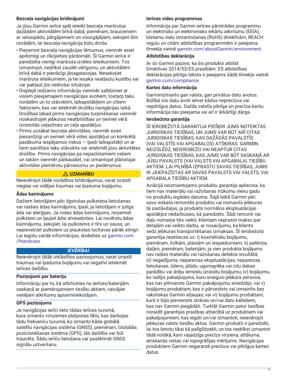# **Bezceļa navigācijas brīdinājumi**

Ja jūsu Garmin ierīce spēj ieteikt bezceļa maršrutus dažādām aktivitātēm brīvā dabā, piemēram, braucieniem ar velosipēdu, pārgājieniem un visurgājējiem, sekojiet šīm norādēm, lai bezceļa navigācija būtu droša.

- Pienemot bezceļa navigācijas lēmumus, vienmēr esiet apdomīgi un rīkojieties pārdomāti. Šī Garmin ierīce ir paredzēta vienīgi maršruta izvēles ieteikumiem. Tos izmantojot, nedrīkst zaudēt vērīgumu, un aktivitātēm brīvā dabā ir pienācīgi jāsagatavojas. Nesekojiet maršruta ieteikumiem, ja tie iesaka neatļautu kustību vai var pakļaut jūs nedrošai situācijai.
- Displejā redzamo informāciju vienmēr salīdziniet ar visiem pieejamajiem navigācijas avotiem, tostarp taku norādēm un to stāvoklim, laikapstākļiem un citiem faktoriem, kas var ietekmēt drošību navigācijas laikā. Drošības labad pirms navigācijas turpināšanas vienmēr noskaidrojiet jebkuras neatbilstības un ņemiet vērā izvietotās ceļazīmes un ceļa apstākļus.
- Pirms uzsākat bezceļa aktivitātes, vienmēr esiet piesardzīgi un ņemiet vērā vides apstākļus un konkrētā pasākuma iespējamos riskus — īpaši laikapstākļi un ar tiem saistītais taku stāvoklis var ietekmēt jūsu aktivitātes drošību. Pirms navigācijas pa nepazīstamiem ceļiem un takām vienmēr pārbaudiet, vai izmantojat plānotajai aktivitātei piemērotu pārnesumu un piederumus.

# **UZMANĪBU**

Neievērojot tālāk norādītos brīdinājumus, varat izraisīt vieglas vai vidējas traumas vai īpašuma bojājumu.

## **Ādas kairinājums**

Dažiem lietotājiem pēc ilgstošas pulksteņa lietošanas var rasties ādas kairinājums, īpaši, ja lietotājam ir jutīga āda vai alerģijas. Ja rodas ādas kairinājums, noņemiet pulksteni un ļaujiet ādai atveseļoties. Lai novērstu ādas kairinājumu, sekojiet, lai pulkstenis ir tīrs un sauss, un nepievelciet pulksteni uz plaukstas locītavas pārāk stingri. Lai iegūtu vairāk informācijas, dodieties uz [garmin.com](http://www.garmin.com/fitandcare) [/fitandcare](http://www.garmin.com/fitandcare).

# *IEVĒRĪBAI*

Neievērojot tālāk izklāstītos paziņojumus, varat izraisīt traumas vai īpašuma bojājumu vai negatīvi ietekmēt ierīces darbību.

## **Paziņojumi par bateriju**

Informāciju par to, kā atbrīvoties no ierīces/baterijām saskaņā ar piemērojamiem tiesību aktiem, vaicājiet vietējam atkritumu apsaimniekotājam.

## **GPS paziņojums**

Ja navigācijas ierīci lieto tādas ierīces tuvumā, kura izmanto virszemes platjoslas tīklu, kas darbojas tādu frekvenču tuvumā, ko izmanto kāda globālā satelītu navigācijas sistēma (GNSS), piemēram, Globālās pozicionēšanas sistēma (GPS), tās darbība var būt traucēta. Šādu ierīču lietošana var pasliktināt GNSS signālu uztveršanu.

## **Ierīces vides programmas**

Informācija par Garmin ierīces pārstrādes programmu un elektrisko un elektronisko iekārtu atkritumu (EEIA), bīstamu vielu izmantošanas (RoHS) direktīvām, REACH regulu un citām atbilstības programmām ir pieejama tīmekļa vietnē [garmin.com/aboutGarmin/environment.](http://www.garmin.com/aboutGarmin/environment)

#### **Atbilstības deklarācija**

Ar šo Garmin paziņo, ka šis produkts atbilst Direktīvas 2014/53/ES prasībām. ES atbilstības deklarācijas pilnīgs teksts ir pieejams šādā tīmekļa vietnē: [garmin.com/compliance](http://www.garmin.com/compliance).

#### **Kartes datu informācija**

Garminizmanto gan valsts, gan privātus datu avotus. Būtībā visi datu avoti ietver kādus neprecīzus vai nepilnīgus datus. Dažās valstīs pilnīga un precīza karšu informācija nav pieejama vai arī ir ārkārtīgi dārga.

## **Ierobežota garantija**

ŠĪ IEROBEŽOTĀ GARANTIJA PIEŠĶIR JUMS NOTEIKTAS JURIDISKAS TIESĪBAS, UN JUMS VAR BŪT ARĪ CITAS JURIDISKAS TIESĪBAS, KAS DAŽĀDĀS PAVALSTĪS (VAI VALSTĪS VAI APGABALOS) ATŠĶIRAS. GARMIN NEIZSLĒDZ, NEIEROBEŽO VAI NEAPTUR CITAS JURIDISKAS TIESĪBAS, KAS JUMS VAR BŪT SASKAŅĀ AR JŪSU PAVALSTS (VAI VALSTS VAI APGABALA) TIESĪBU AKTIEM. LAI PILNĪBĀ IZPRASTU SAVAS TIESĪBAS, JUMS IR JĀIEPAZĪSTAS AR SAVAS PAVALSTS VAI VALSTS, VAI APGABALA TIESĪBU AKTIEM.

Aviācijā neizmantojamo produktu garantija apliecina, ka tiem nav materiālu vai ražošanas trūkumu vienu gadu no produktu iegādes datuma. Šajā laikā Garmin pēc sava ieskata remontēs produktu vai nomainīs jebkuras tā sastāvdaļas, ja produkts normālos ekspluatācijas apstākļos nedarbosies, kā paredzēts. Šādi remonti vai daļu nomaiņa tiks veikti, klientam neprasot maksu par detaļām vai veikto darbu, ar nosacījumu, ka klients sedz jebkuras transportēšanas izmaksas. Šī ierobežotā garantija neattiecas uz: i) kosmētisku bojājumu, piemēram, švīkām, plaisām un iespiedumiem; ii) patēriņa daļām, piemēram, baterijām, ja vien produkta bojājums nav radies materiālu vai ražošanas defekta rezultātā; iii) negadījuma, nepareizas ekspluatācijas, nepareizas lietošanas, ūdens, plūdu, ugunsgrēka vai citu dabas parādību vai ārēju iemeslu izraisītu bojājumu; iv) bojājumu, ko radījis pakalpojums, kuru sniegusi jebkura persona, kas nav pilnvarots Garmin pakalpojumu sniedzējs; vai v) bojājumu produktam, kas ir pārveidots vai izmainīts bez rakstiskas Garmin atļaujas; vai vi) bojājumu produktam, kurš ir bijis pievienots strāvas un/vai datu kabeļiem, kas nav Garmin piegādāti. Turklāt Garmin patur tiesības noraidīt garantijas prasības attiecībā uz produktiem vai pakalpojumiem, kas iegūti un/vai izmantoti, neievērojot jebkuras valsts tiesību aktus. Garmin produkti ir paredzēti, lai tos lietotu tikai kā palīglīdzekli, un tos nedrīkst izmantot tādā nolūkā, kam vajadzīgs precīzs virziena, attāluma, atrašanās vietas vai topogrāfijas mērījums. Navigācijas produktiem Garmin negarantē precīzus vai pilnīgus kartes datus.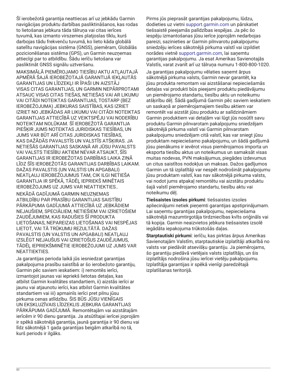Šī ierobežotā garantija neattiecas arī uz jebkādu Garmin navigācijas produktu darbības pasliktināšanos, kas rodas to lietošanas jebkura tāda tālruņa vai citas ierīces tuvumā, kas izmanto virszemes platjoslas tīklu, kurš darbojas tādu frekvenču tuvumā, ko lieto kāda globālā satelītu navigācijas sistēma (GNSS), piemēram, Globālās pozicionēšanas sistēma (GPS), un Garmin neuzņemas attiecīgi par to atbildību. Šādu ierīču lietošana var pasliktināt GNSS signālu uztveršanu.

MAKSIMĀLĀ PIEMĒROJAMO TIESĪBU AKTU ATLAUTAJĀ APMĒRĀ ŠAJĀ IEROBEŽOTAJĀ GARANTIJĀ IEKĻAUTĀS GARANTIJAS UN LĪDZEKĻI IR ĪPAŠI UN AIZSTĀJ VISAS CITAS GARANTIJAS, UN GARMIN NEPĀRPROTAMI ATSAUC VISAS CITAS TIEŠAS, NETIEŠAS VAI AR LIKUMU VAI CITĀDI NOTEIKTAS GARANTIJAS, TOSTARP (BEZ IEROBEŽOJUMA) JEBKURAS SAISTĪBAS, KAS IZRIET IZRIET NO JEBKĀDAS AR LIKUMU VAI CITĀDI NOTEIKTAS GARANTIJAS ATTIECĪBĀ UZ VEIKTSPĒJU VAI NODERĪBU NOTEIKTAM NOLŪKAM. ŠĪ IEROBEŽOTĀ GARANTIJA PIEŠĶIR JUMS NOTEIKTAS JURIDISKAS TIESĪBAS, UN JUMS VAR BŪT ARĪ CITAS JURIDISKAS TIESĪBAS, KAS DAŽĀDĀS PAVALSTĪS UN VALSTĪS ATŠĶIRAS. JA NETIEŠĀS GARANTIJAS SASKAŅĀ AR JŪSU PAVALSTS VAI VALSTS TIESĪBU AKTIEM NEVAR ATSAUKT, ŠĪS GARANTIJAS IR IEROBEŽOTAS DARBĪBAS LAIKA ZIŅĀ LĪDZ ŠĪS IEROBEŽOTĀS GARANTIJAS DARBĪBAS LAIKAM. DAŽAS PAVALSTIS (UN VALSTIS UN APGABALI) NEATĻAUJ IEROBEŽOJUMUS TAM, CIK ILGI NETIEŠA GARANTIJA IR SPĒKĀ, TĀDĒĻ IEPRIEKŠ MINĒTAIS IEROBEŽOJUMS UZ JUMS VAR NEATTIEKTIES..

NEKĀDĀ GADĪJUMĀ GARMIN NEUZNEMAS ATBILDĪBU PAR PRASĪBU GARANTIJAS SAISTĪBU PĀRKĀPUMA GADĪJUMĀ ATTIECĪBĀ UZ JEBKĀDIEM NEJAUŠIEM, SPECIĀLIEM, NETIEŠIEM VAI IZRIETOŠIEM ZAUDĒJUMIEM, KAS RADUŠIES ŠĪ PRODUKTA LIETOŠANAS, NEPAREIZAS LIETOŠANAS VAI NESPĒJAS LIETOT, VAI TĀ TRŪKUMU REZULTĀTĀ. DAŽAS PAVALSTIS (UN VALSTIS UN APGABALI) NEATĻAUJ IZSLĒGT NEJAUŠUS VAI IZRIETOŠUS ZAUDĒJUMUS, TĀDĒĻ IEPRIEKŠMINĒTIE IEROBEŽOJUMI UZ JUMS VAR NEATTIEKTIES.

Ja garantijas perioda laikā jūs iesniedzat garantijas pakalpojuma prasību saistībā ar šo ierobežoto garantiju, Garmin pēc saviem ieskatiem: i) remontēs ierīci, izmantojot jaunas vai iepriekš lietotas detaļas, kas atbilst Garmin kvalitātes standartiem, ii) aizstās ierīci ar jaunu vai atjaunotu ierīci, kas atbilst Garmin kvalitātes standartiem vai iii) apmainīs ierīci pret pilnu jūsu pirkuma cenas atlīdzību. ŠIS BŪS JŪSU VIENĪGAIS UN EKSKLUZĪVAIS LĪDZEKLIS JEBKURA GARANTIJAS PĀRKĀPUMA GADĪJUMĀ. Remontētajām vai aizstātajām ierīcēm ir 90 dienu garantija. Ja atsūtītajai ierīcei joprojām ir spēkā sākotnējā garantija, jaunā garantija ir 90 dienu vai līdz sākotnējā 1 gada garantijas beigām atkarībā no tā, kurš periods ir ilgāks.

Pirms jūs pieprasāt garantijas pakalpojumu, lūdzu, dodieties uz vietni [support.garmin.com](http://www.support.garmin.com) un pārskatiet tiešsaistē pieejamās palīdzības iespējas. Ja pēc šo iespēju izmantošanas jūsu ierīce joprojām nedarbojas pareizi, sazinieties ar Garmin pilnvarotu pakalpojumu sniedzēju ierīces sākotnējā pirkuma valstī vai izpildiet norādes vietnē [support.garmin.com](http://www.support.garmin.com), lai saņemtu garantijas pakalpojumu. Ja esat Amerikas Savienotajās Valstīs, varat zvanīt arī uz tālruņa numuru 1-800-800-1020.

Ja garantijas pakalpojumu vēlaties saņemt ārpus sākotnējā pirkuma valsts, Garmin nevar garantēt, ka jūsu produkta remontam vai aizstāšanai nepieciešamās detaļas vai produkti būs pieejami produktu piedāvājumu un piemērojamo standartu, tiesību aktu un noteikumu atšķirību dēļ. Šādā gadījumā Garmin pēc saviem ieskatiem un saskaņā ar piemērojamajiem tiesību aktiem var remontēt vai aizstāt jūsu produktu ar salīdzināmiem Garmin produktiem vai detaļām vai lūgt jūs nosūtīt savu produktu Garmin pilnvarotam pakalpojumu sniedzējam sākotnējā pirkuma valstī vai Garmin pilnvarotam pakalpojumu sniedzējam citā valstī, kas var sniegt jūsu produktam nepieciešamo pakalpojumu, un šādā gadījumā jūsu pienākums ir ievērot visus piemērojamos importa un eksporta tiesību aktus un noteikumus un samaksāt visas muitas nodevas, PVN maksājumus, piegādes izdevumus un citus saistītos nodokļus un maksas. Dažos gadījumos Garmin un tā izplatītāji var nespēt nodrošināt pakalpojumu jūsu produktam valstī, kas nav sākotnējā pirkuma valsts, vai nodot jums atpakaļ remontētu vai aizstātu produktu šajā valstī piemērojamo standartu, tiesību aktu vai noteikumu dēļ.

**Tiešsaistes izsoles pirkumi**: tiešsaistes izsoles apliecinājumi netiek pieņemti garantijas apstiprinājumam. Lai saņemtu garantijas pakalpojumu, nepieciešama sākotnējā mazumtirgotāja tirdzniecības kvīts oriģināls vai tā kopija. Garmin neaizvietos jebkura tiešsaistes izsolē iegādāta iepakojuma trūkstošās daļas.

**Starptautiski pirkumi**: ierīču, kas pirktas ārpus Amerikas Savienotajām Valstīm, starptautiskie izplatītāji atkarībā no valsts var piedāvāt atsevišķu garantiju. Ja piemērojams, šo garantiju piedāvā vietējais valsts izplatītājs, un šis izplatītājs nodrošina jūsu ierīcei vietēju pakalpojumu. Izplatītāja garantijas ir spēkā vienīgi paredzētajā izplatīšanas teritorijā.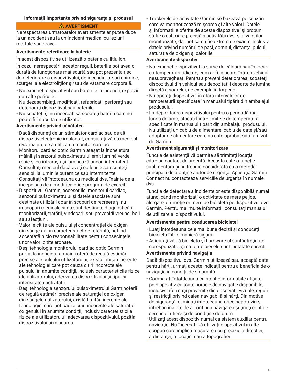## **Informaţii importante privind siguranţa şi produsul**

#### **AVERTISMENT**

Nerespectarea următoarelor avertismente ar putea duce la un accident sau la un incident medical cu leziuni mortale sau grave.

#### **Avertismente referitoare la baterie**

În acest dispozitiv se utilizează o baterie cu litiu-ion.

În cazul nerespectării acestor reguli, bateriile pot avea o durată de funcționare mai scurtă sau pot prezenta risc de deteriorare a dispozitivului, de incendiu, arsuri chimice, scurgeri ale electroliților și/sau de vătămare corporală.

- Nu expuneti dispozitivul sau bateriile la incendii, explozii sau alte pericole.
- Nu dezasamblaţi, modificaţi, refabricaţi, perforaţi sau deteriorați dispozitivul sau bateriile.
- Nu scoateți și nu încercați să scoateți bateria care nu poate fi înlocuită de utilizator.

## **Avertismente privind sănătatea**

- Dacă dispuneţi de un stimulator cardiac sau de alt dispozitiv electronic implantat, consultați-vă cu medicul dvs. înainte de a utiliza un monitor cardiac.
- Monitorul cardiac optic Garmin ataşat la încheietura mâinii şi senzorul pulsoximetrului emit lumină verde, roşie şi cu infraroşu şi luminează uneori intermitent. Consultați medicul dacă aveți epilepsie sau sunteți sensibil la luminile puternice sau intermitente.
- Consultaţi-vă întotdeauna cu medicul dvs. înainte de a începe sau de a modifica orice program de exerciţii.
- Dispozitivul Garmin, accesoriile, monitorul cardiac, senzorul pulsoximetrului şi datele asociate sunt destinate utilizării doar în scopuri de recreere şi nu în scopuri medicale şi nu sunt destinate diagnosticării, monitorizării, tratării, vindecării sau prevenirii vreunei boli sau afectiuni.
- Valorile citite ale pulsului și concentrației de oxigen din sânge au un caracter strict de referință, nefiind acceptată nicio responsabilitate pentru consecințele unor valori citite eronate.
- Deşi tehnologia monitorului cardiac optic Garmin purtat la încheietura mâinii oferă de regulă estimări precise ale pulsului utilizatorului, există limitări inerente ale tehnologiei care pot cauza citiri incorecte ale pulsului în anumite condiţii, inclusiv caracteristicile fizice ale utilizatorului, adecvarea dispozitivului şi tipul şi intensitatea activităţii.
- Deşi tehnologia senzorului pulsoximetrului Garminoferă de regulă estimări precise ale saturației de oxigen din sângele utilizatorului, există limitări inerente ale tehnologiei care pot cauza citiri incorecte ale saturației oxigenului în anumite condiţii, inclusiv caracteristicile fizice ale utilizatorului, adecvarea dispozitivului, poziția dispozitivului şi mişcarea.

• Trackerele de activitate Garmin se bazează pe senzori care vă monitorizează mişcarea şi alte valori. Datele şi informaţiile oferite de aceste dispozitive îşi propun să fie o estimare precisă a activităţii dvs. şi a valorilor monitorizate, dar pot să nu fie extrem de exacte, inclusiv datele privind numărul de pași, somnul, distanța, pulsul, saturația de oxigen și caloriile.

#### **Avertismente dispozitiv**

- Nu expuneţi dispozitivul la surse de căldură sau în locuri cu temperaturi ridicate, cum ar fi la soare, într-un vehicul nesupravegheat. Pentru a preveni deteriorarea, scoateţi dispozitivul din vehicul sau depozitați-l departe de lumina directă a soarelui, de exemplu în torpedo.
- Nu operaţi dispozitivul în afara intervalelor de temperatură specificate în manualul tipărit din ambalajul produsului.
- La depozitarea dispozitivului pentru o perioadă mai lungă de timp, stocaţi-l între limitele de temperatură specificate în manualul tipărit din ambalajul produsului.
- Nu utilizaţi un cablu de alimentare, cablu de date şi/sau adaptor de alimentare care nu este aprobat sau furnizat de Garmin.

#### **Avertisment siguranţă şi monitorizare**

Funcţia de asistenţă vă permite să trimiteţi locaţia către un contact de urgenţă. Aceasta este o funcţie suplimentară și nu trebuie considerată ca o metodă principală de a obţine ajutor de urgenţă. Aplicaţia Garmin Connect nu contactează serviciile de urgenţă în numele dvs.

Funcția de detectare a incidentelor este disponibilă numai atunci când monitorizaţi o activitate de mers pe jos, alergare, drumeţie or mers pe bicicletă pe dispozitivul dvs. Garmin. Pentru mai multe informaţii, consultaţi manualul de utilizare al dispozitivului.

## **Avertismente pentru conducerea bicicletei**

- Luaţi întotdeauna cele mai bune decizii şi conduceţi bicicleta într-o manieră sigură.
- Asiguraţi-vă că bicicleta şi hardware-ul sunt întreţinute corespunzător şi că toate piesele sunt instalate corect.

#### **Avertismente privind navigaţia**

Dacă dispozitivul dvs. Garmin utilizează sau acceptă date pentru hărţi, urmaţi aceste indicaţii pentru a beneficia de o navigaţie în condiţii de siguranţă.

- Comparaţi întotdeauna cu atenţie informaţiile afişate pe dispozitiv cu toate sursele de navigaţie disponibile, inclusiv informaţii provenite din observaţii vizuale, reguli şi restricţii privind calea navigabilă şi hărţi. Din motive de siguranţă, eliminaţi întotdeauna orice nepotriviri şi întrebări înainte de a continua navigarea şi ţineţi cont de semnele rutiere şi de condiţiile de drum.
- Utilizaţi acest dispozitiv numai ca sistem auxiliar pentru navigaţie. Nu încercaţi să utilizaţi dispozitivul în alte scopuri care implică măsurarea cu precizie a direcţiei, a distanței, a locației sau a topografiei.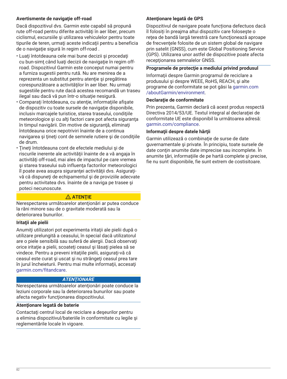# **Avertismente de navigaţie off-road**

Dacă dispozitivul dvs. Garmin este capabil să propună rute off-road pentru diferite activităţi în aer liber, precum ciclismul, excursiile şi utilizarea vehiculelor pentru toate tipurile de teren, urmați aceste indicații pentru a beneficia de o navigaţie sigură în regim off-road .

- Luaţi întotdeauna cele mai bune decizii şi procedaţi cu bun-simţ când luaţi decizii de navigaţie în regim offroad. Dispozitivul Garmin este conceput numai pentru a furniza sugestii pentru rută. Nu are menirea de a reprezenta un substitut pentru atenţie şi pregătirea corespunzătoare a activităţilor în aer liber. Nu urmaţi sugestiile pentru rute dacă acestea recomandă un traseu ilegal sau dacă vă pun într-o situaţie nesigură.
- Comparaţi întotdeauna, cu atenţie, informaţiile afişate de dispozitiv cu toate sursele de navigație disponibile, inclusiv marcajele turistice, starea traseului, condiţiile meteorologice şi cu alţi factori care pot afecta siguranţa în timpul navigării. Din motive de siguranţă, eliminaţi întotdeauna orice nepotriviri înainte de a continua navigarea şi ţineţi cont de semnele rutiere şi de condiţiile de drum.
- Ţineţi întotdeauna cont de efectele mediului şi de riscurile inerente ale activităţii înainte de a vă angaja în activităţi off-road, mai ales de impactul pe care vremea şi starea traseului sub influenţa factorilor meteorologici îl poate avea asupra siguranței activității dvs. Asigurațivă că dispuneţi de echipamentul şi de proviziile adecvate pentru activitatea dvs. înainte de a naviga pe trasee şi poteci necunoscute.

## **ATENŢIE**

Nerespectarea următoarelor atenţionări ar putea conduce la răni minore sau de o gravitate moderată sau la deteriorarea bunurilor.

## **Iritaţii ale pielii**

Anumiţi utilizatori pot experimenta iritaţii ale pielii după o utilizare prelungită a ceasului, în special dacă utilizatorul are o piele sensibilă sau suferă de alergii. Dacă observaţi orice iritaţie a pielii, scoateţi ceasul şi lăsaţi pielea să se vindece. Pentru a preveni iritaţiile pielii, asiguraţi-vă că ceasul este curat şi uscat şi nu strângeţi ceasul prea tare în jurul încheieturii. Pentru mai multe informaţii, accesaţi [garmin.com/fitandcare.](http://www.garmin.com/fitandcare)

# *ATENŢIONARE*

Nerespectarea următoarelor atenţionări poate conduce la leziuni corporale sau la deteriorarea bunurilor sau poate afecta negativ funcţionarea dispozitivului.

## **Atenţionare legată de baterie**

Contactaţi centrul local de reciclare a deşeurilor pentru a elimina dispozitivul/bateriile în conformitate cu legile şi reglementările locale în vigoare.

# **Atenţionare legată de GPS**

Dispozitivul de navigare poate funcționa defectuos dacă îl folosiți în preajma altui dispozitiv care foloseşte o reţea de bandă largă terestră care funcţionează aproape de frecventele folosite de un sistem global de navigare prin satelit (GNSS), cum este Global Positioning Service (GPS). Utilizarea unor astfel de dispozitive poate afecta recepţionarea semnalelor GNSS.

## **Programele de protecţie a mediului privind produsul**

Informaţii despre Garmin programul de reciclare a produsului şi despre WEEE, RoHS, REACH, şi alte programe de conformitate se pot găsi la [garmin.com](http://www.garmin.com/aboutGarmin/environment) [/aboutGarmin/environment.](http://www.garmin.com/aboutGarmin/environment)

#### **Declaraţie de conformitate**

Prin prezenta, Garmin declară că acest produs respectă Directiva 2014/53/UE. Textul integral al declaraţiei de conformitate UE este disponibil la următoarea adresă: [garmin.com/compliance](http://www.garmin.com/compliance).

#### **Informaţii despre datele hărţii**

Garmin utilizează o combinație de surse de date guvernamentale şi private. În principiu, toate sursele de date contin anumite date imprecise sau incomplete. În anumite ţări, informaţiile de pe hartă complete şi precise, fie nu sunt disponibile, fie sunt extrem de costisitoare.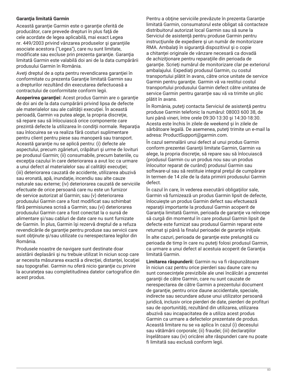## **Garanţia limitată Garmin**

Această garanţie Garmin este o garanţie oferită de producător, care prevede drepturi în plus faţă de cele acordate de legea aplicabilă, mai exact Legea nr. 449/2003 privind vânzarea produselor şi garanţiile asociate acestora ("Legea"), care nu sunt limitate, modificate sau excluse prin prezenta garanţie. Garanţia limitată Garmin este valabilă doi ani de la data cumpărării produsului Garmin în România.

Aveți dreptul de a opta pentru revendicarea garanției în conformitate cu prezenta Garanție limitată Garmin sau a drepturilor rezultând din executarea defectuoasă a contractului de conformitate conform legii.

**Acoperirea garanţiei:** Acest produs Garmin are o garanţie de doi ani de la data cumpărării privind lipsa de defecte ale materialelor sau ale calităţii execuţiei. În această perioadă, Garmin va putea alege, la propria discreţie, să repare sau să înlocuiască orice componente care prezintă defecte la utilizarea în condiţii normale. Reparaţia sau înlocuirea se va realiza fără costuri suplimentare pentru client pentru piese sau manoperă sau transport. Această garanţie nu se aplică pentru: (i) defecte ale aspectului, precum zgârieturi, crăpături şi urme de lovituri pe produsul Garmin; (ii) consumabile, precum bateriile, cu excepția cazului în care deteriorarea a avut loc ca urmare a unui defect al materialelor sau al calității execuției; (iii) deteriorarea cauzată de accidente, utilizarea abuzivă sau eronată, apă, inundaţie, incendiu sau alte cauze naturale sau externe; (iv) deteriorarea cauzată de serviciile efectuate de orice persoană care nu este un furnizor de service autorizat al Garmin; sau (v) deteriorarea produsului Garmin care a fost modificat sau schimbat fără permisiunea scrisă a Garmin; sau (vi) deteriorarea produsului Garmin care a fost conectat la o sursă de alimentare şi/sau cabluri de date care nu sunt furnizate de Garmin. În plus, Garmin îşi rezervă dreptul de a refuza revendicările de garanție pentru produse sau servicii care sunt obținute și/sau utilizate cu nerespectarea legilor din România.

Produsele noastre de navigare sunt destinate doar asistării deplasării şi nu trebuie utilizat în niciun scop care ar necesita măsurarea exactă a direcției, distanței, locației sau topografiei. Garmin nu oferă nicio garanție cu privire la acurateţea sau completitudinea datelor cartografice din acest produs.

Pentru a obţine serviciile prevăzute în prezenta Garanţie limitată Garmin, consumatorul este obligat să contacteze distribuitorul autorizat local Garmin sau să sune la Serviciul de asistență pentru produse Garmin pentru instrucţiunile de expediere şi un număr de monitorizare RMA. Ambalaţi în siguranţă dispozitivul şi o copie a chitanței originale de vânzare necesară ca dovadă de achiziţionare pentru reparaţiile din perioada de garanție. Scrieți numărul de monitorizare clar pe exteriorul ambalajului. Expediaţi produsul Garmin, cu costul transportului plătit în avans, către orice unitate de service Garmin pentru garanție. Garmin vă va restitui costul transportului produsului Garmin defect către unitatea de service Garmin pentru garanție sau vă va trimite un plic plătit în avans.

În România, puteţi contacta Serviciul de asistenţă pentru produse Garmin telefonic la numărul: 08003 600 38, de luni până vineri, între orele 09:30-13:30 şi 14:30-18:30. Acesta este închis în zilele de weekend şi în zilele de sărbătoare legală. De asemenea, puteţi trimite un e-mail la adresa: ProductSupport@garmin.com.

În cazul semnalării unui defect al unui produs Garmin conform prezentei Garanţii limitate Garmin, Garmin va alege, la propria discreţie, să repare sau să înlocuiască (produsul Garmin cu un produs nou sau un produs înlocuitor reparat de curând) produsul Garmin sau software-ul sau să restituie integral preţul de cumpărare în termen de 14 zile de la data primirii produsului Garmin defect.

În cazul în care, în vederea executării obligaţiilor sale, Garmin vă furnizează un produs Garmin lipsit de defecte, înlocuieşte un produs Garmin defect sau efectuează reparaţii importante la produsul Garmin acoperit de Garanția limitată Garmin, perioada de garanție va reîncepe să curgă din momentul în care produsul Garmin lipsit de defecte este furnizat sau produsul Garmin reparat este returnat şi până la finalul perioadei de garanţie iniţiale.

În alte cazuri, perioada de garanţie este prelungită cu perioada de timp în care nu puteţi folosi produsul Garmin, ca urmare a unui defect al acestuia acoperit de Garanţia limitată Garmin.

**Limitarea răspunderii:** Garmin nu va fi răspunzătoare în niciun caz pentru orice pierderi sau daune care nu sunt consecinţele previzibile ale unei încălcări a prezentei garanţii de către Garmin, care nu sunt cauzate de nerespectarea de către Garmin a prezentului document de garanție, pentru orice daune accidentale, speciale, indirecte sau secundare aduse unui utilizator persoană juridică, inclusiv orice pierderi de date, pierderi de profituri sau de oportunităţi, rezultând din utilizarea, utilizarea abuzivă sau incapacitatea de a utiliza acest produs Garmin ca urmare a defectelor prezentate de produs. Această limitare nu se va aplica în cazul (i) decesului sau vătămării corporale; (ii) fraudei; (iii) declaraţiilor înşelătoare sau (iv) oricărei alte răspunderi care nu poate fi limitată sau exclusă conform legii.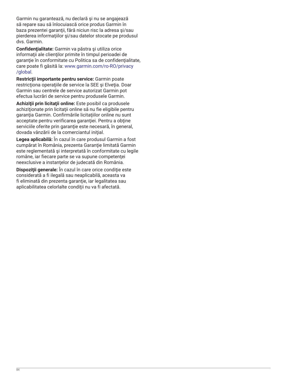Garmin nu garantează, nu declară şi nu se angajează să repare sau să înlocuiască orice produs Garmin în baza prezentei garanții, fără niciun risc la adresa și/sau pierderea informaţiilor şi/sau datelor stocate pe produsul dvs. Garmin.

**Confidenţialitate:** Garmin va păstra şi utiliza orice informaţii ale clienţilor primite în timpul perioadei de garanție în conformitate cu Politica sa de confidențialitate, care poate fi găsită la: [www.garmin.com/ro-RO/privacy](http://www.garmin.com/ro-RO/privacy/global) [/global](http://www.garmin.com/ro-RO/privacy/global).

**Restricţii importante pentru service:** Garmin poate restricționa operațiile de service la SEE și Elveția. Doar Garmin sau centrele de service autorizat Garmin pot efectua lucrări de service pentru produsele Garmin.

**Achiziţii prin licitaţii online:** Este posibil ca produsele achiziționate prin licitații online să nu fie eligibile pentru garanția Garmin. Confirmările licitațiilor online nu sunt acceptate pentru verificarea garanției. Pentru a obține serviciile oferite prin garanție este necesară, în general, dovada vânzării de la comerciantul iniţial.

**Legea aplicabilă:** În cazul în care produsul Garmin a fost cumpărat în România, prezenta Garanție limitată Garmin este reglementată şi interpretată în conformitate cu legile române, iar fiecare parte se va supune competenţei neexclusive a instanţelor de judecată din România.

**Dispoziţii generale:** În cazul în care orice condiţie este considerată a fi ilegală sau neaplicabilă, aceasta va fi eliminată din prezenta garanție, iar legalitatea sau aplicabilitatea celorlalte condiţii nu va fi afectată.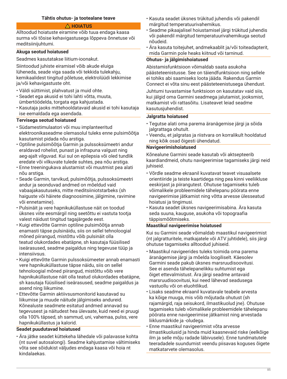#### **Tähtis ohutus- ja tootealane teave**

#### **HOIATUS**

Alltoodud hoiatuste eiramine võib tuua endaga kaasa surma või tõsise kehavigastusega lõppeva õnnetuse või meditsiinijuhtumi.

#### **Akuga seotud hoiatused**

Seadmes kasutatakse liitium-ioonakut.

Siintoodud juhiste eiramisel võib akude eluiga lüheneda, seade viga saada või tekkida tulekahju, kemikaalidest tingitud põletuse, elektrolüüdi lekkimise ja/või kehavigastuste oht.

- Väldi süttimist, plahvatust ja muid ohte.
- Seadet ega akusid ei tohi lahti võtta, muuta, ümbertöödelda, torgata ega kahjustada.
- Kasutaja jaoks mittehooldatavaid akusid ei tohi kasutaja ise eemaldada ega asendada.

## **Tervisega seotud hoiatused**

- Südamestimulaatori või muu implanteeritud elektroonikaseadme olemasolul tuleks enne pulsimõõtja kasutamist pidada nõu arstiga.
- Optiline pulsimõõtja Garmin ja pulssoksümeetri andur eraldavad rohelist, punast ja infrapuna valgust ning aeg-ajalt vilguvad. Kui sul on epilepsia või oled tundlik eredate või vilkuvate tulede suhtes, pea nõu arstiga.
- Enne treeningukava alustamist või muutmist pea alati nõu arstiga.
- Seade Garmin, tarvikud, pulsimõõtja, pulssoksümeetri andur ja seonduvad andmed on mõeldud vaid vabaajakasutuseks, mitte meditsiiniotstarbeks (sh haiguste või häirete diagnoosimine, jälgimine, ravimine või ennetamine).
- Pulsinäit ja vere hapnikuküllastuse näit on toodud üksnes viite eesmärgil ning seetõttu ei vastuta tootja valest näidust tingitud tagajärgede eest.
- Kuigi ettevõtte Garmin optiline pulsimõõtja annab enamasti täpse pulsinäidu, siis on sellel tehnoloogial mõned piirangud, mistõttu võib pulsinäit olla teatud olukordades ebatäpne, sh kasutaja füüsilised iseärasused, seadme paigaldus ning tegevuse tüüp ja intensiivsus.
- Kuigi ettevõtte Garmin pulssoksümeeter annab enamasti vere hapnikuküllastuse täpse näidu, siis on sellel tehnoloogial mõned piirangud, mistõttu võib vere hapnikuküllastuse näit olla teatud olukordades ebatäpne, sh kasutaja füüsilised iseärasused, seadme paigaldus ja asend ning liikumine.
- Ettevõtte Garmin aktiivsusmonitorid kasutavad su liikumise ja muude näitude jälgimiseks andureid. Kõnealuste seadmete esitatud andmed annavad su tegevusest ja näitudest hea ülevaate, kuid need ei pruugi olla 100% täpsed, sh sammud, uni, vahemaa, pulss, vere hapnikuküllastus ja kalorid.

## **Seadet puudutavad hoiatused**

• Ära jätke seadet küttekeha lähedale või palavasse kohta (nt suvel autosalongi). Seadme kahjustamise vältimiseks võta see sõidukist väljudes endaga kaasa või hoia nt kindalaekas.

- Kasuta seadet üksnes trükitud juhendis või pakendil märgitud temperatuurivahemikus.
- Seadme pikaajalisel hoiustamisel järgi trükitud juhendis või pakendil märgitud temperatuurivahemikuga seotud nõudeid.
- Ära kasuta toitejuhet, andmekaablit ja/või toiteadapterit, mida Garmin pole heaks kiitnud või tarninud.

#### **Ohutus- ja jälgimishoiatused**

Abistamisfunktsioon võimaldab saata asukoha päästeteenistusse. See on täiendfunktsioon ning sellele ei tohiks abi saamiseks loota jääda. Rakendus Garmin Connect ei võta sinu eest päästeteenistusega ühendust.

Juhtumi tuvastamise funktsioon on kasutatav vaid siis, kui jälgid oma Garmini seadmega jalutamist, jooksmist, matkamist või rattasõitu. Lisateavet leiad seadme kasutusjuhendist.

#### **Jalgratta hoiatused**

- Tegutse alati oma parema äranägemise järgi ja sõida jalgrattaga ohutult.
- Veendu, et jalgratas ja riistvara on korralikult hooldatud ning kõik osad õigesti ühendatud.

#### **Navigeerimishoiatused**

Kõnealune Garmini seade kasutab või aktsepteerib kaardiandmeid, ohutu navigeerimise tagamiseks järgi neid juhiseid.

- Võrdle seadme ekraanil kuvatavat teavet visuaalsete orientiiride ja teiste kaartidega ning pea kinni veeliikluse eeskirjast ja piirangutest. Ohutuse tagamiseks tuleb võimalikele probleemidele tähelepanu pöörata enne navigeerimise jätkamist ning võtta arvesse ülesseatud hoiatusi ja tingimusi.
- Kasuta seadet üksnes navigeerimisabina. Ära kasuta seda suuna, kauguse, asukoha või topograafia täppismõõtmiseks.

#### **Maastikul navigeerimise hoiatused**

Kui su Garmini seade võimaldab maastikul navigeerimist (nt jalgratturitele, matkajatele või ATV juhtidele), siis järgi ohutuse tagamiseks alltoodud juhiseid.

- Maastikul navigeerides tuleks toimida oma parema äranägemise järgi ja mõelda loogiliselt. Käesolev Garmini seade pakub üksnes marsruudisoovitusi. See ei asenda tähelepanelikku suhtumist ega õiget ettevalmistust. Ära järgi seadme antavaid marsruudisoovitusi, kui need lähevad seadusega vastuollu või on eluohtlikud.
- Lisaks seadme ekraanil kuvatavale teabele arvesta ka kõige muuga, mis võib mõjutada ohutust (sh rajamärgid, raja seisukord, ilmastikuolud jne). Ohutuse tagamiseks tuleb võimalikele probleemidele tähelepanu pöörata enne navigeerimise jätkamist ning arvestada liiklusmärkide ja -oludega.
- Enne maastikul navigeerimist võta arvesse ilmastikuolusid ja hinda muid kaasnevaid riske (eelkõige ilm ja selle mõju radade läbivusele). Enne tundmatutele teeradadele suundumist veendu piisavas koguses õigete matkatarvete olemasolus.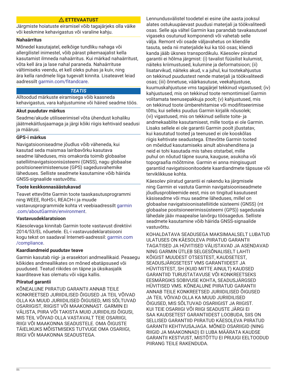# **ETTEVAATUST**

Järgmiste hoiatuste eiramisel võib tagajärjeks olla väike või keskmine kehavigastus või varaline kahju.

#### **Nahaärritus**

Mõnedel kasutajatel, eelkõige tundliku nahaga või allergilistel inimestel, võib pärast pikemaajalist kella kasutamist ilmneda nahaärritus. Kui märkad nahaärritust, võta kell ära ja lase nahal paraneda. Nahaärrituse vältimiseks veendu, et kell oleks puhas ja kuiv, ning ära kella randmele liiga tugevalt kinnita. Lisateavet leiad aadressilt [garmin.com/fitandcare.](http://www.garmin.com/fitandcare)

## *TEATIS*

Alltoodud märkuste eiramisega võib kaasneda kehavigastus, vara kahjustumine või häired seadme töös.

## **Akut puudutav märkus**

Seadme/akude utiliseerimisel võta ühendust kohaliku jäätmekäitlusjaamaga ja järgi kõiki riigis kehtivaid seadusi ja määrusi.

# **GPS-i märkus**

Navigatsiooniseadme jõudlus võib väheneda, kui kasutad seda maismaa lairibavõrku kasutava seadme läheduses, mis omakorda toimib globaalse satelliitnavigatsioonisüsteemi (GNSS), nagu globaalse positsioneerimisteenuse (GPS) sagedusvahemike läheduses. Selliste seadmete kasutamine võib häirida GNSS-signaalide vastuvõttu.

## **Toote keskkonnasäästukavad**

Teavet ettevõtte Garmin toote taaskasutusprogrammi ning WEEE, RoHS-i, REACH-i ja muude vastavusprogrammide kohta vt veebiaadressilt [garmin](http://www.garmin.com/aboutGarmin/environment) [.com/aboutGarmin/environment](http://www.garmin.com/aboutGarmin/environment).

## **Vastavusdeklaratsioon**

Käesolevaga kinnitab Garmin toote vastavust direktiivi 2014/53/EL nõuetele. EL-i vastavusdeklaratsiooni kogu tekst on saadaval Interneti-aadressil: [garmin.com](http://www.garmin.com/compliance) [/compliance.](http://www.garmin.com/compliance)

## **Kaardiandmeid puudutav teave**

Garmin kasutab riigi- ja erasektori andmeallikaid. Peaaegu kõikides andmeallikates on mõned ebatäpsused või puudused. Teatud riikides on täpne ja üksikasjalik kaarditeave kas olematu või väga kallis.

## **Piiratud garantii**

KÕNEALUNE PIIRATUD GARANTII ANNAB TEILE KONKREETSED JURIIDILISED ÕIGUSED JA TEIL VÕIVAD OLLA KA MUUD JURIIDILISED ÕIGUSED, MIS SÕLTUVAD OSARIIGIST, RIIGIST VÕI MAAKONNAST. GARMIN EI VÄLISTA, PIIRA VÕI TAKISTA MUID JURIIDILISI ÕIGUSI, MIS TEIL VÕIVAD OLLA VASTAVALT TEIE OSARIIGI, RIIGI VÕI MAAKONNA SEADUSTELE. OMA ÕIGUSTE TÄIELIKUKS MÕISTMISEKS TUTVUGE OMA OSARIIGI, RIIGI VÕI MAAKONNA SEADUSTEGA.

Lennundusvälistel toodetel ei esine ühe aasta jooksul alates ostukuupäevast puudusi materjali ja töökvaliteedi osas. Selle aja vältel Garmin kas parandab tavakasutusel vigaseks osutunud komponendi või vahetab selle välja. Remont või osade väljavahetus on kliendile tasuta, seda nii materjalide kui ka töö osas; kliendi kanda jääb üksnes transpordikulu. Käesolev piiratud garantii ei hõlma järgmist: (i) tavalist füüsilist kulumist, näiteks kriimustused, kulumine ja deformatsioon; (ii) lisatarvikud, näiteks akud, v.a juhul, kui tootekahjustus on tekkinud puudustest nende materjali ja töökvaliteedi osas; (iii) õnnetuse, väärkasutuse, veekahjustuse, kuumuskahjustuse vms tagajärjel tekkinud vigastused; (iv) kahjustused, mis on tekkinud toote remontimisel Garmin volitamata teenusepakkuja poolt; (v) kahjustused, mis on tekkinud toote ümberehitamise või modifitseerimise tõttu, kui selleks puudus Garmin kirjalik nõusolek; (vi) vigastused, mis on tekkinud selliste toite- ja andmekaablite kasutamisest, mille tootja ei ole Garmin. Lisaks sellele ei ole garantii Garmin poolt jõustatav, kui kasutatud tooted ja teenused ei ole kooskõlas riigis kehtivate seadustega. Ettevõtte Garmin tooted on mõeldud kasutamiseks ainult abivahenditena ja neid ei tohi kasutada mis tahes otstarbel, mille puhul on nõutud täpne suuna, kauguse, asukoha või topograafia mõõtmine. Garmin ei anna mingisugust garantiid navigatsioonitoodete kaardiandmete täpsuse või terviklikkuse kohta.

Käesolev piiratud garantii ei rakendu ka järgmisele ning Garmin ei vastuta Garmin navigatsiooniseadmete jõudlusprobleemide eest, mis on tingitud kasutusest käsiseadme või muu seadme läheduses, millel on globaalse navigatsioonisatelliitide süsteemi (GNSS) (nt globaalse positsioneerimissüsteemi (GPS)) sagedusala lähedale jääv maapealse laivõrgu töösagedus. Selliste seadmete kasutamine võib häirida GNSS-signaalide vastuvõttu.

KOHALDATAVA SEADUSEGA MAKSIMAALSELT LUBATUD ULATUSES ON KÄESOLEVA PIIRATUD GARANTII TAGATISED JA HÜVITISED VÄLISTAVAD JA ASENDAVAD NING GARMIN ÜTLEB SELGESÕNALISELT LAHTI KÕIGIST MUUDEST OTSESTEST, KAUDSETEST, SEADUSJÄRGSETEST VMS GARANTIIDEST JA HÜVITISTEST, SH (KUID MITTE AINULT) KAUDSED GARANTIID TURUSTATAVUSE VÕI KONKREETSEKS EESMÄRGIKS SOBIVUSE KOHTA, SEADUSJÄRGSED HÜVITISED VMS. KÕNEALUNE PIIRATUD GARANTII ANNAB TEILE KONKREETSED JURIIDILISED ÕIGUSED JA TEIL VÕIVAD OLLA KA MUUD JURIIDILISED ÕIGUSED, MIS SÕLTUVAD OSARIIGIST JA RIIGIST. KUI TEIE OSARIIGI VÕI RIIGI SEADUSTE JÄRGI EI SAA KAUDSETEST GARANTIIDEST LOOBUDA, SIIS ON SELLISED GARANTIID PIIRATUD KÄESOLEVA PIIRATUD GARANTII KEHTIVUSAJAGA. MÕNED OSARIIGID (NING RIIGID JA MAAKONNAD) EI LUBA MÄÄRATA KAUDSE GARANTII KESTVUST, MISTÕTTU EI PRUUGI EELTOODUD PIIRANG TEILE RAKENDUDA.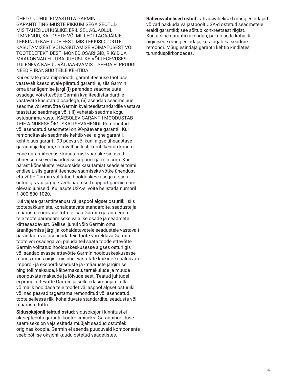ÜHELGI JUHUL EI VASTUTA GARMIN GARANTIITINGIMUSTE RIKKUMISEGA SEOTUD MIS TAHES JUHUSLIKE, ERILISEL ASJAOLUL ILMNENUD, KAUDSETE VÕI MILLEGI TAGAJÄRJEL TEKKINUD KAHJUDE EEST, MIS TEKKISID TOOTE KASUTAMISEST VÕI KASUTAMISE VÕIMATUSEST VÕI TOOTEDEFEKTIDEST. MÕNED OSARIIGID, RIIGID JA MAAKONNAD EI LUBA JUHUSLIKE VÕI TEGEVUSEST TULENEVA KAHJU VÄLJAARVAMIST, SEEGA EI PRUUGI NEED PIIRANGUD TEILE KEHTIDA.

Kui esitate garantiiperioodil garantiiteenuse taotluse vastavalt käesolevale piiratud garantiile, siis Garmin oma äranägemise järgi (i) parandab seadme uute osadega või ettevõtte Garmin kvaliteedistandardile vastavate kasutatud osadega, (ii) asendab seadme uue seadme või ettevõtte Garmin kvaliteedistandardile vastava taastatud seadmega või (iii) vahetab seadme kogu ostusumma vastu. KÄESOLEV GARANTII MOODUSTAB TEIE AINUKESE ÕIGUSKAITSEVAHENDI. Remonditud või asendatud seadmetel on 90-päevane garantii. Kui remonditavale seadmele kehtib veel algne garantii, kehtib uus garantii 90 päeva või kuni algse üheaastase garantiiaja lõpuni, sõltuvalt sellest, kumb kestab kauem.

Enne garantiiteenuse kasutamist vaadake sidusaid abiressursse veebiaadressil [support.garmin.com](http://www.support.garmin.com). Kui pärast kõnealuste ressursside kasutamist seade ei toimi endiselt, siis garantiiteenuse saamiseks võtke ühendust ettevõtte Garmin volitatud hoolduskeskusega algses osturiigis või järgige veebiaadressil [support.garmin.com](http://www.support.garmin.com) olevaid juhiseid. Kui asute USA-s, võite helistada numbril 1-800-800-1020.

Kui vajate garantiiteenust väljaspool algset osturiiki, siis tootepakkumiste, kohaldatavate standardite, seaduste ja määruste erinevuse tõttu ei saa Garmin garanteerida teie toote parandamiseks vajalike osade ja seadmete kättesaadavust. Sellisel juhul võib Garmin oma äranägemise järgi ja kohaldatavatele seadustele vastavalt parandada või asendada teie toote võrreldava Garmin toote või osadega või paluda teil saata toode ettevõtte Garmin volitatud hoolduskeskusesse algses osturiigis või saadaolevasse ettevõtte Garmin hoolduskeskusesse mõnes muus riigis, misjuhul vastutate kõikide kohalduvate impordi- ja ekspordiseaduste ja -määruste järgimise ning tollimaksude, käibemaksu, tarnekulude ja muude seonduvate maksude ja lõivude eest. Teatud juhtudel ei pruugi ettevõtte Garmin ja selle edasimüüjatel olla võimalik hooldada teie toodet väljaspool algset osturiiki või nad peavad tagastama remonditud või asendatud toote sellesse riiki kohalduvate standardite, seaduste või määruste tõttu.

**Sidusoksjonil tehtud ostud**: sidusoksjoni kinnitusi ei aktsepteerita garantii kontrollimiseks. Garantiihoolduse saamiseks on vaja esitada müüjalt saadud ostutšeki originaalkoopia. Garmin ei asenda puuduvaid komponente veebipõhise oksjoni kaudu ostetud saadetistes.

**Rahvusvahelised ostud**: rahvusvahelised müügiesindajad võivad pakkuda väljastpoolt USA-d ostetud seadmetele eraldi garantiid; see sõltub konkreetsest riigist. Kui taoline garantii rakendub, pakub seda kohalik riigisisene müügiesindaja, kes tagab ka seadme remondi. Müügiesindaja garantii kehtib kindlates turunduspiirkondades.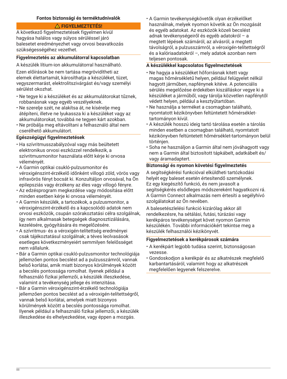## **Fontos biztonsági és terméktudnivalók**

# **FIGYELMEZTETÉS!**

A következő figyelmeztetések figyelmen kívül hagyása halálos vagy súlyos sérüléssel járó balesetet eredményezhet vagy orvosi beavatkozás szükségességéhez vezethet.

## **Figyelmeztetés az akkumulátorral kapcsolatban**

A készülék lítium-ion akkumulátorral használható.

Ezen előírások be nem tartása megrövidítheti az elemek élettartamát, károsíthatja a készüléket, tüzet, vegyszermarást, elektrolitszivárgást és/vagy személyi sérülést okozhat.

- Ne tegye ki a készüléket és az akkumulátorokat tűznek, robbanásnak vagy egyéb veszélyeknek.
- Ne szerelje szét, ne alakítsa át, ne kísérelje meg átépíteni, illetve ne lyukassza ki a készüléket vagy az akkumulátorokat, továbbá ne tegyen kárt azokban.
- Ne próbálja meg eltávolítani a felhasználó által nem cserélhető akkumulátort.

#### **Egészségügyi figyelmeztetések**

- Ha szívritmusszabályzóval vagy más beültetett elektronikus orvosi eszközzel rendelkezik, a szívritmusmonitor használata előtt kérje ki orvosa véleményét.
- A Garmin optikai csukló-pulzusmonitor és véroxigénszint-érzékelő időnként villogó zöld, vörös vagy infravörös fényt bocsát ki. Konzultáljon orvosával, ha Ön epilepsziás vagy érzékeny az éles vagy villogó fényre.
- Az edzésprogram megkezdése vagy módosítása előtt minden esetben kérje ki orvosa véleményét.
- A Garmin készülék, a tartozékok, a pulzusmonitor, a véroxigénszint-érzékelő és a kapcsolódó adatok nem orvosi eszközök, csupán szórakoztatási célra szolgálnak, így nem alkalmasak betegségek diagnosztizálására, kezelésére, gyógyítására és megelőzésére.
- A szívritmus- és a véroxigén-telítettség eredményei csak tájékoztatásul szolgálnak; a téves leolvasások esetleges következményeiért semmilyen felelősséget nem vállalunk.
- Bár a Garmin optikai csukló-pulzusmonitor technológiája jellemzően pontos becslést ad a pulzusszámról, vannak belső korlátai, amik miatt bizonyos körülmények között a becslés pontossága romolhat. Ilyenek például a felhasználó fizikai jellemzői, a készülék illeszkedése, valamint a tevékenység jellege és intenzitása.
- Bár a Garmin véroxigénszint-érzékelő technológiája jellemzően pontos becslést ad a véroxigén-telítettségről, vannak belső korlátai, amelyek miatt bizonyos körülmények között a becslés pontossága romolhat. Ilyenek például a felhasználó fizikai jellemzői, a készülék illeszkedése és elhelyezkedése, vagy éppen a mozgás.

• A Garmin tevékenységkövetők olyan érzékelőket használnak, melyek nyomon követik az Ön mozgását és egyéb adatokat. Az eszközök közeli becslést adnak tevékenységeiről és egyéb adatokról – a megtett lépések számáról, az alvásról, a megtett távolságról, a pulzusszámról, a véroxigén-telítettségről és a kalóriaadatokról –, mely adatok azonban nem teljesen pontosak.

# **A készülékkel kapcsolatos figyelmeztetések**

- Ne hagyja a készüléket hőforrásnak kitett vagy magas hőmérsékletű helyen, például felügyelet nélkül hagyott járműben, napfénynek kitéve. A potenciális sérülés megelőzése érdekében kiszálláskor vegye ki a készüléket a járműből, vagy tárolja közvetlen napfénytől védett helyen, például a kesztyűtartóban.
- Ne használja a terméket a csomagban található, nyomtatott kézikönyvben feltüntetett hőmérséklettartományon kívül.
- A készülék hosszú ideig tartó tárolása esetén a tárolás minden esetben a csomagban található, nyomtatott kézikönyvben feltüntetett hőmérséklet-tartományon belül történjen.
- Soha ne használjon a Garmin által nem jóváhagyott vagy nem a Garmin által biztosított tápkábelt, adatkábelt és/ vagy áramadaptert.

#### **Biztonsági és nyomon követési figyelmeztetés**

A segítségkérési funkcióval elküldheti tartózkodási helyét egy baleset esetén értesítendő személynek. Ez egy kiegészítő funkció, és nem javasolt a segítségkérés elsődleges módszereként hagyatkozni rá. A Garmin Connect alkalmazás nem értesíti a segélyhívó szolgálatokat az Ön nevében.

A balesetészlelési funkció kizárólag akkor áll rendelkezésre, ha sétálási, futási, túrázási vagy kerékpáros tevékenységet követ nyomon Garmin készülékén. További információkért tekintse meg a készülék felhasználói kézikönyvét.

#### **Figyelmeztetések a kerékpárosok számára**

- A kerékpárt legjobb tudása szerint, biztonságosan vezesse.
- Gondoskodjon a kerékpár és az alkatrészek megfelelő karbantartásáról, valamint hogy az alkatrészek megfelelően legyenek felszerelve.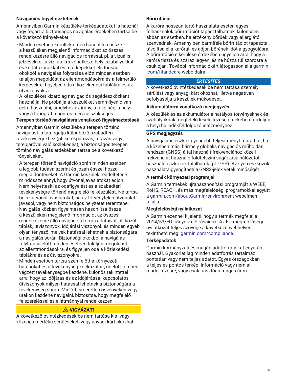# **Navigációs figyelmeztetések**

Amennyiben Garmin készüléke térképadatokat is használ vagy fogad, a biztonságos navigálás érdekében tartsa be a következő irányelveket.

- Minden esetben körültekintően hasonlítsa össze a készüléken megjelenő információkat az összes rendelkezésre álló navigációs forrással, pl. a vizuális jelzésekkel, a vízi utakra vonatkozó helyi szabályokkal és korlátozásokkal és a térképekkel. Biztonsági okokból a navigálás folytatása előtt minden esetben találjon megoldást az ellentmondásokra és a felmerülő kérdésekre, figyeljen oda a közlekedési táblákra és az útviszonyokra.
- A készüléket kizárólag navigációs segédeszközként használja. Ne próbálja a készüléket semmilyen olyan célra használni, amelyhez az irány, a távolság, a hely vagy a topográfia pontos mérése szükséges.

# **Terepen történő navigálásra vonatkozó figyelmeztetések**

Amennyiben Garmin készüléke a terepen történő navigálást is támogatja különböző szabadtéri tevékenységekhez (pl. kerékpározás, túrázás vagy terepjáróval való közlekedés), a biztonságos terepen történő navigálás érdekében tartsa be a következő irányelveket.

- A terepen történő navigáció során minden esetben a legjobb tudása szerint és józan ésszel hozza meg a döntéseket. A Garmin készülék rendeltetése mindössze annyi, hogy útvonaljavaslatokat adjon. Nem helyettesíti az odafigyelést és a szabadtéri tevékenységre történő megfelelő felkészülést. Ne tartsa be az útvonaljavaslatokat, ha az törvénytelen útvonalat javasol, vagy nem biztonságos helyzetet teremtene.
- Navigálás közben figyelmesen hasonlítsa össze a készüléken megjelenő információt az összes rendelkezésre álló navigációs forrás adataival, pl. közúti táblák, útviszonyok, időjárási viszonyok és minden egyéb olyan tényező, melyek hatással lehetnek a biztonságára a navigálás során. Biztonsági okokból a navigálás folytatása előtt minden esetben találjon megoldást az ellentmondásokra, és figyeljen oda a közlekedési táblákra és az útviszonyokra.
- Minden esetben tartsa szem előtt a környezeti hatásokat és a tevékenység kockázatait, mielőtt terepen végzett tevékenységbe kezdene, különös tekintettel arra, hogy az időjárás és az időjárással kapcsolatos útviszonyok milyen hatással lehetnek a biztonságára a tevékenység során. Mielőtt ismeretlen ösvényeken vagy utakon kezdene navigálni, biztosítsa, hogy megfelelő felszereléssel és ellátmánnyal rendelkezzen.

# **VIGYÁZAT!**

A következő óvintézkedések be nem tartása kis- vagy közepes mértékű sérüléseket, vagy anyagi kárt okozhat.

## **Bőrirritáció**

A karóra hosszan tartó használata esetén egyes felhasználók bőrirritációt tapasztalhatnak, különösen abban az esetben, ha érzékeny bőrűek vagy allergiától szenvednek. Amennyiben bármiféle bőrirritációt tapasztal, távolítsa el a karórát, és adjon bőrének időt a gyógyulásra. A bőrirritáció elkerülése érdekében ügyeljen arra, hogy a karóra tiszta és száraz legyen, és ne húzza túl szorosra a csuklóján. További információkért látogasson el a [garmin](http://www.garmin.com/fitandcare) [.com/fitandcare](http://www.garmin.com/fitandcare) weboldalra.

## *ÉRTESÍTÉS*

A következő óvintézkedések be nem tartása személyi sérülést vagy anyagi kárt okozhat, illetve negatívan befolyásolja a készülék működését.

# **Akkumulátorra vonatkozó megjegyzés**

A készülék és az akkumulátor a hatályos törvényeknek és szabályoknak megfelelő leselejtezése érdekében forduljon a helyi hulladékfeldolgozó intézményhez.

## **GPS megjegyzés**

A navigációs eszköz gyengébb teljesítményt mutathat, ha a közelben más, bármely globális navigációs műholdas rendszer (GNSS) által használt frekvenciához közeli frekvenciát használó földfelszíni sugárzású hálózatot használó eszközök találhatók (pl. GPS). Az ilyen eszközök használata gyengítheti a GNSS-jelek vételi minőségét.

## **A termék környezeti programjai**

A Garmin termékek újrahasznosítási programját a WEEE, RoHS, REACH, és más megfelelőségi programokkal együtt a [garmin.com/aboutGarmin/environment](http://www.garmin.com/aboutGarmin/environment) webcímen találja.

## **Megfelelőségi nyilatkozat**

A Garmin ezennel kijelenti, hogy a termék megfelel a 2014/53/EU irányelv előírásainak. Az EU megfelelőségi nyilatkozat teljes szövege a következő webhelyen tekinthető meg: [garmin.com/compliance.](http://www.garmin.com/compliance)

## **Térképadatok**

Garmin kormányzati és magán adatforrásokat egyaránt használ. Gyakorlatilag minden adatforrás tartalmaz pontatlan vagy nem teljes adatot. Egyes országokban a teljes és pontos térképi információ vagy nem áll rendelkezésre, vagy csak riasztóan magas áron.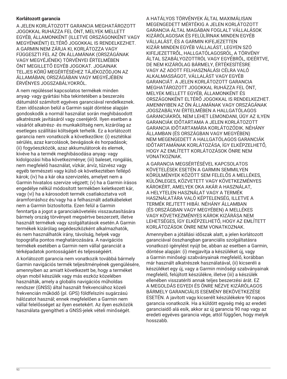## **Korlátozott garancia**

A JELEN KORLÁTOZOTT GARANCIA MEGHATÁROZOTT JOGOKKAL RUHÁZZA FEL ÖNT, MELYEK MELLETT EGYÉB, ÁLLAMONKÉNT (ILLETVE ORSZÁGONKÉNT VAGY MEGYÉNKÉNT) ELTÉRŐ JOGOKKAL IS RENDELKEZHET. A GARMIN NEM ZÁRJA KI, KORLÁTOZZA VAGY FÜGGESZTI FEL AZ ÖN ÁLLAMÁNAK (ORSZÁGÁNAK VAGY MEGYÉJÉNEK) TÖRVÉNYEI ÉRTELMÉBEN ÖNT MEGILLETŐ EGYÉB JOGOKAT. JOGAINAK TELJES KÖRŰ MEGÉRTÉSÉHEZ TÁJÉKOZÓDJON AZ ÁLLAMÁBAN, ORSZÁGÁBAN VAGY MEGYÉJÉBEN ÉRVÉNYES JOGSZABÁLYOKRÓL.

A nem repüléssel kapcsolatos termékek minden anyag- vagy gyártási hiba tekintetében a beszerzés dátumától számított egyéves garanciával rendelkeznek. Ezen időszakon belül a Garmin saját döntése alapján gondoskodik a normál használat során meghibásodott alkatrészek javításáról vagy cseréjéről. Ilyen esetben a vásárlót alkatrész- és munkaköltség nem, kizárólag az esetleges szállítási költségek terhelik. Ez a korlátozott garancia nem vonatkozik a következőkre: (i) esztétikai sérülés, azaz karcolások, bevágások és horpadások; (ii) fogyóeszközök, azaz akkumulátorok és elemek, kivéve ha a termék meghibásodása anyag- vagy kidolgozási hiba következménye; (iii) baleset, rongálás, nem megfelelő használat, vízkár, árvíz, tűzvész vagy egyéb természeti vagy külső ok következtében fellépő károk; (iv) ha a kár oka szervizelés, amelyet nem a Garmin hivatalos szervize végzett; (v) ha a Garmin írásos engedélye nélkül módosított termékben keletkezett kár, vagy (vi) ha a károsodott termék csatlakoztatva volt áramforráshoz és/vagy ha a felhasznált adatkábeleket nem a Garmin biztosította. Ezen felül a Garmin fenntartja a jogot a garanciakövetelés visszautasítására bármely ország törvényeit megsértve beszerzett, illetve használt termékek vagy szolgáltatások esetén.A Garmin termékek kizárólag segédeszközként alkalmazhatók, és nem használhatók irány, távolság, helyek vagy topográfia pontos meghatározására. A navigációs termékek esetében a Garmin nem vállal garanciát a térképadatok pontosságáért és teljességéért.

A korlátozott garancia nem vonatkozik továbbá bármely Garmin navigációs termék teljesítményének gyengülésére, amennyiben az amiatt következett be, hogy a terméket olyan mobil készülék vagy más eszköz közelében használták, amely a globális navigációs műholdas rendszer (GNSS) által használt frekvenciához közeli frekvencián működő (pl. GPS) földfelszíni sugárzású hálózatot használ; ennek megfelelően a Garmin nem vállal felelősséget az ilyen esetekért. Az ilyen eszközök használata gyengítheti a GNSS-jelek vételi minőségét.

A HATÁLYOS TÖRVÉNYEK ÁLTAL MAXIMÁLISAN MEGENGEDETT MÉRTÉKIG A JELEN KORLÁTOZOTT GARANCIA ÁLTAL MAGÁBAN FOGLALT VÁLLALÁSOK KIZÁRÓLAGOSAK ÉS FELÜLÍRNAK MINDEN EGYÉB VÁLLALÁST, ÉS A GARMIN KIFEJEZETTEN KIZÁR MINDEN EGYÉB VÁLLALÁST, LEGYEN SZÓ KIFEJEZETTRŐL, HALLGATÓLAGOSRÓL, A TÖRVÉNY ÁLTAL SZABÁLYOZOTTRÓL VAGY EGYÉBRŐL, IDEÉRTVE, DE NEM KIZÁRÓLAG BÁRMELY, ÉRTÉKESÍTÉSRE VAGY AZ ADOTT FELHASZNÁLÁSI CÉLRA VALÓ ALKALMASSÁGOT, VÁLLALÁST VAGY EGYÉB GARANCIÁT. A JELEN KORLÁTOZOTT GARANCIA MEGHATÁROZOTT JOGOKKAL RUHÁZZA FEL ÖNT, MELYEK MELLETT EGYÉB, ÁLLAMONKÉNT ÉS ORSZÁGONKÉNT ELTÉRŐ JOGOKKAL IS RENDELKEZHET. AMENNYIBEN AZ ÖN ÁLLAMÁNAK VAGY ORSZÁGÁNAK JOGSZABÁLYAI ÉRTELMÉBEN A HALLGATÓLAGOS GARANCIÁKRÓL NEM LEHET LEMONDANI, ÚGY AZ ILYEN GARANCIÁK IDŐTARTAMA A JELEN KORLÁTOZOTT GARANCIA IDŐTARTAMÁRA KORLÁTOZÓDIK. NÉHÁNY ÁLLAMBAN (ÉS ORSZÁGBAN VAGY MEGYÉBEN) NEM MEGENGEDETT A HALLGATÓLAGOS GARANCIÁK IDŐTARTAMÁNAK KORLÁTOZÁSA, ÍGY ELKÉPZELHETŐ, HOGY AZ EMLÍTETT KORLÁTOZÁSOK ÖNRE NEM VONATKOZNAK.

A GARANCIA MEGSÉRTÉSÉVEL KAPCSOLATOS KÖVETELÉSEK ESETÉN A GARMIN SEMMILYEN KÖRÜLMÉNYEK KÖZÖTT SEM FELELŐS A MELLÉKES, KÜLÖNLEGES, KÖZVETETT VAGY KÖVETKEZMÉNYES KÁROKÉRT, AMELYEK OKA AKÁR A HASZNÁLAT, A HELYTELEN HASZNÁLAT VAGY A TERMÉK HASZNÁLATÁRA VALÓ KÉPTELENSÉG, ILLETVE A TERMÉK REJTETT HIBÁI. NÉHÁNY ÁLLAMBAN (ÉS ORSZÁGBAN VAGY MEGYÉBEN) A MELLÉKES VAGY KÖVETKEZMÉNYES KÁROK KIZÁRÁSA NEM LEHETSÉGES, ÍGY ELKÉPZELHETŐ, HOGY AZ EMLÍTETT KORLÁTOZÁSOK ÖNRE NEM VONATKOZNAK.

Amennyiben a jótállási időszak alatt, a jelen korlátozott garanciával összhangban garanciális szolgáltatásra vonatkozó igénylést nyújt be, abban az esetben a Garmin, döntése alapján: (i) megjavítja a készüléket új, vagy a Garmin minőségi szabványainak megfelelő, korábban már használt alkatrészek használatával, (ii) kicseréli a készüléket egy új, vagy a Garmin minőségi szabványainak megfelelő, felújított készülékre, illetve (iii) a készülék ellenében visszatéríti annak teljes beszerzési árát. EZ A MEGOLDÁS EGYEDI ÉS ÖNRE NÉZVE KIZÁRÓLAGOS BÁRMELY GARANCIÁLIS ESEMÉNY BEKÖVETKEZÉSE ESETÉN. A javított vagy kicserélt készülékekre 90 napos garancia vonatkozik. Ha a küldött egység még az eredeti garanciaidő alá esik, akkor az új garancia 90 nap vagy az eredeti egyéves garancia vége, attól függően, hogy melyik hosszabb.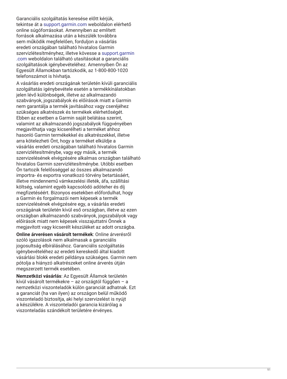Garanciális szolgáltatás keresése előtt kérjük, tekintse át a [support.garmin.com](http://www.support.garmin.com) weboldalon elérhető online súgóforrásokat. Amennyiben az említett források alkalmazása után a készülék továbbra sem működik megfelelően, forduljon a vásárlás eredeti országában található hivatalos Garmin szervizlétesítményhez, illetve kövesse a [support.garmin](http://www.support.garmin.com) [.com](http://www.support.garmin.com) weboldalon található utasításokat a garanciális szolgáltatások igénybevételéhez. Amennyiben Ön az Egyesült Államokban tartózkodik, az 1-800-800-1020 telefonszámot is hívhatja.

A vásárlás eredeti országának területén kívüli garanciális szolgáltatás igénybevétele esetén a termékkínálatokban jelen lévő különbségek, illetve az alkalmazandó szabványok, jogszabályok és előírások miatt a Garmin nem garantálja a termék javításához vagy cseréjéhez szükséges alkatrészek és termékek elérhetőségét. Ebben az esetben a Garmin saját belátása szerint, valamint az alkalmazandó jogszabályok függvényében megjavíthatja vagy kicserélheti a terméket ahhoz hasonló Garmin termékekkel és alkatrészekkel, illetve arra kötelezheti Önt, hogy a terméket elküldje a vásárlás eredeti országában található hivatalos Garmin szervizlétesítménybe, vagy egy másik, a termék szervizelésének elvégzésére alkalmas országban található hivatalos Garmin szervizlétesítménybe. Utóbbi esetben Ön tartozik felelősséggel az összes alkalmazandó importra- és exportra vonatkozó törvény betartásáért, illetve mindennemű vámkezelési illeték, áfa, szállítási költség, valamint egyéb kapcsolódó adóteher és díj megfizetéséért. Bizonyos esetekben előfordulhat, hogy a Garmin és forgalmazói nem képesek a termék szervizelésének elvégzésére egy, a vásárlás eredeti országának területén kívül eső országban, illetve az ezen országban alkalmazandó szabványok, jogszabályok vagy előírások miatt nem képesek visszajuttatni Önnek a megjavított vagy kicserélt készüléket az adott országba.

**Online árverésen vásárolt termékek**: Online árverésről szóló igazolások nem alkalmasak a garanciális jogosultság elbírálásához. Garanciális szolgáltatás igénybevételéhez az eredeti kereskedő által kiadott vásárlási blokk eredeti példánya szükséges. Garmin nem pótolja a hiányzó alkatrészeket online árverés útján megszerzett termék esetében.

**Nemzetközi vásárlás**: Az Egyesült Államok területén kívül vásárolt termékekre – az országtól függően – a nemzetközi viszonteladók külön garanciát adhatnak. Ezt a garanciát (ha van ilyen) az országon belül működő viszonteladó biztosítja, aki helyi szervizelést is nyújt a készülékre. A viszonteladói garancia kizárólag a viszonteladás szándékolt területére érvényes.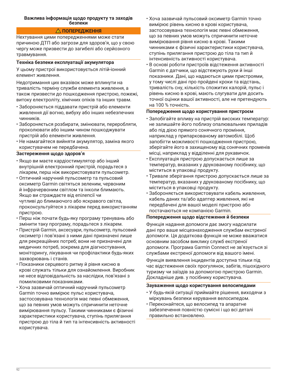#### **Важлива інформація щодо продукту та заходів безпеки**

## **ПОПЕРЕДЖЕННЯ**

Нехтування цими попередженнями може стати причиною ДТП або загрози для здоров'я, що у свою чергу може призвести до загибелі або серйозного травмування.

#### **Техніка безпеки експлуатації акумулятора**

У цьому пристрої використовується літій-іонний елемент живлення.

Недотримання цих вказівок може вплинути на тривалість терміну служби елемента живлення, а також призвести до пошкодження пристрою, пожежі, витоку електроліту, хімічних опіків та інших травм.

- Забороняється піддавати пристрій або елементи живлення дії вогню, вибуху або інших небезпечних чинників.
- Забороняється розбирати, змінювати, переробляти, проколювати або іншим чином пошкоджувати пристрій або елементи живлення.
- Не намагайтеся вийняти акумулятор, заміна якого користувачем не передбачена.

#### **Застереження щодо здоров'я**

- Якщо ви маєте кардіостимулятор або інший внутрішній електронний пристрій, порадьтеся з лікарем, перш ніж використовувати пульсометр.
- Оптичний наручний пульсометр та пульсовий оксиметр Garmin світяться зеленим, червоним й інфрачервоним світлом та інколи блимають. Якщо ви страждаєте від епілепсії чи чутливі до блимаючого або яскравого світла, проконсультуйтеся з лікарем перед використанням пристрою.
- Перш ніж почати будь-яку програму тренувань або змінити таку програму, порадьтеся з лікарем.
- Пристрій Garmin, аксесуари, пульсометр, пульсовий оксиметр і пов'язані з ними дані призначені лише для рекреаційних потреб; вони не призначені для медичних потреб, зокрема для діагностування, моніторингу, лікування чи профілактики будь-яких захворювань і станів.
- Показники серцевого ритму й рівня кисню в крові служать тільки для ознайомлення. Виробник не несе відповідальність за наслідки, пов'язані з помилковими показниками.
- Хоча зазвичай оптичний наручний пульсометр Garmin точно вимірює пульс користувача, застосовувана технологія має певні обмеження, що за певних умов можуть спричинити неточне вимірювання пульсу. Такими чинниками є фізичні характеристики користувача, ступінь прилягання пристрою до тіла й тип та інтенсивність активності користувача.
- Хоча зазвичай пульсовий оксиметр Garmin точно вимірює рівень кисню в крові користувача, застосовувана технологія має певні обмеження, що за певних умов можуть спричинити неточне вимірювання рівня кисню в крові. Такими чинниками є фізичні характеристики користувача, ступінь прилягання пристрою до тіла та тип й інтенсивність активності користувача.
- В основі роботи пристроїв відстеження активності Garmin є датчики, що відстежують рухи й інші показники. Дані, що надаються цими пристроями, у тому числі дані про пройдені кроки та відстань, тривалість сну, кількість спожитих калорій, пульс і рівень кисню в крові, мають слугувати для досить точної оцінки вашої активності, але не претендують на 100 % точність.

#### **Попередження щодо користування пристроєм**

- Запобігайте впливу на пристрій високих температур: не залишайте його поблизу опалювальних приладів або під дією прямого сонячного проміння, наприклад у припаркованому автомобілі. Щоб запобігти можливості пошкодження пристрою, зберігайте його в захищеному від сонячних променів місці, наприклад у відділенні для рукавичок.
- Експлуатація пристрою допускається лише за температур, вказаних у друкованому посібнику, що міститься в упаковці продукту.
- Тривале зберігання пристрою допускається лише за температур, вказаних у друкованому посібнику, що міститься в упаковці продукту.
- Забороняється використовувати кабель живлення, кабель даних та/або адаптер живлення, які не передбачені для вашої моделі пристрою або постачаються не компанією Garmin.

#### **Попередження щодо відстеження й безпеки**

Функція надання допомоги дає змогу надсилати дані про ваше місцезнаходження службам екстреної допомоги. Ця додаткова функція не може вважатися основним засобом виклику служб екстреної допомоги. Програма Garmin Connect не зв'язується зі службами екстреної допомоги від вашого імені.

Функція виявлення інцидентів доступна тільки під час відстеження своїх прогулянок, забігів, пішохідного туризму чи заїздів за допомогою пристрою Garmin. Докладніше див. у посібнику користувача.

#### **Зауваження щодо користування велосипедами**

- У будь-якій ситуації приймайте рішення, виходячи з міркувань безпеки керування велосипедом.
- Переконайтеся, що велосипед та апаратне забезпечення повністю сумісні і що всі деталі правильно встановлено.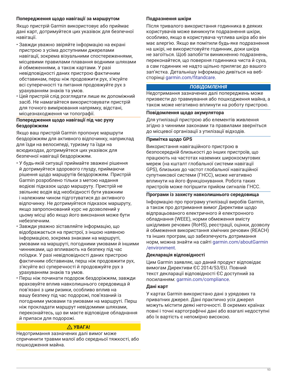## **Попередження щодо навігації за маршрутом**

Якщо пристрій Garmin використовує або приймає дані карт, дотримуйтеся цих указівок для безпечної навігації.

- Завжди уважно звіряйте інформацію на екрані пристрою з усіма доступними джерелами навігації, зокрема візуальними спостереженнями, місцевими правилами плавання водними шляхами й обмеженнями, а також картами. У разі невідповідності даних пристрою фактичним обставинам, перш ніж продовжити рух, з'ясуйте всі суперечності та питання продовжуйте рух з урахуванням знаків та умов.
- Цей пристрій слід розглядати лише як допоміжний засіб. Не намагайтеся використовувати пристрій для точного вимірювання напрямку, відстані, місцезнаходження чи топографії.

#### **Попередження щодо навігації під час руху бездоріжжям**

Якщо ваш пристрій Garmin пропонує маршрути бездоріжжям для активного відпочинку, наприклад для їзди на велосипеді, туризму та їзди на всюдиходах, дотримуйтеся цих указівок для безпечної навігації бездоріжжям.

- У будь-якій ситуації приймайте зважені рішення й дотримуйтеся здорового глузду, приймаючи рішення щодо маршрутів бездоріжжям. Пристрій Garmin розроблено тільки з метою надання водієві підказок щодо маршруту. Пристрій не звільняє водія від необхідності бути уважним і належним чином підготуватися до активного відпочинку. Не дотримуйтеся підказок маршруту, якщо запропонований курс не дозволений у цьому місці або якщо його виконання може бути небезпечним.
- Завжди уважно зіставляйте інформацію, що відображається на пристрої, з іншою наявною інформацією, зокрема знаками на маршруті, умовами на маршруті, погодними умовами й іншими чинниками, що впливають на безпеку під час поїздки. У разі невідповідності даних пристрою фактичним обставинам, перш ніж продовжити рух, з'ясуйте всі суперечності й продовжуйте рух з урахуванням знаків та умов.
- Перш ніж починати подорож бездоріжжям, завжди враховуйте вплив навколишнього середовища й пов'язані з цим ризики, особливо вплив на вашу безпеку під час подорожі, пов'язаний із погодними умовами та умовами на маршруті. Перш ніж прокладати маршрут невідомими шляхами, переконайтесь, що ви маєте відповідне обладнання й припаси для подорожі.

## **УВАГА!**

Недотримання зазначених далі вимог може спричинити травми малої або середньої тяжкості, або пошкодження майна.

#### **Подразнення шкіри**

Після тривалого використання годинника в деяких користувачів може виникнути подразнення шкіри, особливо, якщо в користувача чутлива шкіра або він має алергію. Якщо ви помітили будь-яке подразнення на шкірі, не використовуйте годинник, доки шкіра не загоїться. Щоб запобігти виникненню подразнень, переконайтеся, що поверхня годинника чиста й суха, а сам годинник не надто щільно прилягає до вашого зап'ястка. Детальнішу інформацію дивіться на вебсторінці [garmin.com/fitandcare](http://www.garmin.com/fitandcare).

#### *ПОВІДОМЛЕННЯ*

Недотримання зазначених далі попереджень може призвести до травмування або пошкодження майна, а також може негативно вплинути на роботу пристрою.

#### **Повідомлення щодо акумулятора**

Для утилізації пристрою або елементів живлення згідно з чинними законами та правилами зверніться до місцевої організації з утилізації відходів.

#### **Примітка щодо GPS**

Використання навігаційного пристрою в безпосередній близькості до інших пристроїв, що працюють на частотах наземних широкосмугових мереж (на кшталт глобальної системи навігації GPS), близьких до частот глобальної навігаційної супутникової системи (ГНСС), може негативно вплинути на його функціонування. Робота таких пристроїв може погіршити прийом сигналів ГНСС.

#### **Програми із захисту навколишнього середовища**

Інформацію про програму утилізації виробів Garmin, а також про дотримання вимог Директиви щодо відпрацьованого електричного й електронного обладнання (WEEE), норми обмеження вмісту шкідливих речовин (RoHS), реєстрації, оцінки, дозволу й обмеження використання хімічних речовин (REACH) та інших програм, що забезпечують дотримання норм, можна знайти на сайті [garmin.com/aboutGarmin](http://www.garmin.com/aboutGarmin/environment) [/environment.](http://www.garmin.com/aboutGarmin/environment)

#### **Декларація відповідності**

Цим Garmin заявляє, що даний продукт відповідає вимогам Директиви ЄС 2014/53/EU. Повний текст декларації відповідності ЄС доступний за посиланням: [garmin.com/compliance](http://www.garmin.com/compliance).

#### **Дані карт**

У картах Garmin використано дані з урядових та приватних джерел. Дані практично усіх джерел можуть містити деякі неточності. В окремих країнах повні і точні картографічні дані або взагалі недоступні або їх вартість є непомірно високою.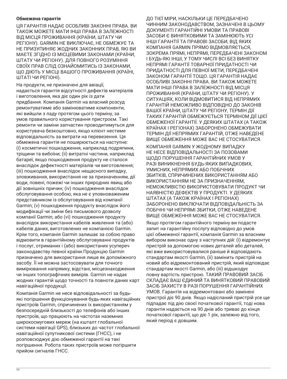#### **Обмежена гарантія**

ЦЯ ГАРАНТІЯ НАДАЄ ОСОБЛИВІ ЗАКОННІ ПРАВА. ВИ ТАКОЖ МОЖЕТЕ МАТИ ІНШІ ПРАВА В ЗАЛЕЖНОСТІ ВІД МІСЦЯ ПРОЖИВАННЯ (КРАЇНИ, ШТАТУ ЧИ РЕГІОНУ). GARMIN НЕ ВИКЛЮЧАЄ, НЕ ОБМЕЖУЄ ТА НЕ ПРИЗУПИНЯЄ ЖОДНИХ ЗАКОННИХ ПРАВ, ЯКІ ВИ МАЄТЕ ЗГІДНО ІЗ МІСЦЕВИМИ ЗАКОНАМИ (КРАЇНИ, ШТАТУ ЧИ РЕГІОНУ). ДЛЯ ПОВНОГО РОЗУМІННЯ СВОЇХ ПРАВ СЛІД ОЗНАЙОМИТИСЬ ІЗ ЗАКОНАМИ, ЩО ДІЮТЬ У МІСЦІ ВАШОГО ПРОЖИВАННЯ (КРАЇНІ, ШТАТІ ЧИ РЕГІОНІ).

На продукти, не призначені для авіації, надається гарантія відсутності дефектів матеріалів і виготовлення, яка діє один рік із дати придбання. Компанія Garmin на власний розсуд ремонтуватиме або замінюватиме компоненти, які вийшли з ладу протягом цього терміну, за умов правильного користування пристроєм. Такі ремонти чи заміни запчастин проводитимуться для користувача безкоштовно, якщо клієнт нестиме відповідальність за витрати на перевезення. Ця обмежена гарантія не поширюється на наступне: (i) косметичні пошкодження, наприклад подряпини, тріщини та вибоїни; (ii) витратні частини, наприклад батареї, якщо пошкодження продукту не сталося внаслідок дефектності матеріалів чи виготовлення; (iii) пошкодження внаслідок нещасного випадку, зловживання, використання не за призначенням, дії води, повені, пожежі чи інших природних явищ або дії зовнішніх причин; (iv) пошкодження внаслідок обслуговування особою, яка не є уповноваженим представником із обслуговування від компанії Garmin; (v) пошкодження продукту внаслідок його модифікації чи зміни без письмового дозволу компанії Garmin; або (vi) пошкодження продукту внаслідок використання кабелів живлення та (або) кабелів даних, виготовлених не компанією Garmin. Крім того, компанія Garmin залишає за собою право відмовити в гарантійному обслуговуванні продуктів і послуг, отриманих і (або) використаних усупереч законодавству певної країни.Продукцію Garmin призначено для використання лише як допоміжного засобу. Її не можна застосовувати для точного вимірювання напрямку, відстані, місцезнаходження чи інших топографічних вимірів. Garmin не надає жодних гарантій щодо точності та повноти даних карт навігаційної продукції.

Компанія Garmin не несе відповідальності за будьякі погіршення функціонування будь-яких навігаційних пристроїв Garmin, спричинених їх використанням у безпосередній близькості до телефонів або інших пристроїв, що працюють на частотах наземних широкосмугових мереж (на кшталт глобальної системи навігації GPS), близьких до частот глобальної навігаційної супутникової системи (ГНСС), і не розповсюджує дію обмеженої гарантії на такі погіршення. Робота таких пристроїв може погіршити прийом сигналів ГНСС.

ДО ТІЄЇ МІРИ, НАСКІЛЬКИ ЦЕ ПЕРЕДБАЧЕНО ЧИННИМ ЗАКОНОДАВСТВОМ, ЗАЗНАЧЕНІ В ЦЬОМУ ДОКУМЕНТІ ГАРАНТІЙНІ УМОВИ ТА ПРАВОВІ ЗАСОБИ Є ВИНЯТКОВИМИ ТА ЗАМІНЮЮТЬ УСІ ІНШІ ГАРАНТІЇ ТА ПРАВОВІ ЗАСОБИ, ВІД ЯКИХ КОМПАНІЯ GARMIN ПРЯМО ВІДМОВЛЯЄТЬСЯ, ЗОКРЕМА ПРЯМІ, НЕПРЯМІ, ПЕРЕДБАЧЕНІ ЗАКОНОМ І БУДЬ-ЯКІ ІНШІ, У ТОМУ ЧИСЛІ ВСІ БЕЗ ВИНЯТКУ НЕПРЯМІ ГАРАНТІЇ ТОВАРНОЇ ПРИДАТНОСТІ ЧИ ПРИДАТНОСТІ ДЛЯ ПЕВНОЇ МЕТИ, ПЕРЕДБАЧЕНІ ЗАКОНОМ ГАРАНТІЇ ТОЩО. ЦЯ ГАРАНТІЯ НАДАЄ ОСОБЛИВІ ЗАКОННІ ПРАВА. ВИ ТАКОЖ МОЖЕТЕ МАТИ ІНШІ ПРАВА В ЗАЛЕЖНОСТІ ВІД МІСЦЯ ПРОЖИВАННЯ (КРАЇНИ, ШТАТУ ЧИ РЕГІОНУ). У СИТУАЦІЯХ, КОЛИ ВІДМОВИТИСЯ ВІД НЕПРЯМИХ ГАРАНТІЙ НЕМОЖЛИВО ВІДПОВІДНО ДО ЗАКОНІВ ВАШОЇ КРАЇНИ, ШТАТУ ЧИ РЕГІОНУ, ТЕРМІН ДІЇ ТАКИХ ГАРАНТІЙ ОБМЕЖУЄТЬСЯ ТЕРМІНОМ ДІЇ ЦІЄЇ ОБМЕЖЕНОЇ ГАРАНТІЇ. У ДЕЯКИХ ШТАТАХ (А ТАКОЖ КРАЇНАХ І РЕГІОНАХ) ЗАБОРОНЕНО ОБМЕЖУВАТИ ТЕРМІН ДІЇ НЕПРЯМИХ ГАРАНТІЙ, ОТЖЕ НАВЕДЕНЕ ВИЩЕ ОБМЕЖЕННЯ МОЖЕ ВАС НЕ СТОСУВАТИСЯ.

КОМПАНІЯ GARMIN У ЖОДНОМУ ВИПАДКУ НЕ НЕСЕ ВІДПОВІДАЛЬНОСТІ ЗА ПОЗОВАМИ ЩОДО ПОРУШЕННЯ ГАРАНТІЙНИХ УМОВ У РАЗІ ВИНИКНЕННЯ БУДЬ-ЯКИХ ВИПАДКОВИХ, УМИСНИХ, НЕПРЯМИХ АБО ПОБІЧНИХ ЗБИТКІВ, СПРИЧИНЕНИХ ВИКОРИСТАННЯМ АБО ВИКОРИСТАННЯМ НЕ ЗА ПРИЗНАЧЕННЯМ, НЕМОЖЛИВІСТЮ ВИКОРИСТОВУВАТИ ПРОДУКТ ЧИ НАЯВНІСТЮ ДЕФЕКТІВ У ПРОДУКТІ. У ДЕЯКИХ ШТАТАХ (А ТАКОЖ КРАЇНАХ І РЕГІОНАХ) ЗАБОРОНЕНО ВИКЛЮЧАТИ ВІДПОВІДАЛЬНІСТЬ ЗА ПОБІЧНІ ЧИ НЕПРЯМІ ЗБИТКИ, ОТЖЕ НАВЕДЕНЕ ВИЩЕ ОБМЕЖЕННЯ МОЖЕ ВАС НЕ СТОСУВАТИСЯ.

Якщо протягом гарантійного терміну ви подасте запит на гарантійну послугу відповідно до умов цієї обмеженої гарантії, компанія Garmin за власним вибором виконає одну з наступних дій: (i) відремонтує пристрій за допомогою нових деталей або деталей, які вже використовувалися раніше й відповідають стандартам якості Garmin, (ii) замінить пристрій на новий або відремонтований пристрій, який відповідає стандартам якості Garmin, або (iii) відшкодує повну вартість пристрою. ТАКИЙ ПРАВОВИЙ ЗАСІБ СКЛАДАЄ ВАШ ЄДИНИЙ ТА ВИНЯТКОВИЙ ПРАВОВИЙ ЗАСІБ ЗАХИСТУ В РАЗІ ПОРУШЕННЯ ГАРАНТІЙНИХ УМОВ. Гарантія на відремонтовані або замінені пристрої діє 90 днів. Якщо надісланий пристрій усе ще підпадає під дію своєї початкової гарантії, тоді нова гарантія надається на 90 днів або триває до кінця початкової гарантії, що діє 1 рік, залежно від того, який період є довшим.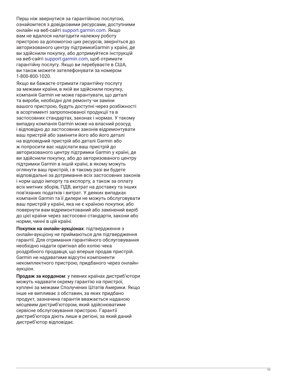Перш ніж звернутися за гарантійною послугою, ознайомтеся з довідковими ресурсами, доступними онлайн на веб-сайті [support.garmin.com](http://www.support.garmin.com). Якщо вам не вдалося налагодити належну роботу пристрою за допомогою цих ресурсів, зверніться до авторизованого центру підтримкиGarmin у країні, де ви здійснили покупку, або дотримуйтеся інструкцій на веб-сайті [support.garmin.com](http://www.support.garmin.com), щоб отримати гарантійну послугу. Якщо ви перебуваєте в США, ви також можете зателефонувати за номером 1-800-800-1020 .

Якщо ви бажаєте отримати гарантійну послугу за межами країни, в якій ви здійснили покупку, компанія Garmin не може гарантувати, що деталі та вироби, необхідні для ремонту чи заміни вашого пристрою, будуть доступні через розбіжності в асортименті запропонованої продукції та в застосовних стандартах, законах і нормах. У такому випадку компанія Garmin може на власний розсуд і відповідно до застосовних законів відремонтувати ваш пристрій або замінити його або його деталі на відповідний пристрій або деталі Garmin або ж попросити вас надіслати ваш пристрій до авторизованого центру підтримки Garmin у країні, де ви здійснили покупку, або до авторизованого центру підтримки Garmin в іншій країні, в якому можуть оглянути ваш пристрій, і в такому разі ви будете відповідальні за дотримання всіх застосовних законів і норм щодо імпорту та експорту, а також за оплату всіх митних зборів, ПДВ, витрат на доставку та інших пов'язаних податків і витрат. У деяких випадках компанія Garmin та її дилери не можуть обслуговувати ваш пристрій у країні, яка не є країною покупки, або повернути вам відремонтований або замінений виріб до цієї країни через застосовні стандарти, закони або норми, чинні в цій країні.

**Покупки на онлайн-аукціонах**: підтвердження з онлайн-аукціону не приймаються для підтвердження гарантії. Для отримання гарантійного обслуговування необхідно надати оригінал або копію чека роздрібного продавця, що вперше продав пристрій. Garmin не надаватиме відсутні компоненти некомплектного пристрою, придбаного через онлайнаукціон.

**Продаж за кордоном**: у певних країнах дистриб'ютори можуть надавати окрему гарантію на пристрої, куплені за межами Сполучених Штатів Америки. Якщо інше не випливає з обставин, за яких придбано продукт, зазначена гарантія вважається наданою місцевим дистриб'ютором, який здійснюватиме сервісне обслуговування пристрою. Гарантії дистриб'ютора діють лише в регіоні, за який даний дистриб'ютор відповідає.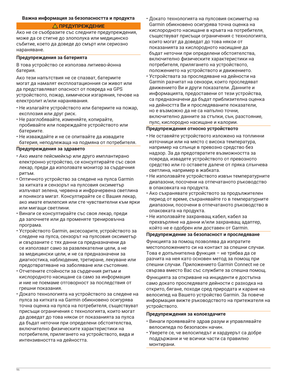#### **Важна информация за безопасността и продукта**

# **ПРЕДУПРЕЖДЕНИЕ**

Ако не се съобразите със следните предупреждения, може да се стигне до злополука или медицинско събитие, което да доведе до смърт или сериозно нараняване.

#### **Предупреждения за батерията**

В това устройство се използва литиево-йонна батерия.

Ако тези напътствия не се спазват, батериите могат да намалят експлоатационния си живот или да представляват опасност от повреда на GPS устройството, пожар, химически изгаряния, течове на електролит и/или наранявания.

- Не излагайте устройството или батериите на пожар, експлозия или друг риск.
- Не разглобявайте, изменяйте, копирайте, пробивайте или повреждайте устройството или батериите.
- Не изваждайте и не се опитвайте да извадите батерия, неподлежаща на подмяна от потребителя.

#### **Предупреждения за здравето**

- Ако имате пейсмейкър или друго имплантирано електронно устройство, се консултирайте със своя лекар, преди да използвате монитор за сърдечния ритъм.
- Оптичното устройство за следене на пулса Garmin за китката и сензорът на пулсовия оксиметър излъчват зелена, червена и инфрачервена светлина и понякога мигат. Консултирайте се с Вашия лекар, ако имате епилепсия или сте чувствителни към ярки или мигащи светлини.
- Винаги се консултирайте със своя лекар, преди да започнете или да променяте тренировъчна програма.
- Устройството Garmin, аксесоарите, устройството за следене на пулса, сензорът на пулсовия оксиметър и свързаните с тях данни са предназначени да се използват само за развлекателни цели, а не за медицински цели, и не са предназначени за диагностика, наблюдение, третиране, лекуване или предотвратяване на заболяване или състояние.
- Отчетените стойности за сърдечния ритъм и кислородното насищане са само за информация и ние не поемаме отговорност за последствия от грешни показания.
- Докато технологията на устройството за следене на пулса за китката на Garmin обикновено осигурява точна оценка на пулса на потребителя, съществуват присъщи ограничения с технологията, които могат да доведат до това някои от показанията за пулса да бъдат неточни при определени обстоятелства, включително физическите характеристики на потребителя, прилягането на устройството, вида и интензивността на дейността.
- Докато технологията на пулсовия оксиметър на Garmin обикновено осигурява точна оценка на кислородното насищане в кръвта на потребителя, съществуват присъщи ограничения с технологията, които могат да доведат до това някои от показанията за кислородното насищане да бъдат неточни при определени обстоятелства, включително физическите характеристики на потребителя, прилягането на устройството, положението на устройството и движението.
- Устройствата за проследяване на дейности на Garmin разчитат на сензори, които проследяват движението Ви и други показатели. Данните и информацията, предоставени от тези устройства, са предназначени да бъдат приблизителна оценка на дейността Ви и проследяваните показатели, но е възможно да не са напълно точни, включително данните за стъпки, сън, разстояние, пулс, кислородно насищане и калории.

#### **Предупреждения относно устройството**

- Не оставяйте устройството изложено на топлинни източници или на място с висока температура, например на слънце в превозно средство без надзор. За да предотвратите възможността за повреда, извадете устройството от превозното средство или го оставете далече от пряка слънчева светлина, например в жабката.
- Не използвайте устройството извън температурните диапазони, посочени на отпечатаното ръководство в опаковката на продукта.
- Ако съхранявате устройството за продължителен период от време, съхранявайте го в температурните диапазони, посочени в отпечатаното ръководство в опаковката на продукта.
- Не използвайте захранващ кабел, кабел за прехвърляне на данни и/или захранващ адаптер, който не е одобрен или доставен от Garmin.

#### **Предупреждение за безопасност и проследяване**

Функцията за помощ позволява да изпратите местоположението си на контакт за спешни случаи. Това е допълнителна функция – не трябва да се разчита на нея като основен метод за помощ при спешни случаи. Приложението Garmin Connect не се свързва вместо Вас със службите за спешна помощ.

Функцията за откриване на инциденти е достъпна само докато проследявате дейности с разходка на открито, бягане, походи сред природата и каране на велосипед на Вашето устройство Garmin. За повече информация вижте ръководството на притежателя на устройството.

#### **Предупреждения за колоездачите**

- Винаги проявявайте здрав разум и управлявайте велосипеда по безопасен начин.
- Уверете се, че велосипедът и хардуерът са добре поддържани и че всички части са правилно монтирани.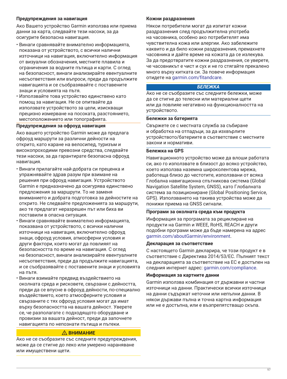#### **Предупреждения за навигация**

Ако Вашето устройство Garmin използва или приема данни за карта, следвайте тези насоки, за да осигурите безопасна навигация.

- Винаги сравнявайте внимателно информацията, показана от устройството, с всички налични източници на навигация, включително информация от визуални обозначения, местните плавила и ограничения за водните пътища и карти. С оглед на безопасност, винаги анализирайте евентуалните несъответствия или въпроси, преди да продължите навигацията и се съобразявайте с поставените знаци и условията на пътя.
- Използвайте това устройство единствено като помощ за навигация. Не се опитвайте да използвате устройството за цели, изискващи прецизно измерване на посоката, разстоянието, местоположението или топографията.

# **Предупреждения за офроуд навигация**

Ако вашето устройство Garmin може да предлага офроуд маршрути за различни дейности на открито, като каране на велосипед, туризъм и високопроходими превозни средства, следвайте тези насоки, за да гарантирате безопасна офроуд навигация.

- Винаги прилагайте най-добрата си преценка и упражнявайте здрав разум при взимане на решения при офроуд навигация. Устройството Garmin е предназначено да осигурява единствено предложения за маршрути. То не заменя вниманието и добрата подготовка за дейностите на открито. Не следвайте предложенията за маршрути, ако те предлагат неразрешен път или биха ви поставили в опасна ситуация.
- Винаги сравнявайте внимателно информацията, показвана от устройството, с всички налични източници на навигация, включително офроуд знаци, офроуд условия, атмосферни условия и други фактори, които могат да повлияят на безопасността по време на навигация. С оглед на безопасност, винаги анализирайте евентуалните несъответствия, преди да продължите навигацията, и се съобразявайте с поставените знаци и условията на пътя.
- Винаги взимайте предвид въздействието на околната среда и рисковете, свързани с дейността, преди да се впусне в офроуд дейности, по-специално въздействието, което атмосферните условия и свързаните с тях офроуд условия могат да имат върху безопасността на вашата дейност. Уверете се, че разполагате с подходящото оборудване и провизии за вашата дейност, преди да започнете навигацията по непознати пътища и пътеки.

# **ВНИМАНИЕ**

Ако не се съобразите със следните предупреждения, може да се стигне до леко или умерено нараняване или имуществени щети.

# **Кожни раздразнения**

Някои потребители могат да изпитат кожни раздразнения след продължителна употреба на часовника, особено ако потребителят има чувствителна кожа или алергии. Ако забележите каквито и да било кожни раздразнения, премахнете часовника и дайте време на кожата да се излекува. За да предотвратите кожни раздразнения, се уверете, че часовникът е чист и сух и не го стягайте прекалено много върху китката си. За повече информация отидете на [garmin.com/fitandcare.](http://www.garmin.com/fitandcare)

# *БЕЛЕЖКА*

Ако не се съобразите със следните бележки, може да се стигне до телесни или материални щети или да повлияе негативно на функционалността на устройството.

# **Бележки за батерията**

Свържете се с местната служба за събиране и обработка на отпадъци, за да изхвърлите устройството/батериите в съответствие с местните закони и нормативи.

## **Бележка на GPS**

Навигационното устройство може да влоши работата си, ако го използвате в близост до всяко устройство, което използва наземна широколентова мрежа, работеща близо до честотите, използвани от всяка Глобална навигационна спътникова система (Global Navigation Satellite System, GNSS), като Глобалната система за позициониране (Global Positioning Service, GPS). Използването на такива устройства може да понижи приема на GNSS сигнали.

#### **Програми за околната среда към продукта**

Информация за програмата за рециклиране на продукти на Garmin и WEEE, RoHS, REACH и други подобни програми може да бъде намерена на адрес [garmin.com/aboutGarmin/environment](http://www.garmin.com/aboutGarmin/environment).

## **Декларация за съответствие**

С настоящето Garmin декларира, че този продукт е в съответствие с Директива 2014/53/ЕС. Пълният текст на декларацията за съответствие на ЕС е достъпен на следния интернет адрес: [garmin.com/compliance](http://www.garmin.com/compliance).

## **Информация за картните данни**

Garmin използва комбинация от държавни и частни източници на данни. Практически всички източници на данни съдържат неточни или непълни данни. В някои държави пълна и точна картна информация или не е достъпна, или е възпрепятстващо скъпа.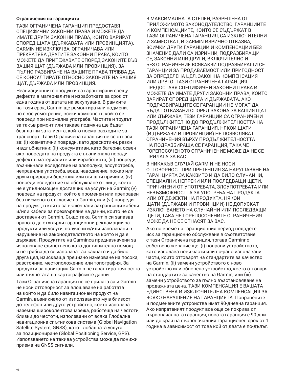#### **Ограничения на гаранцията**

ТАЗИ ОГРАНИЧЕНА ГАРАНЦИЯ ПРЕДОСТАВЯ СПЕЦИФИЧНИ ЗАКОННИ ПРАВА И МОЖЕТЕ ДА ИМАТЕ ДРУГИ ЗАКОННИ ПРАВА, КОИТО ВАРИРАТ СПОРЕД ЩАТА (ДЪРЖАВАТА ИЛИ ПРОВИНЦИЯТА). GARMIN НЕ ИЗКЛЮЧВА, ОГРАНИЧАВА ИЛИ ПРЕКРАТЯВА ДРУГИТЕ ЗАКОННИ ПРАВА, КОИТО МОЖЕТЕ ДА ПРИТЕЖАВАТЕ СПОРЕД ЗАКОНИТЕ ВЪВ ВАШИЯ ЩАТ (ДЪРЖАВА ИЛИ ПРОВИНЦИЯ). ЗА ПЪЛНО РАЗБИРАНЕ НА ВАШИТЕ ПРАВА ТРЯБВА ДА СЕ КОНСУЛТИРАТЕ ОТНОСНО ЗАКОНИТЕ НА ВАШИЯ ЩАТ, ДЪРЖАВА ИЛИ ПРОВИНЦИЯ.

Неавиационните продукти са гарантирани срещу дефекти в материалите и изработката за срок от една година от датата на закупуване. В рамките на този срок, Garmin ще ремонтира или подмени, по свое усмотрение, всеки компонент, който се повреди при нормална употреба. Частите и трудът за такъв ремонт или такава подмяна ще бъдат безплатни за клиента, който поема разходите за транспорт. Тази Ограничена гаранция не се отнася за: (i) козметични повреди, като драскотини, резки и вдлъбнатини; (ii) консумативи, като батерии, освен ако повредата на продукта е възникнала поради дефект в материалите или изработката; (iii) повреди, възникнали вследствие на злополука, злоупотреба, неправилна употреба, вода, наводнение, пожар или други природни бедствия или външни причини; (iv) повреди вследствие на обслужване от лице, което не е упълномощен доставчик на услуги на Garmin; (v) повреди на продукт, който е променен или преправен без писменото съгласие на Garmin, или (vi) повреди на продукт, в който са включвани захранващи кабели и/или кабели за прехвърляне на данни, които не са доставени от Garmin. Също така, Garmin си запазва правото да отхвърли гаранционни рекламации за продукти или услуги, получени и/или използвани в нарушение на законодателството на която и да е държава. Продуктите на Garminса предназначени за използване единствено като допълнителна помощ и не трябва да се използват за каквато и да било друга цел, изискваща прецизно измерване на посока, разстояние, местоположение или топография. За продукти за навигация Garmin не гарантира точността или пълнотата на картографските данни.

Тази Ограничена гаранция не се прилага за и Garmin не носи отговорност за влошаване на работата на който и да било навигационен продукт на Garmin, възникнало от използването му в близост до телефон или друго устройство, което използва наземна широколентова мрежа, работеща на честоти, близки до честоти, използвани от всяка Глобална навигационна спътникова система (Global Navigation Satellite System, GNSS), като Глобалната услуга за позициониране (Global Positioning Service, GPS). Използването на такива устройства може да понижи приема на GNSS сигнали.

В МАКСИМАЛНАТА СТЕПЕН, РАЗРЕШЕНА ОТ ПРИЛОЖИМОТО ЗАКОНОДАТЕЛСТВО, ГАРАНЦИИТЕ И КОМПЕНСАЦИИТЕ, КОИТО СЕ СЪДЪРЖАТ В ТАЗИ ОГРАНИЧЕНА ГАРАНЦИЯ, СА ИЗКЛЮЧИТЕЛНИ И ЗАМЕСТВАТ, И GARMIN ИЗРИЧНО ОТКАЗВА, ВСИЧКИ ДРУГИ ГАРАНЦИИ И КОМПЕНСАЦИИ БЕЗ ЗНАЧЕНИЕ ДАЛИ СА ИЗРИЧНИ, ПОДРАЗБИРАЩИ СЕ, ЗАКОННИ ИЛИ ДРУГИ, ВКЛЮЧИТЕЛНО И БЕЗ ОГРАНИЧЕНИЕ ВСЯКАКВИ ПОДРАЗБИРАЩИ СЕ ГАРАНЦИИ ЗА ПРОДАВАЕМОСТ ИЛИ ПРИГОДНОСТ ЗА ОПРЕДЕЛЕНА ЦЕЛ, ЗАКОННА КОМПЕНСАЦИЯ ИЛИ ДРУГО. ТАЗИ ОГРАНИЧЕНА ГАРАНЦИЯ ПРЕДОСТАВЯ СПЕЦИФИЧНИ ЗАКОННИ ПРАВА И МОЖЕТЕ ДА ИМАТЕ ДРУГИ ЗАКОННИ ПРАВА, КОИТО ВАРИРАТ СПОРЕД ЩАТА И ДЪРЖАВАТА. АКО ПОДРАЗБИРАЩИТЕ СЕ ГАРАНЦИИ НЕ МОГАТ ДА БЪДАТ ОТКАЗАНИ СПОРЕД ЗАКОНА ЗА ВАШИЯ ЩАТ ИЛИ ДЪРЖАВА, ТЕЗИ ГАРАНЦИИ СА ОГРАНИЧЕНИ ПРОДЪЛЖИТЕЛНО ДО ПРОДЪЛЖИТЕЛНОСТТА НА ТАЗИ ОГРАНИЧЕНА ГАРАНЦИЯ. НЯКОИ ЩАТИ (И ДЪРЖАВИ И ПРОВИНЦИИ) НЕ ПОЗВОЛЯВАТ ОГРАНИЧЕНИЯ ВЪРХУ ПРОДЪЛЖИТЕЛНОСТТА НА ПОДРАЗБИРАЩА СЕ ГАРАНЦИЯ, ТАКА ЧЕ ГОРЕПОСОЧЕНОТО ОГРАНИЧЕНИЕ МОЖЕ ДА НЕ СЕ ПРИЛАГА ЗА ВАС.

В НИКАКЪВ СЛУЧАЙ GARMIN НЕ НОСИ ОТГОВОРНОСТ ПРИ ПРЕТЕНЦИЯ ЗА НАРУШАВАНЕ НА ГАРАНЦИЯТА ЗА КАКВИТО И ДА БИЛО СЛУЧАЙНИ, СПЕЦИАЛНИ, НЕПРЕКИ ИЛИ ПОСЛЕДВАЩИ ЩЕТИ, ПРИЧИНЕНИ ОТ УПОТРЕБАТА, ЗЛОУПОТРЕБАТА ИЛИ НЕВЪЗМОЖНОСТТА ЗА УПОТРЕБА НА ПРОДУКТА ИЛИ ОТ ДЕФЕКТИ НА ПРОДУКТА. НЯКОИ ЩАТИ (ДЪРЖАВИ И ПРОВИНЦИИ) НЕ ДОПУСКАТ ИЗКЛЮЧВАНЕТО НА СЛУЧАЙНИ ИЛИ ПОСЛЕДВАЩИ ЩЕТИ, ТАКА ЧЕ ГОРЕПОСОЧЕНИТЕ ОГРАНИЧЕНИЯ МОЖЕ ДА НЕ СЕ ОТНАСЯТ ЗА ВАС.

Ако по време на гаранционния период подадете иск за гаранционно обслужване в съответствие с тази Ограничена гаранция, тогава Garminпо собствено желание ще: (i) поправи устройството, като използва нови части или по-рано използвани части, които отговарят на стандартите за качество на Garmin, (ii) замени устройството с ново устройство или обновено устройство, което отговаря на стандартите за качество на Garmin, или (iii) замени устройството за пълно възстановяване на продажната цена. ТАЗИ КОМПЕНСАЦИЯ Е ВАШАТА ЕДИНСТВЕНА И ИЗКЛЮЧИТЕЛНА КОМПЕНСАЦИЯ ЗА ВСЯКО НАРУШЕНИЕ НА ГАРАНЦИЯТА. Поправените и подменените устройства имат 90-дневна гаранция. Ако изпратеният продукт все още се покрива от първоначалната гаранция, новата гаранция е 90 дни или до края на първоначалния гаранционен срок от 1 година в зависимост от това кой от двата е по-дълъг.